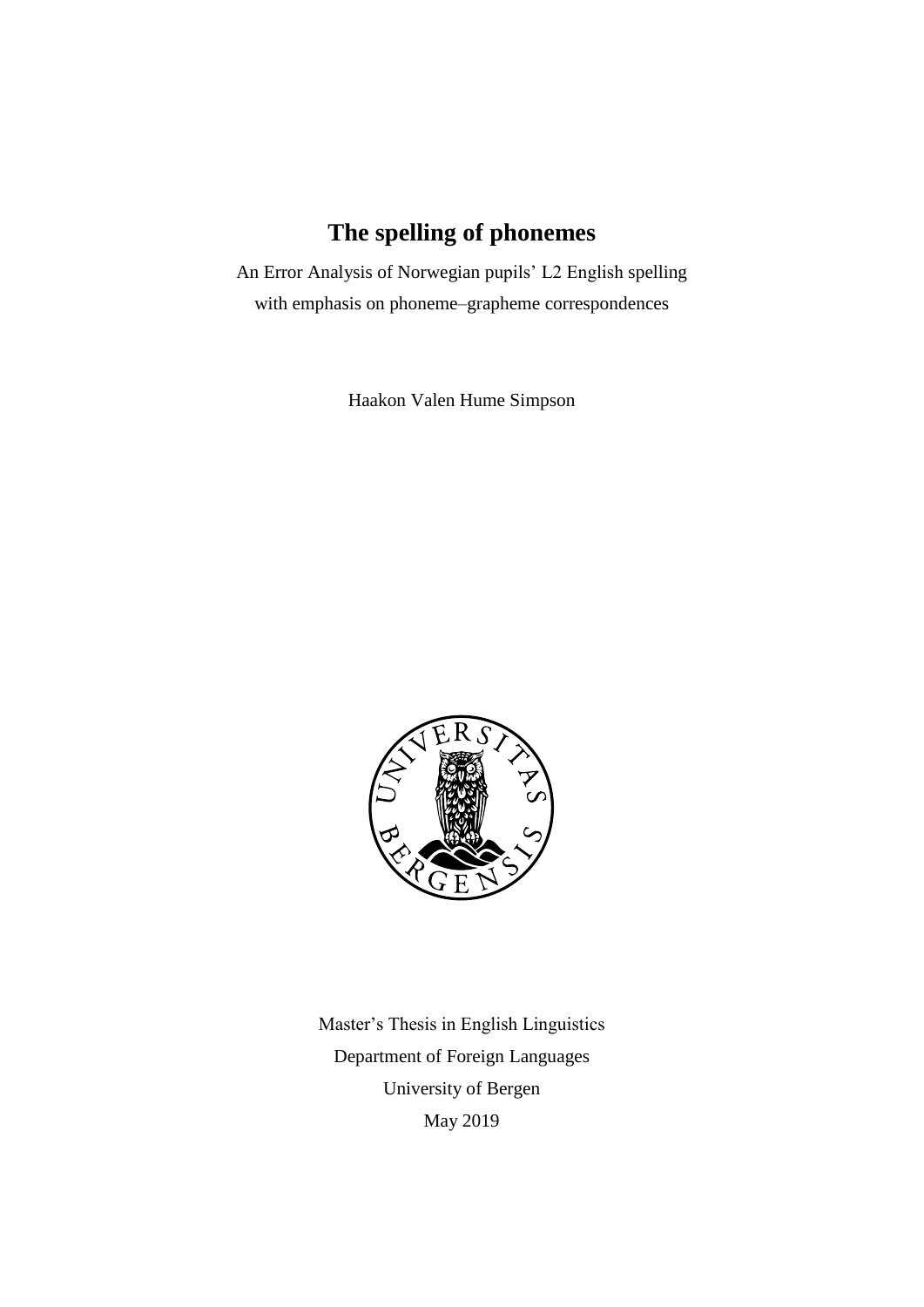# **The spelling of phonemes**

An Error Analysis of Norwegian pupils' L2 English spelling with emphasis on phoneme–grapheme correspondences

Haakon Valen Hume Simpson



Master's Thesis in English Linguistics Department of Foreign Languages University of Bergen May 2019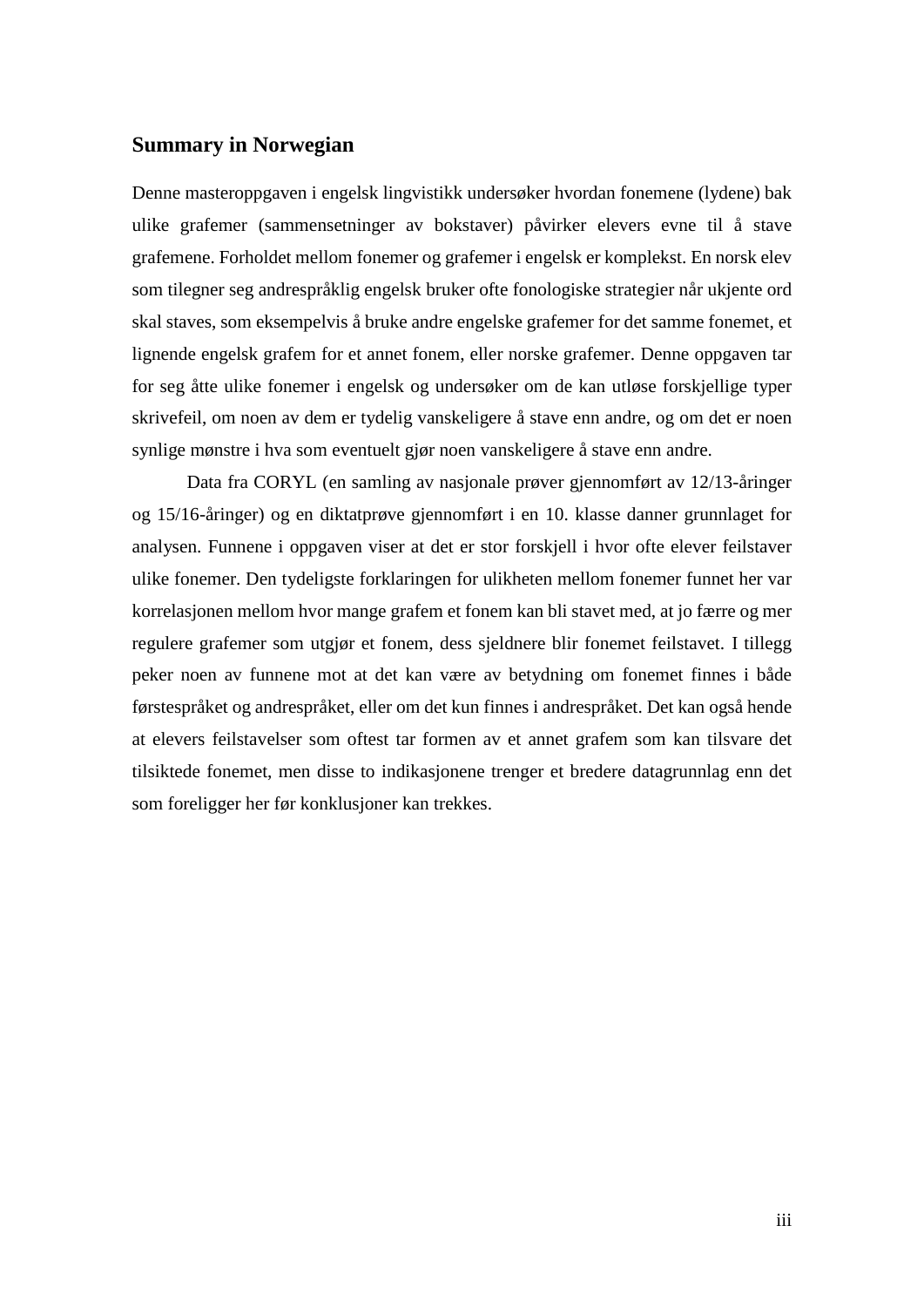### <span id="page-2-0"></span>**Summary in Norwegian**

Denne masteroppgaven i engelsk lingvistikk undersøker hvordan fonemene (lydene) bak ulike grafemer (sammensetninger av bokstaver) påvirker elevers evne til å stave grafemene. Forholdet mellom fonemer og grafemer i engelsk er komplekst. En norsk elev som tilegner seg andrespråklig engelsk bruker ofte fonologiske strategier når ukjente ord skal staves, som eksempelvis å bruke andre engelske grafemer for det samme fonemet, et lignende engelsk grafem for et annet fonem, eller norske grafemer. Denne oppgaven tar for seg åtte ulike fonemer i engelsk og undersøker om de kan utløse forskjellige typer skrivefeil, om noen av dem er tydelig vanskeligere å stave enn andre, og om det er noen synlige mønstre i hva som eventuelt gjør noen vanskeligere å stave enn andre.

Data fra CORYL (en samling av nasjonale prøver gjennomført av 12/13-åringer og 15/16-åringer) og en diktatprøve gjennomført i en 10. klasse danner grunnlaget for analysen. Funnene i oppgaven viser at det er stor forskjell i hvor ofte elever feilstaver ulike fonemer. Den tydeligste forklaringen for ulikheten mellom fonemer funnet her var korrelasjonen mellom hvor mange grafem et fonem kan bli stavet med, at jo færre og mer regulere grafemer som utgjør et fonem, dess sjeldnere blir fonemet feilstavet. I tillegg peker noen av funnene mot at det kan være av betydning om fonemet finnes i både førstespråket og andrespråket, eller om det kun finnes i andrespråket. Det kan også hende at elevers feilstavelser som oftest tar formen av et annet grafem som kan tilsvare det tilsiktede fonemet, men disse to indikasjonene trenger et bredere datagrunnlag enn det som foreligger her før konklusjoner kan trekkes.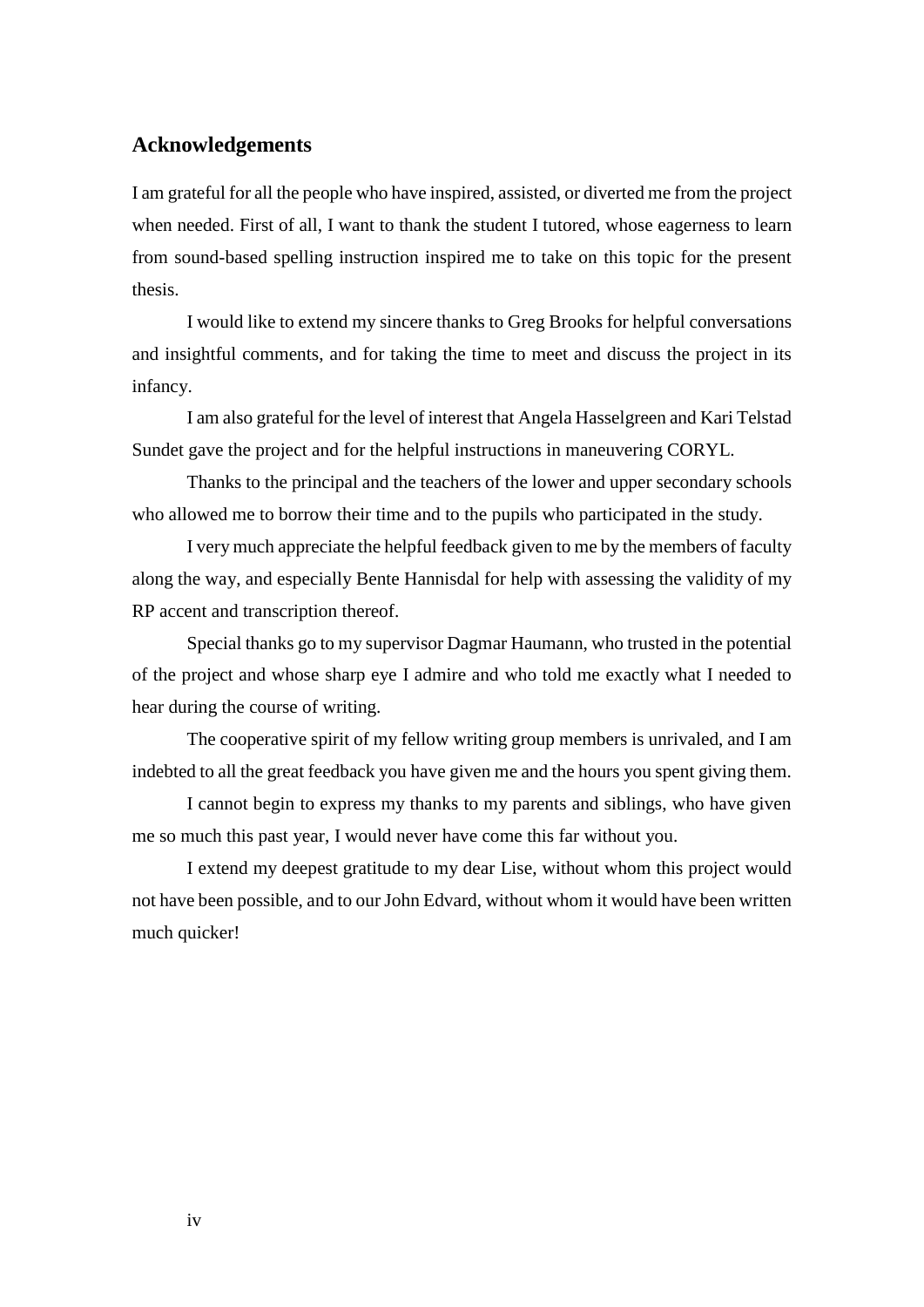## <span id="page-3-0"></span>**Acknowledgements**

I am grateful for all the people who have inspired, assisted, or diverted me from the project when needed. First of all, I want to thank the student I tutored, whose eagerness to learn from sound-based spelling instruction inspired me to take on this topic for the present thesis.

I would like to extend my sincere thanks to Greg Brooks for helpful conversations and insightful comments, and for taking the time to meet and discuss the project in its infancy.

I am also grateful for the level of interest that Angela Hasselgreen and Kari Telstad Sundet gave the project and for the helpful instructions in maneuvering CORYL.

Thanks to the principal and the teachers of the lower and upper secondary schools who allowed me to borrow their time and to the pupils who participated in the study.

I very much appreciate the helpful feedback given to me by the members of faculty along the way, and especially Bente Hannisdal for help with assessing the validity of my RP accent and transcription thereof.

Special thanks go to my supervisor Dagmar Haumann, who trusted in the potential of the project and whose sharp eye I admire and who told me exactly what I needed to hear during the course of writing.

The cooperative spirit of my fellow writing group members is unrivaled, and I am indebted to all the great feedback you have given me and the hours you spent giving them.

I cannot begin to express my thanks to my parents and siblings, who have given me so much this past year, I would never have come this far without you.

I extend my deepest gratitude to my dear Lise, without whom this project would not have been possible, and to our John Edvard, without whom it would have been written much quicker!

iv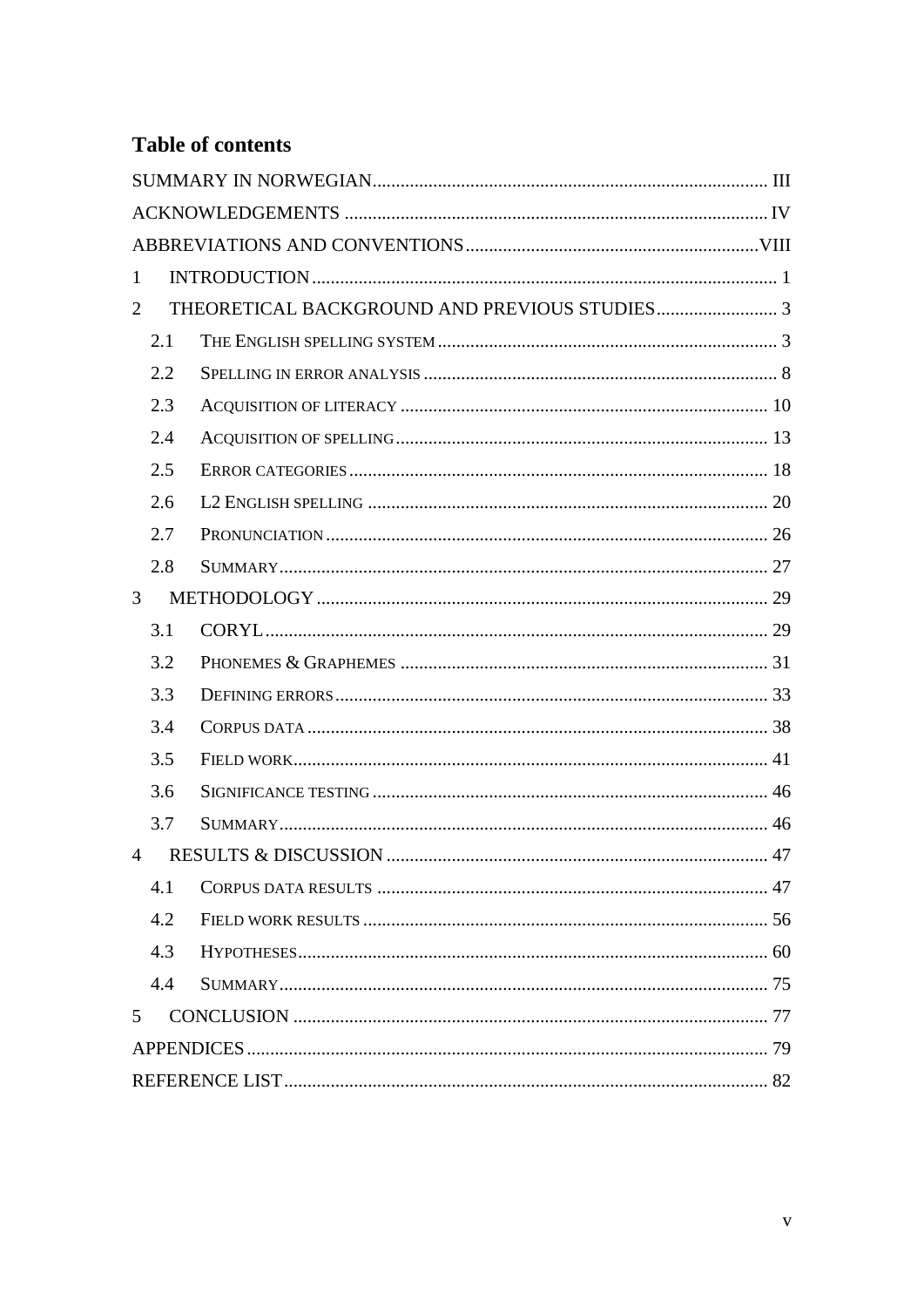## **Table of contents**

| $\mathbf{1}$   |  |  |  |  |  |
|----------------|--|--|--|--|--|
| 2              |  |  |  |  |  |
| 2.1            |  |  |  |  |  |
| 2.2            |  |  |  |  |  |
| 2.3            |  |  |  |  |  |
| 2.4            |  |  |  |  |  |
| 2.5            |  |  |  |  |  |
| 2.6            |  |  |  |  |  |
| 2.7            |  |  |  |  |  |
| 2.8            |  |  |  |  |  |
| 3 <sup>1</sup> |  |  |  |  |  |
| 3.1            |  |  |  |  |  |
| 3.2            |  |  |  |  |  |
| 3.3            |  |  |  |  |  |
| 3.4            |  |  |  |  |  |
| 3.5            |  |  |  |  |  |
| 3.6            |  |  |  |  |  |
| 3.7            |  |  |  |  |  |
| $\overline{4}$ |  |  |  |  |  |
| 4.1            |  |  |  |  |  |
| 4.2            |  |  |  |  |  |
| 4.3            |  |  |  |  |  |
| 4.4            |  |  |  |  |  |
| $5^{\circ}$    |  |  |  |  |  |
|                |  |  |  |  |  |
|                |  |  |  |  |  |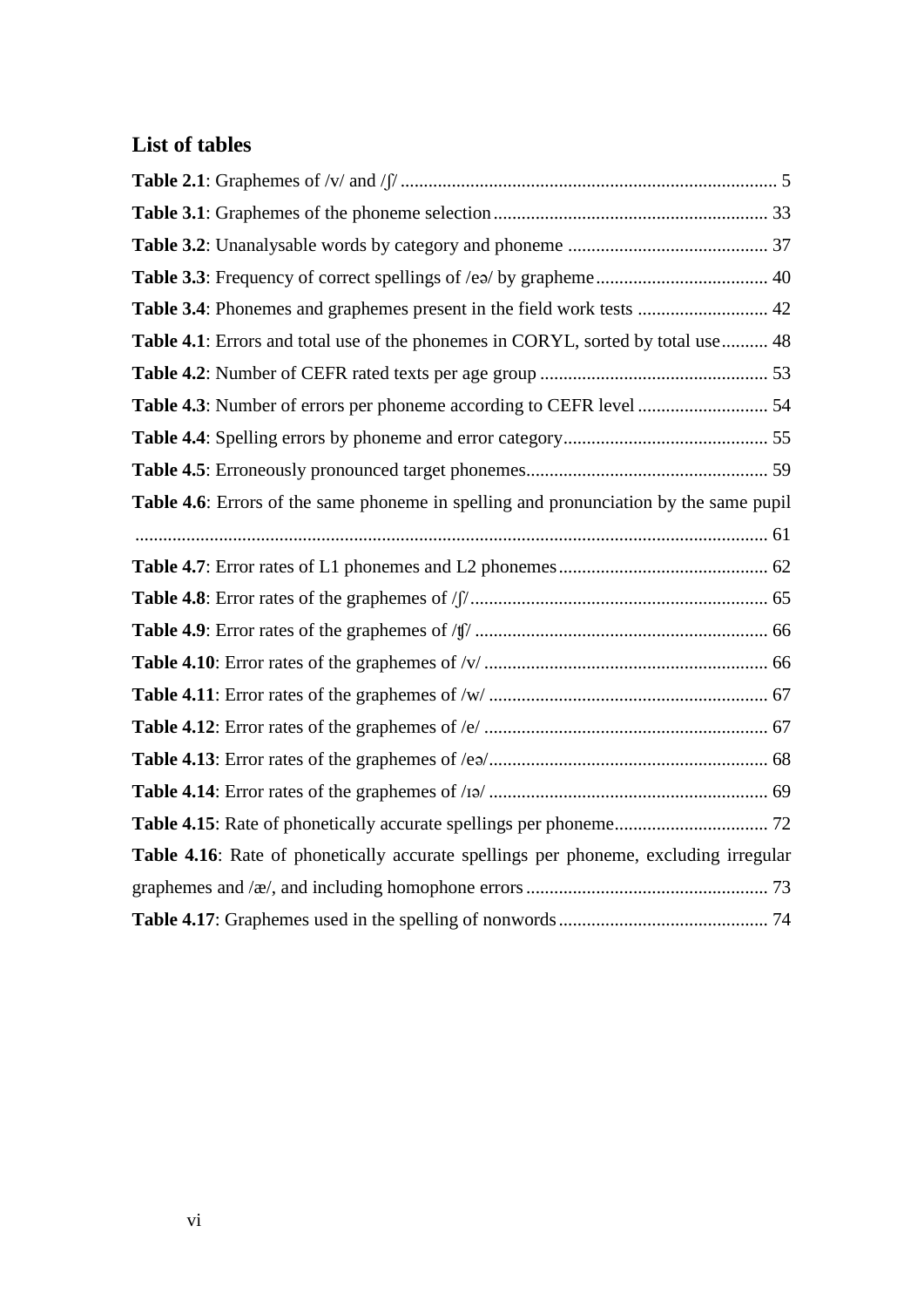## **List of tables**

| Table 3.4: Phonemes and graphemes present in the field work tests  42                 |
|---------------------------------------------------------------------------------------|
| Table 4.1: Errors and total use of the phonemes in CORYL, sorted by total use  48     |
|                                                                                       |
|                                                                                       |
|                                                                                       |
|                                                                                       |
| Table 4.6: Errors of the same phoneme in spelling and pronunciation by the same pupil |
|                                                                                       |
|                                                                                       |
|                                                                                       |
|                                                                                       |
|                                                                                       |
|                                                                                       |
|                                                                                       |
|                                                                                       |
|                                                                                       |
|                                                                                       |
| Table 4.16: Rate of phonetically accurate spellings per phoneme, excluding irregular  |
|                                                                                       |
|                                                                                       |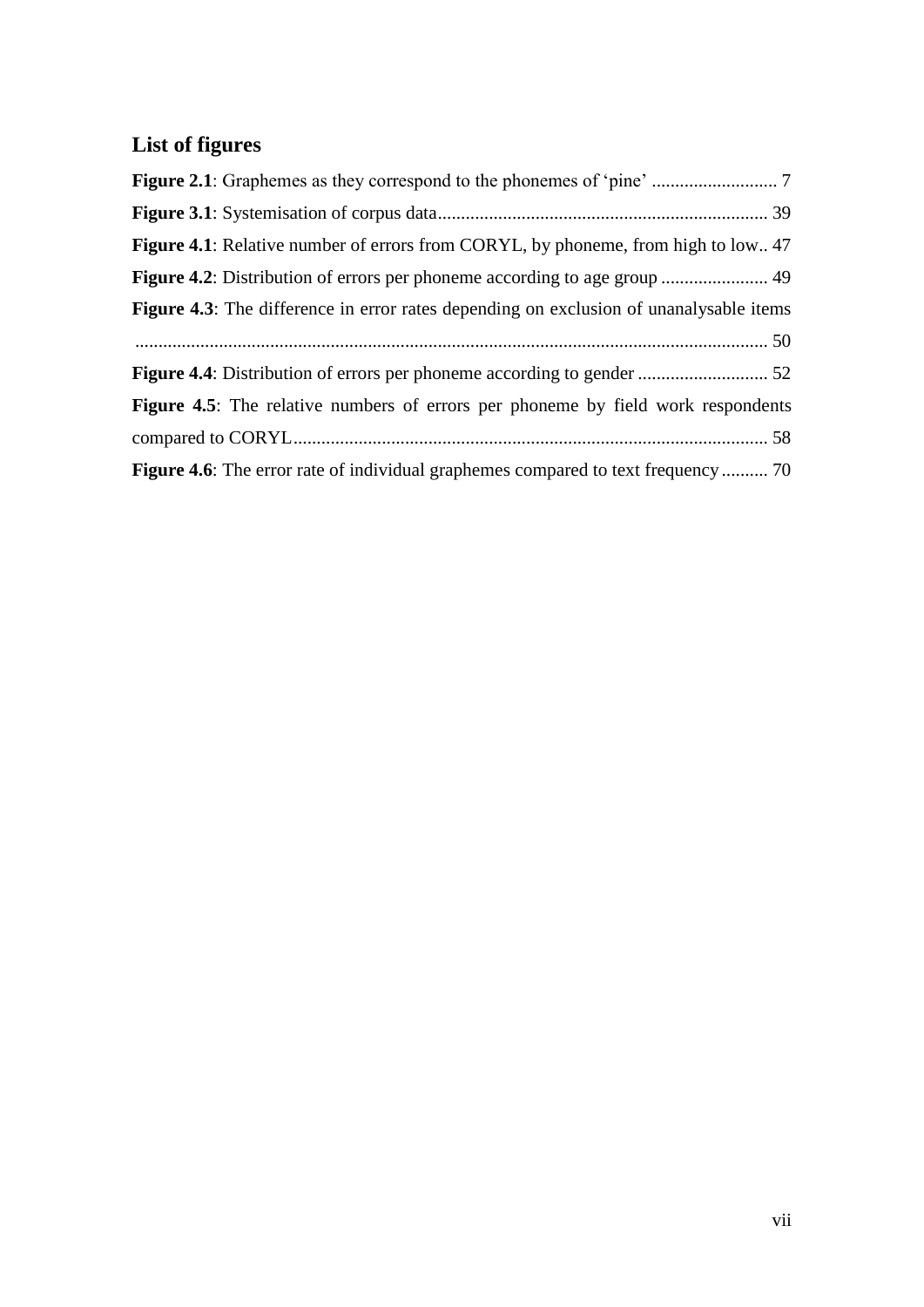# **List of figures**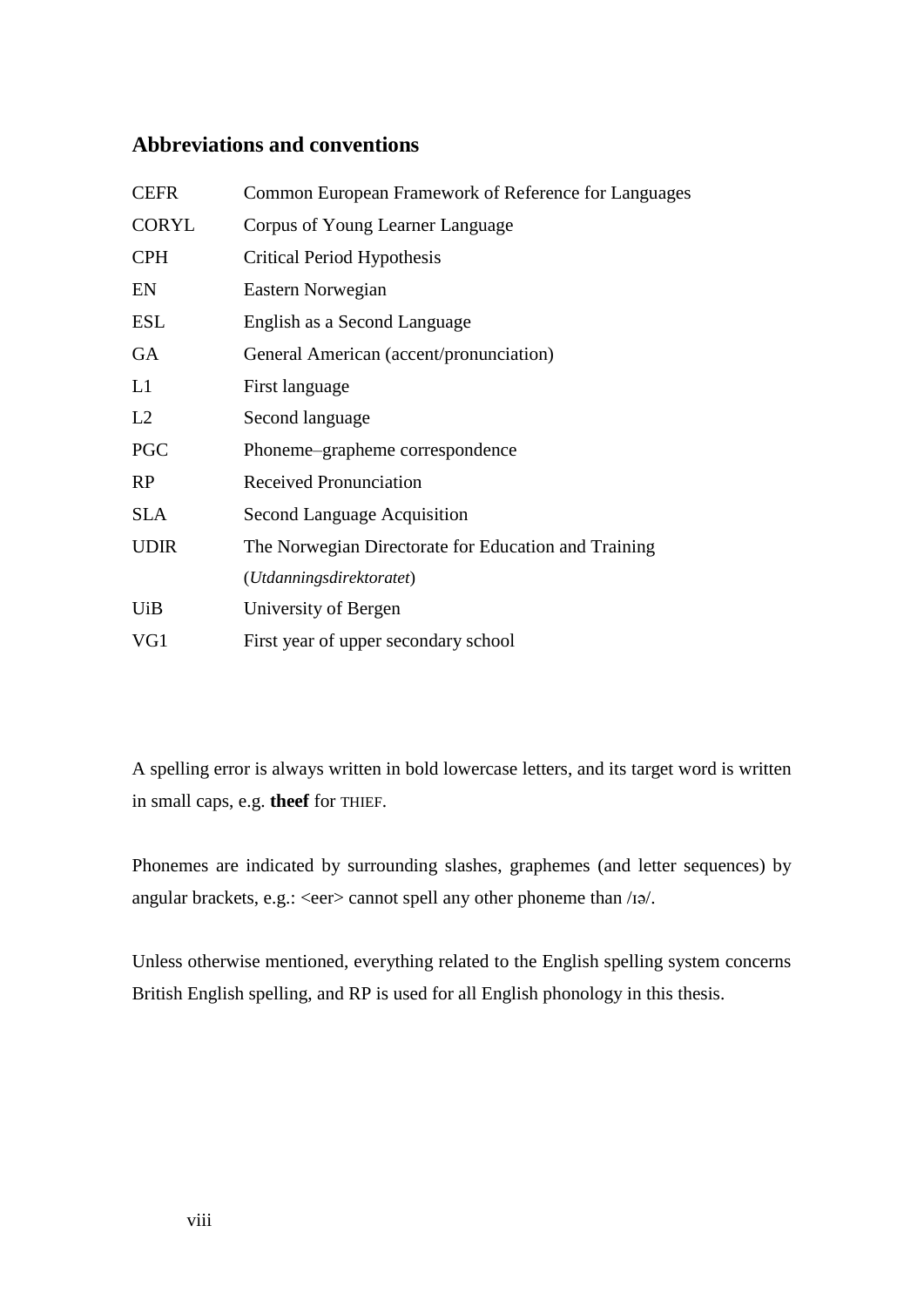## <span id="page-7-0"></span>**Abbreviations and conventions**

| Common European Framework of Reference for Languages |  |  |  |  |  |
|------------------------------------------------------|--|--|--|--|--|
| Corpus of Young Learner Language                     |  |  |  |  |  |
| <b>Critical Period Hypothesis</b>                    |  |  |  |  |  |
| Eastern Norwegian                                    |  |  |  |  |  |
| English as a Second Language                         |  |  |  |  |  |
| General American (accent/pronunciation)              |  |  |  |  |  |
| First language                                       |  |  |  |  |  |
| Second language                                      |  |  |  |  |  |
| Phoneme-grapheme correspondence                      |  |  |  |  |  |
| <b>Received Pronunciation</b>                        |  |  |  |  |  |
| Second Language Acquisition                          |  |  |  |  |  |
| The Norwegian Directorate for Education and Training |  |  |  |  |  |
| (Utdanningsdirektoratet)                             |  |  |  |  |  |
| University of Bergen                                 |  |  |  |  |  |
| First year of upper secondary school                 |  |  |  |  |  |
|                                                      |  |  |  |  |  |

A spelling error is always written in bold lowercase letters, and its target word is written in small caps, e.g. **theef** for THIEF.

Phonemes are indicated by surrounding slashes, graphemes (and letter sequences) by angular brackets, e.g.: <eer> cannot spell any other phoneme than /ɪə/.

Unless otherwise mentioned, everything related to the English spelling system concerns British English spelling, and RP is used for all English phonology in this thesis.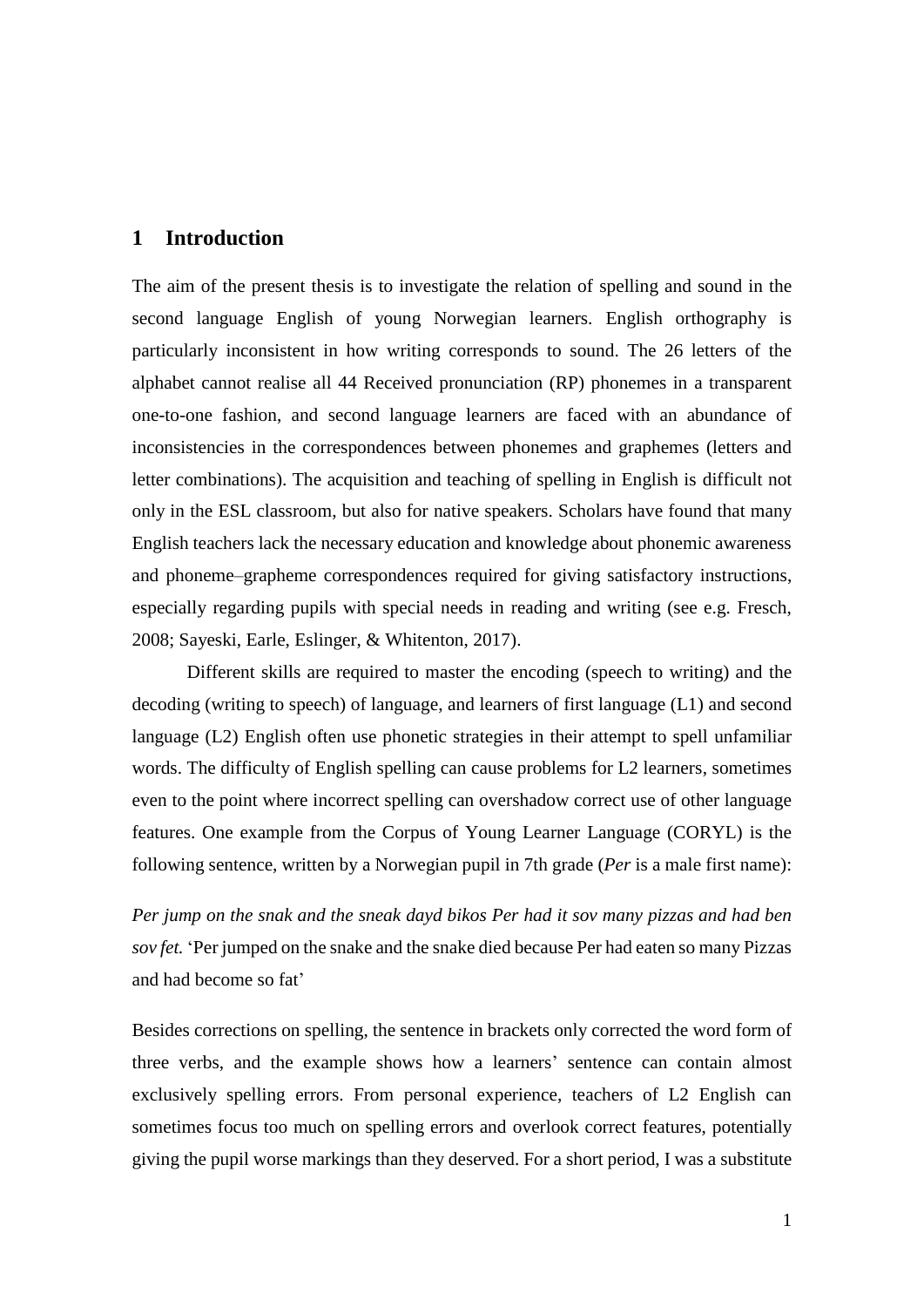### <span id="page-8-0"></span>**1 Introduction**

The aim of the present thesis is to investigate the relation of spelling and sound in the second language English of young Norwegian learners. English orthography is particularly inconsistent in how writing corresponds to sound. The 26 letters of the alphabet cannot realise all 44 Received pronunciation (RP) phonemes in a transparent one-to-one fashion, and second language learners are faced with an abundance of inconsistencies in the correspondences between phonemes and graphemes (letters and letter combinations). The acquisition and teaching of spelling in English is difficult not only in the ESL classroom, but also for native speakers. Scholars have found that many English teachers lack the necessary education and knowledge about phonemic awareness and phoneme–grapheme correspondences required for giving satisfactory instructions, especially regarding pupils with special needs in reading and writing (see e.g. Fresch, 2008; Sayeski, Earle, Eslinger, & Whitenton, 2017).

Different skills are required to master the encoding (speech to writing) and the decoding (writing to speech) of language, and learners of first language (L1) and second language (L2) English often use phonetic strategies in their attempt to spell unfamiliar words. The difficulty of English spelling can cause problems for L2 learners, sometimes even to the point where incorrect spelling can overshadow correct use of other language features. One example from the Corpus of Young Learner Language (CORYL) is the following sentence, written by a Norwegian pupil in 7th grade (*Per* is a male first name):

*Per jump on the snak and the sneak dayd bikos Per had it sov many pizzas and had ben sov fet.* 'Per jumped on the snake and the snake died because Per had eaten so many Pizzas and had become so fat'

Besides corrections on spelling, the sentence in brackets only corrected the word form of three verbs, and the example shows how a learners' sentence can contain almost exclusively spelling errors. From personal experience, teachers of L2 English can sometimes focus too much on spelling errors and overlook correct features, potentially giving the pupil worse markings than they deserved. For a short period, I was a substitute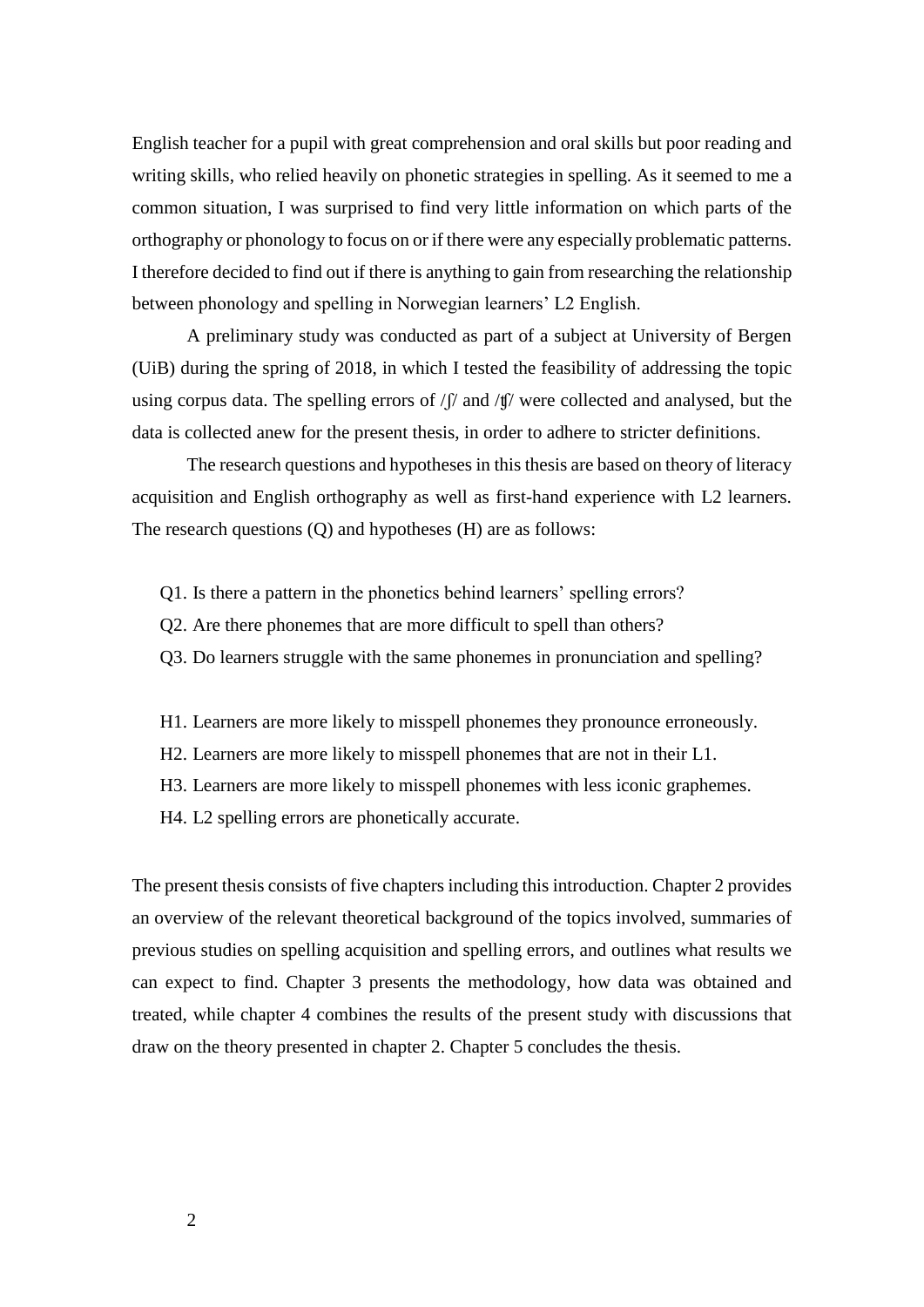English teacher for a pupil with great comprehension and oral skills but poor reading and writing skills, who relied heavily on phonetic strategies in spelling. As it seemed to me a common situation, I was surprised to find very little information on which parts of the orthography or phonology to focus on or if there were any especially problematic patterns. I therefore decided to find out if there is anything to gain from researching the relationship between phonology and spelling in Norwegian learners' L2 English.

A preliminary study was conducted as part of a subject at University of Bergen (UiB) during the spring of 2018, in which I tested the feasibility of addressing the topic using corpus data. The spelling errors of  $/f$  and  $/f$  were collected and analysed, but the data is collected anew for the present thesis, in order to adhere to stricter definitions.

The research questions and hypotheses in this thesis are based on theory of literacy acquisition and English orthography as well as first-hand experience with L2 learners. The research questions (Q) and hypotheses (H) are as follows:

- Q1. Is there a pattern in the phonetics behind learners' spelling errors?
- Q2. Are there phonemes that are more difficult to spell than others?
- Q3. Do learners struggle with the same phonemes in pronunciation and spelling?
- H1. Learners are more likely to misspell phonemes they pronounce erroneously.
- H2. Learners are more likely to misspell phonemes that are not in their L1.
- H3. Learners are more likely to misspell phonemes with less iconic graphemes.
- H4. L2 spelling errors are phonetically accurate.

The present thesis consists of five chapters including this introduction. Chapter 2 provides an overview of the relevant theoretical background of the topics involved, summaries of previous studies on spelling acquisition and spelling errors, and outlines what results we can expect to find. Chapter 3 presents the methodology, how data was obtained and treated, while chapter 4 combines the results of the present study with discussions that draw on the theory presented in chapter 2. Chapter 5 concludes the thesis.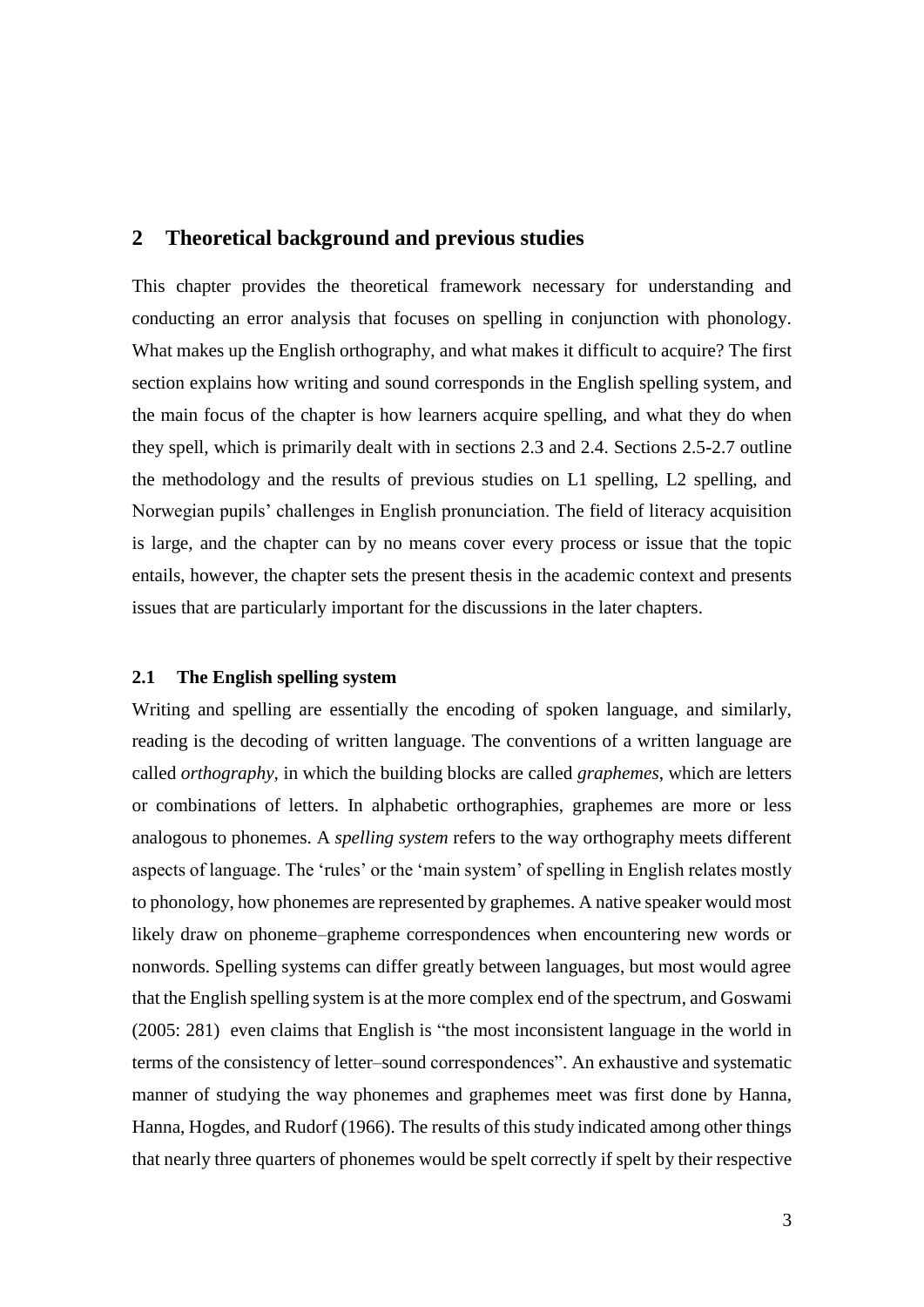## <span id="page-10-0"></span>**2 Theoretical background and previous studies**

This chapter provides the theoretical framework necessary for understanding and conducting an error analysis that focuses on spelling in conjunction with phonology. What makes up the English orthography, and what makes it difficult to acquire? The first section explains how writing and sound corresponds in the English spelling system, and the main focus of the chapter is how learners acquire spelling, and what they do when they spell, which is primarily dealt with in sections 2.3 and 2.4. Sections 2.5-2.7 outline the methodology and the results of previous studies on L1 spelling, L2 spelling, and Norwegian pupils' challenges in English pronunciation. The field of literacy acquisition is large, and the chapter can by no means cover every process or issue that the topic entails, however, the chapter sets the present thesis in the academic context and presents issues that are particularly important for the discussions in the later chapters.

#### <span id="page-10-1"></span>**2.1 The English spelling system**

Writing and spelling are essentially the encoding of spoken language, and similarly, reading is the decoding of written language. The conventions of a written language are called *orthography*, in which the building blocks are called *graphemes*, which are letters or combinations of letters. In alphabetic orthographies, graphemes are more or less analogous to phonemes. A *spelling system* refers to the way orthography meets different aspects of language. The 'rules' or the 'main system' of spelling in English relates mostly to phonology, how phonemes are represented by graphemes. A native speaker would most likely draw on phoneme–grapheme correspondences when encountering new words or nonwords. Spelling systems can differ greatly between languages, but most would agree that the English spelling system is at the more complex end of the spectrum, and Goswami (2005: 281) even claims that English is "the most inconsistent language in the world in terms of the consistency of letter–sound correspondences". An exhaustive and systematic manner of studying the way phonemes and graphemes meet was first done by Hanna, Hanna, Hogdes, and Rudorf (1966). The results of this study indicated among other things that nearly three quarters of phonemes would be spelt correctly if spelt by their respective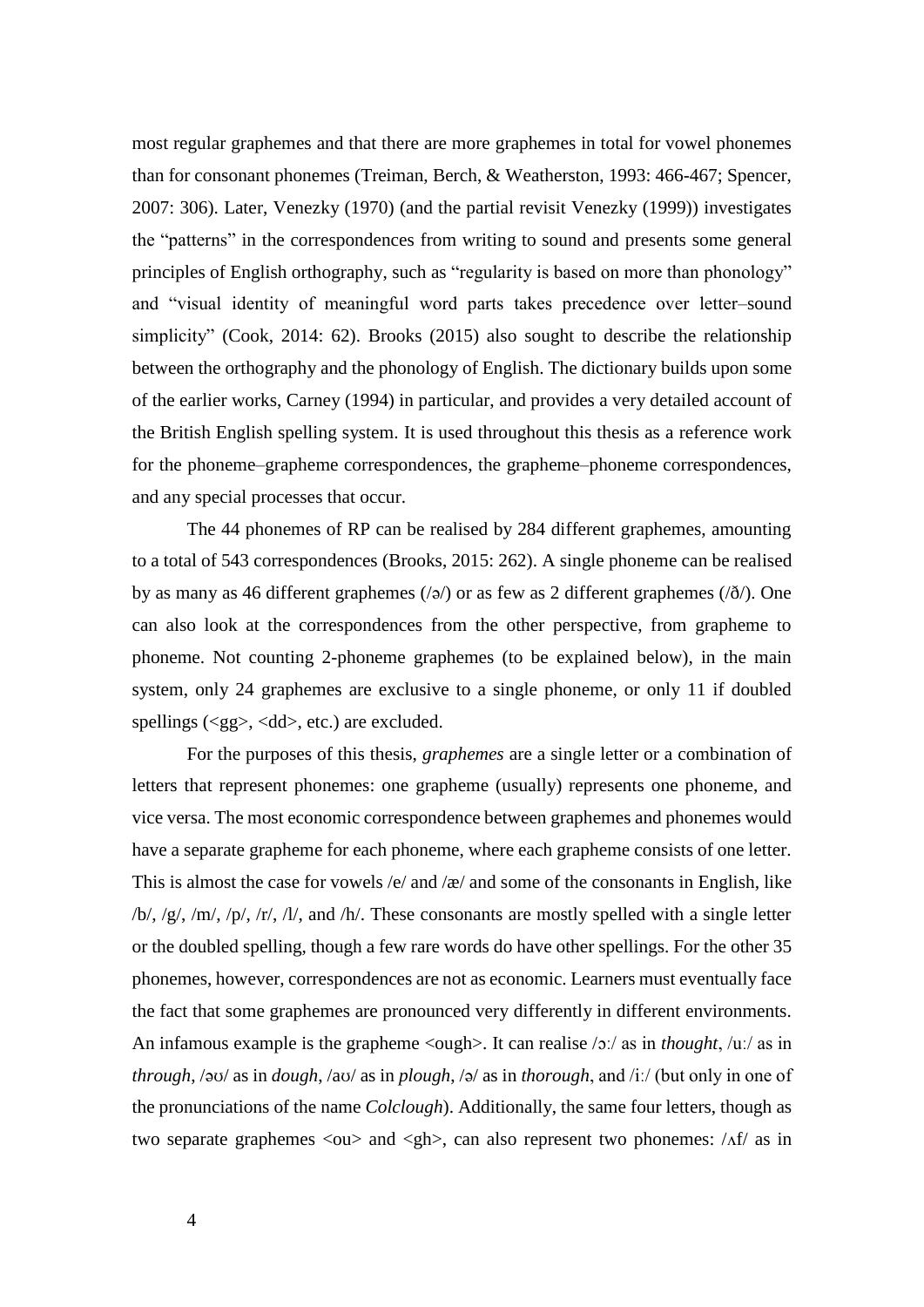most regular graphemes and that there are more graphemes in total for vowel phonemes than for consonant phonemes (Treiman, Berch, & Weatherston, 1993: 466-467; Spencer, 2007: 306). Later, Venezky (1970) (and the partial revisit Venezky (1999)) investigates the "patterns" in the correspondences from writing to sound and presents some general principles of English orthography, such as "regularity is based on more than phonology" and "visual identity of meaningful word parts takes precedence over letter–sound simplicity" (Cook, 2014: 62). Brooks (2015) also sought to describe the relationship between the orthography and the phonology of English. The dictionary builds upon some of the earlier works, Carney (1994) in particular, and provides a very detailed account of the British English spelling system. It is used throughout this thesis as a reference work for the phoneme–grapheme correspondences, the grapheme–phoneme correspondences, and any special processes that occur.

The 44 phonemes of RP can be realised by 284 different graphemes, amounting to a total of 543 correspondences (Brooks, 2015: 262). A single phoneme can be realised by as many as 46 different graphemes ( $\sqrt{a}$ ) or as few as 2 different graphemes ( $\sqrt{\delta}$ ). One can also look at the correspondences from the other perspective, from grapheme to phoneme. Not counting 2-phoneme graphemes (to be explained below), in the main system, only 24 graphemes are exclusive to a single phoneme, or only 11 if doubled spellings  $(\langle gg \rangle, \langle dd \rangle, \text{etc.})$  are excluded.

For the purposes of this thesis, *graphemes* are a single letter or a combination of letters that represent phonemes: one grapheme (usually) represents one phoneme, and vice versa. The most economic correspondence between graphemes and phonemes would have a separate grapheme for each phoneme, where each grapheme consists of one letter. This is almost the case for vowels  $/e$  and  $\alpha$  and some of the consonants in English, like  $/b/$ ,  $/g/$ ,  $/m/$ ,  $/p/$ ,  $/r/$ ,  $/l/$ , and  $/h/$ . These consonants are mostly spelled with a single letter or the doubled spelling, though a few rare words do have other spellings. For the other 35 phonemes, however, correspondences are not as economic. Learners must eventually face the fact that some graphemes are pronounced very differently in different environments. An infamous example is the grapheme <ough>. It can realise /ɔː/ as in *thought*, /uː/ as in *through*, /əʊ/ as in *dough*, /aʊ/ as in *plough*, /ə/ as in *thorough*, and /iː/ (but only in one of the pronunciations of the name *Colclough*). Additionally, the same four letters, though as two separate graphemes  $\langle 0 \rangle$  and  $\langle gh \rangle$ , can also represent two phonemes:  $\langle Af \rangle$  as in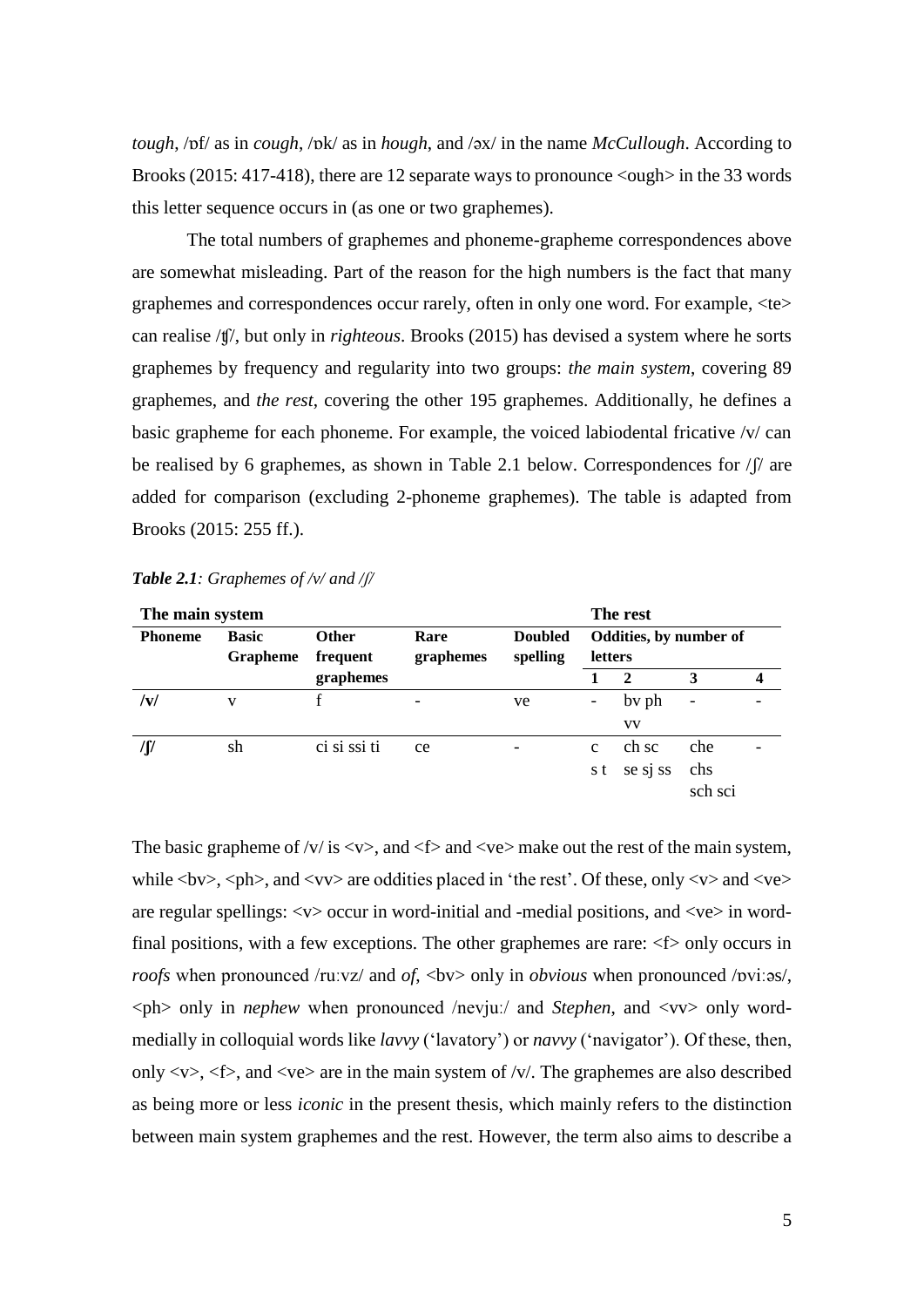*tough*, /ɒf/ as in *cough*, /ɒk/ as in *hough*, and /əx/ in the name *McCullough*. According to Brooks (2015: 417-418), there are 12 separate ways to pronounce  $\langle \text{ough} \rangle$  in the 33 words this letter sequence occurs in (as one or two graphemes).

The total numbers of graphemes and phoneme-grapheme correspondences above are somewhat misleading. Part of the reason for the high numbers is the fact that many graphemes and correspondences occur rarely, often in only one word. For example, <te> can realise /ʧ/, but only in *righteous*. Brooks (2015) has devised a system where he sorts graphemes by frequency and regularity into two groups: *the main system*, covering 89 graphemes, and *the rest*, covering the other 195 graphemes. Additionally, he defines a basic grapheme for each phoneme. For example, the voiced labiodental fricative /v/ can be realised by 6 graphemes, as shown in Table 2.1 below. Correspondences for  $/ \int \int$  are added for comparison (excluding 2-phoneme graphemes). The table is adapted from Brooks (2015: 255 ff.).

| The main system |                          |                          |                   |                            |                                          | The rest     |                          |   |  |
|-----------------|--------------------------|--------------------------|-------------------|----------------------------|------------------------------------------|--------------|--------------------------|---|--|
| <b>Phoneme</b>  | <b>Basic</b><br>Grapheme | <b>Other</b><br>frequent | Rare<br>graphemes | <b>Doubled</b><br>spelling | Oddities, by number of<br><b>letters</b> |              |                          |   |  |
|                 |                          | graphemes                |                   |                            |                                          | $\mathbf{2}$ | 3                        | 4 |  |
| /v/             | V                        |                          |                   | ve                         | -                                        | by ph        | $\overline{\phantom{a}}$ |   |  |
|                 |                          |                          |                   |                            |                                          | <b>VV</b>    |                          |   |  |
|                 | sh                       | ci si ssi ti             | ce                |                            | $\mathbf{c}$                             | ch sc        | che                      |   |  |
|                 |                          |                          |                   |                            | s t                                      | se sj ss     | chs                      |   |  |
|                 |                          |                          |                   |                            |                                          |              | sch sci                  |   |  |

<span id="page-12-0"></span>*Table 2.1: Graphemes of /v/ and /ʃ/*

The basic grapheme of /v/ is  $\langle v \rangle$ , and  $\langle t \rangle$  and  $\langle v \rangle$  make out the rest of the main system, while  $\langle$  by>,  $\langle$ ph>, and  $\langle$  vv> are oddities placed in 'the rest'. Of these, only  $\langle$  v> and  $\langle$  ve> are regular spellings: <v> occur in word-initial and -medial positions, and <ve> in wordfinal positions, with a few exceptions. The other graphemes are rare:  $\langle f \rangle$  only occurs in *roofs* when pronounced /ruːvz/ and *of*, <bv> only in *obvious* when pronounced /pvi:as/, <ph> only in *nephew* when pronounced /nevjuː/ and *Stephen*, and <vv> only wordmedially in colloquial words like *lavvy* ('lavatory') or *navvy* ('navigator'). Of these, then, only  $\langle v \rangle$ ,  $\langle f \rangle$ , and  $\langle ve \rangle$  are in the main system of  $\langle v \rangle$ . The graphemes are also described as being more or less *iconic* in the present thesis, which mainly refers to the distinction between main system graphemes and the rest. However, the term also aims to describe a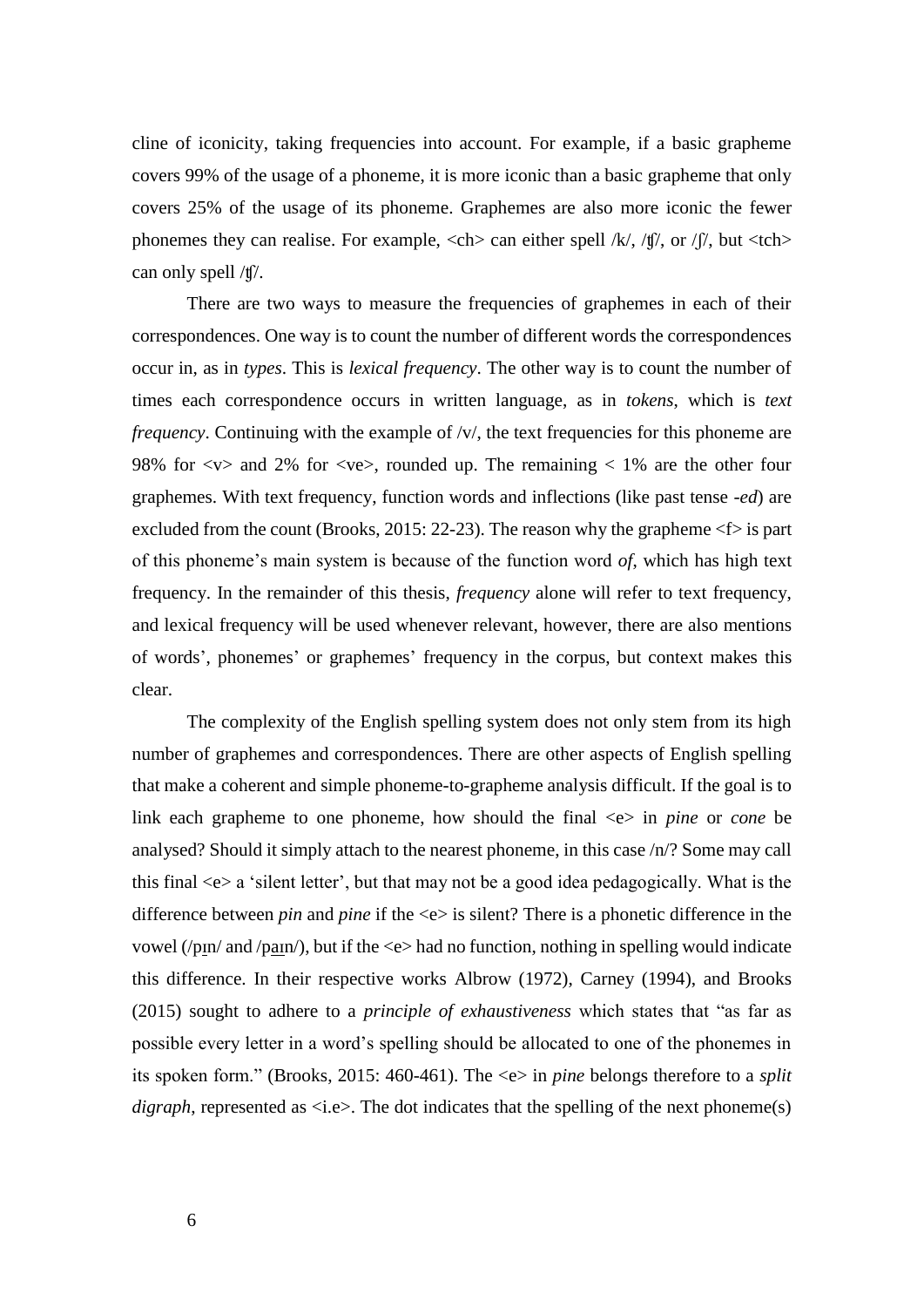cline of iconicity, taking frequencies into account. For example, if a basic grapheme covers 99% of the usage of a phoneme, it is more iconic than a basic grapheme that only covers 25% of the usage of its phoneme. Graphemes are also more iconic the fewer phonemes they can realise. For example,  $\langle$ ch  $\rangle$  can either spell /k/, /t//, or / $\int$ /, but  $\langle$ tch  $\rangle$ can only spell /ʧ/.

There are two ways to measure the frequencies of graphemes in each of their correspondences. One way is to count the number of different words the correspondences occur in, as in *types*. This is *lexical frequency*. The other way is to count the number of times each correspondence occurs in written language, as in *tokens*, which is *text frequency*. Continuing with the example of /v/, the text frequencies for this phoneme are 98% for  $\langle v \rangle$  and 2% for  $\langle v \rangle$ , rounded up. The remaining  $\langle 1 \rangle$  are the other four graphemes. With text frequency, function words and inflections (like past tense *-ed*) are excluded from the count (Brooks, 2015: 22-23). The reason why the grapheme  $\leq f$  is part of this phoneme's main system is because of the function word *of*, which has high text frequency. In the remainder of this thesis, *frequency* alone will refer to text frequency, and lexical frequency will be used whenever relevant, however, there are also mentions of words', phonemes' or graphemes' frequency in the corpus, but context makes this clear.

The complexity of the English spelling system does not only stem from its high number of graphemes and correspondences. There are other aspects of English spelling that make a coherent and simple phoneme-to-grapheme analysis difficult. If the goal is to link each grapheme to one phoneme, how should the final  $\ll$  in *pine* or *cone* be analysed? Should it simply attach to the nearest phoneme, in this case /n/? Some may call this final <e> a 'silent letter', but that may not be a good idea pedagogically. What is the difference between *pin* and *pine* if the <e> is silent? There is a phonetic difference in the vowel (/pɪn/ and /paɪn/), but if the <e> had no function, nothing in spelling would indicate this difference. In their respective works Albrow (1972), Carney (1994), and Brooks (2015) sought to adhere to a *principle of exhaustiveness* which states that "as far as possible every letter in a word's spelling should be allocated to one of the phonemes in its spoken form." (Brooks, 2015: 460-461). The <e> in *pine* belongs therefore to a *split digraph*, represented as  $\langle i.e \rangle$ . The dot indicates that the spelling of the next phoneme(s)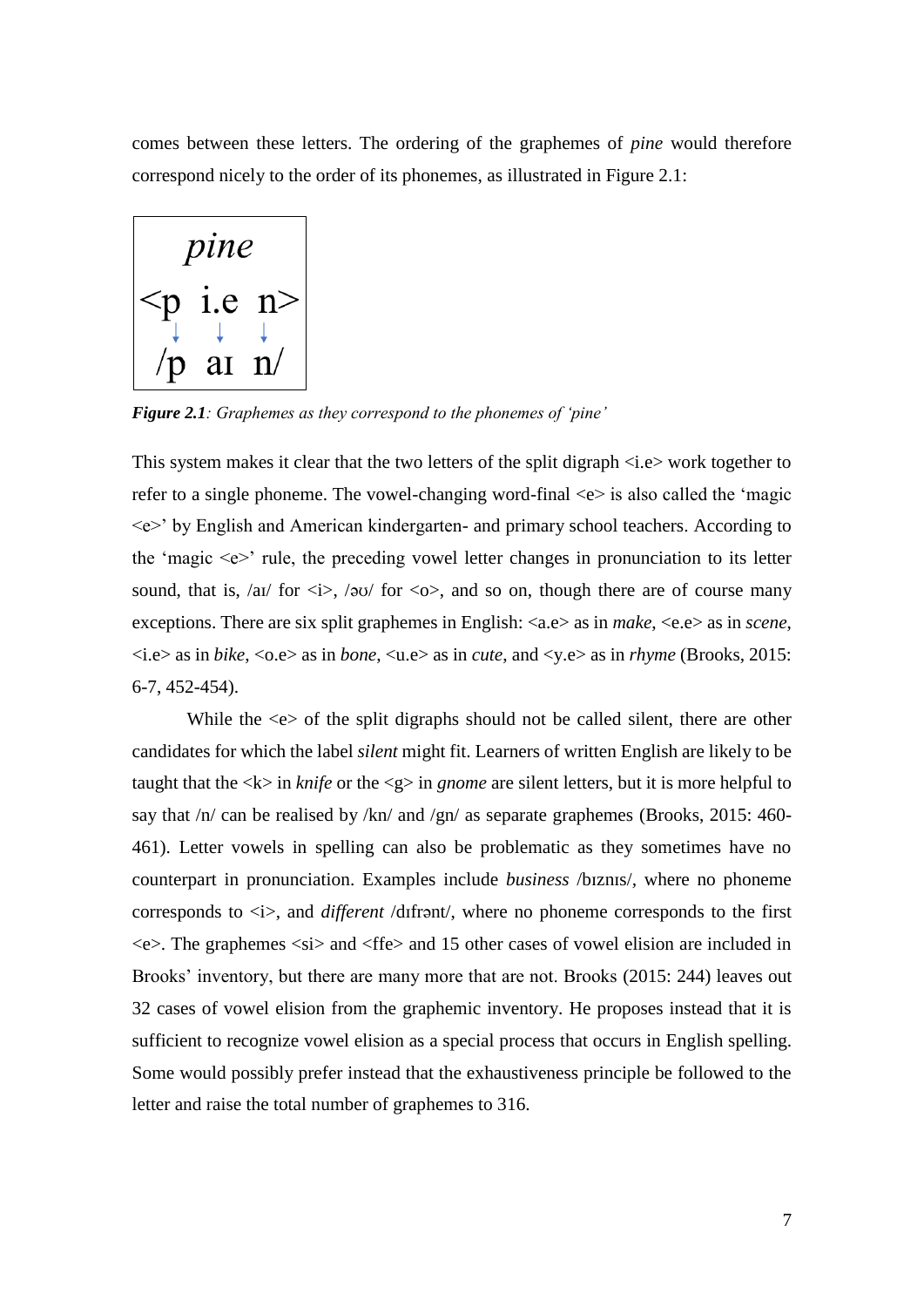comes between these letters. The ordering of the graphemes of *pine* would therefore correspond nicely to the order of its phonemes, as illustrated in Figure 2.1:



<span id="page-14-0"></span>*Figure 2.1: Graphemes as they correspond to the phonemes of 'pine'*

This system makes it clear that the two letters of the split digraph <i.e> work together to refer to a single phoneme. The vowel-changing word-final  $\langle e \rangle$  is also called the 'magic <e>' by English and American kindergarten- and primary school teachers. According to the 'magic  $\langle e \rangle$ ' rule, the preceding vowel letter changes in pronunciation to its letter sound, that is, /aɪ/ for  $\langle i \rangle$ , /əʊ/ for  $\langle 0 \rangle$ , and so on, though there are of course many exceptions. There are six split graphemes in English: <a.e> as in *make*, <e.e> as in *scene*, <i.e> as in *bike*, <o.e> as in *bone*, <u.e> as in *cute*, and <y.e> as in *rhyme* (Brooks, 2015: 6-7, 452-454).

While the  $\ll$  of the split digraphs should not be called silent, there are other candidates for which the label *silent* might fit. Learners of written English are likely to be taught that the  $\langle k \rangle$  in *knife* or the  $\langle g \rangle$  in *gnome* are silent letters, but it is more helpful to say that /n/ can be realised by /kn/ and /gn/ as separate graphemes (Brooks, 2015: 460-461). Letter vowels in spelling can also be problematic as they sometimes have no counterpart in pronunciation. Examples include *business* /bɪznɪs/*,* where no phoneme corresponds to  $\langle i \rangle$ , and *different* /difrant/, where no phoneme corresponds to the first  $\langle e \rangle$ . The graphemes  $\langle si \rangle$  and  $\langle f \rangle$  and 15 other cases of vowel elision are included in Brooks' inventory, but there are many more that are not. Brooks (2015: 244) leaves out 32 cases of vowel elision from the graphemic inventory. He proposes instead that it is sufficient to recognize vowel elision as a special process that occurs in English spelling. Some would possibly prefer instead that the exhaustiveness principle be followed to the letter and raise the total number of graphemes to 316.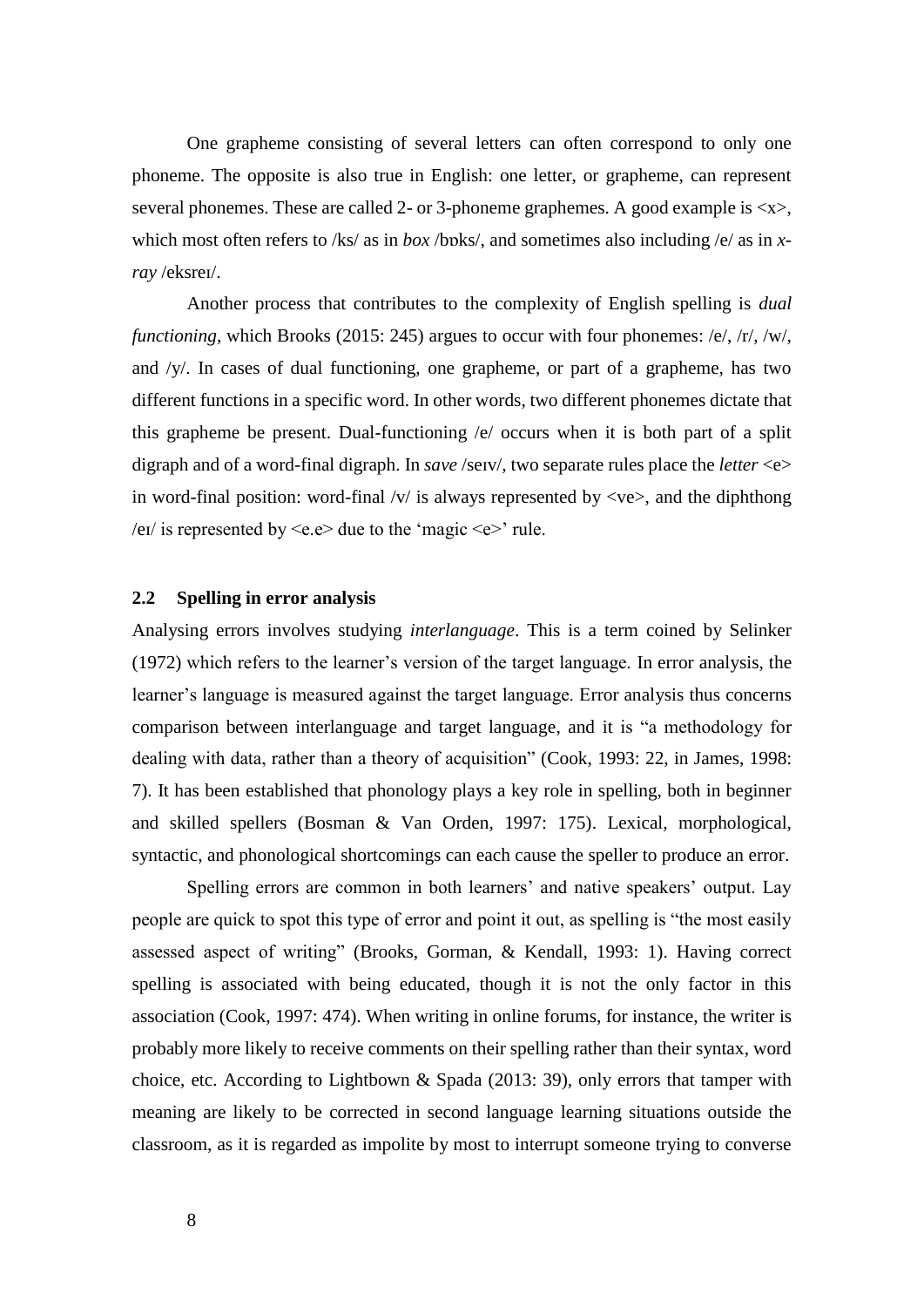One grapheme consisting of several letters can often correspond to only one phoneme. The opposite is also true in English: one letter, or grapheme, can represent several phonemes. These are called 2- or 3-phoneme graphemes. A good example is  $\langle x \rangle$ , which most often refers to /ks/ as in *box* /boks/, and sometimes also including /e/ as in *xray* /eksreɪ/.

Another process that contributes to the complexity of English spelling is *dual functioning*, which Brooks (2015: 245) argues to occur with four phonemes: /e/, /r/, /w/, and /y/. In cases of dual functioning, one grapheme, or part of a grapheme, has two different functions in a specific word. In other words, two different phonemes dictate that this grapheme be present. Dual-functioning /e/ occurs when it is both part of a split digraph and of a word-final digraph. In *save* /seɪv/, two separate rules place the *letter* <e> in word-final position: word-final  $/v/$  is always represented by  $\langle ve \rangle$ , and the diphthong /eɪ/ is represented by  $\leq e \geq$  due to the 'magic  $\leq e \geq$ ' rule.

#### <span id="page-15-0"></span>**2.2 Spelling in error analysis**

Analysing errors involves studying *interlanguage*. This is a term coined by Selinker (1972) which refers to the learner's version of the target language. In error analysis, the learner's language is measured against the target language. Error analysis thus concerns comparison between interlanguage and target language, and it is "a methodology for dealing with data, rather than a theory of acquisition" (Cook, 1993: 22, in James, 1998: 7). It has been established that phonology plays a key role in spelling, both in beginner and skilled spellers (Bosman & Van Orden, 1997: 175). Lexical, morphological, syntactic, and phonological shortcomings can each cause the speller to produce an error.

Spelling errors are common in both learners' and native speakers' output. Lay people are quick to spot this type of error and point it out, as spelling is "the most easily assessed aspect of writing" (Brooks, Gorman, & Kendall, 1993: 1). Having correct spelling is associated with being educated, though it is not the only factor in this association (Cook, 1997: 474). When writing in online forums, for instance, the writer is probably more likely to receive comments on their spelling rather than their syntax, word choice, etc. According to Lightbown & Spada (2013: 39), only errors that tamper with meaning are likely to be corrected in second language learning situations outside the classroom, as it is regarded as impolite by most to interrupt someone trying to converse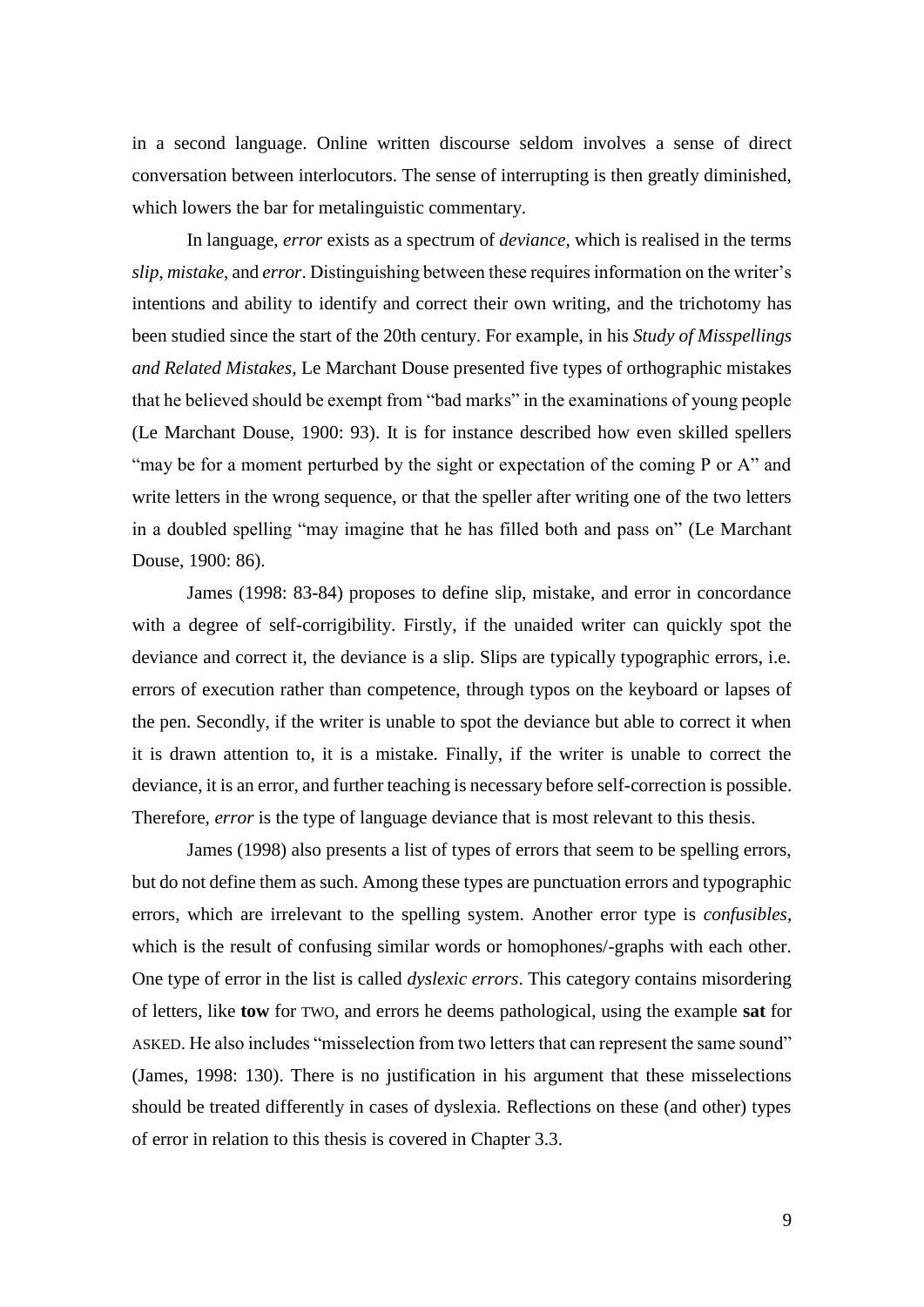in a second language. Online written discourse seldom involves a sense of direct conversation between interlocutors. The sense of interrupting is then greatly diminished, which lowers the bar for metalinguistic commentary.

In language, *error* exists as a spectrum of *deviance*, which is realised in the terms *slip*, *mistake*, and *error*. Distinguishing between these requires information on the writer's intentions and ability to identify and correct their own writing, and the trichotomy has been studied since the start of the 20th century. For example, in his *Study of Misspellings and Related Mistakes,* Le Marchant Douse presented five types of orthographic mistakes that he believed should be exempt from "bad marks" in the examinations of young people (Le Marchant Douse, 1900: 93). It is for instance described how even skilled spellers "may be for a moment perturbed by the sight or expectation of the coming P or A" and write letters in the wrong sequence, or that the speller after writing one of the two letters in a doubled spelling "may imagine that he has filled both and pass on" (Le Marchant Douse, 1900: 86).

James (1998: 83-84) proposes to define slip, mistake, and error in concordance with a degree of self-corrigibility. Firstly, if the unaided writer can quickly spot the deviance and correct it, the deviance is a slip. Slips are typically typographic errors, i.e. errors of execution rather than competence, through typos on the keyboard or lapses of the pen. Secondly, if the writer is unable to spot the deviance but able to correct it when it is drawn attention to, it is a mistake. Finally, if the writer is unable to correct the deviance, it is an error, and further teaching is necessary before self-correction is possible. Therefore, *error* is the type of language deviance that is most relevant to this thesis.

James (1998) also presents a list of types of errors that seem to be spelling errors, but do not define them as such. Among these types are punctuation errors and typographic errors, which are irrelevant to the spelling system. Another error type is *confusibles*, which is the result of confusing similar words or homophones/-graphs with each other. One type of error in the list is called *dyslexic errors*. This category contains misordering of letters, like **tow** for TWO, and errors he deems pathological, using the example **sat** for ASKED. He also includes "misselection from two letters that can represent the same sound" (James, 1998: 130). There is no justification in his argument that these misselections should be treated differently in cases of dyslexia. Reflections on these (and other) types of error in relation to this thesis is covered in Chapter 3.3.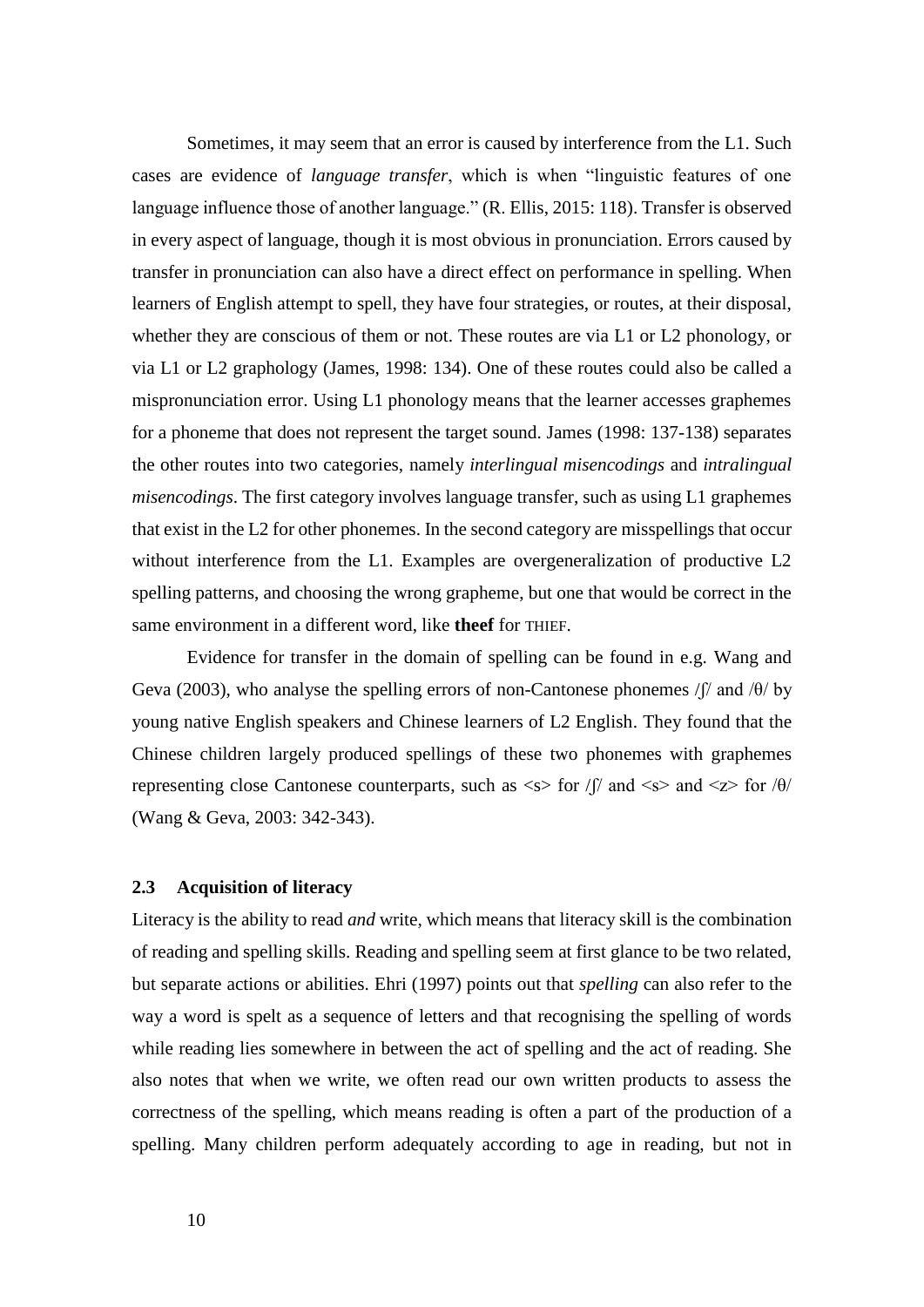Sometimes, it may seem that an error is caused by interference from the L1. Such cases are evidence of *language transfer*, which is when "linguistic features of one language influence those of another language." (R. Ellis, 2015: 118). Transfer is observed in every aspect of language, though it is most obvious in pronunciation. Errors caused by transfer in pronunciation can also have a direct effect on performance in spelling. When learners of English attempt to spell, they have four strategies, or routes, at their disposal, whether they are conscious of them or not. These routes are via L1 or L2 phonology, or via L1 or L2 graphology (James, 1998: 134). One of these routes could also be called a mispronunciation error. Using L1 phonology means that the learner accesses graphemes for a phoneme that does not represent the target sound. James (1998: 137-138) separates the other routes into two categories, namely *interlingual misencodings* and *intralingual misencodings*. The first category involves language transfer, such as using L1 graphemes that exist in the L2 for other phonemes. In the second category are misspellings that occur without interference from the L1. Examples are overgeneralization of productive L2 spelling patterns, and choosing the wrong grapheme, but one that would be correct in the same environment in a different word, like **theef** for THIEF.

Evidence for transfer in the domain of spelling can be found in e.g. Wang and Geva (2003), who analyse the spelling errors of non-Cantonese phonemes /ʃ/ and /θ/ by young native English speakers and Chinese learners of L2 English. They found that the Chinese children largely produced spellings of these two phonemes with graphemes representing close Cantonese counterparts, such as  $\langle s \rangle$  for  $\int \int \int$  and  $\langle s \rangle$  and  $\langle z \rangle$  for  $\theta$ (Wang & Geva, 2003: 342-343).

#### <span id="page-17-0"></span>**2.3 Acquisition of literacy**

Literacy is the ability to read *and* write, which means that literacy skill is the combination of reading and spelling skills. Reading and spelling seem at first glance to be two related, but separate actions or abilities. Ehri (1997) points out that *spelling* can also refer to the way a word is spelt as a sequence of letters and that recognising the spelling of words while reading lies somewhere in between the act of spelling and the act of reading. She also notes that when we write, we often read our own written products to assess the correctness of the spelling, which means reading is often a part of the production of a spelling. Many children perform adequately according to age in reading, but not in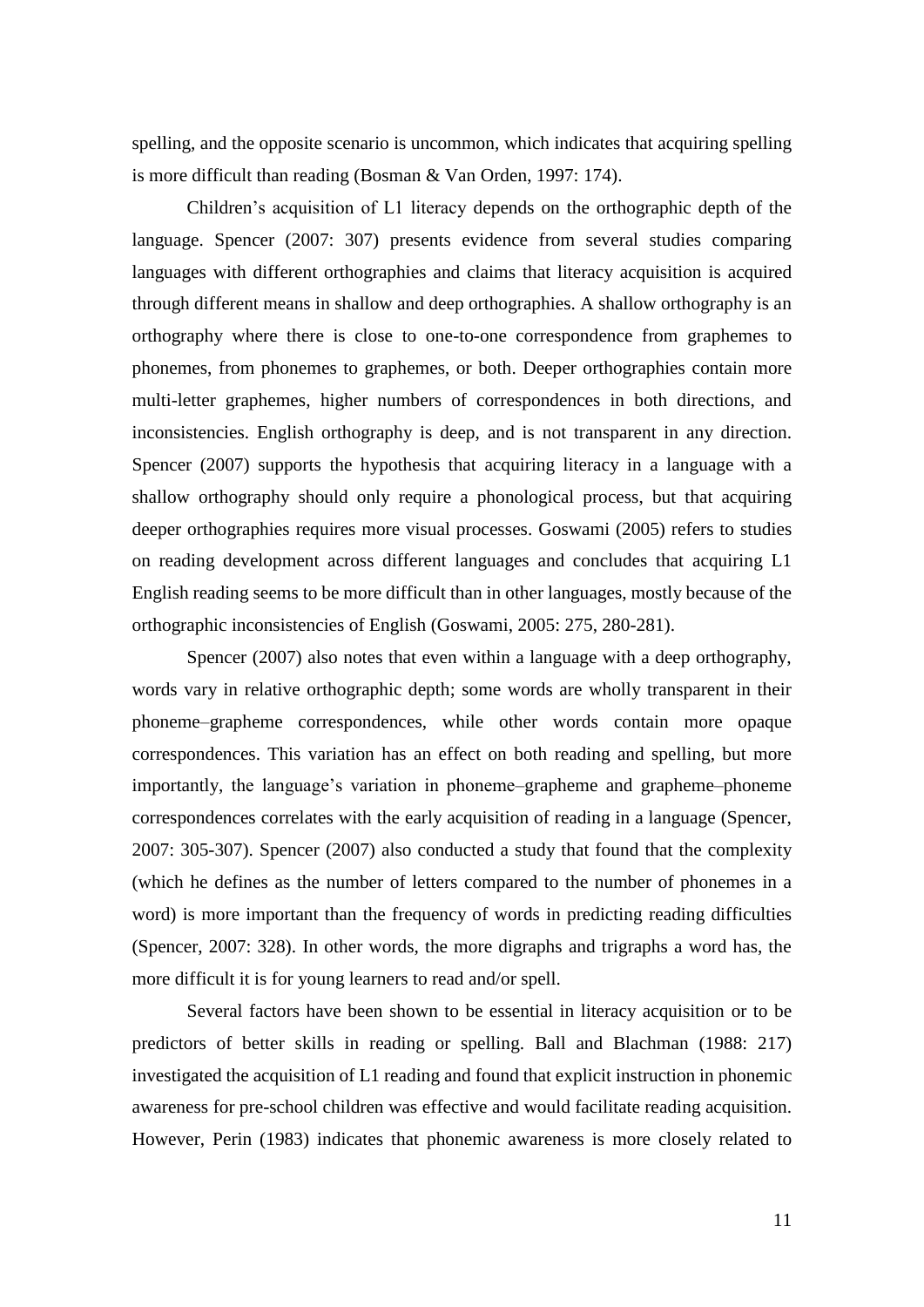spelling, and the opposite scenario is uncommon, which indicates that acquiring spelling is more difficult than reading (Bosman & Van Orden, 1997: 174).

Children's acquisition of L1 literacy depends on the orthographic depth of the language. Spencer (2007: 307) presents evidence from several studies comparing languages with different orthographies and claims that literacy acquisition is acquired through different means in shallow and deep orthographies. A shallow orthography is an orthography where there is close to one-to-one correspondence from graphemes to phonemes, from phonemes to graphemes, or both. Deeper orthographies contain more multi-letter graphemes, higher numbers of correspondences in both directions, and inconsistencies. English orthography is deep, and is not transparent in any direction. Spencer (2007) supports the hypothesis that acquiring literacy in a language with a shallow orthography should only require a phonological process, but that acquiring deeper orthographies requires more visual processes. Goswami (2005) refers to studies on reading development across different languages and concludes that acquiring L1 English reading seems to be more difficult than in other languages, mostly because of the orthographic inconsistencies of English (Goswami, 2005: 275, 280-281).

Spencer (2007) also notes that even within a language with a deep orthography, words vary in relative orthographic depth; some words are wholly transparent in their phoneme–grapheme correspondences, while other words contain more opaque correspondences. This variation has an effect on both reading and spelling, but more importantly, the language's variation in phoneme–grapheme and grapheme–phoneme correspondences correlates with the early acquisition of reading in a language (Spencer, 2007: 305-307). Spencer (2007) also conducted a study that found that the complexity (which he defines as the number of letters compared to the number of phonemes in a word) is more important than the frequency of words in predicting reading difficulties (Spencer, 2007: 328). In other words, the more digraphs and trigraphs a word has, the more difficult it is for young learners to read and/or spell.

Several factors have been shown to be essential in literacy acquisition or to be predictors of better skills in reading or spelling. Ball and Blachman (1988: 217) investigated the acquisition of L1 reading and found that explicit instruction in phonemic awareness for pre-school children was effective and would facilitate reading acquisition. However, Perin (1983) indicates that phonemic awareness is more closely related to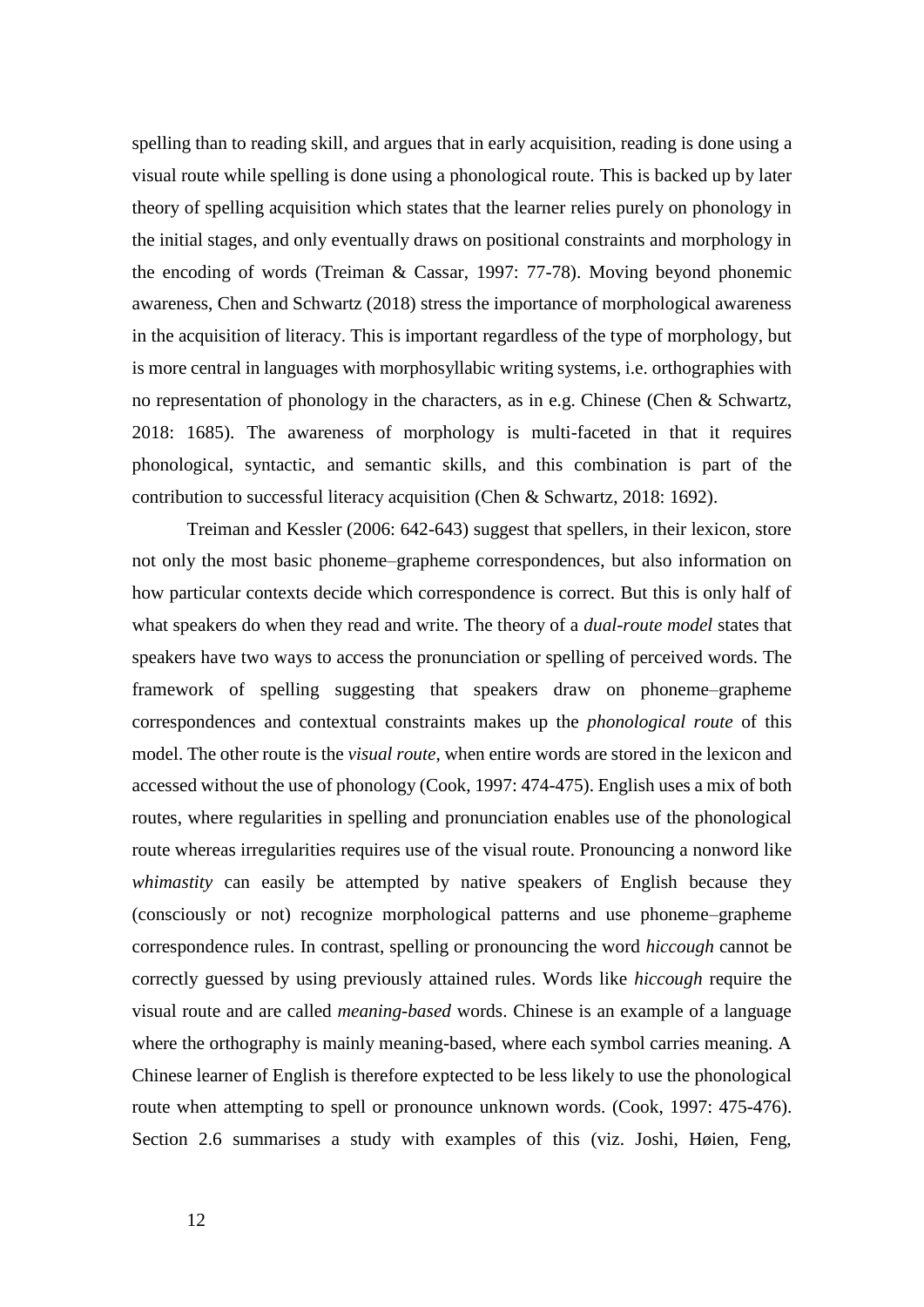spelling than to reading skill, and argues that in early acquisition, reading is done using a visual route while spelling is done using a phonological route. This is backed up by later theory of spelling acquisition which states that the learner relies purely on phonology in the initial stages, and only eventually draws on positional constraints and morphology in the encoding of words (Treiman & Cassar, 1997: 77-78). Moving beyond phonemic awareness, Chen and Schwartz (2018) stress the importance of morphological awareness in the acquisition of literacy. This is important regardless of the type of morphology, but is more central in languages with morphosyllabic writing systems, i.e. orthographies with no representation of phonology in the characters, as in e.g. Chinese (Chen & Schwartz, 2018: 1685). The awareness of morphology is multi-faceted in that it requires phonological, syntactic, and semantic skills, and this combination is part of the contribution to successful literacy acquisition (Chen & Schwartz, 2018: 1692).

Treiman and Kessler (2006: 642-643) suggest that spellers, in their lexicon, store not only the most basic phoneme–grapheme correspondences, but also information on how particular contexts decide which correspondence is correct. But this is only half of what speakers do when they read and write. The theory of a *dual-route model* states that speakers have two ways to access the pronunciation or spelling of perceived words. The framework of spelling suggesting that speakers draw on phoneme–grapheme correspondences and contextual constraints makes up the *phonological route* of this model. The other route is the *visual route*, when entire words are stored in the lexicon and accessed without the use of phonology (Cook, 1997: 474-475). English uses a mix of both routes, where regularities in spelling and pronunciation enables use of the phonological route whereas irregularities requires use of the visual route. Pronouncing a nonword like *whimastity* can easily be attempted by native speakers of English because they (consciously or not) recognize morphological patterns and use phoneme–grapheme correspondence rules. In contrast, spelling or pronouncing the word *hiccough* cannot be correctly guessed by using previously attained rules. Words like *hiccough* require the visual route and are called *meaning-based* words. Chinese is an example of a language where the orthography is mainly meaning-based, where each symbol carries meaning. A Chinese learner of English is therefore exptected to be less likely to use the phonological route when attempting to spell or pronounce unknown words. (Cook, 1997: 475-476). Section 2.6 summarises a study with examples of this (viz. Joshi, Høien, Feng,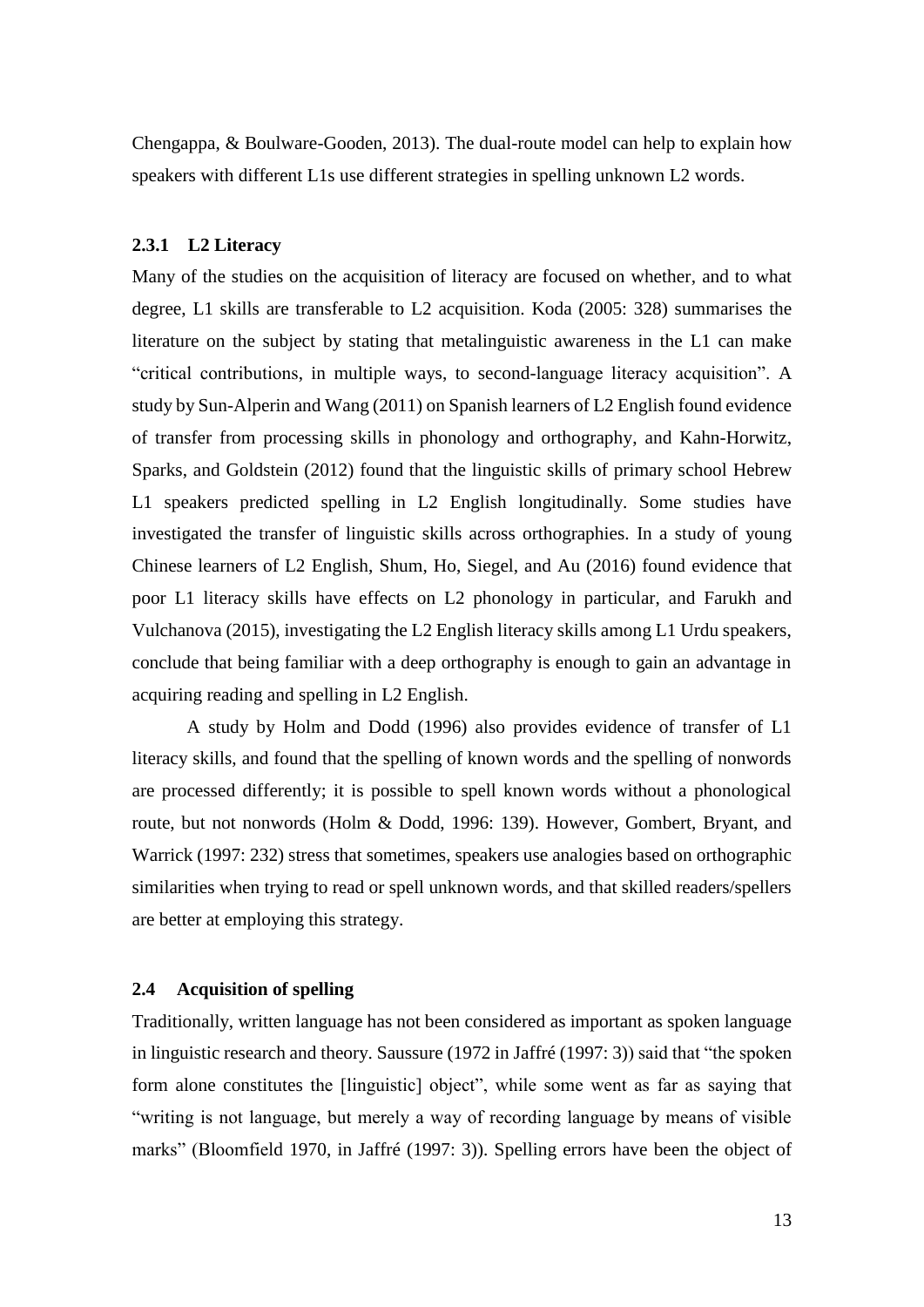Chengappa, & Boulware-Gooden, 2013). The dual-route model can help to explain how speakers with different L1s use different strategies in spelling unknown L2 words.

#### **2.3.1 L2 Literacy**

Many of the studies on the acquisition of literacy are focused on whether, and to what degree, L1 skills are transferable to L2 acquisition. Koda (2005: 328) summarises the literature on the subject by stating that metalinguistic awareness in the L1 can make "critical contributions, in multiple ways, to second-language literacy acquisition". A study by Sun-Alperin and Wang (2011) on Spanish learners of L2 English found evidence of transfer from processing skills in phonology and orthography, and Kahn-Horwitz, Sparks, and Goldstein (2012) found that the linguistic skills of primary school Hebrew L1 speakers predicted spelling in L2 English longitudinally. Some studies have investigated the transfer of linguistic skills across orthographies. In a study of young Chinese learners of L2 English, Shum, Ho, Siegel, and Au (2016) found evidence that poor L1 literacy skills have effects on L2 phonology in particular, and Farukh and Vulchanova (2015), investigating the L2 English literacy skills among L1 Urdu speakers, conclude that being familiar with a deep orthography is enough to gain an advantage in acquiring reading and spelling in L2 English.

A study by Holm and Dodd (1996) also provides evidence of transfer of L1 literacy skills, and found that the spelling of known words and the spelling of nonwords are processed differently; it is possible to spell known words without a phonological route, but not nonwords (Holm & Dodd, 1996: 139). However, Gombert, Bryant, and Warrick (1997: 232) stress that sometimes, speakers use analogies based on orthographic similarities when trying to read or spell unknown words, and that skilled readers/spellers are better at employing this strategy.

#### <span id="page-20-0"></span>**2.4 Acquisition of spelling**

Traditionally, written language has not been considered as important as spoken language in linguistic research and theory. Saussure (1972 in Jaffré (1997: 3)) said that "the spoken form alone constitutes the [linguistic] object", while some went as far as saying that "writing is not language, but merely a way of recording language by means of visible marks" (Bloomfield 1970, in Jaffré (1997: 3)). Spelling errors have been the object of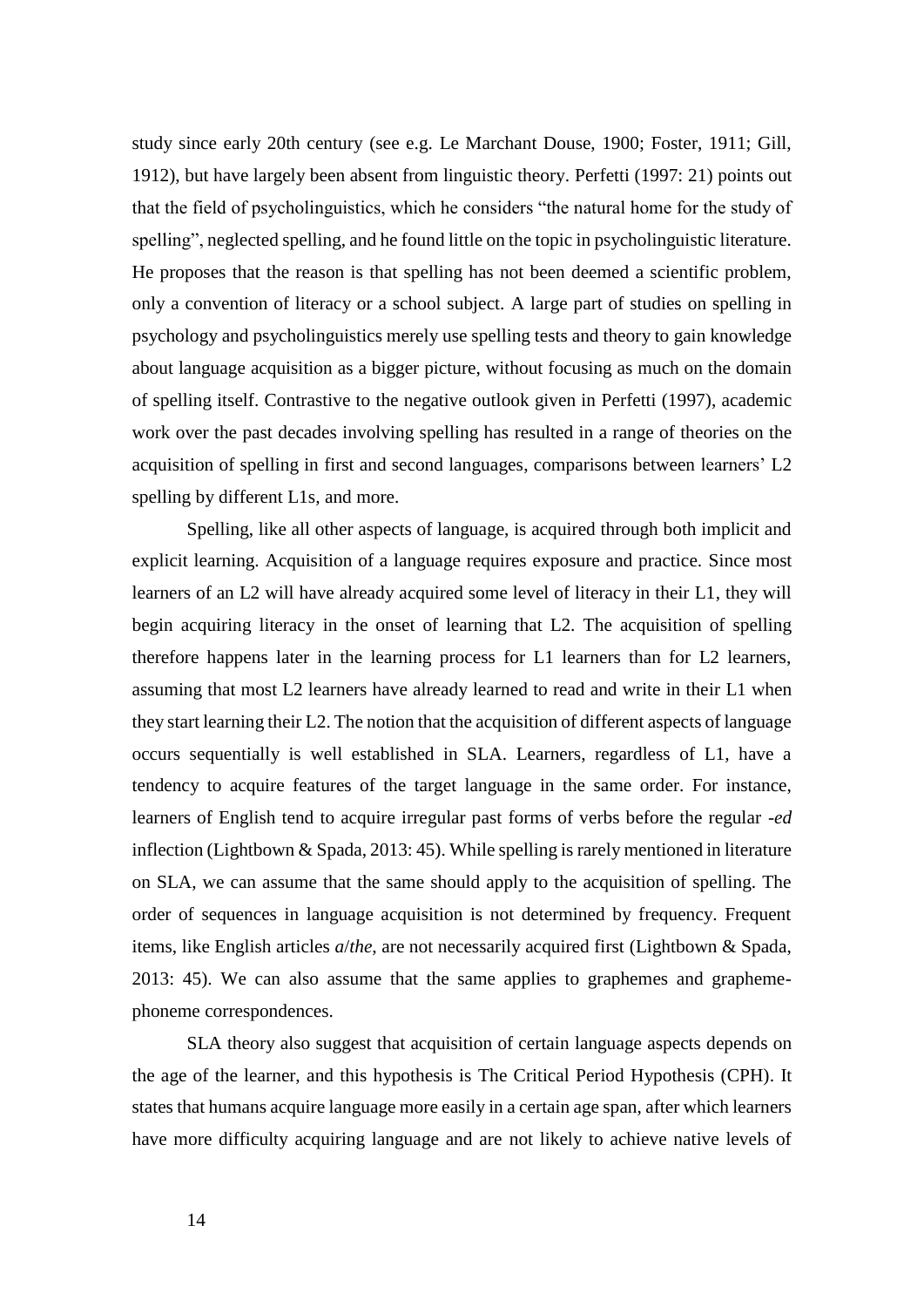study since early 20th century (see e.g. Le Marchant Douse, 1900; Foster, 1911; Gill, 1912), but have largely been absent from linguistic theory. Perfetti (1997: 21) points out that the field of psycholinguistics, which he considers "the natural home for the study of spelling", neglected spelling, and he found little on the topic in psycholinguistic literature. He proposes that the reason is that spelling has not been deemed a scientific problem, only a convention of literacy or a school subject. A large part of studies on spelling in psychology and psycholinguistics merely use spelling tests and theory to gain knowledge about language acquisition as a bigger picture, without focusing as much on the domain of spelling itself. Contrastive to the negative outlook given in Perfetti (1997), academic work over the past decades involving spelling has resulted in a range of theories on the acquisition of spelling in first and second languages, comparisons between learners' L2 spelling by different L1s, and more.

Spelling, like all other aspects of language, is acquired through both implicit and explicit learning. Acquisition of a language requires exposure and practice. Since most learners of an L2 will have already acquired some level of literacy in their L1, they will begin acquiring literacy in the onset of learning that L2. The acquisition of spelling therefore happens later in the learning process for L1 learners than for L2 learners, assuming that most L2 learners have already learned to read and write in their L1 when they start learning their L2. The notion that the acquisition of different aspects of language occurs sequentially is well established in SLA. Learners, regardless of L1, have a tendency to acquire features of the target language in the same order. For instance, learners of English tend to acquire irregular past forms of verbs before the regular -*ed* inflection (Lightbown & Spada, 2013: 45). While spelling is rarely mentioned in literature on SLA, we can assume that the same should apply to the acquisition of spelling. The order of sequences in language acquisition is not determined by frequency. Frequent items, like English articles *a*/*the*, are not necessarily acquired first (Lightbown & Spada, 2013: 45). We can also assume that the same applies to graphemes and graphemephoneme correspondences.

SLA theory also suggest that acquisition of certain language aspects depends on the age of the learner, and this hypothesis is The Critical Period Hypothesis (CPH). It states that humans acquire language more easily in a certain age span, after which learners have more difficulty acquiring language and are not likely to achieve native levels of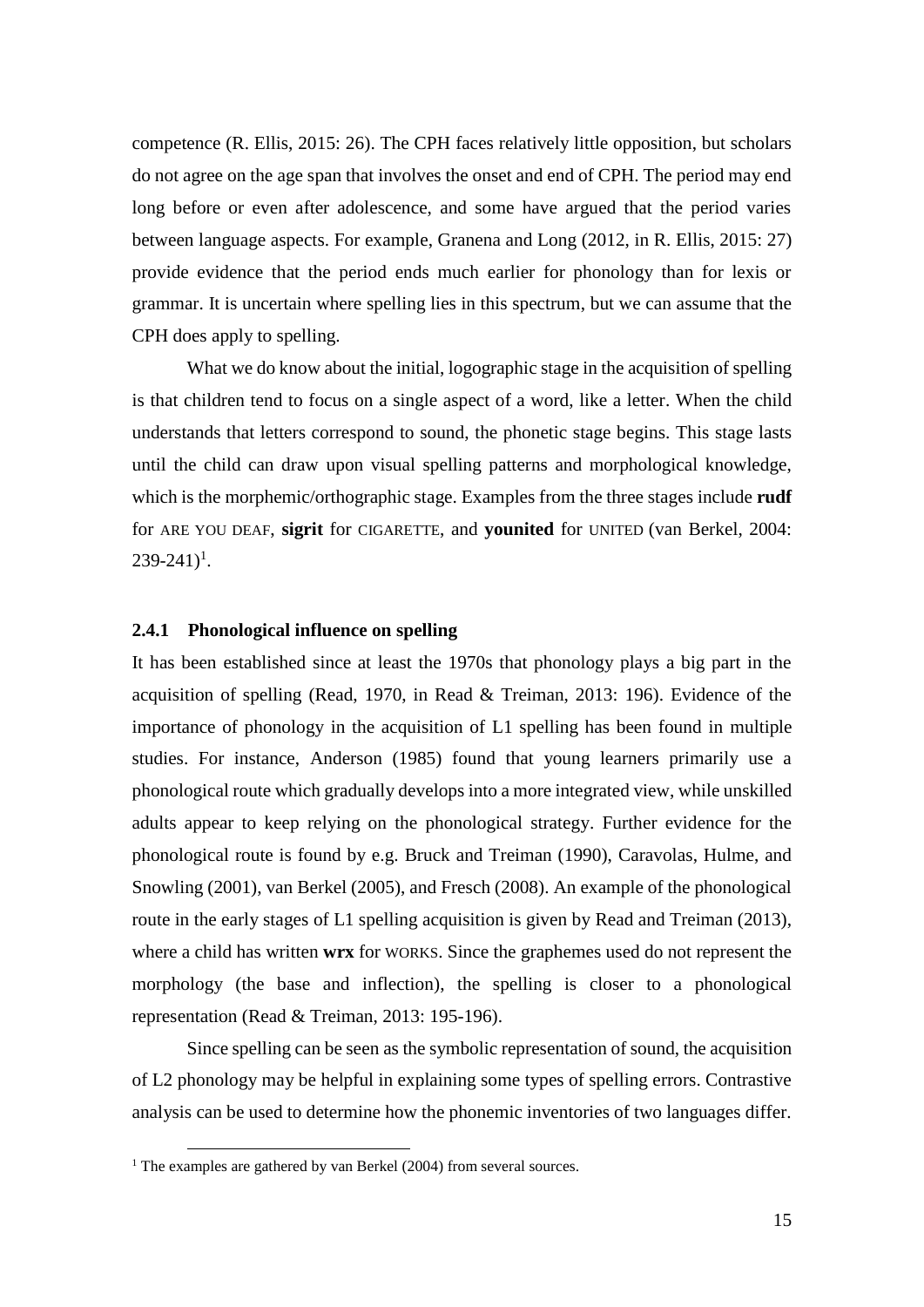competence (R. Ellis, 2015: 26). The CPH faces relatively little opposition, but scholars do not agree on the age span that involves the onset and end of CPH. The period may end long before or even after adolescence, and some have argued that the period varies between language aspects. For example, Granena and Long (2012, in R. Ellis, 2015: 27) provide evidence that the period ends much earlier for phonology than for lexis or grammar. It is uncertain where spelling lies in this spectrum, but we can assume that the CPH does apply to spelling.

What we do know about the initial, logographic stage in the acquisition of spelling is that children tend to focus on a single aspect of a word, like a letter. When the child understands that letters correspond to sound, the phonetic stage begins. This stage lasts until the child can draw upon visual spelling patterns and morphological knowledge, which is the morphemic/orthographic stage. Examples from the three stages include **rudf** for ARE YOU DEAF, **sigrit** for CIGARETTE, and **younited** for UNITED (van Berkel, 2004:  $239 - 241$ <sup>1</sup>.

#### **2.4.1 Phonological influence on spelling**

It has been established since at least the 1970s that phonology plays a big part in the acquisition of spelling (Read, 1970, in Read & Treiman, 2013: 196). Evidence of the importance of phonology in the acquisition of L1 spelling has been found in multiple studies. For instance, Anderson (1985) found that young learners primarily use a phonological route which gradually develops into a more integrated view, while unskilled adults appear to keep relying on the phonological strategy. Further evidence for the phonological route is found by e.g. Bruck and Treiman (1990), Caravolas, Hulme, and Snowling (2001), van Berkel (2005), and Fresch (2008). An example of the phonological route in the early stages of L1 spelling acquisition is given by Read and Treiman (2013), where a child has written **wrx** for WORKS. Since the graphemes used do not represent the morphology (the base and inflection), the spelling is closer to a phonological representation (Read & Treiman, 2013: 195-196).

Since spelling can be seen as the symbolic representation of sound, the acquisition of L2 phonology may be helpful in explaining some types of spelling errors. Contrastive analysis can be used to determine how the phonemic inventories of two languages differ.

 $\overline{a}$ 

 $1$  The examples are gathered by van Berkel (2004) from several sources.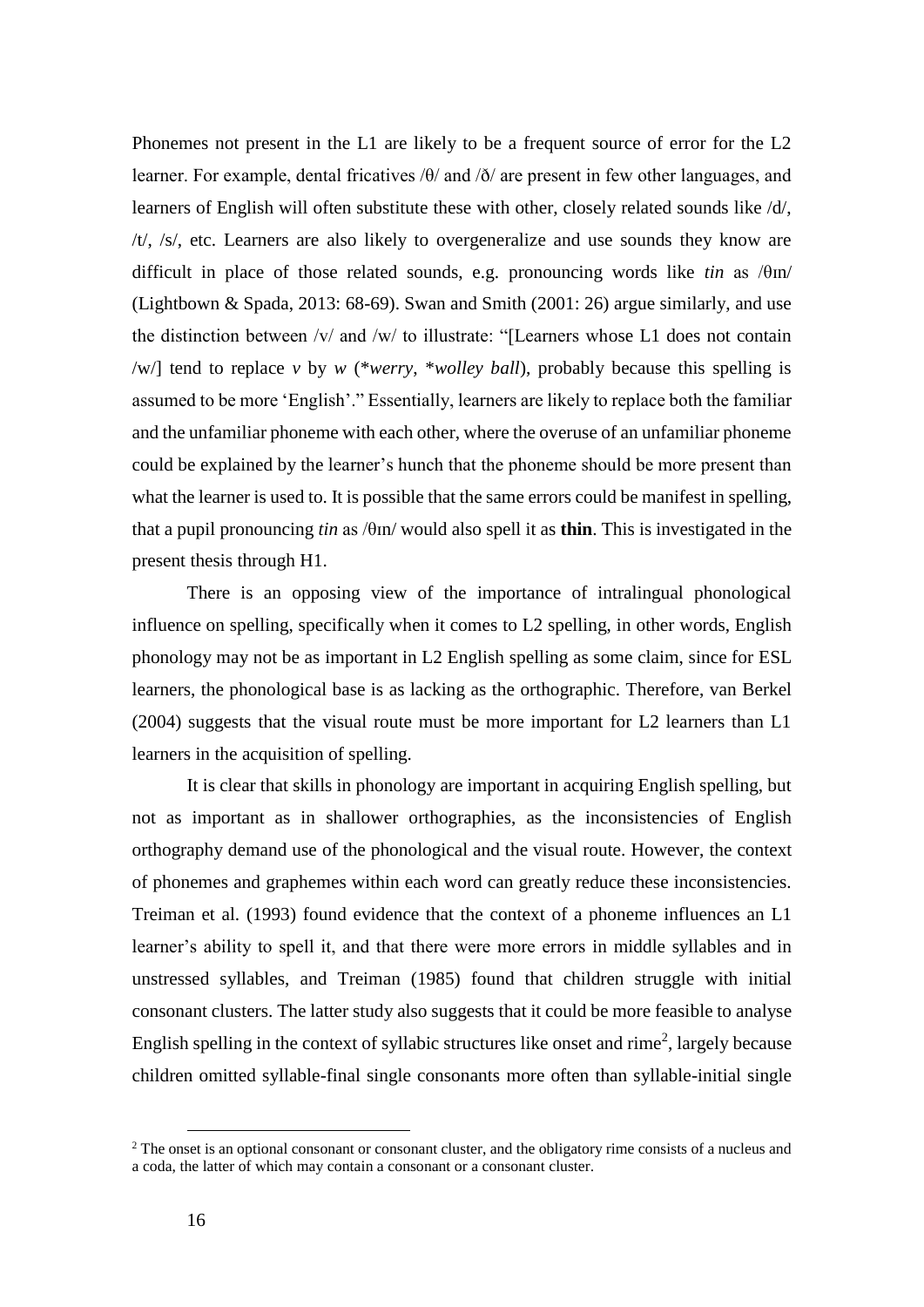Phonemes not present in the L1 are likely to be a frequent source of error for the L2 learner. For example, dental fricatives /θ/ and /ð/ are present in few other languages, and learners of English will often substitute these with other, closely related sounds like /d/, /t/, /s/, etc. Learners are also likely to overgeneralize and use sounds they know are difficult in place of those related sounds, e.g. pronouncing words like  $tin$  as  $/\theta$ m/ (Lightbown & Spada, 2013: 68-69). Swan and Smith (2001: 26) argue similarly, and use the distinction between /v/ and /w/ to illustrate: "[Learners whose L1 does not contain /w/] tend to replace *v* by *w* (\**werry*, \**wolley ball*), probably because this spelling is assumed to be more 'English'." Essentially, learners are likely to replace both the familiar and the unfamiliar phoneme with each other, where the overuse of an unfamiliar phoneme could be explained by the learner's hunch that the phoneme should be more present than what the learner is used to. It is possible that the same errors could be manifest in spelling, that a pupil pronouncing *tin* as /θɪn/ would also spell it as **thin**. This is investigated in the present thesis through H1.

There is an opposing view of the importance of intralingual phonological influence on spelling, specifically when it comes to L2 spelling, in other words, English phonology may not be as important in L2 English spelling as some claim, since for ESL learners, the phonological base is as lacking as the orthographic. Therefore, van Berkel (2004) suggests that the visual route must be more important for L2 learners than L1 learners in the acquisition of spelling.

It is clear that skills in phonology are important in acquiring English spelling, but not as important as in shallower orthographies, as the inconsistencies of English orthography demand use of the phonological and the visual route. However, the context of phonemes and graphemes within each word can greatly reduce these inconsistencies. Treiman et al. (1993) found evidence that the context of a phoneme influences an L1 learner's ability to spell it, and that there were more errors in middle syllables and in unstressed syllables, and Treiman (1985) found that children struggle with initial consonant clusters. The latter study also suggests that it could be more feasible to analyse English spelling in the context of syllabic structures like onset and rime<sup>2</sup>, largely because children omitted syllable-final single consonants more often than syllable-initial single

 $\overline{a}$ 

<sup>&</sup>lt;sup>2</sup> The onset is an optional consonant or consonant cluster, and the obligatory rime consists of a nucleus and a coda, the latter of which may contain a consonant or a consonant cluster.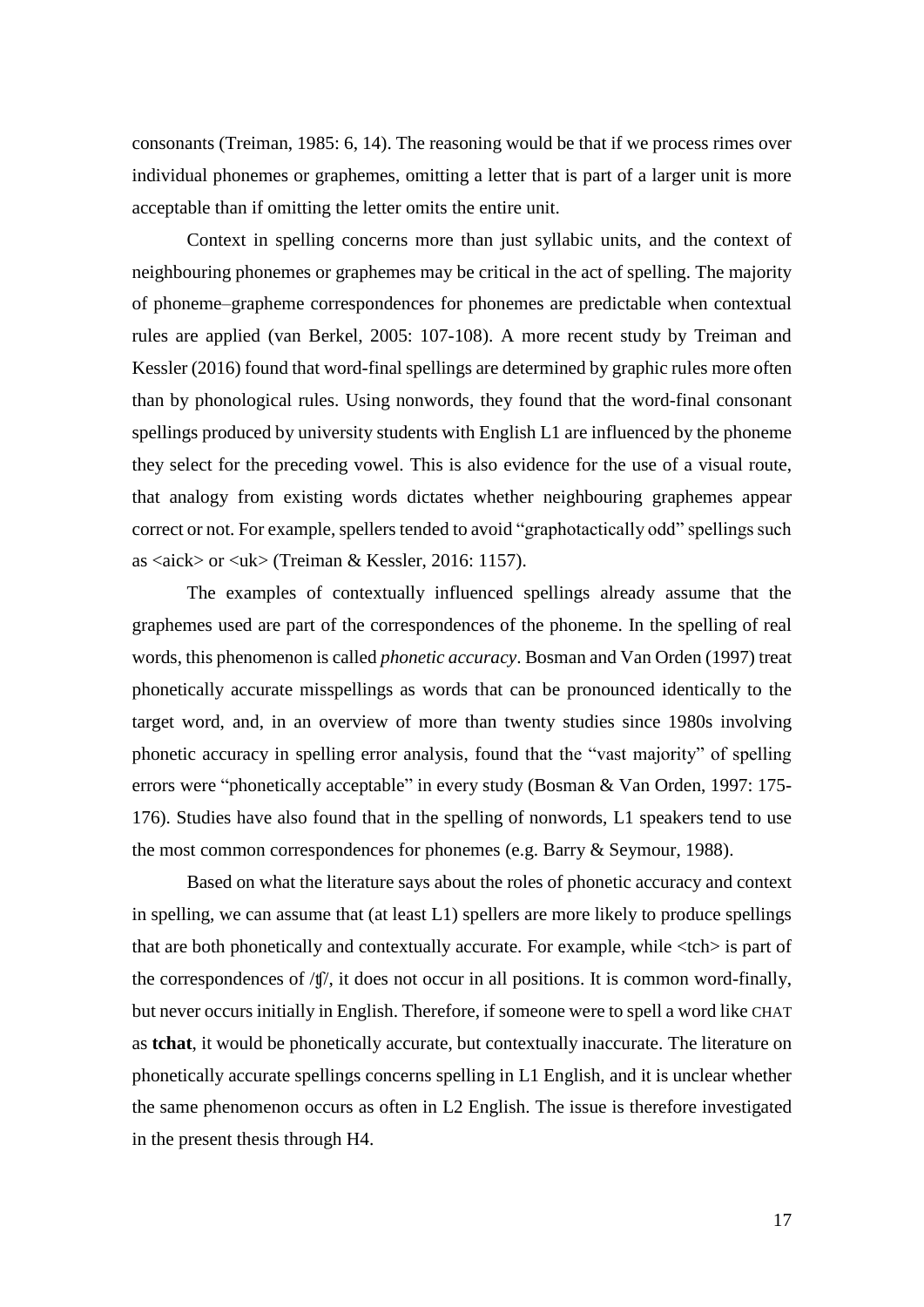consonants (Treiman, 1985: 6, 14). The reasoning would be that if we process rimes over individual phonemes or graphemes, omitting a letter that is part of a larger unit is more acceptable than if omitting the letter omits the entire unit.

Context in spelling concerns more than just syllabic units, and the context of neighbouring phonemes or graphemes may be critical in the act of spelling. The majority of phoneme–grapheme correspondences for phonemes are predictable when contextual rules are applied (van Berkel, 2005: 107-108). A more recent study by Treiman and Kessler (2016) found that word-final spellings are determined by graphic rules more often than by phonological rules. Using nonwords, they found that the word-final consonant spellings produced by university students with English L1 are influenced by the phoneme they select for the preceding vowel. This is also evidence for the use of a visual route, that analogy from existing words dictates whether neighbouring graphemes appear correct or not. For example, spellers tended to avoid "graphotactically odd" spellings such as  $\langle \text{aick}\rangle$  or  $\langle \text{uk}\rangle$  (Treiman & Kessler, 2016: 1157).

The examples of contextually influenced spellings already assume that the graphemes used are part of the correspondences of the phoneme. In the spelling of real words, this phenomenon is called *phonetic accuracy*. Bosman and Van Orden (1997) treat phonetically accurate misspellings as words that can be pronounced identically to the target word, and, in an overview of more than twenty studies since 1980s involving phonetic accuracy in spelling error analysis, found that the "vast majority" of spelling errors were "phonetically acceptable" in every study (Bosman & Van Orden, 1997: 175- 176). Studies have also found that in the spelling of nonwords, L1 speakers tend to use the most common correspondences for phonemes (e.g. Barry & Seymour, 1988).

Based on what the literature says about the roles of phonetic accuracy and context in spelling, we can assume that (at least L1) spellers are more likely to produce spellings that are both phonetically and contextually accurate. For example, while  $\langle$ tch $>$  is part of the correspondences of /ʧ/, it does not occur in all positions. It is common word-finally, but never occurs initially in English. Therefore, if someone were to spell a word like CHAT as **tchat**, it would be phonetically accurate, but contextually inaccurate. The literature on phonetically accurate spellings concerns spelling in L1 English, and it is unclear whether the same phenomenon occurs as often in L2 English. The issue is therefore investigated in the present thesis through H4.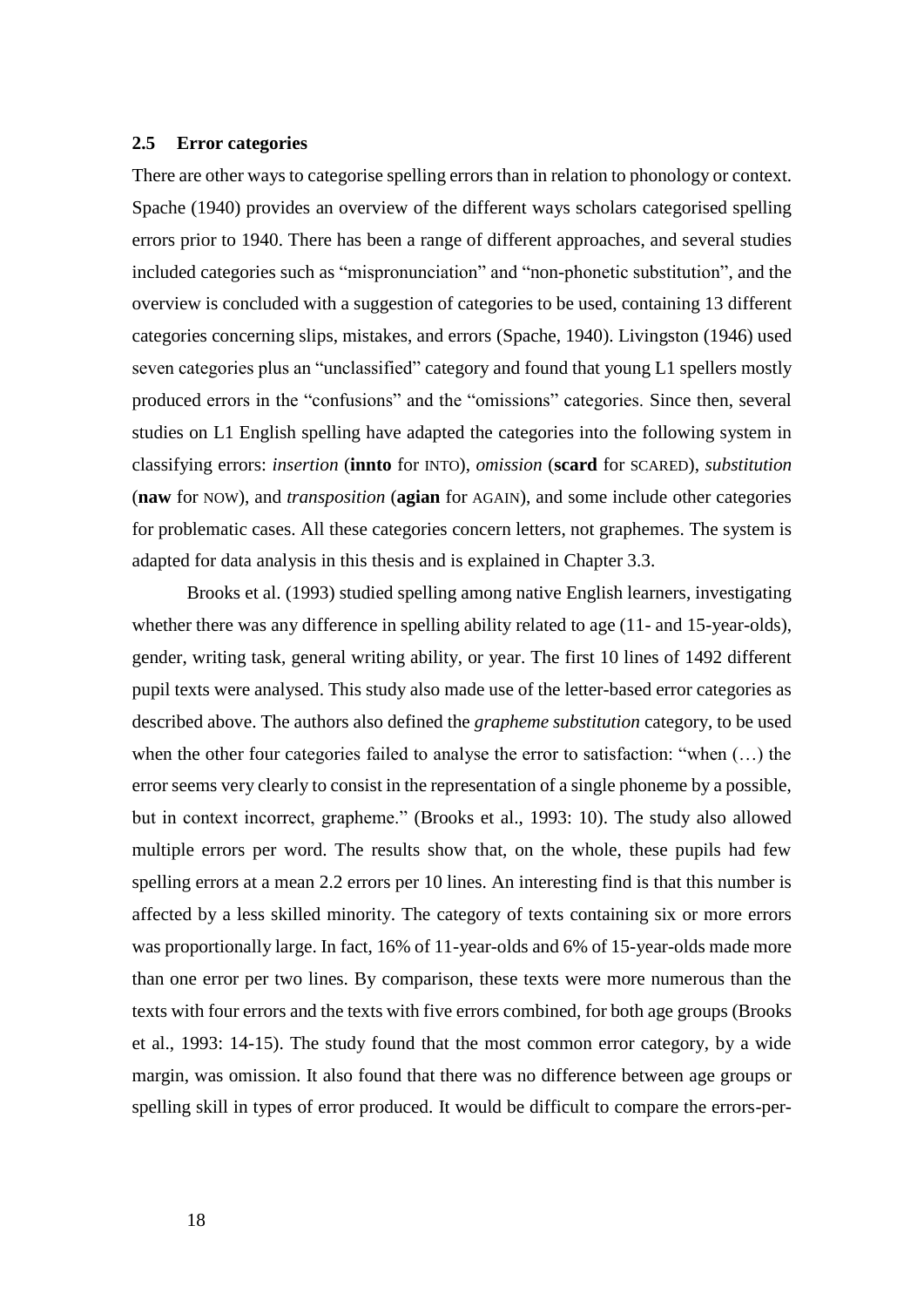#### <span id="page-25-0"></span>**2.5 Error categories**

There are other ways to categorise spelling errors than in relation to phonology or context. Spache (1940) provides an overview of the different ways scholars categorised spelling errors prior to 1940. There has been a range of different approaches, and several studies included categories such as "mispronunciation" and "non-phonetic substitution", and the overview is concluded with a suggestion of categories to be used, containing 13 different categories concerning slips, mistakes, and errors (Spache, 1940). Livingston (1946) used seven categories plus an "unclassified" category and found that young L1 spellers mostly produced errors in the "confusions" and the "omissions" categories. Since then, several studies on L1 English spelling have adapted the categories into the following system in classifying errors: *insertion* (**innto** for INTO), *omission* (**scard** for SCARED), *substitution* (**naw** for NOW), and *transposition* (**agian** for AGAIN), and some include other categories for problematic cases. All these categories concern letters, not graphemes. The system is adapted for data analysis in this thesis and is explained in Chapter 3.3.

Brooks et al. (1993) studied spelling among native English learners, investigating whether there was any difference in spelling ability related to age (11- and 15-year-olds), gender, writing task, general writing ability, or year. The first 10 lines of 1492 different pupil texts were analysed. This study also made use of the letter-based error categories as described above. The authors also defined the *grapheme substitution* category, to be used when the other four categories failed to analyse the error to satisfaction: "when (…) the error seems very clearly to consist in the representation of a single phoneme by a possible, but in context incorrect, grapheme." (Brooks et al., 1993: 10). The study also allowed multiple errors per word. The results show that, on the whole, these pupils had few spelling errors at a mean 2.2 errors per 10 lines. An interesting find is that this number is affected by a less skilled minority. The category of texts containing six or more errors was proportionally large. In fact, 16% of 11-year-olds and 6% of 15-year-olds made more than one error per two lines. By comparison, these texts were more numerous than the texts with four errors and the texts with five errors combined, for both age groups (Brooks et al., 1993: 14-15). The study found that the most common error category, by a wide margin, was omission. It also found that there was no difference between age groups or spelling skill in types of error produced. It would be difficult to compare the errors-per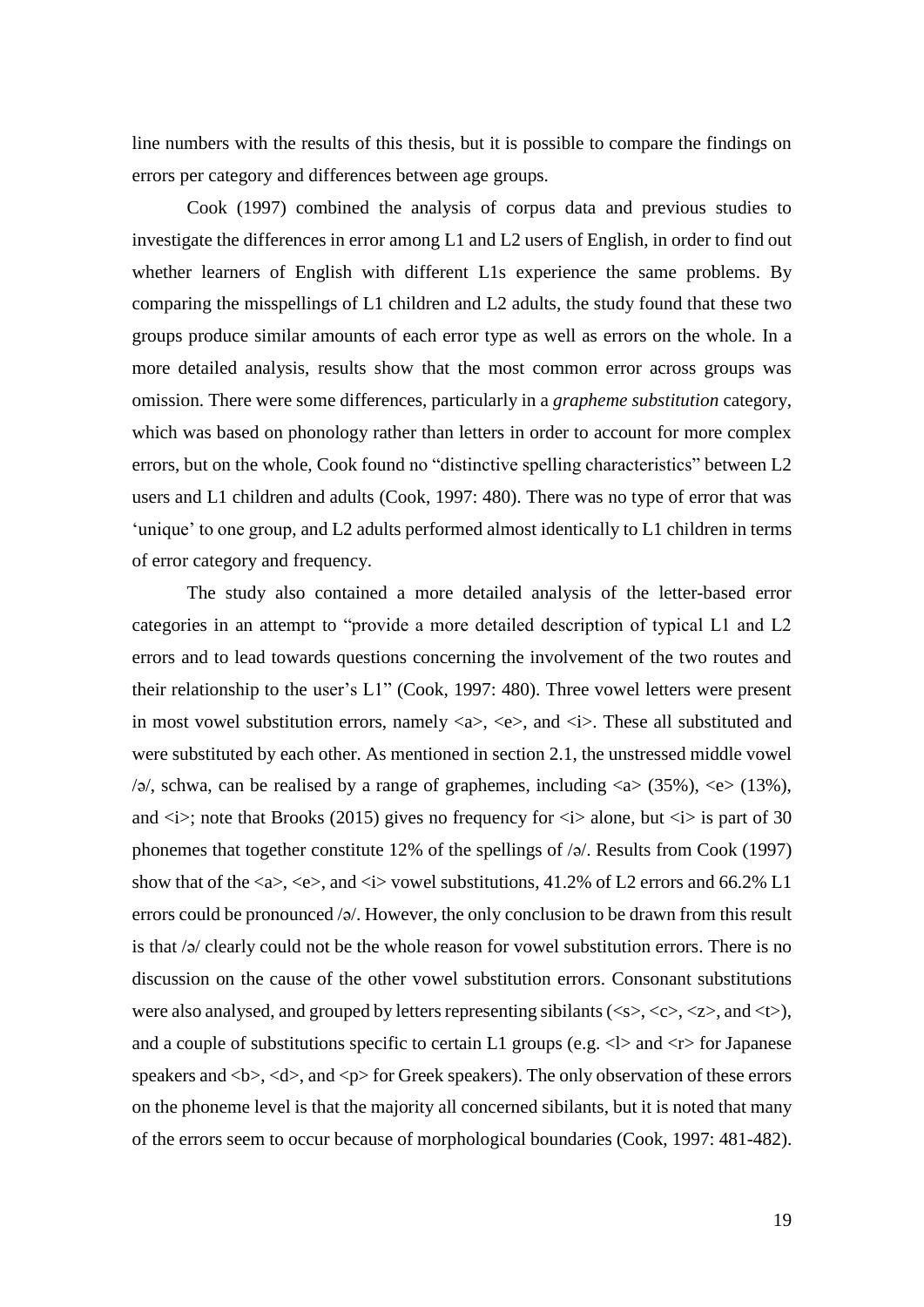line numbers with the results of this thesis, but it is possible to compare the findings on errors per category and differences between age groups.

Cook (1997) combined the analysis of corpus data and previous studies to investigate the differences in error among L1 and L2 users of English, in order to find out whether learners of English with different L1s experience the same problems. By comparing the misspellings of L1 children and L2 adults, the study found that these two groups produce similar amounts of each error type as well as errors on the whole. In a more detailed analysis, results show that the most common error across groups was omission. There were some differences, particularly in a *grapheme substitution* category, which was based on phonology rather than letters in order to account for more complex errors, but on the whole, Cook found no "distinctive spelling characteristics" between L2 users and L1 children and adults (Cook, 1997: 480). There was no type of error that was 'unique' to one group, and L2 adults performed almost identically to L1 children in terms of error category and frequency.

The study also contained a more detailed analysis of the letter-based error categories in an attempt to "provide a more detailed description of typical L1 and L2 errors and to lead towards questions concerning the involvement of the two routes and their relationship to the user's L1" (Cook, 1997: 480). Three vowel letters were present in most vowel substitution errors, namely  $\langle a \rangle$ ,  $\langle e \rangle$ , and  $\langle i \rangle$ . These all substituted and were substituted by each other. As mentioned in section 2.1, the unstressed middle vowel  $\sqrt{2}$ , schwa, can be realised by a range of graphemes, including  $\langle a \rangle$  (35%),  $\langle e \rangle$  (13%), and  $\langle i \rangle$ ; note that Brooks (2015) gives no frequency for  $\langle i \rangle$  alone, but  $\langle i \rangle$  is part of 30 phonemes that together constitute 12% of the spellings of /ə/. Results from Cook (1997) show that of the  $\langle a \rangle$ ,  $\langle e \rangle$ , and  $\langle i \rangle$  vowel substitutions, 41.2% of L2 errors and 66.2% L1 errors could be pronounced /ə/. However, the only conclusion to be drawn from this result is that /ə/ clearly could not be the whole reason for vowel substitution errors. There is no discussion on the cause of the other vowel substitution errors. Consonant substitutions were also analysed, and grouped by letters representing sibilants ( $\langle \langle s \rangle, \langle \langle z \rangle, \langle z \rangle,$  and  $\langle \langle t \rangle$ ), and a couple of substitutions specific to certain L1 groups (e.g.  $\langle 1 \rangle$  and  $\langle r \rangle$  for Japanese speakers and **,**  $**4**$ **, and**  $**5**$  **for Greek speakers). The only observation of these errors** on the phoneme level is that the majority all concerned sibilants, but it is noted that many of the errors seem to occur because of morphological boundaries (Cook, 1997: 481-482).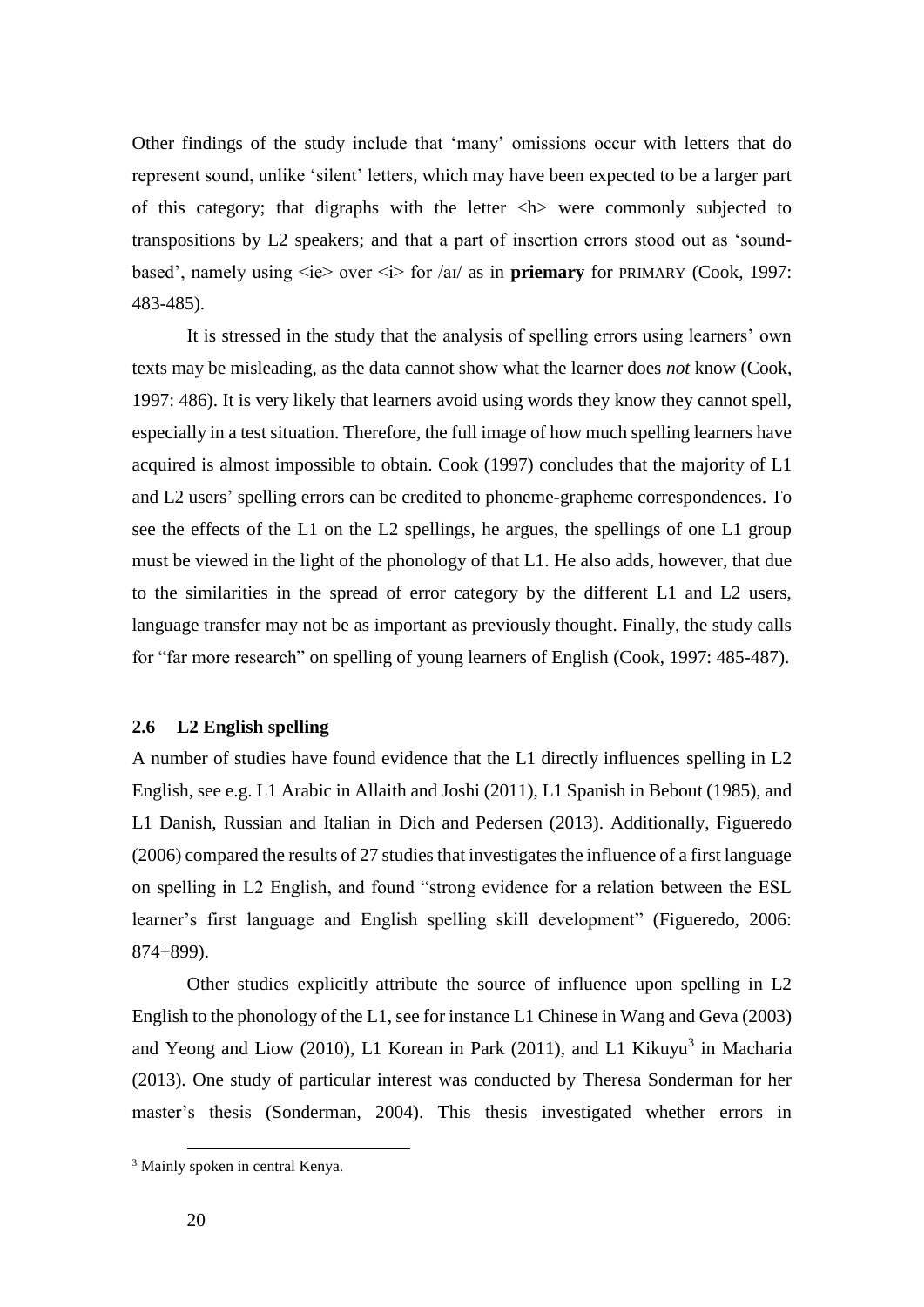Other findings of the study include that 'many' omissions occur with letters that do represent sound, unlike 'silent' letters, which may have been expected to be a larger part of this category; that digraphs with the letter <h> were commonly subjected to transpositions by L2 speakers; and that a part of insertion errors stood out as 'soundbased', namely using  $\langle ie \rangle$  over  $\langle ie \rangle$  for /aɪ/ as in **priemary** for PRIMARY (Cook, 1997: 483-485).

It is stressed in the study that the analysis of spelling errors using learners' own texts may be misleading, as the data cannot show what the learner does *not* know (Cook, 1997: 486). It is very likely that learners avoid using words they know they cannot spell, especially in a test situation. Therefore, the full image of how much spelling learners have acquired is almost impossible to obtain. Cook (1997) concludes that the majority of L1 and L2 users' spelling errors can be credited to phoneme-grapheme correspondences. To see the effects of the L1 on the L2 spellings, he argues, the spellings of one L1 group must be viewed in the light of the phonology of that L1. He also adds, however, that due to the similarities in the spread of error category by the different L1 and L2 users, language transfer may not be as important as previously thought. Finally, the study calls for "far more research" on spelling of young learners of English (Cook, 1997: 485-487).

#### <span id="page-27-0"></span>**2.6 L2 English spelling**

A number of studies have found evidence that the L1 directly influences spelling in L2 English, see e.g. L1 Arabic in Allaith and Joshi (2011), L1 Spanish in Bebout (1985), and L1 Danish, Russian and Italian in Dich and Pedersen (2013). Additionally, Figueredo (2006) compared the results of 27 studies that investigates the influence of a first language on spelling in L2 English, and found "strong evidence for a relation between the ESL learner's first language and English spelling skill development" (Figueredo, 2006: 874+899).

Other studies explicitly attribute the source of influence upon spelling in L2 English to the phonology of the L1, see for instance L1 Chinese in Wang and Geva (2003) and Yeong and Liow (2010), L1 Korean in Park (2011), and L1 Kikuyu<sup>3</sup> in Macharia (2013). One study of particular interest was conducted by Theresa Sonderman for her master's thesis (Sonderman, 2004). This thesis investigated whether errors in

 $\overline{a}$ 

<sup>&</sup>lt;sup>3</sup> Mainly spoken in central Kenya.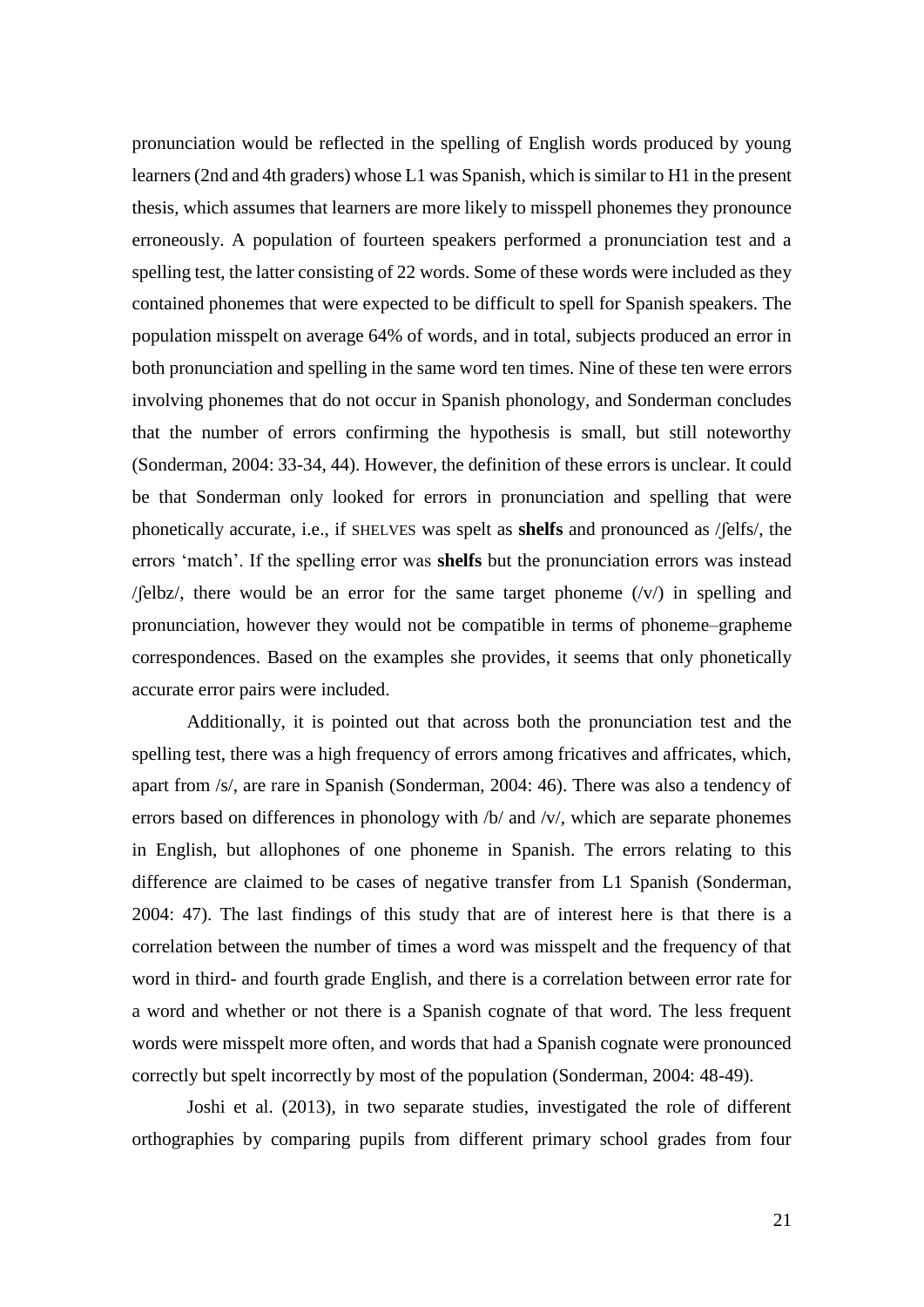pronunciation would be reflected in the spelling of English words produced by young learners (2nd and 4th graders) whose L1 was Spanish, which is similar to H1 in the present thesis, which assumes that learners are more likely to misspell phonemes they pronounce erroneously. A population of fourteen speakers performed a pronunciation test and a spelling test, the latter consisting of 22 words. Some of these words were included as they contained phonemes that were expected to be difficult to spell for Spanish speakers. The population misspelt on average 64% of words, and in total, subjects produced an error in both pronunciation and spelling in the same word ten times. Nine of these ten were errors involving phonemes that do not occur in Spanish phonology, and Sonderman concludes that the number of errors confirming the hypothesis is small, but still noteworthy (Sonderman, 2004: 33-34, 44). However, the definition of these errors is unclear. It could be that Sonderman only looked for errors in pronunciation and spelling that were phonetically accurate, i.e., if SHELVES was spelt as **shelfs** and pronounced as /ʃelfs/, the errors 'match'. If the spelling error was **shelfs** but the pronunciation errors was instead / $\ell$ elbz/, there would be an error for the same target phoneme  $(\nu)$  in spelling and pronunciation, however they would not be compatible in terms of phoneme–grapheme correspondences. Based on the examples she provides, it seems that only phonetically accurate error pairs were included.

Additionally, it is pointed out that across both the pronunciation test and the spelling test, there was a high frequency of errors among fricatives and affricates, which, apart from /s/, are rare in Spanish (Sonderman, 2004: 46). There was also a tendency of errors based on differences in phonology with /b/ and /v/, which are separate phonemes in English, but allophones of one phoneme in Spanish. The errors relating to this difference are claimed to be cases of negative transfer from L1 Spanish (Sonderman, 2004: 47). The last findings of this study that are of interest here is that there is a correlation between the number of times a word was misspelt and the frequency of that word in third- and fourth grade English, and there is a correlation between error rate for a word and whether or not there is a Spanish cognate of that word. The less frequent words were misspelt more often, and words that had a Spanish cognate were pronounced correctly but spelt incorrectly by most of the population (Sonderman, 2004: 48-49).

Joshi et al. (2013), in two separate studies, investigated the role of different orthographies by comparing pupils from different primary school grades from four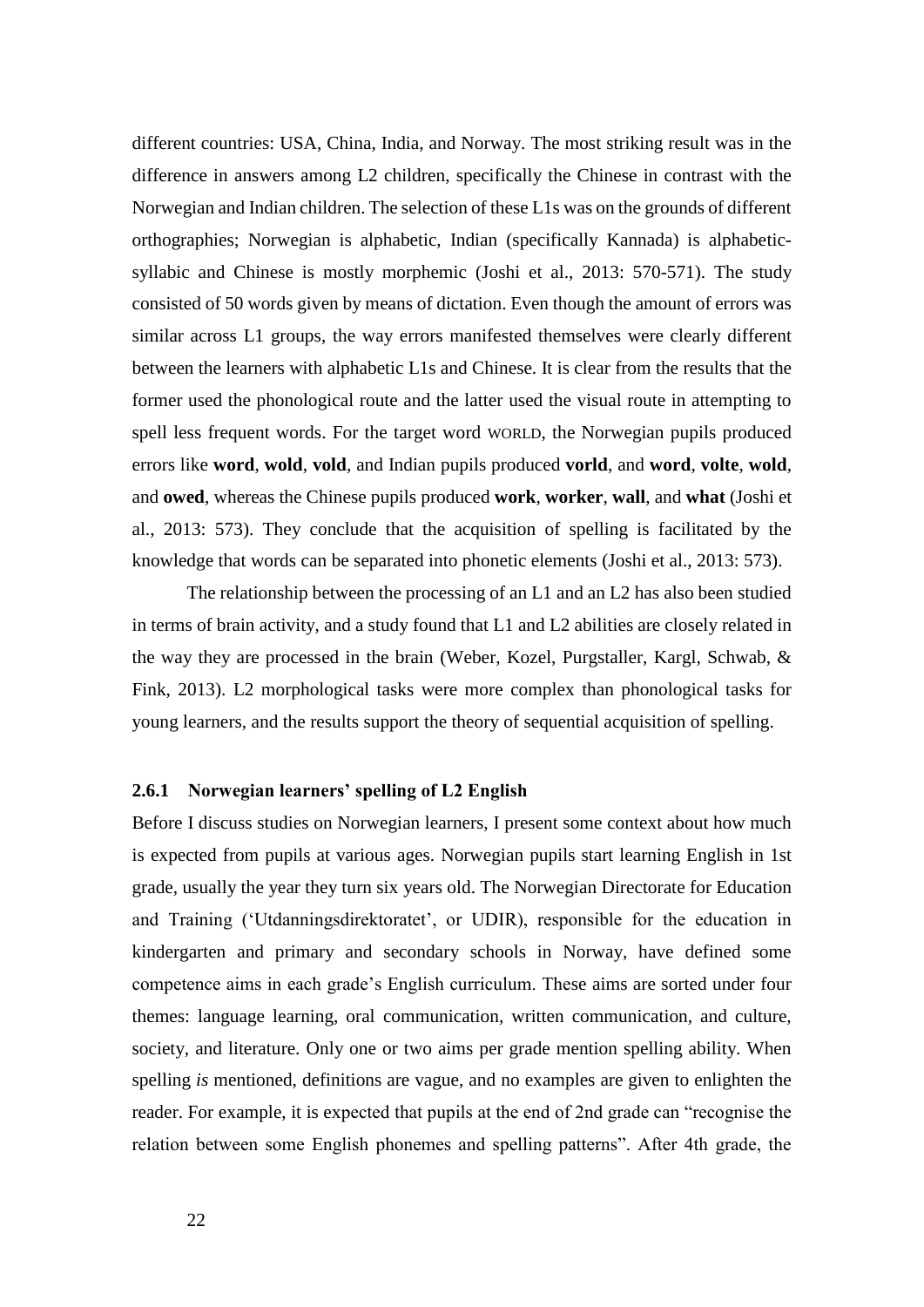different countries: USA, China, India, and Norway. The most striking result was in the difference in answers among L2 children, specifically the Chinese in contrast with the Norwegian and Indian children. The selection of these L1s was on the grounds of different orthographies; Norwegian is alphabetic, Indian (specifically Kannada) is alphabeticsyllabic and Chinese is mostly morphemic (Joshi et al., 2013: 570-571). The study consisted of 50 words given by means of dictation. Even though the amount of errors was similar across L1 groups, the way errors manifested themselves were clearly different between the learners with alphabetic L1s and Chinese. It is clear from the results that the former used the phonological route and the latter used the visual route in attempting to spell less frequent words. For the target word WORLD, the Norwegian pupils produced errors like **word**, **wold**, **vold**, and Indian pupils produced **vorld**, and **word**, **volte**, **wold**, and **owed**, whereas the Chinese pupils produced **work**, **worker**, **wall**, and **what** (Joshi et al., 2013: 573). They conclude that the acquisition of spelling is facilitated by the knowledge that words can be separated into phonetic elements (Joshi et al., 2013: 573).

The relationship between the processing of an L1 and an L2 has also been studied in terms of brain activity, and a study found that L1 and L2 abilities are closely related in the way they are processed in the brain (Weber, Kozel, Purgstaller, Kargl, Schwab, & Fink, 2013). L2 morphological tasks were more complex than phonological tasks for young learners, and the results support the theory of sequential acquisition of spelling.

#### **2.6.1 Norwegian learners' spelling of L2 English**

Before I discuss studies on Norwegian learners, I present some context about how much is expected from pupils at various ages. Norwegian pupils start learning English in 1st grade, usually the year they turn six years old. The Norwegian Directorate for Education and Training ('Utdanningsdirektoratet', or UDIR), responsible for the education in kindergarten and primary and secondary schools in Norway, have defined some competence aims in each grade's English curriculum. These aims are sorted under four themes: language learning, oral communication, written communication, and culture, society, and literature. Only one or two aims per grade mention spelling ability. When spelling *is* mentioned, definitions are vague, and no examples are given to enlighten the reader. For example, it is expected that pupils at the end of 2nd grade can "recognise the relation between some English phonemes and spelling patterns". After 4th grade, the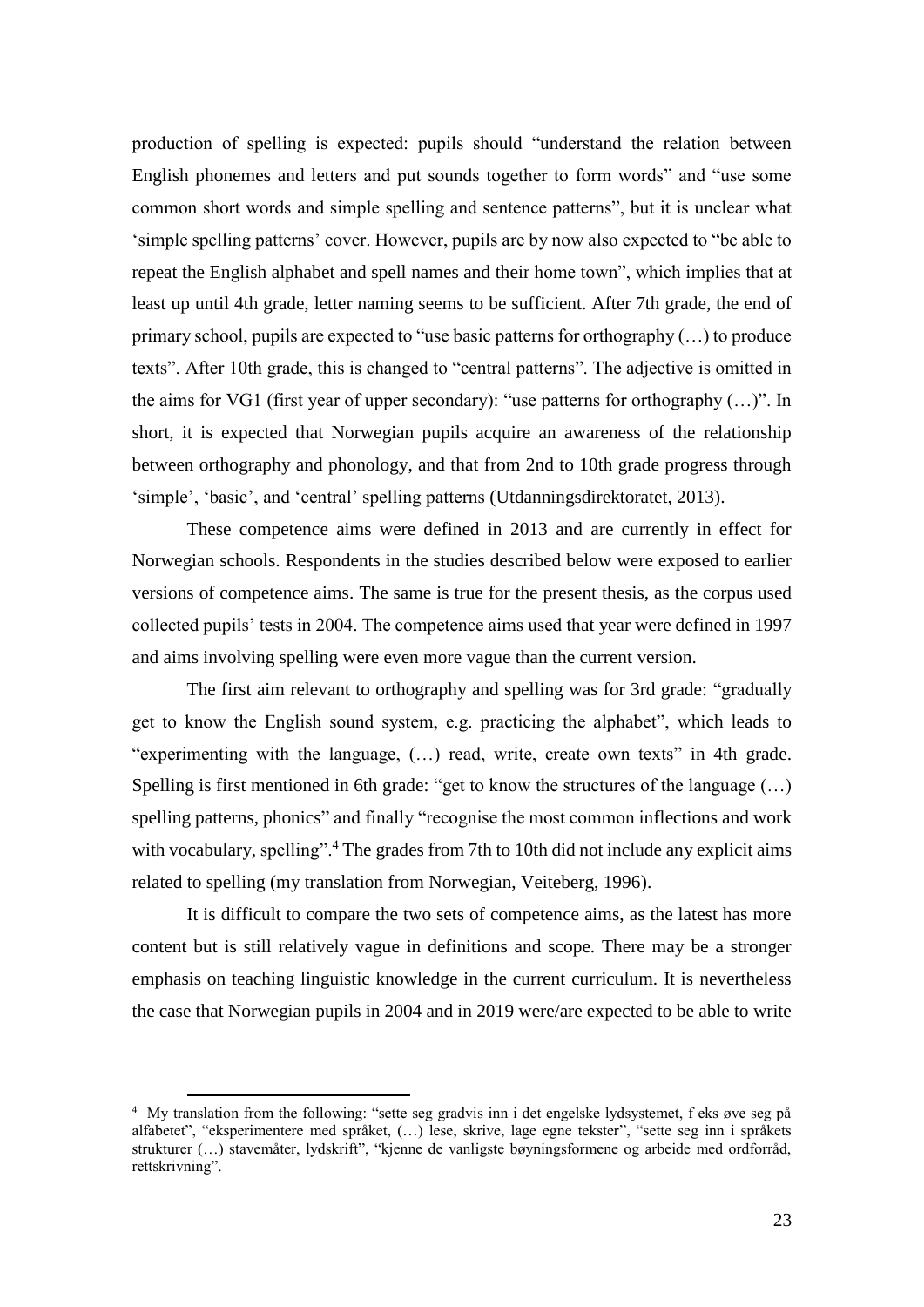production of spelling is expected: pupils should "understand the relation between English phonemes and letters and put sounds together to form words" and "use some common short words and simple spelling and sentence patterns", but it is unclear what 'simple spelling patterns' cover. However, pupils are by now also expected to "be able to repeat the English alphabet and spell names and their home town", which implies that at least up until 4th grade, letter naming seems to be sufficient. After 7th grade, the end of primary school, pupils are expected to "use basic patterns for orthography (…) to produce texts". After 10th grade, this is changed to "central patterns". The adjective is omitted in the aims for VG1 (first year of upper secondary): "use patterns for orthography (…)". In short, it is expected that Norwegian pupils acquire an awareness of the relationship between orthography and phonology, and that from 2nd to 10th grade progress through 'simple', 'basic', and 'central' spelling patterns (Utdanningsdirektoratet, 2013).

These competence aims were defined in 2013 and are currently in effect for Norwegian schools. Respondents in the studies described below were exposed to earlier versions of competence aims. The same is true for the present thesis, as the corpus used collected pupils' tests in 2004. The competence aims used that year were defined in 1997 and aims involving spelling were even more vague than the current version.

The first aim relevant to orthography and spelling was for 3rd grade: "gradually get to know the English sound system, e.g. practicing the alphabet", which leads to "experimenting with the language, (…) read, write, create own texts" in 4th grade. Spelling is first mentioned in 6th grade: "get to know the structures of the language (…) spelling patterns, phonics" and finally "recognise the most common inflections and work with vocabulary, spelling".<sup>4</sup> The grades from 7th to 10th did not include any explicit aims related to spelling (my translation from Norwegian, Veiteberg, 1996).

It is difficult to compare the two sets of competence aims, as the latest has more content but is still relatively vague in definitions and scope. There may be a stronger emphasis on teaching linguistic knowledge in the current curriculum. It is nevertheless the case that Norwegian pupils in 2004 and in 2019 were/are expected to be able to write

 $\overline{a}$ 

<sup>4</sup> My translation from the following: "sette seg gradvis inn i det engelske lydsystemet, f eks øve seg på alfabetet", "eksperimentere med språket, (…) lese, skrive, lage egne tekster", "sette seg inn i språkets strukturer (…) stavemåter, lydskrift", "kjenne de vanligste bøyningsformene og arbeide med ordforråd, rettskrivning".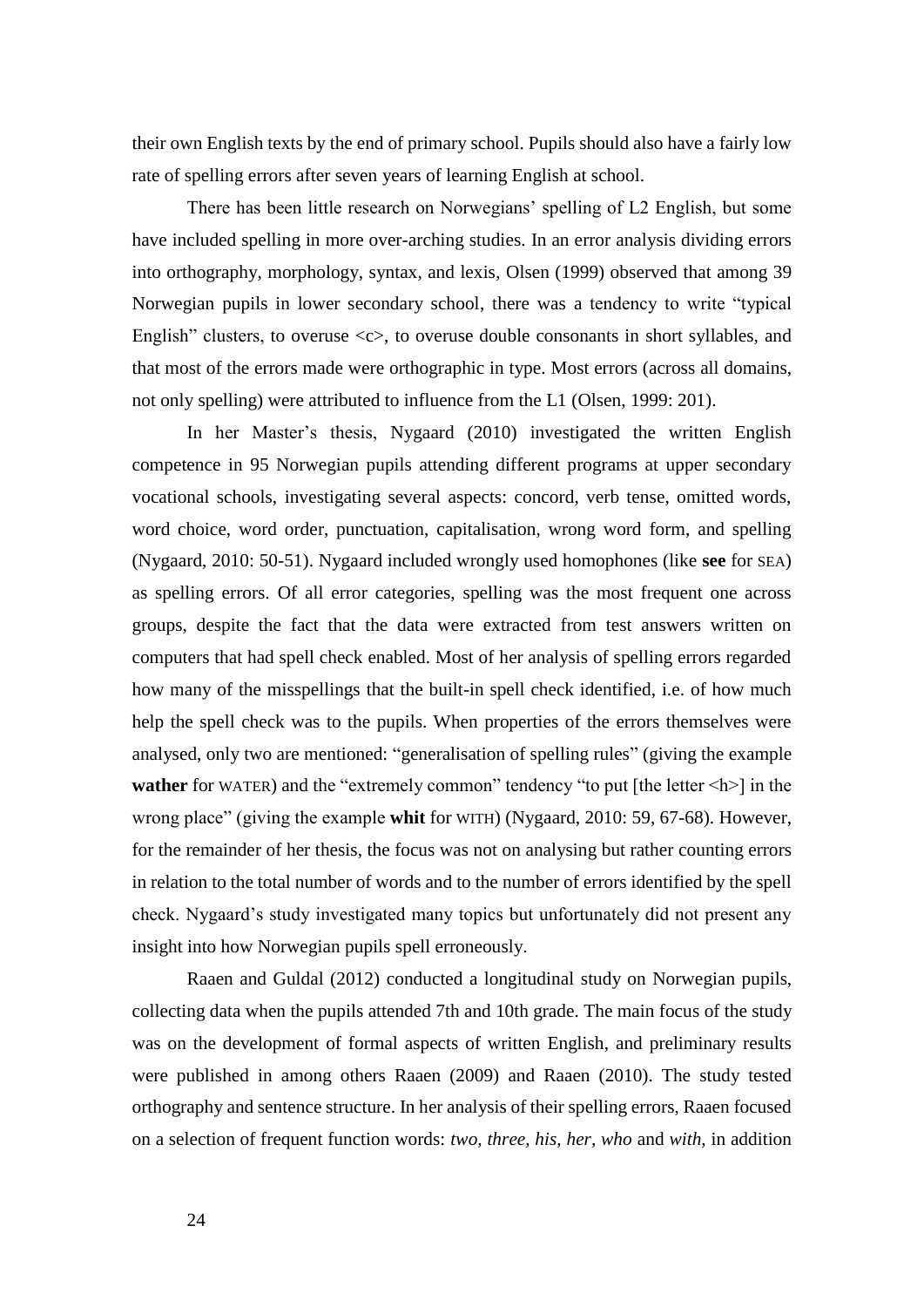their own English texts by the end of primary school. Pupils should also have a fairly low rate of spelling errors after seven years of learning English at school.

There has been little research on Norwegians' spelling of L2 English, but some have included spelling in more over-arching studies. In an error analysis dividing errors into orthography, morphology, syntax, and lexis, Olsen (1999) observed that among 39 Norwegian pupils in lower secondary school, there was a tendency to write "typical English" clusters, to overuse  $\langle c \rangle$ , to overuse double consonants in short syllables, and that most of the errors made were orthographic in type. Most errors (across all domains, not only spelling) were attributed to influence from the L1 (Olsen, 1999: 201).

In her Master's thesis, Nygaard (2010) investigated the written English competence in 95 Norwegian pupils attending different programs at upper secondary vocational schools, investigating several aspects: concord, verb tense, omitted words, word choice, word order, punctuation, capitalisation, wrong word form, and spelling (Nygaard, 2010: 50-51). Nygaard included wrongly used homophones (like **see** for SEA) as spelling errors. Of all error categories, spelling was the most frequent one across groups, despite the fact that the data were extracted from test answers written on computers that had spell check enabled. Most of her analysis of spelling errors regarded how many of the misspellings that the built-in spell check identified, i.e. of how much help the spell check was to the pupils. When properties of the errors themselves were analysed, only two are mentioned: "generalisation of spelling rules" (giving the example **wather** for WATER) and the "extremely common" tendency "to put [the letter  $\langle h \rangle$ ] in the wrong place" (giving the example **whit** for WITH) (Nygaard, 2010: 59, 67-68). However, for the remainder of her thesis, the focus was not on analysing but rather counting errors in relation to the total number of words and to the number of errors identified by the spell check. Nygaard's study investigated many topics but unfortunately did not present any insight into how Norwegian pupils spell erroneously.

Raaen and Guldal (2012) conducted a longitudinal study on Norwegian pupils, collecting data when the pupils attended 7th and 10th grade. The main focus of the study was on the development of formal aspects of written English, and preliminary results were published in among others Raaen (2009) and Raaen (2010). The study tested orthography and sentence structure. In her analysis of their spelling errors, Raaen focused on a selection of frequent function words: *two, three, his, her, who* and *with*, in addition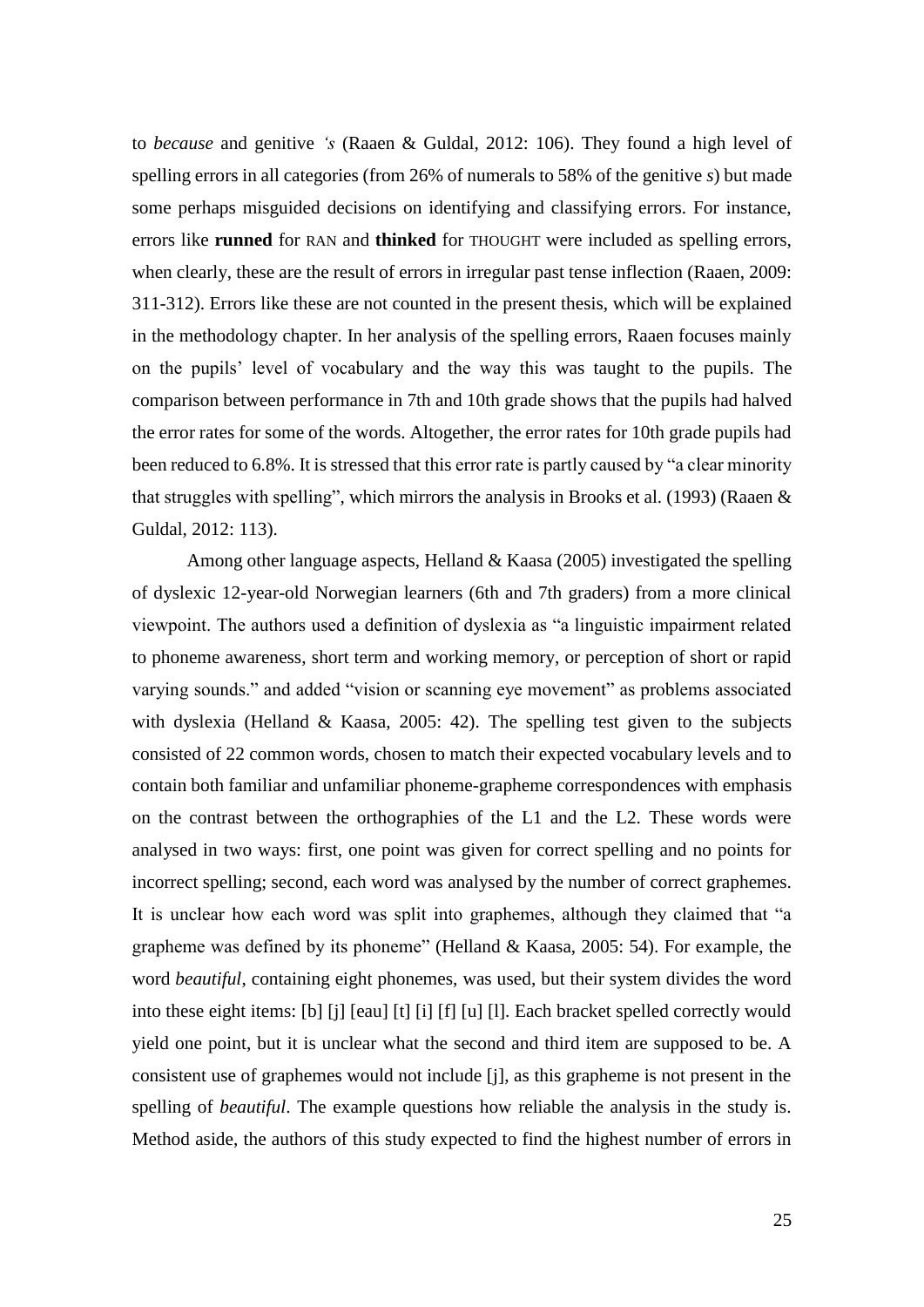to *because* and genitive *'s* (Raaen & Guldal, 2012: 106). They found a high level of spelling errors in all categories (from 26% of numerals to 58% of the genitive *s*) but made some perhaps misguided decisions on identifying and classifying errors. For instance, errors like **runned** for RAN and **thinked** for THOUGHT were included as spelling errors, when clearly, these are the result of errors in irregular past tense inflection (Raaen, 2009: 311-312). Errors like these are not counted in the present thesis, which will be explained in the methodology chapter. In her analysis of the spelling errors, Raaen focuses mainly on the pupils' level of vocabulary and the way this was taught to the pupils. The comparison between performance in 7th and 10th grade shows that the pupils had halved the error rates for some of the words. Altogether, the error rates for 10th grade pupils had been reduced to 6.8%. It is stressed that this error rate is partly caused by "a clear minority that struggles with spelling", which mirrors the analysis in Brooks et al. (1993) (Raaen & Guldal, 2012: 113).

Among other language aspects, Helland & Kaasa (2005) investigated the spelling of dyslexic 12-year-old Norwegian learners (6th and 7th graders) from a more clinical viewpoint. The authors used a definition of dyslexia as "a linguistic impairment related to phoneme awareness, short term and working memory, or perception of short or rapid varying sounds." and added "vision or scanning eye movement" as problems associated with dyslexia (Helland & Kaasa, 2005: 42). The spelling test given to the subjects consisted of 22 common words, chosen to match their expected vocabulary levels and to contain both familiar and unfamiliar phoneme-grapheme correspondences with emphasis on the contrast between the orthographies of the L1 and the L2. These words were analysed in two ways: first, one point was given for correct spelling and no points for incorrect spelling; second, each word was analysed by the number of correct graphemes. It is unclear how each word was split into graphemes, although they claimed that "a grapheme was defined by its phoneme" (Helland & Kaasa, 2005: 54). For example, the word *beautiful*, containing eight phonemes, was used, but their system divides the word into these eight items: [b] [j] [eau] [t] [i] [f] [u] [l]. Each bracket spelled correctly would yield one point, but it is unclear what the second and third item are supposed to be. A consistent use of graphemes would not include [j], as this grapheme is not present in the spelling of *beautiful*. The example questions how reliable the analysis in the study is. Method aside, the authors of this study expected to find the highest number of errors in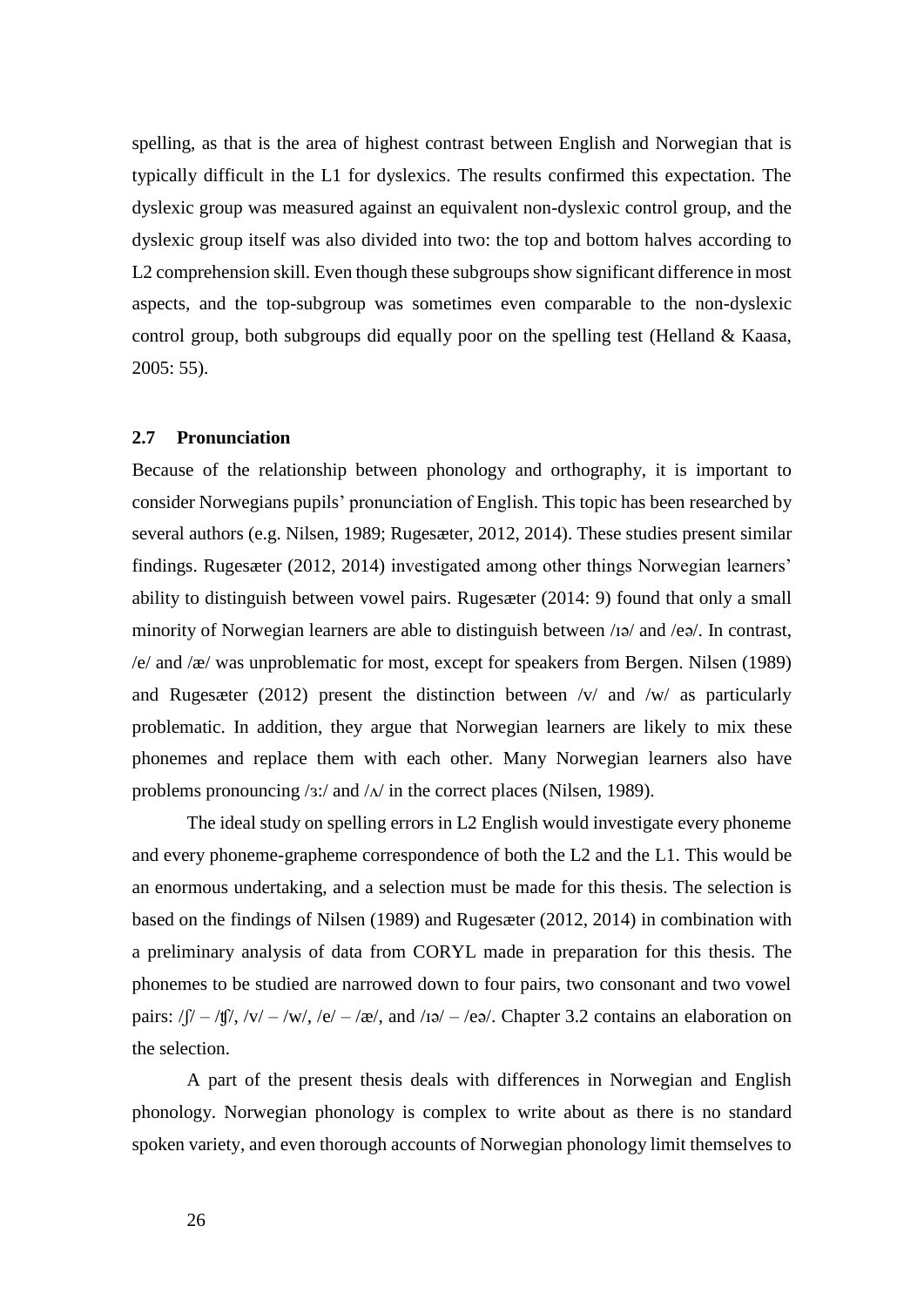spelling, as that is the area of highest contrast between English and Norwegian that is typically difficult in the L1 for dyslexics. The results confirmed this expectation. The dyslexic group was measured against an equivalent non-dyslexic control group, and the dyslexic group itself was also divided into two: the top and bottom halves according to L2 comprehension skill. Even though these subgroups show significant difference in most aspects, and the top-subgroup was sometimes even comparable to the non-dyslexic control group, both subgroups did equally poor on the spelling test (Helland & Kaasa, 2005: 55).

#### <span id="page-33-0"></span>**2.7 Pronunciation**

Because of the relationship between phonology and orthography, it is important to consider Norwegians pupils' pronunciation of English. This topic has been researched by several authors (e.g. Nilsen, 1989; Rugesæter, 2012, 2014). These studies present similar findings. Rugesæter (2012, 2014) investigated among other things Norwegian learners' ability to distinguish between vowel pairs. Rugesæter (2014: 9) found that only a small minority of Norwegian learners are able to distinguish between /ɪə/ and /eə/. In contrast, /e/ and /æ/ was unproblematic for most, except for speakers from Bergen. Nilsen (1989) and Rugesæter (2012) present the distinction between  $/v/$  and  $/w/$  as particularly problematic. In addition, they argue that Norwegian learners are likely to mix these phonemes and replace them with each other. Many Norwegian learners also have problems pronouncing  $\frac{s!}{a}$  and  $\frac{\Lambda}{n}$  in the correct places (Nilsen, 1989).

The ideal study on spelling errors in L2 English would investigate every phoneme and every phoneme-grapheme correspondence of both the L2 and the L1. This would be an enormous undertaking, and a selection must be made for this thesis. The selection is based on the findings of Nilsen (1989) and Rugesæter (2012, 2014) in combination with a preliminary analysis of data from CORYL made in preparation for this thesis. The phonemes to be studied are narrowed down to four pairs, two consonant and two vowel pairs:  $/$ f $/$  –  $/$ tf $/$ ,  $/$ v $/$  –  $/$ w $/$ ,  $/$ e $/$  –  $/$ æ $/$ , and  $/$ ιə $/$  –  $/$ eə $/$ . Chapter 3.2 contains an elaboration on the selection.

A part of the present thesis deals with differences in Norwegian and English phonology. Norwegian phonology is complex to write about as there is no standard spoken variety, and even thorough accounts of Norwegian phonology limit themselves to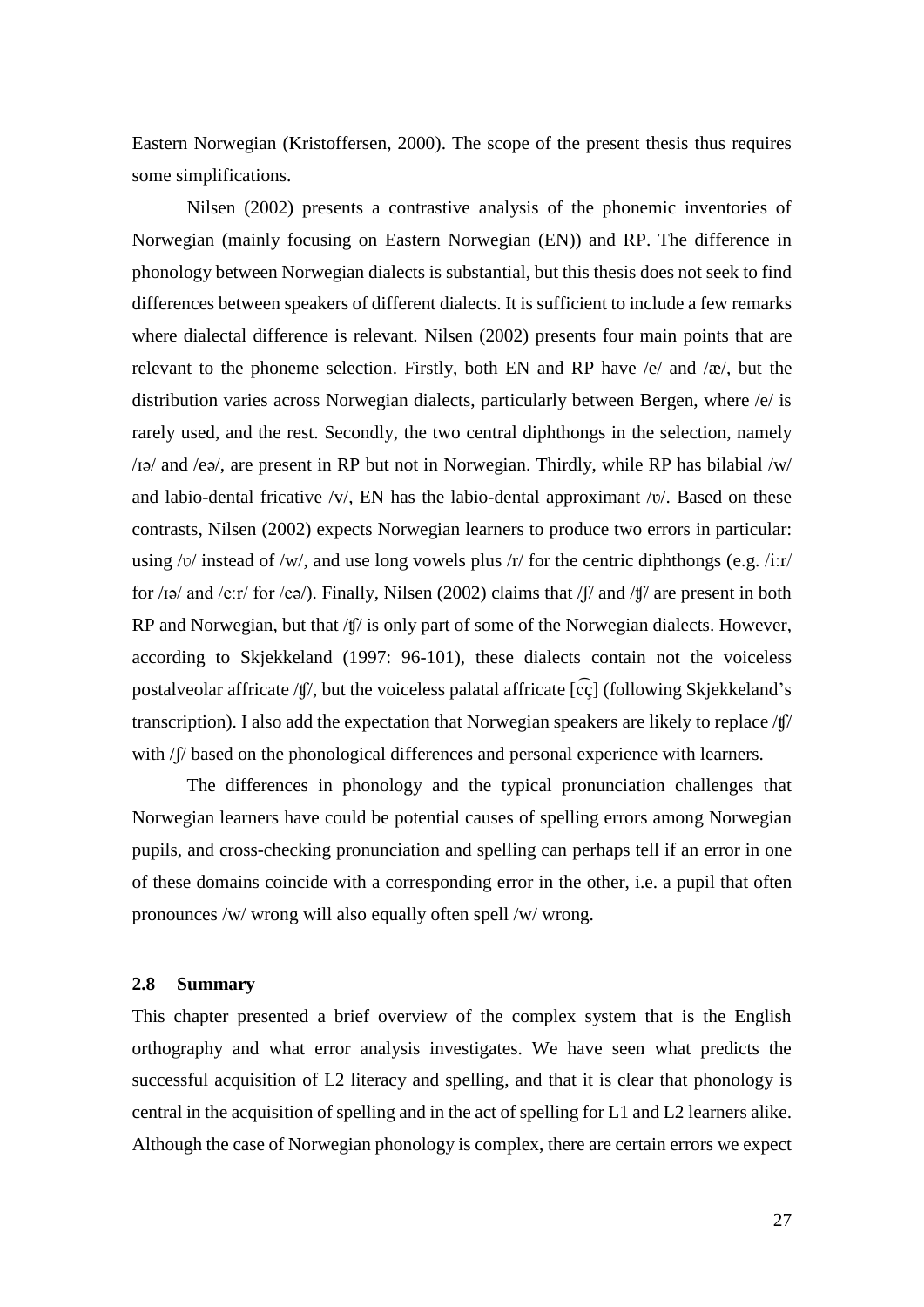Eastern Norwegian (Kristoffersen, 2000). The scope of the present thesis thus requires some simplifications.

Nilsen (2002) presents a contrastive analysis of the phonemic inventories of Norwegian (mainly focusing on Eastern Norwegian (EN)) and RP. The difference in phonology between Norwegian dialects is substantial, but this thesis does not seek to find differences between speakers of different dialects. It is sufficient to include a few remarks where dialectal difference is relevant. Nilsen (2002) presents four main points that are relevant to the phoneme selection. Firstly, both EN and RP have /e/ and /æ/, but the distribution varies across Norwegian dialects, particularly between Bergen, where /e/ is rarely used, and the rest. Secondly, the two central diphthongs in the selection, namely /ɪə/ and /eə/, are present in RP but not in Norwegian. Thirdly, while RP has bilabial /w/ and labio-dental fricative  $/v/$ , EN has the labio-dental approximant  $/v/$ . Based on these contrasts, Nilsen (2002) expects Norwegian learners to produce two errors in particular: using / $v$ / instead of /w/, and use long vowels plus /r/ for the centric diphthongs (e.g. /iːr/ for /ɪə/ and /eːr/ for /eə/). Finally, Nilsen (2002) claims that /ʃ/ and /ʧ/ are present in both RP and Norwegian, but that /t<sup> $\int$ </sup> is only part of some of the Norwegian dialects. However, according to Skjekkeland (1997: 96-101), these dialects contain not the voiceless postalveolar affricate /tf/, but the voiceless palatal affricate  $\lceil \vec{c} \cdot \vec{c} \rceil$  (following Skjekkeland's transcription). I also add the expectation that Norwegian speakers are likely to replace /ʧ/ with / $\beta$  based on the phonological differences and personal experience with learners.

The differences in phonology and the typical pronunciation challenges that Norwegian learners have could be potential causes of spelling errors among Norwegian pupils, and cross-checking pronunciation and spelling can perhaps tell if an error in one of these domains coincide with a corresponding error in the other, i.e. a pupil that often pronounces /w/ wrong will also equally often spell /w/ wrong.

#### <span id="page-34-0"></span>**2.8 Summary**

This chapter presented a brief overview of the complex system that is the English orthography and what error analysis investigates. We have seen what predicts the successful acquisition of L2 literacy and spelling, and that it is clear that phonology is central in the acquisition of spelling and in the act of spelling for L1 and L2 learners alike. Although the case of Norwegian phonology is complex, there are certain errors we expect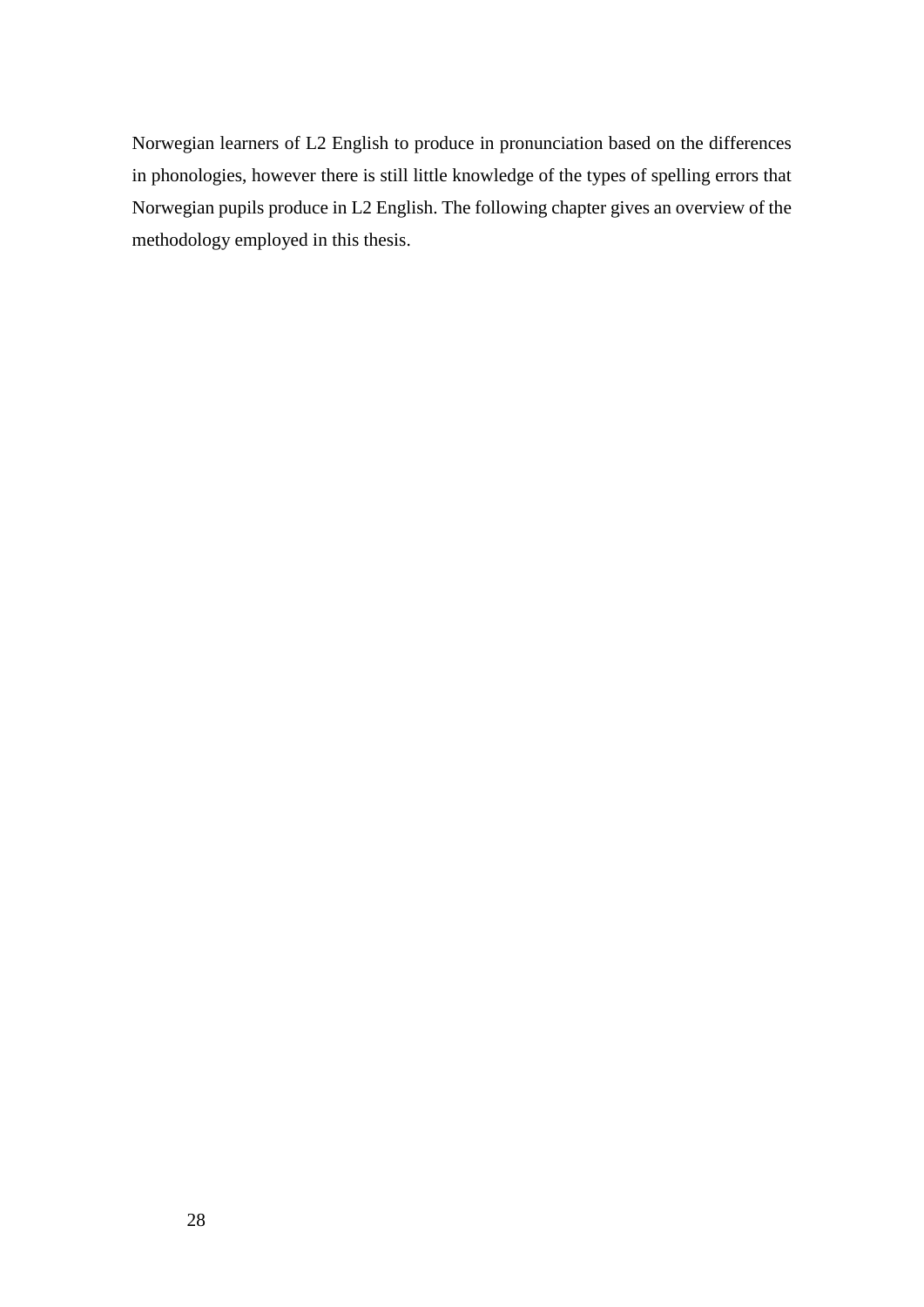Norwegian learners of L2 English to produce in pronunciation based on the differences in phonologies, however there is still little knowledge of the types of spelling errors that Norwegian pupils produce in L2 English. The following chapter gives an overview of the methodology employed in this thesis.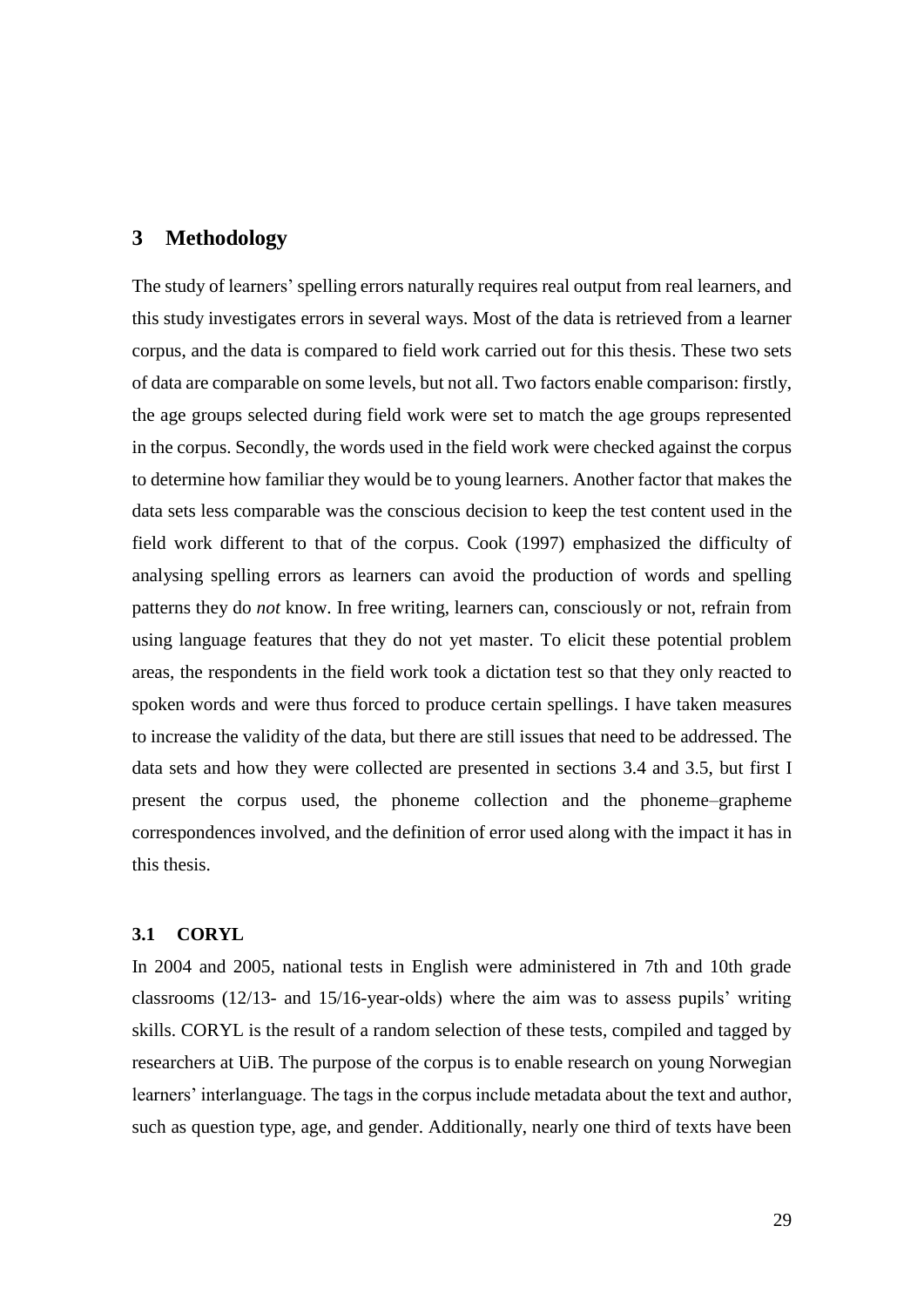# **3 Methodology**

The study of learners' spelling errors naturally requires real output from real learners, and this study investigates errors in several ways. Most of the data is retrieved from a learner corpus, and the data is compared to field work carried out for this thesis. These two sets of data are comparable on some levels, but not all. Two factors enable comparison: firstly, the age groups selected during field work were set to match the age groups represented in the corpus. Secondly, the words used in the field work were checked against the corpus to determine how familiar they would be to young learners. Another factor that makes the data sets less comparable was the conscious decision to keep the test content used in the field work different to that of the corpus. Cook (1997) emphasized the difficulty of analysing spelling errors as learners can avoid the production of words and spelling patterns they do *not* know. In free writing, learners can, consciously or not, refrain from using language features that they do not yet master. To elicit these potential problem areas, the respondents in the field work took a dictation test so that they only reacted to spoken words and were thus forced to produce certain spellings. I have taken measures to increase the validity of the data, but there are still issues that need to be addressed. The data sets and how they were collected are presented in sections 3.4 and 3.5, but first I present the corpus used, the phoneme collection and the phoneme–grapheme correspondences involved, and the definition of error used along with the impact it has in this thesis.

# **3.1 CORYL**

In 2004 and 2005, national tests in English were administered in 7th and 10th grade classrooms (12/13- and 15/16-year-olds) where the aim was to assess pupils' writing skills. CORYL is the result of a random selection of these tests, compiled and tagged by researchers at UiB. The purpose of the corpus is to enable research on young Norwegian learners' interlanguage. The tags in the corpus include metadata about the text and author, such as question type, age, and gender. Additionally, nearly one third of texts have been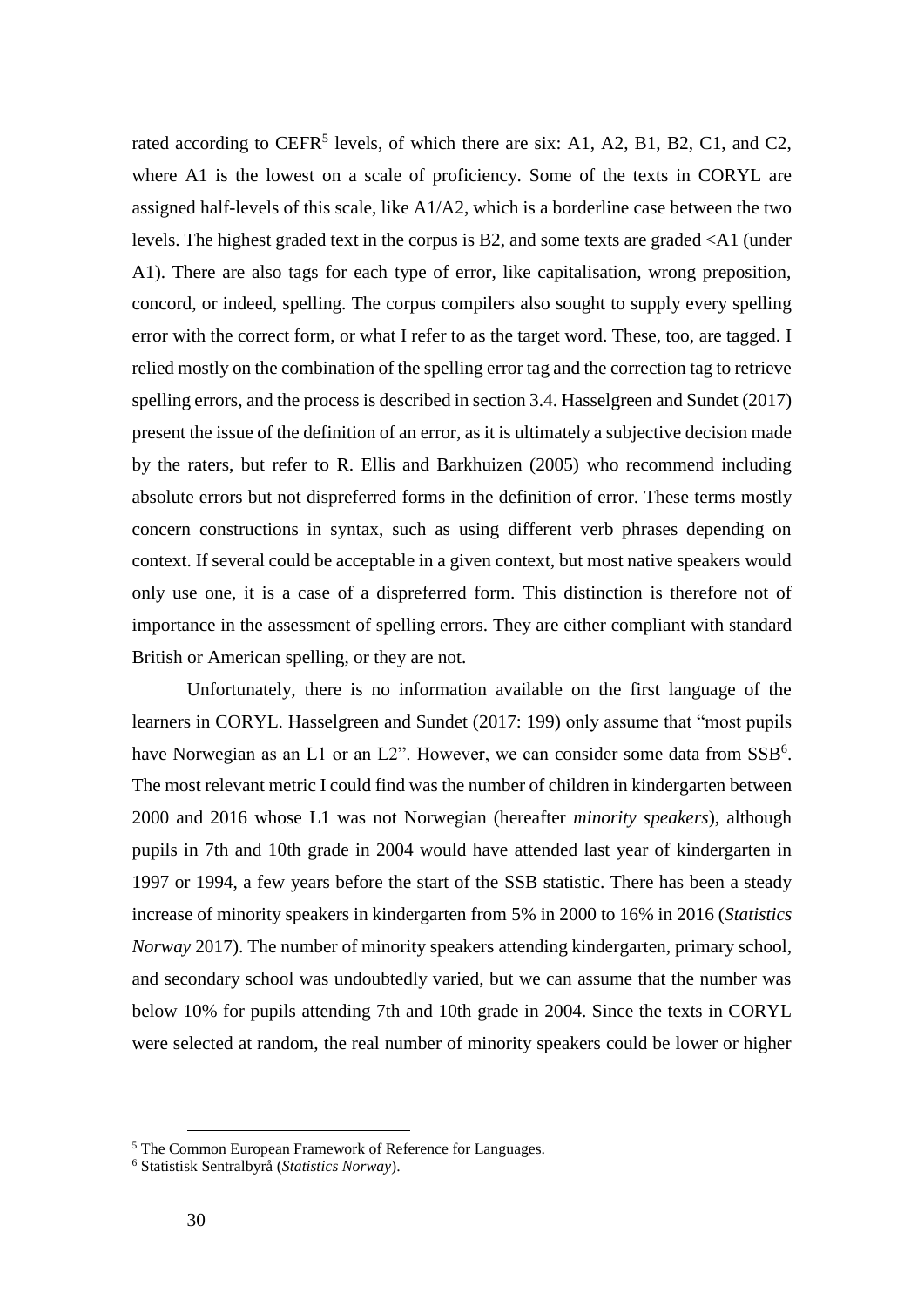rated according to CEFR<sup>5</sup> levels, of which there are six: A1, A2, B1, B2, C1, and C2, where A1 is the lowest on a scale of proficiency. Some of the texts in CORYL are assigned half-levels of this scale, like  $A1/A2$ , which is a borderline case between the two levels. The highest graded text in the corpus is B2, and some texts are graded <A1 (under A1). There are also tags for each type of error, like capitalisation, wrong preposition, concord, or indeed, spelling. The corpus compilers also sought to supply every spelling error with the correct form, or what I refer to as the target word. These, too, are tagged. I relied mostly on the combination of the spelling error tag and the correction tag to retrieve spelling errors, and the process is described in section 3.4. Hasselgreen and Sundet (2017) present the issue of the definition of an error, as it is ultimately a subjective decision made by the raters, but refer to R. Ellis and Barkhuizen (2005) who recommend including absolute errors but not dispreferred forms in the definition of error. These terms mostly concern constructions in syntax, such as using different verb phrases depending on context. If several could be acceptable in a given context, but most native speakers would only use one, it is a case of a dispreferred form. This distinction is therefore not of importance in the assessment of spelling errors. They are either compliant with standard British or American spelling, or they are not.

Unfortunately, there is no information available on the first language of the learners in CORYL. Hasselgreen and Sundet (2017: 199) only assume that "most pupils have Norwegian as an L1 or an L2". However, we can consider some data from SSB<sup>6</sup>. The most relevant metric I could find was the number of children in kindergarten between 2000 and 2016 whose L1 was not Norwegian (hereafter *minority speakers*), although pupils in 7th and 10th grade in 2004 would have attended last year of kindergarten in 1997 or 1994, a few years before the start of the SSB statistic. There has been a steady increase of minority speakers in kindergarten from 5% in 2000 to 16% in 2016 (*Statistics Norway* 2017). The number of minority speakers attending kindergarten, primary school, and secondary school was undoubtedly varied, but we can assume that the number was below 10% for pupils attending 7th and 10th grade in 2004. Since the texts in CORYL were selected at random, the real number of minority speakers could be lower or higher

 $\overline{a}$ 

<sup>5</sup> The Common European Framework of Reference for Languages.

<sup>6</sup> Statistisk Sentralbyrå (*Statistics Norway*).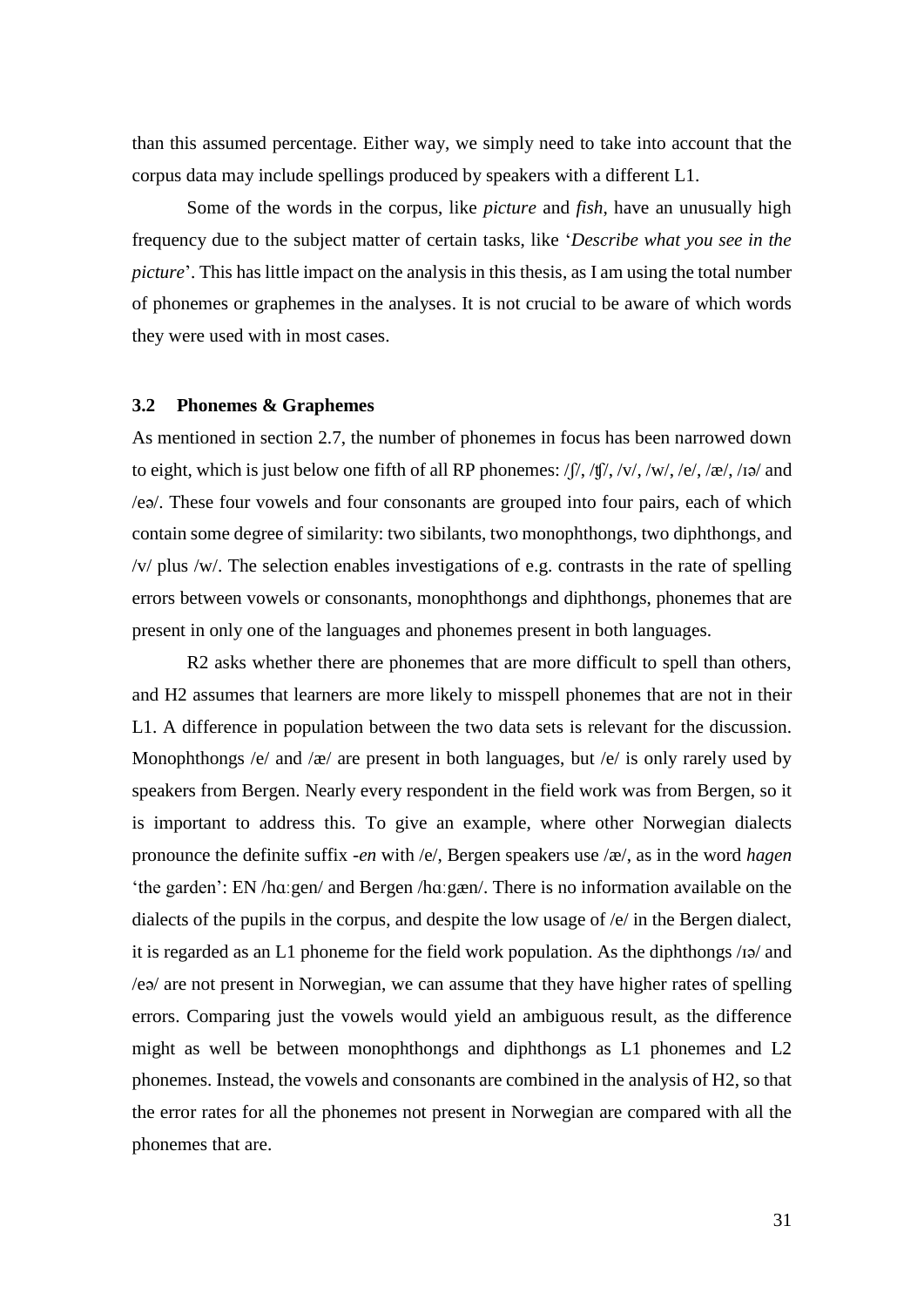than this assumed percentage. Either way, we simply need to take into account that the corpus data may include spellings produced by speakers with a different L1.

Some of the words in the corpus, like *picture* and *fish*, have an unusually high frequency due to the subject matter of certain tasks, like '*Describe what you see in the picture*'. This has little impact on the analysis in this thesis, as I am using the total number of phonemes or graphemes in the analyses. It is not crucial to be aware of which words they were used with in most cases.

#### **3.2 Phonemes & Graphemes**

As mentioned in section 2.7, the number of phonemes in focus has been narrowed down to eight, which is just below one fifth of all RP phonemes:  $\int \int$ ,  $\int \int$ ,  $\int$ ,  $\int$ ,  $\int$ ,  $\int$ ,  $\int$ ,  $\int$ ,  $\int$ ,  $\int$ ,  $\int$ ,  $\int$ ,  $\int$ ,  $\int$ ,  $\int$ ,  $\int$ ,  $\int$ ,  $\int$ ,  $\int$ ,  $\int$ ,  $\int$ ,  $\int$ ,  $\int$ ,  $\int$ ,  $\int$ ,  $\int$ , /eə/. These four vowels and four consonants are grouped into four pairs, each of which contain some degree of similarity: two sibilants, two monophthongs, two diphthongs, and /v/ plus /w/. The selection enables investigations of e.g. contrasts in the rate of spelling errors between vowels or consonants, monophthongs and diphthongs, phonemes that are present in only one of the languages and phonemes present in both languages.

R2 asks whether there are phonemes that are more difficult to spell than others, and H2 assumes that learners are more likely to misspell phonemes that are not in their L1. A difference in population between the two data sets is relevant for the discussion. Monophthongs /e/ and /æ/ are present in both languages, but /e/ is only rarely used by speakers from Bergen. Nearly every respondent in the field work was from Bergen, so it is important to address this. To give an example, where other Norwegian dialects pronounce the definite suffix -*en* with /e/, Bergen speakers use /æ/, as in the word *hagen* 'the garden': EN /hɑːgen/ and Bergen /hɑːgæn/. There is no information available on the dialects of the pupils in the corpus, and despite the low usage of /e/ in the Bergen dialect, it is regarded as an L1 phoneme for the field work population. As the diphthongs /ɪə/ and /eə/ are not present in Norwegian, we can assume that they have higher rates of spelling errors. Comparing just the vowels would yield an ambiguous result, as the difference might as well be between monophthongs and diphthongs as L1 phonemes and L2 phonemes. Instead, the vowels and consonants are combined in the analysis of H2, so that the error rates for all the phonemes not present in Norwegian are compared with all the phonemes that are.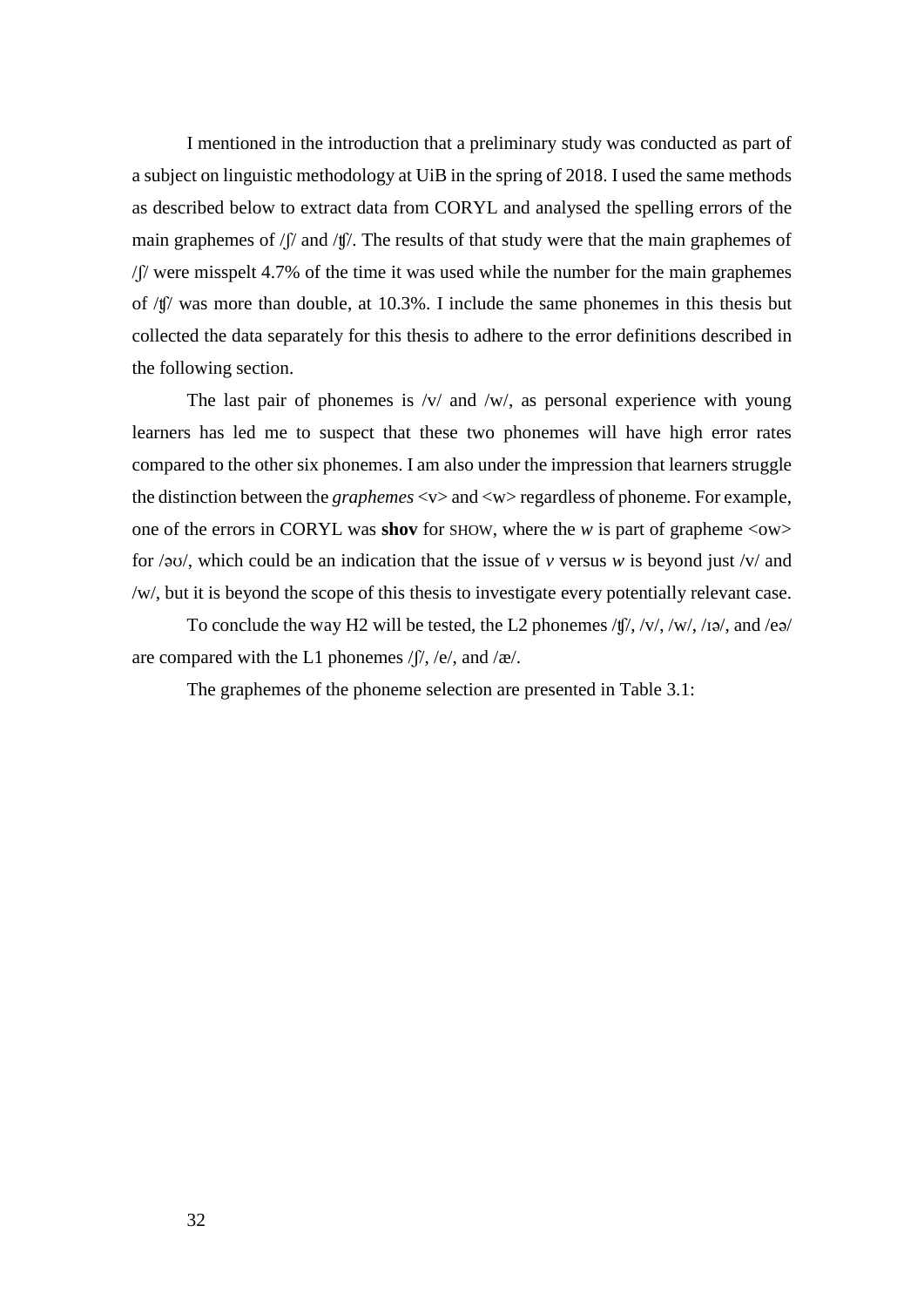I mentioned in the introduction that a preliminary study was conducted as part of a subject on linguistic methodology at UiB in the spring of 2018. I used the same methods as described below to extract data from CORYL and analysed the spelling errors of the main graphemes of /ʃ/ and /ʧ/. The results of that study were that the main graphemes of /ʃ/ were misspelt 4.7% of the time it was used while the number for the main graphemes of /ʧ/ was more than double, at 10.3%. I include the same phonemes in this thesis but collected the data separately for this thesis to adhere to the error definitions described in the following section.

The last pair of phonemes is  $/v/$  and  $/w/$ , as personal experience with young learners has led me to suspect that these two phonemes will have high error rates compared to the other six phonemes. I am also under the impression that learners struggle the distinction between the *graphemes* <v> and <w> regardless of phoneme. For example, one of the errors in CORYL was **shov** for SHOW, where the *w* is part of grapheme <ow> for /əʊ/, which could be an indication that the issue of *v* versus *w* is beyond just /v/ and /w/, but it is beyond the scope of this thesis to investigate every potentially relevant case.

To conclude the way H2 will be tested, the L2 phonemes /ʧ/, /v/, /w/, /ɪə/, and /eə/ are compared with the L1 phonemes  $/f/$ , /e/, and /æ/.

The graphemes of the phoneme selection are presented in Table 3.1: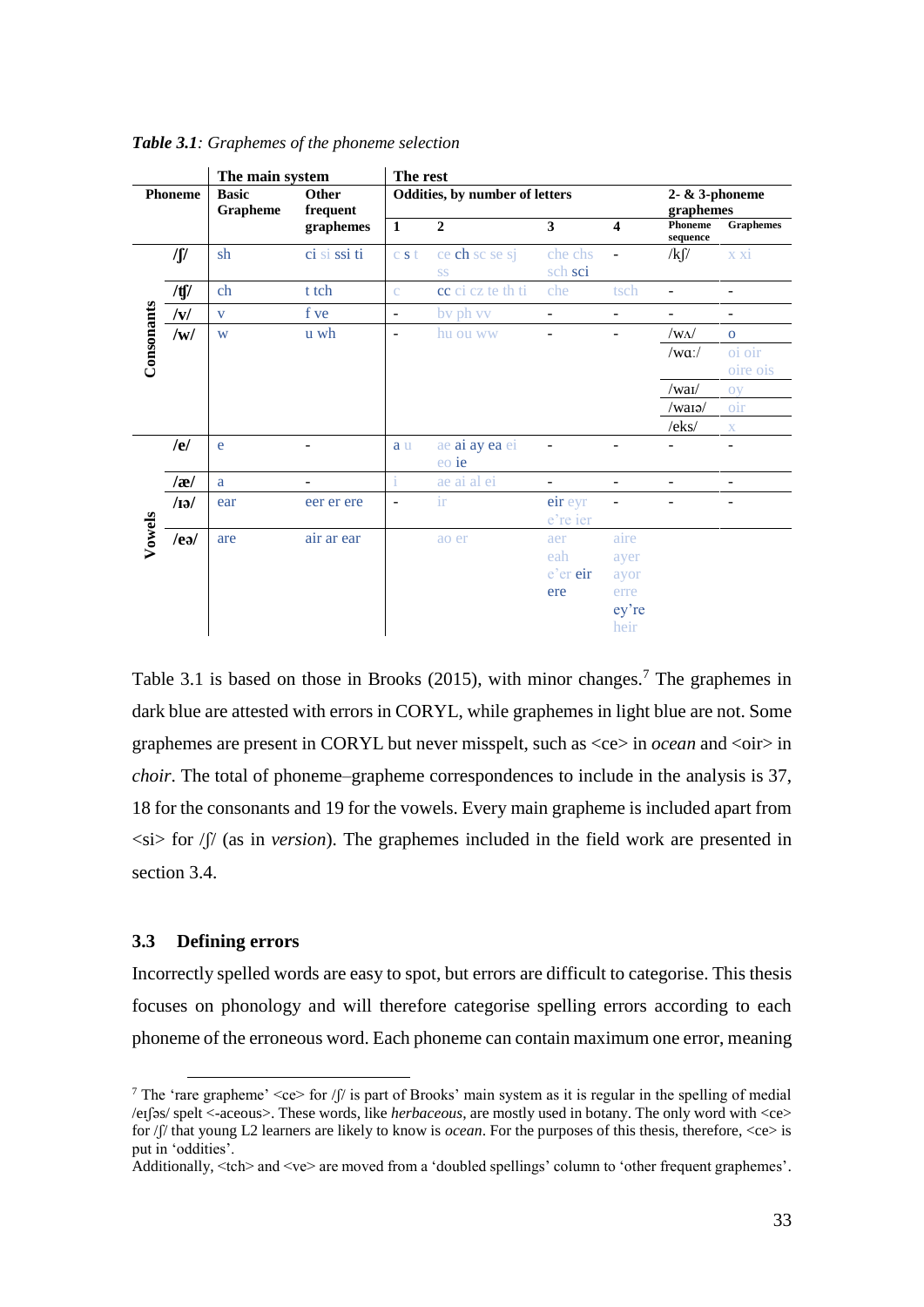|            |                | The main system          |                          | The rest                 |                                |                               |                                               |                               |                              |
|------------|----------------|--------------------------|--------------------------|--------------------------|--------------------------------|-------------------------------|-----------------------------------------------|-------------------------------|------------------------------|
|            | <b>Phoneme</b> | <b>Basic</b><br>Grapheme | <b>Other</b><br>frequent |                          | Oddities, by number of letters |                               |                                               | 2- $&$ 3-phoneme<br>graphemes |                              |
|            |                |                          | graphemes                | $\mathbf{1}$             | $\overline{2}$                 | $\overline{\mathbf{3}}$       | $\overline{\mathbf{4}}$                       | Phoneme<br>sequence           | <b>Graphemes</b>             |
|            | $\int$         | sh                       | ci si ssi ti             | c s t                    | ce ch sc se sj<br><b>SS</b>    | che chs<br>sch sci            | $\blacksquare$                                | $/k \int$                     | x xi                         |
|            | /tʃ/           | ch                       | t tch                    | $\mathbf{C}$             | cc ci cz te th ti              | che                           | tsch                                          |                               |                              |
|            | v              | $\mathbf{V}$             | f ve                     | $\overline{\phantom{a}}$ | by ph vv                       | -                             | $\overline{\phantom{a}}$                      | ۰                             | $\overline{\phantom{a}}$     |
|            | /w/            | W                        | u wh                     | $\overline{\phantom{a}}$ | hu ou ww                       | $\blacksquare$                | ٠                                             | $/w\Lambda$                   | $\overline{O}$               |
| Consonants |                |                          |                          |                          |                                |                               |                                               | $/wa$ :/                      | oi oir<br>oire ois           |
|            |                |                          |                          |                          |                                |                               |                                               | /waI/                         | oy                           |
|            |                |                          |                          |                          |                                |                               |                                               | $/w$ ara $/$                  | oir                          |
|            |                |                          |                          |                          |                                |                               |                                               | /eks/                         | $\mathbf X$                  |
|            | /el            | e                        |                          | a u                      | ae ai ay ea ei<br>eo ie        |                               |                                               |                               | $\qquad \qquad \blacksquare$ |
|            | a              | a                        |                          | i                        | ae ai al ei                    |                               |                                               |                               |                              |
|            | $\sqrt{13}$    | ear                      | eer er ere               | $\overline{\phantom{a}}$ | $\operatorname{ir}$            | eir eyr<br>e're ier           |                                               |                               |                              |
| Vowels     | $/$ eə $/$     | are                      | air ar ear               |                          | ao er                          | aer<br>eah<br>e'er eir<br>ere | aire<br>ayer<br>ayor<br>erre<br>ey're<br>heir |                               |                              |

*Table 3.1: Graphemes of the phoneme selection*

Table 3.1 is based on those in Brooks (2015), with minor changes.<sup>7</sup> The graphemes in dark blue are attested with errors in CORYL, while graphemes in light blue are not. Some graphemes are present in CORYL but never misspelt, such as <ce> in *ocean* and <oir> in *choir*. The total of phoneme–grapheme correspondences to include in the analysis is 37, 18 for the consonants and 19 for the vowels. Every main grapheme is included apart from  $\langle \sin \rangle$  for / $\int$  (as in *version*). The graphemes included in the field work are presented in section 3.4.

# **3.3 Defining errors**

 $\overline{a}$ 

Incorrectly spelled words are easy to spot, but errors are difficult to categorise. This thesis focuses on phonology and will therefore categorise spelling errors according to each phoneme of the erroneous word. Each phoneme can contain maximum one error, meaning

<sup>&</sup>lt;sup>7</sup> The 'rare grapheme'  $\langle$ ce $>$  for /ʃ/ is part of Brooks' main system as it is regular in the spelling of medial /eɪʃəs/ spelt <-aceous>. These words, like *herbaceous*, are mostly used in botany. The only word with <ce> for /ʃ/ that young L2 learners are likely to know is *ocean*. For the purposes of this thesis, therefore, <ce> is put in 'oddities'.

Additionally, <tch> and <ve> are moved from a 'doubled spellings' column to 'other frequent graphemes'.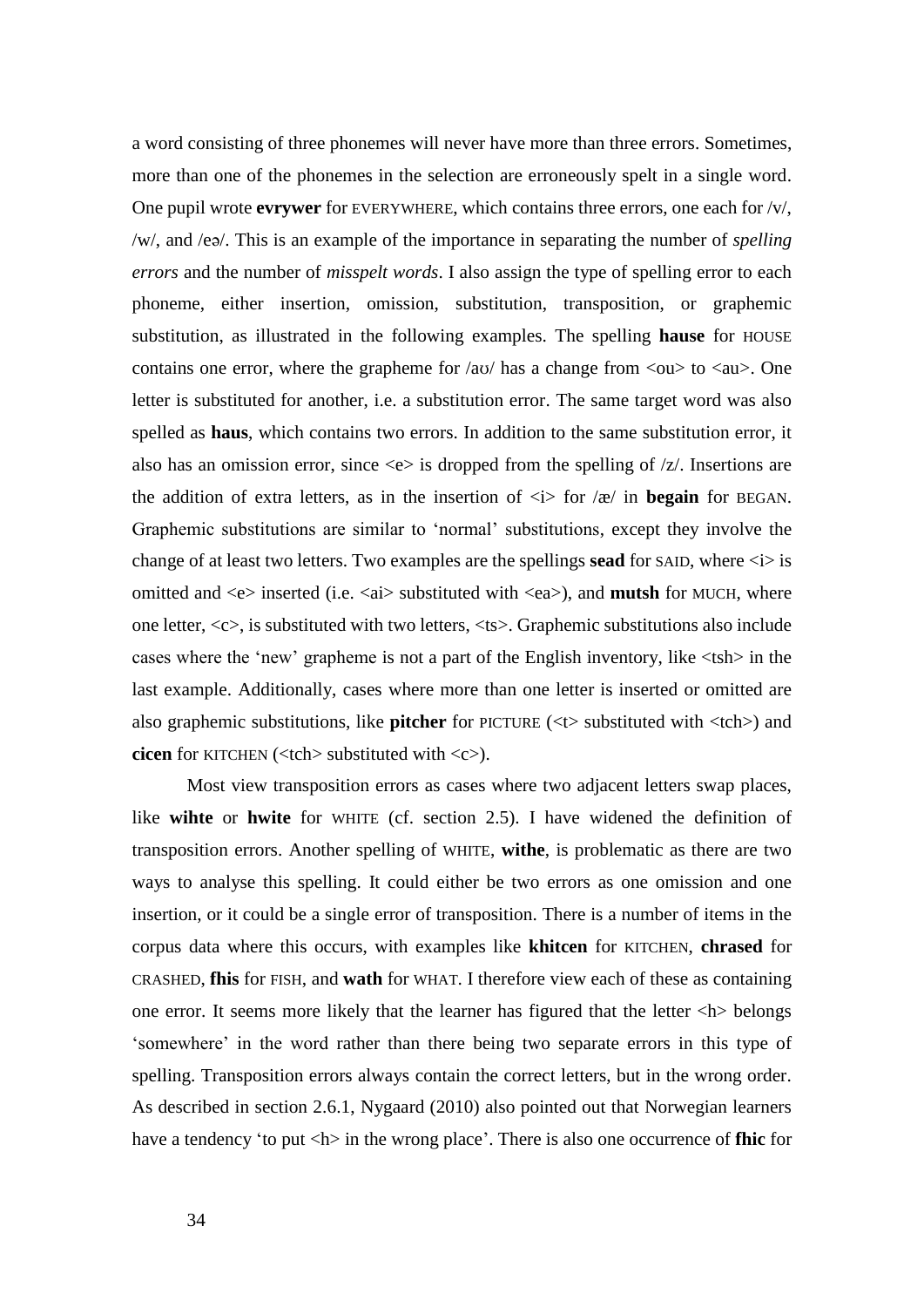a word consisting of three phonemes will never have more than three errors. Sometimes, more than one of the phonemes in the selection are erroneously spelt in a single word. One pupil wrote **evrywer** for EVERYWHERE, which contains three errors, one each for /v/, /w/, and /eə/. This is an example of the importance in separating the number of *spelling errors* and the number of *misspelt words*. I also assign the type of spelling error to each phoneme, either insertion, omission, substitution, transposition, or graphemic substitution, as illustrated in the following examples. The spelling **hause** for HOUSE contains one error, where the grapheme for  $\langle \text{av} \rangle$  has a change from  $\langle \text{ou} \rangle$  to  $\langle \text{au} \rangle$ . One letter is substituted for another, i.e. a substitution error. The same target word was also spelled as **haus**, which contains two errors. In addition to the same substitution error, it also has an omission error, since  $\langle e \rangle$  is dropped from the spelling of  $\langle z \rangle$ . Insertions are the addition of extra letters, as in the insertion of  $\langle i \rangle$  for  $\langle i \rangle$  in **begain** for BEGAN. Graphemic substitutions are similar to 'normal' substitutions, except they involve the change of at least two letters. Two examples are the spellings **sead** for SAID, where <i> is omitted and <e> inserted (i.e. <ai> substituted with <ea>), and **mutsh** for MUCH, where one letter, <c>, is substituted with two letters, <ts>. Graphemic substitutions also include cases where the 'new' grapheme is not a part of the English inventory, like <tsh> in the last example. Additionally, cases where more than one letter is inserted or omitted are also graphemic substitutions, like **pitcher** for PICTURE (<t> substituted with <tch>) and **cicen** for KITCHEN (<tch> substituted with <c>).

Most view transposition errors as cases where two adjacent letters swap places, like **wihte** or **hwite** for WHITE (cf. section 2.5). I have widened the definition of transposition errors. Another spelling of WHITE, **withe**, is problematic as there are two ways to analyse this spelling. It could either be two errors as one omission and one insertion, or it could be a single error of transposition. There is a number of items in the corpus data where this occurs, with examples like **khitcen** for KITCHEN, **chrased** for CRASHED, **fhis** for FISH, and **wath** for WHAT. I therefore view each of these as containing one error. It seems more likely that the learner has figured that the letter <h> belongs 'somewhere' in the word rather than there being two separate errors in this type of spelling. Transposition errors always contain the correct letters, but in the wrong order. As described in section 2.6.1, Nygaard (2010) also pointed out that Norwegian learners have a tendency 'to put  $\langle h \rangle$  in the wrong place'. There is also one occurrence of **fhic** for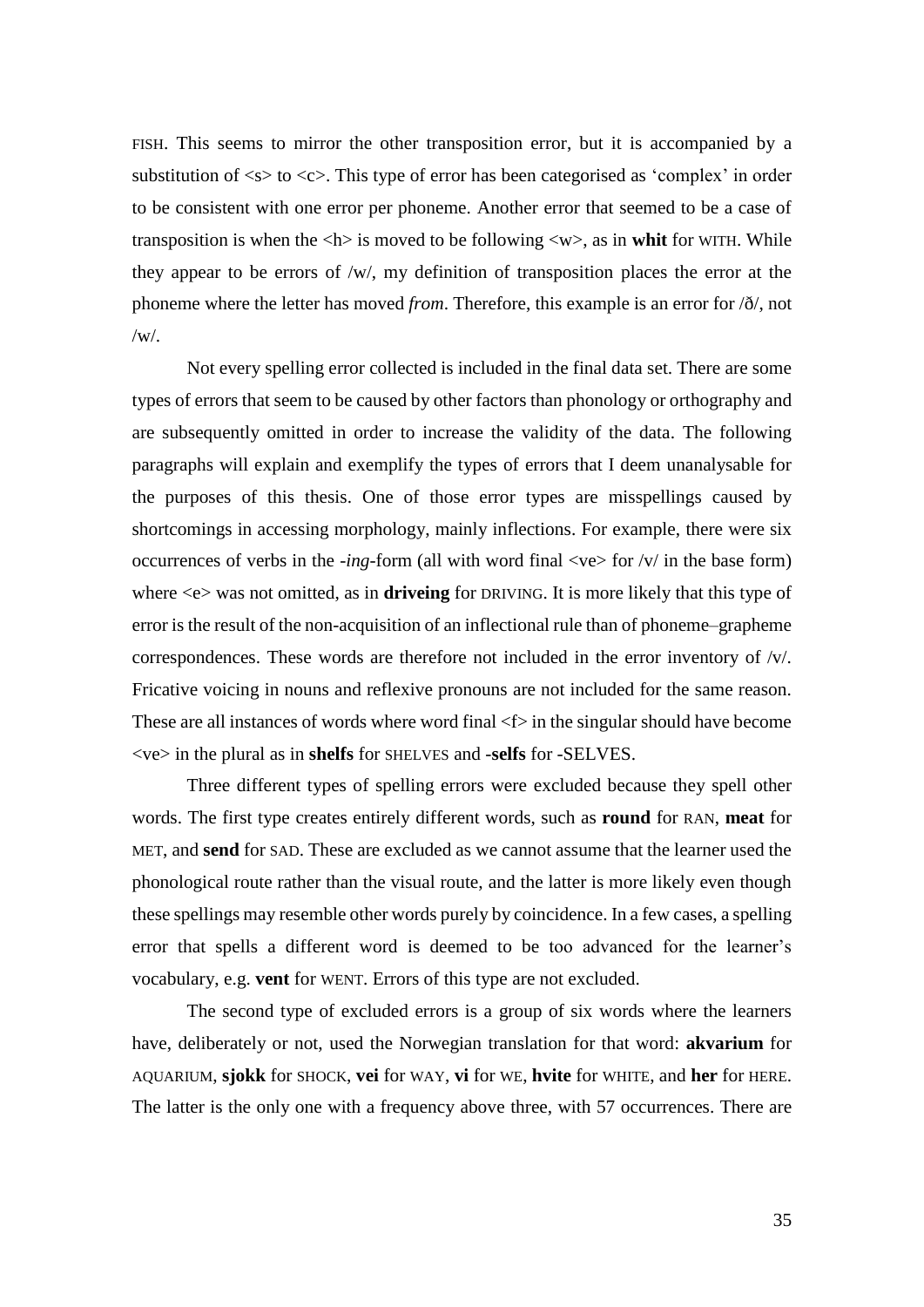FISH. This seems to mirror the other transposition error, but it is accompanied by a substitution of  $\langle s \rangle$  to  $\langle c \rangle$ . This type of error has been categorised as 'complex' in order to be consistent with one error per phoneme. Another error that seemed to be a case of transposition is when the  $\langle h \rangle$  is moved to be following  $\langle w \rangle$ , as in whit for WITH. While they appear to be errors of /w/, my definition of transposition places the error at the phoneme where the letter has moved *from*. Therefore, this example is an error for /ð/, not  $/w/$ .

Not every spelling error collected is included in the final data set. There are some types of errors that seem to be caused by other factors than phonology or orthography and are subsequently omitted in order to increase the validity of the data. The following paragraphs will explain and exemplify the types of errors that I deem unanalysable for the purposes of this thesis. One of those error types are misspellings caused by shortcomings in accessing morphology, mainly inflections. For example, there were six occurrences of verbs in the *-ing-form* (all with word final  $\langle v \rangle$  for  $\langle v \rangle$  in the base form) where <e> was not omitted, as in **driveing** for DRIVING. It is more likely that this type of error is the result of the non-acquisition of an inflectional rule than of phoneme–grapheme correspondences. These words are therefore not included in the error inventory of  $\sqrt{v}$ . Fricative voicing in nouns and reflexive pronouns are not included for the same reason. These are all instances of words where word final  $\leq$  in the singular should have become <ve> in the plural as in **shelfs** for SHELVES and -**selfs** for -SELVES.

Three different types of spelling errors were excluded because they spell other words. The first type creates entirely different words, such as **round** for RAN, **meat** for MET, and **send** for SAD. These are excluded as we cannot assume that the learner used the phonological route rather than the visual route, and the latter is more likely even though these spellings may resemble other words purely by coincidence. In a few cases, a spelling error that spells a different word is deemed to be too advanced for the learner's vocabulary, e.g. **vent** for WENT. Errors of this type are not excluded.

The second type of excluded errors is a group of six words where the learners have, deliberately or not, used the Norwegian translation for that word: **akvarium** for AQUARIUM, **sjokk** for SHOCK, **vei** for WAY, **vi** for WE, **hvite** for WHITE, and **her** for HERE. The latter is the only one with a frequency above three, with 57 occurrences. There are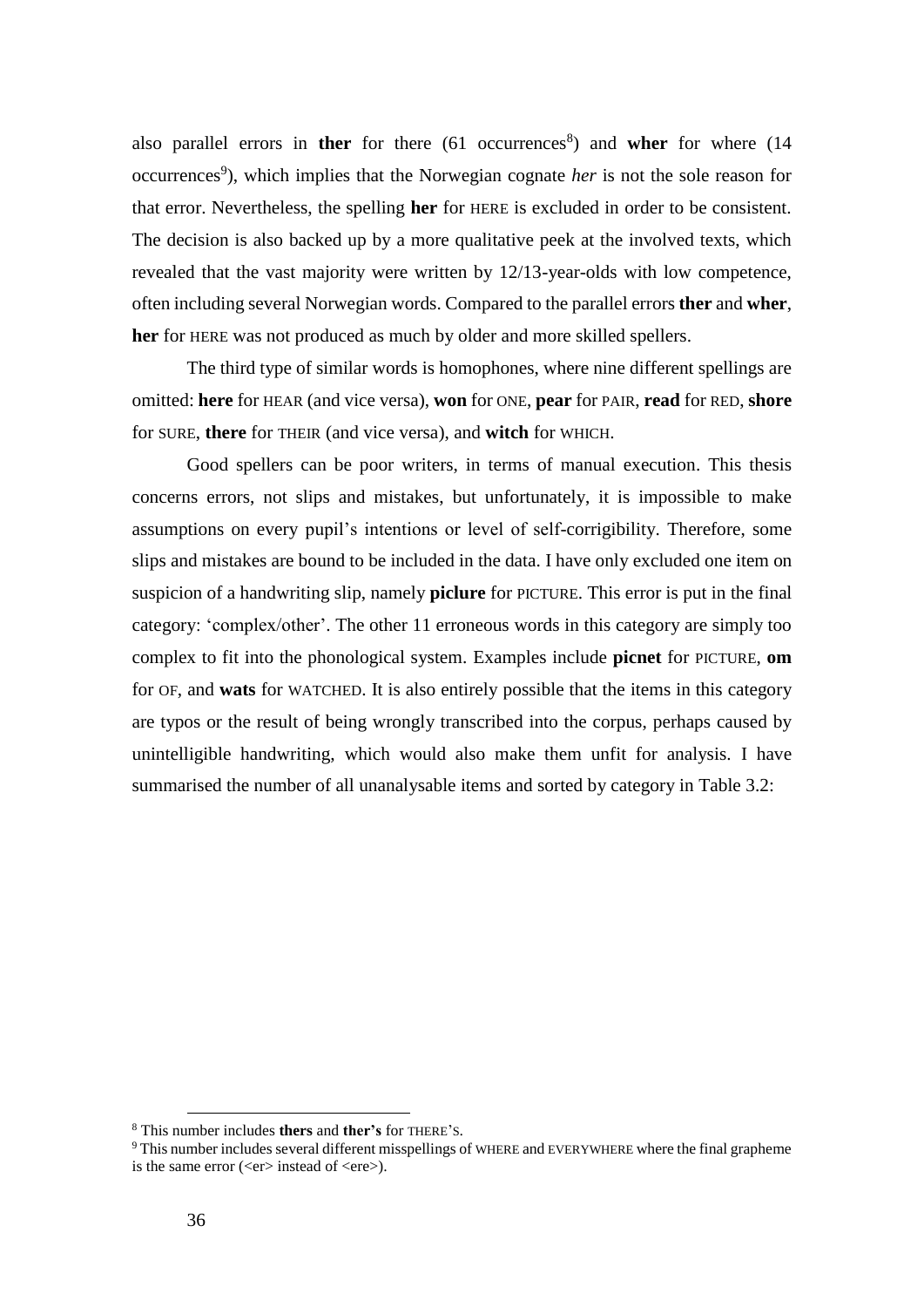also parallel errors in ther for there (61 occurrences<sup>8</sup>) and wher for where (14 occurrences<sup>9</sup>), which implies that the Norwegian cognate *her* is not the sole reason for that error. Nevertheless, the spelling **her** for HERE is excluded in order to be consistent. The decision is also backed up by a more qualitative peek at the involved texts, which revealed that the vast majority were written by 12/13-year-olds with low competence, often including several Norwegian words. Compared to the parallel errors **ther** and **wher**, **her** for HERE was not produced as much by older and more skilled spellers.

The third type of similar words is homophones, where nine different spellings are omitted: **here** for HEAR (and vice versa), **won** for ONE, **pear** for PAIR, **read** for RED, **shore** for SURE, **there** for THEIR (and vice versa), and **witch** for WHICH.

Good spellers can be poor writers, in terms of manual execution. This thesis concerns errors, not slips and mistakes, but unfortunately, it is impossible to make assumptions on every pupil's intentions or level of self-corrigibility. Therefore, some slips and mistakes are bound to be included in the data. I have only excluded one item on suspicion of a handwriting slip, namely **piclure** for PICTURE. This error is put in the final category: 'complex/other'. The other 11 erroneous words in this category are simply too complex to fit into the phonological system. Examples include **picnet** for PICTURE, **om** for OF, and **wats** for WATCHED. It is also entirely possible that the items in this category are typos or the result of being wrongly transcribed into the corpus, perhaps caused by unintelligible handwriting, which would also make them unfit for analysis. I have summarised the number of all unanalysable items and sorted by category in Table 3.2:

 $\overline{a}$ 

<sup>8</sup> This number includes **thers** and **ther's** for THERE'S.

<sup>9</sup> This number includes several different misspellings of WHERE and EVERYWHERE where the final grapheme is the same error  $(\langle er \rangle$  instead of  $\langle ere \rangle$ ).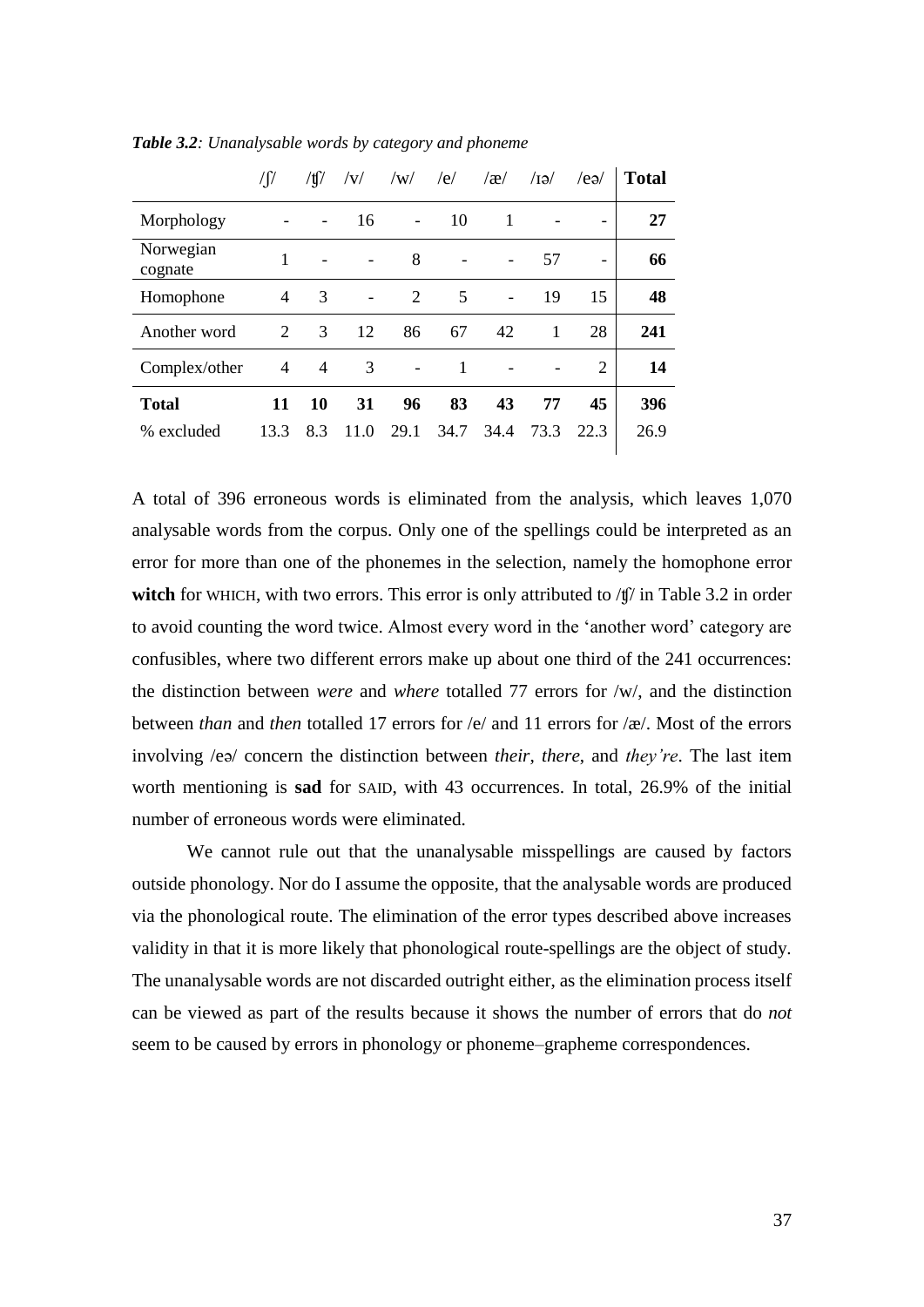| $\int$ | $/\text{tf}/$ | V                            | /w/                      | /e/  | $\alpha$                 | $\sqrt{G}$ | /ea/                     | <b>Total</b> |
|--------|---------------|------------------------------|--------------------------|------|--------------------------|------------|--------------------------|--------------|
|        |               | 16                           | $\overline{\phantom{a}}$ | 10   | 1                        |            | $\overline{\phantom{0}}$ | 27           |
| 1      |               |                              | 8                        |      | $\overline{\phantom{a}}$ | 57         | -                        | 66           |
| 4      | 3             | $\qquad \qquad \blacksquare$ | 2                        | 5    | $\blacksquare$           | 19         | 15                       | 48           |
| 2      | 3             | 12                           | 86                       | 67   | 42                       | 1          | 28                       | 241          |
| 4      | 4             | 3                            |                          |      |                          |            | $\mathfrak{D}$           | 14           |
| 11     | 10            | 31                           | 96                       | 83   | 43                       | 77         | 45                       | 396          |
| 13.3   | 8.3           | 11.0                         | 29.1                     | 34.7 | 34.4                     | 73.3       | 22.3                     | 26.9         |
|        |               |                              |                          |      |                          |            |                          |              |

*Table 3.2: Unanalysable words by category and phoneme*

A total of 396 erroneous words is eliminated from the analysis, which leaves 1,070 analysable words from the corpus. Only one of the spellings could be interpreted as an error for more than one of the phonemes in the selection, namely the homophone error witch for WHICH, with two errors. This error is only attributed to /t<sub>/</sub> in Table 3.2 in order to avoid counting the word twice. Almost every word in the 'another word' category are confusibles, where two different errors make up about one third of the 241 occurrences: the distinction between *were* and *where* totalled 77 errors for /w/, and the distinction between *than* and *then* totalled 17 errors for /e/ and 11 errors for /æ/. Most of the errors involving /eə/ concern the distinction between *their*, *there*, and *they're*. The last item worth mentioning is **sad** for SAID, with 43 occurrences. In total, 26.9% of the initial number of erroneous words were eliminated.

We cannot rule out that the unanalysable misspellings are caused by factors outside phonology. Nor do I assume the opposite, that the analysable words are produced via the phonological route. The elimination of the error types described above increases validity in that it is more likely that phonological route-spellings are the object of study. The unanalysable words are not discarded outright either, as the elimination process itself can be viewed as part of the results because it shows the number of errors that do *not*  seem to be caused by errors in phonology or phoneme–grapheme correspondences.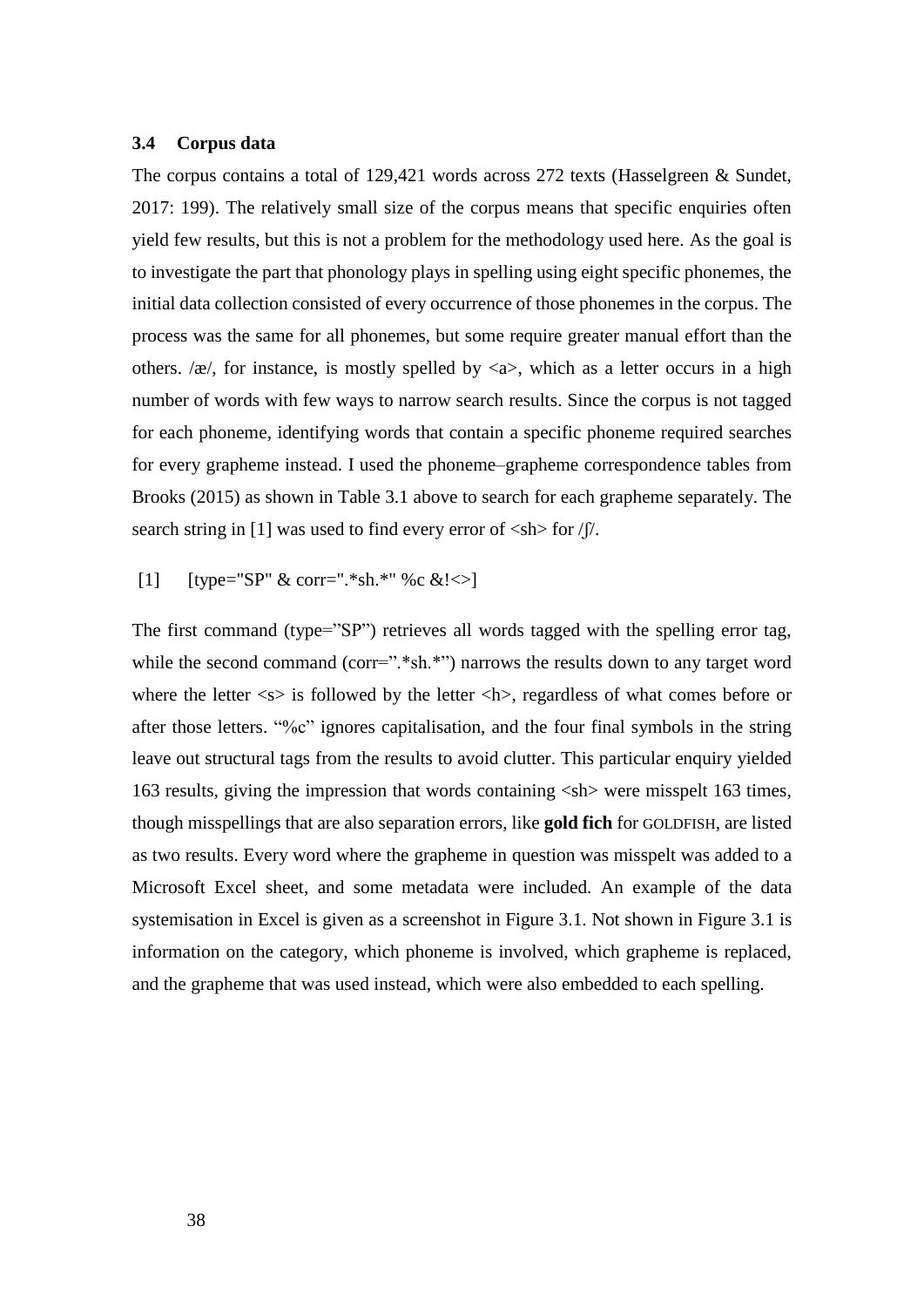## **3.4 Corpus data**

The corpus contains a total of 129,421 words across 272 texts (Hasselgreen & Sundet, 2017: 199). The relatively small size of the corpus means that specific enquiries often yield few results, but this is not a problem for the methodology used here. As the goal is to investigate the part that phonology plays in spelling using eight specific phonemes, the initial data collection consisted of every occurrence of those phonemes in the corpus. The process was the same for all phonemes, but some require greater manual effort than the others. / $x$ /, for instance, is mostly spelled by  $\langle x \rangle$ , which as a letter occurs in a high number of words with few ways to narrow search results. Since the corpus is not tagged for each phoneme, identifying words that contain a specific phoneme required searches for every grapheme instead. I used the phoneme–grapheme correspondence tables from Brooks (2015) as shown in Table 3.1 above to search for each grapheme separately. The search string in [1] was used to find every error of  $\langle \sin \rangle$  for  $\sqrt{\frac{1}{n}}$ .

[1] [type="SP" & corr=".\*sh.\*" %c &! $\leq$ ]

The first command (type="SP") retrieves all words tagged with the spelling error tag, while the second command (corr=".\*sh.\*") narrows the results down to any target word where the letter  $\langle s \rangle$  is followed by the letter  $\langle h \rangle$ , regardless of what comes before or after those letters. "%c" ignores capitalisation, and the four final symbols in the string leave out structural tags from the results to avoid clutter. This particular enquiry yielded 163 results, giving the impression that words containing <sh> were misspelt 163 times, though misspellings that are also separation errors, like **gold fich** for GOLDFISH, are listed as two results. Every word where the grapheme in question was misspelt was added to a Microsoft Excel sheet, and some metadata were included. An example of the data systemisation in Excel is given as a screenshot in Figure 3.1. Not shown in Figure 3.1 is information on the category, which phoneme is involved, which grapheme is replaced, and the grapheme that was used instead, which were also embedded to each spelling.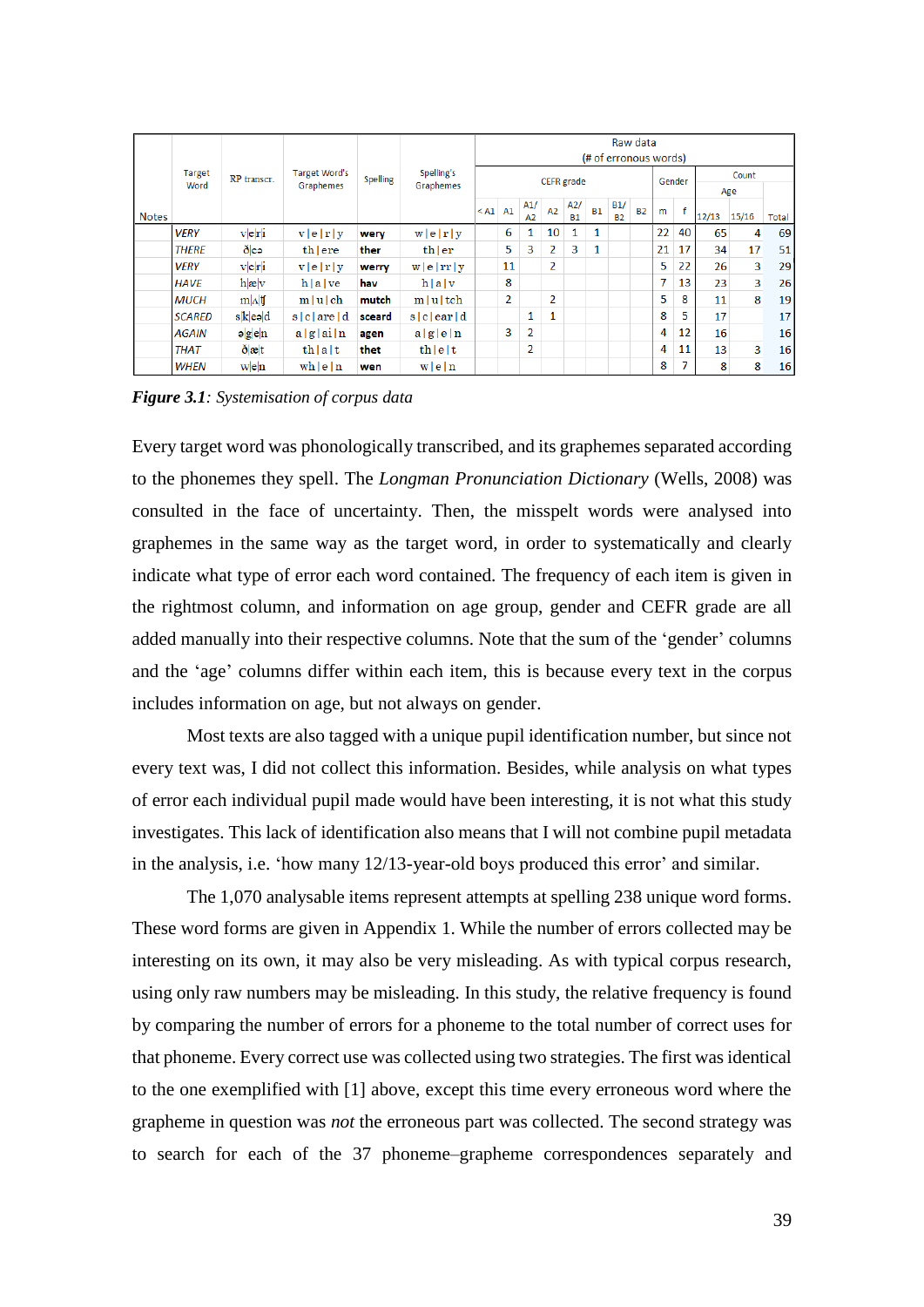| Raw data<br>(# of erronous words) |                       |                                                     |                                   |                 |                         |                      |    |                       |    |                  |              |                  |                |    |    |       |       |       |
|-----------------------------------|-----------------------|-----------------------------------------------------|-----------------------------------|-----------------|-------------------------|----------------------|----|-----------------------|----|------------------|--------------|------------------|----------------|----|----|-------|-------|-------|
|                                   | <b>Target</b><br>Word | RP transcr.                                         | <b>Target Word's</b><br>Graphemes | <b>Spelling</b> | Spelling's<br>Graphemes | CEFR grade<br>Gender |    |                       |    |                  | Count<br>Age |                  |                |    |    |       |       |       |
| <b>Notes</b>                      |                       |                                                     |                                   |                 |                         | $<$ A1 $A1$          |    | A1/<br>A <sub>2</sub> | A2 | A2/<br><b>B1</b> | <b>B1</b>    | B1/<br><b>B2</b> | B <sub>2</sub> | m  | f  | 12/13 | 15/16 | Total |
|                                   | <b>VERY</b>           | v e r i                                             | v e r y                           | wery            | w e r y                 |                      | 6  | 1                     | 10 | 1                | 1            |                  |                | 22 | 40 | 65    | 4     | 69    |
|                                   | <b>THERE</b>          | ðleə                                                | th ere                            | ther            | thler                   |                      | 5  | 3                     | 2  | 3                | $\mathbf{1}$ |                  |                | 21 | 17 | 34    | 17    | 51    |
|                                   | <b>VERY</b>           | v e r i                                             | v e r y                           | werry           | w e rr y                |                      | 11 |                       | 2  |                  |              |                  |                | 5  | 22 | 26    | 3     | 29    |
|                                   | <b>HAVE</b>           | $h {\bf x} _V$                                      | h a ve                            | hav             | h a v                   |                      | 8  |                       |    |                  |              |                  |                |    | 13 | 23    | 3     | 26    |
|                                   | <b>MUCH</b>           | $m \Lambda $ tf                                     | $m u $ ch                         | mutch           | $m u $ tch              |                      | 2  |                       | 2  |                  |              |                  |                | 5  | 8  | 11    | 8     | 19    |
|                                   | <b>SCARED</b>         | $s[k]$ e $ol$                                       | siclared                          | sceard          | $s c $ ear d            |                      |    | 1                     | 1  |                  |              |                  |                | 8  | 5  | 17    |       | 17    |
|                                   | <b>AGAIN</b>          | $\mathsf{a}$ $\mathsf{g}$ $\mathsf{e}$ $\mathsf{h}$ | a g a n                           | agen            | a g e n                 |                      | 3  | 2                     |    |                  |              |                  |                | 4  | 12 | 16    |       | 16    |
|                                   | <b>THAT</b>           | $\delta  x $ t                                      | th a t                            | thet            | $th$  e t               |                      |    | 2                     |    |                  |              |                  |                | 4  | 11 | 13    | 3     | 16    |
|                                   | <b>WHEN</b>           | $w$ <sub>e</sub> $n$                                | wh e n                            | wen             | w e n                   |                      |    |                       |    |                  |              |                  |                | 8  | 7  | 8     | 8     | 16    |

*Figure 3.1: Systemisation of corpus data*

Every target word was phonologically transcribed, and its graphemes separated according to the phonemes they spell. The *Longman Pronunciation Dictionary* (Wells, 2008) was consulted in the face of uncertainty. Then, the misspelt words were analysed into graphemes in the same way as the target word, in order to systematically and clearly indicate what type of error each word contained. The frequency of each item is given in the rightmost column, and information on age group, gender and CEFR grade are all added manually into their respective columns. Note that the sum of the 'gender' columns and the 'age' columns differ within each item, this is because every text in the corpus includes information on age, but not always on gender.

Most texts are also tagged with a unique pupil identification number, but since not every text was, I did not collect this information. Besides, while analysis on what types of error each individual pupil made would have been interesting, it is not what this study investigates. This lack of identification also means that I will not combine pupil metadata in the analysis, i.e. 'how many 12/13-year-old boys produced this error' and similar.

The 1,070 analysable items represent attempts at spelling 238 unique word forms. These word forms are given in Appendix 1. While the number of errors collected may be interesting on its own, it may also be very misleading. As with typical corpus research, using only raw numbers may be misleading. In this study, the relative frequency is found by comparing the number of errors for a phoneme to the total number of correct uses for that phoneme. Every correct use was collected using two strategies. The first was identical to the one exemplified with [1] above, except this time every erroneous word where the grapheme in question was *not* the erroneous part was collected. The second strategy was to search for each of the 37 phoneme–grapheme correspondences separately and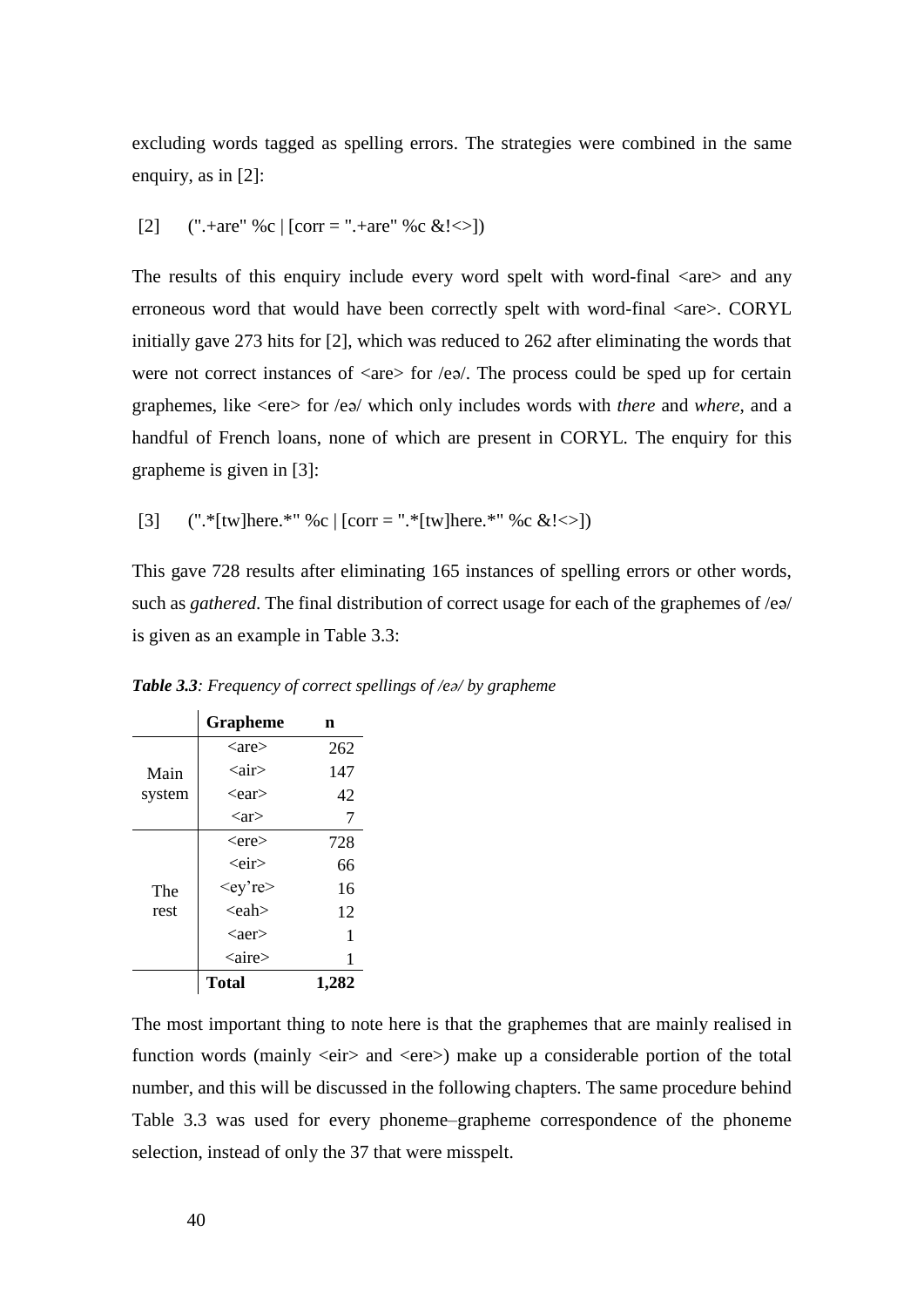excluding words tagged as spelling errors. The strategies were combined in the same enquiry, as in [2]:

[2] (".+are" %c | [corr = ".+are" %c &!<>])

The results of this enquiry include every word spelt with word-final  $\langle$ are $\rangle$  and any erroneous word that would have been correctly spelt with word-final <are>. CORYL initially gave 273 hits for [2], which was reduced to 262 after eliminating the words that were not correct instances of  $\langle$ are $\rangle$  for  $\langle$ e $\rangle$ . The process could be sped up for certain graphemes, like <ere> for /eə/ which only includes words with *there* and *where*, and a handful of French loans, none of which are present in CORYL. The enquiry for this grapheme is given in [3]:

[3] (".\*[tw]here.\*" %c | [corr = ".\*[tw]here.\*" %c &!<>])

This gave 728 results after eliminating 165 instances of spelling errors or other words, such as *gathered*. The final distribution of correct usage for each of the graphemes of /eə/ is given as an example in Table 3.3:

|        | <b>Grapheme</b>          | n     |
|--------|--------------------------|-------|
|        | $\langle$ are $\rangle$  | 262   |
| Main   | <air></air>              | 147   |
| system | $<$ ear $>$              | 42    |
|        | $\langle$ ar $\rangle$   | 7     |
|        | $<$ ere $>$              | 728   |
|        | <eir></eir>              | 66    |
| The    | <ey're></ey're>          | 16    |
| rest   | $\langle$ eah $\rangle$  | 12    |
|        | $\langle$ aer $\rangle$  | 1     |
|        | $\langle$ aire $\rangle$ | 1     |
|        | <b>Total</b>             | 1.282 |

*Table 3.3: Frequency of correct spellings of /eə/ by grapheme*

The most important thing to note here is that the graphemes that are mainly realised in function words (mainly  $\langle e \rangle$  and  $\langle e \rangle$ ) make up a considerable portion of the total number, and this will be discussed in the following chapters. The same procedure behind Table 3.3 was used for every phoneme–grapheme correspondence of the phoneme selection, instead of only the 37 that were misspelt.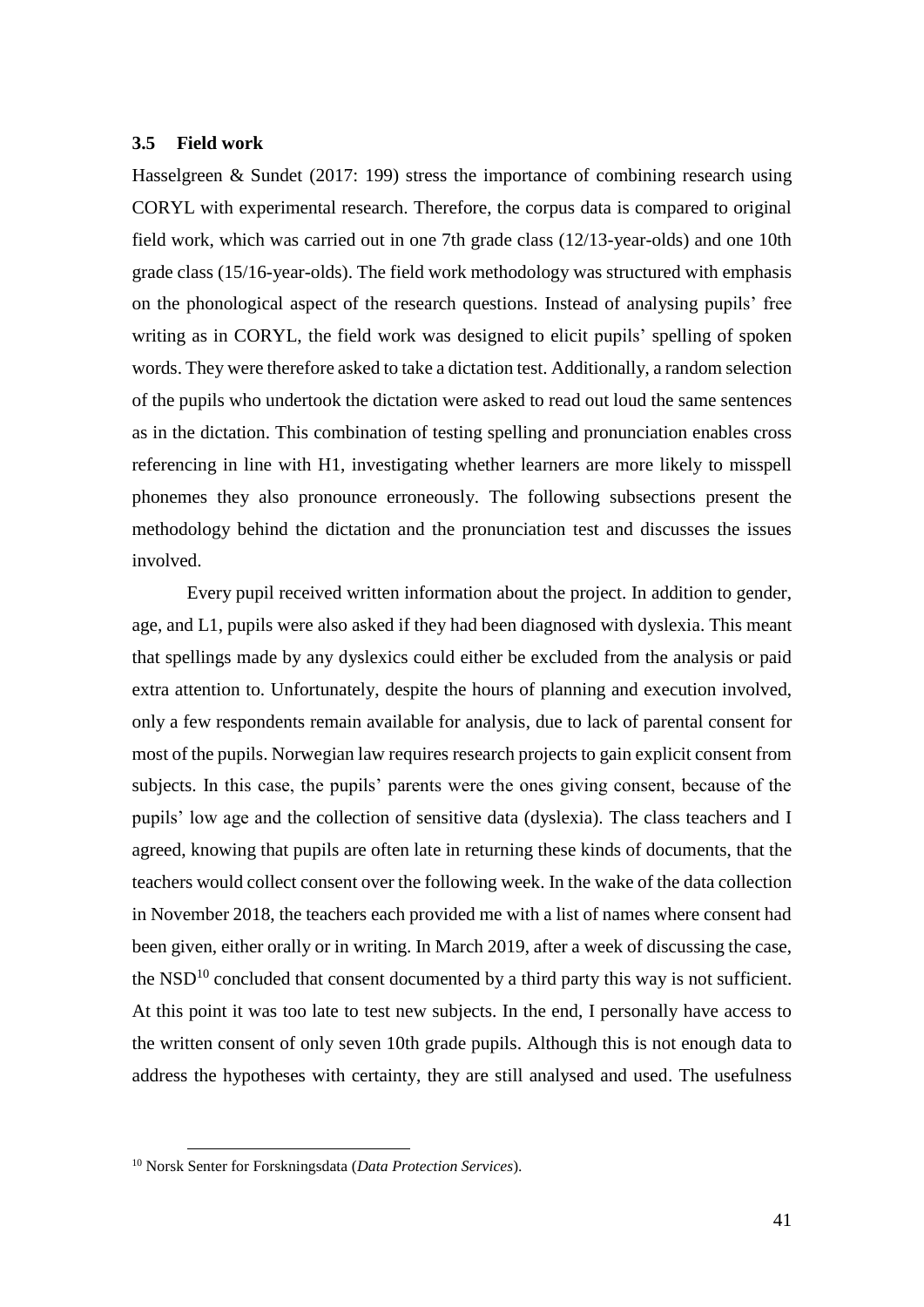## **3.5 Field work**

Hasselgreen & Sundet (2017: 199) stress the importance of combining research using CORYL with experimental research. Therefore, the corpus data is compared to original field work, which was carried out in one 7th grade class (12/13-year-olds) and one 10th grade class (15/16-year-olds). The field work methodology was structured with emphasis on the phonological aspect of the research questions. Instead of analysing pupils' free writing as in CORYL, the field work was designed to elicit pupils' spelling of spoken words. They were therefore asked to take a dictation test. Additionally, a random selection of the pupils who undertook the dictation were asked to read out loud the same sentences as in the dictation. This combination of testing spelling and pronunciation enables cross referencing in line with H1, investigating whether learners are more likely to misspell phonemes they also pronounce erroneously. The following subsections present the methodology behind the dictation and the pronunciation test and discusses the issues involved.

Every pupil received written information about the project. In addition to gender, age, and L1, pupils were also asked if they had been diagnosed with dyslexia. This meant that spellings made by any dyslexics could either be excluded from the analysis or paid extra attention to. Unfortunately, despite the hours of planning and execution involved, only a few respondents remain available for analysis, due to lack of parental consent for most of the pupils. Norwegian law requires research projects to gain explicit consent from subjects. In this case, the pupils' parents were the ones giving consent, because of the pupils' low age and the collection of sensitive data (dyslexia). The class teachers and I agreed, knowing that pupils are often late in returning these kinds of documents, that the teachers would collect consent over the following week. In the wake of the data collection in November 2018, the teachers each provided me with a list of names where consent had been given, either orally or in writing. In March 2019, after a week of discussing the case, the  $NSD<sup>10</sup>$  concluded that consent documented by a third party this way is not sufficient. At this point it was too late to test new subjects. In the end, I personally have access to the written consent of only seven 10th grade pupils. Although this is not enough data to address the hypotheses with certainty, they are still analysed and used. The usefulness

 $\overline{a}$ 

<sup>10</sup> Norsk Senter for Forskningsdata (*Data Protection Services*).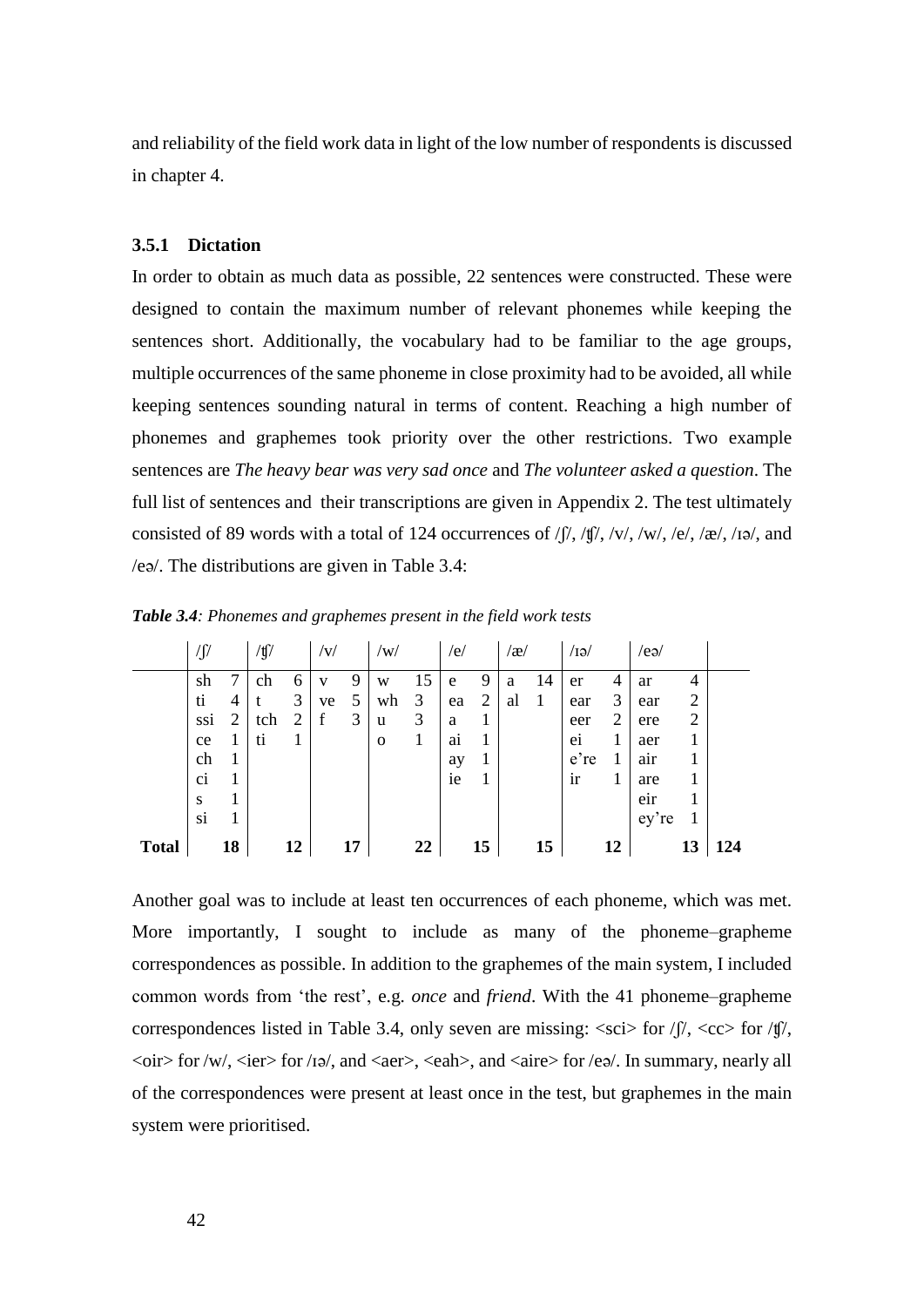and reliability of the field work data in light of the low number of respondents is discussed in chapter 4.

## **3.5.1 Dictation**

In order to obtain as much data as possible, 22 sentences were constructed. These were designed to contain the maximum number of relevant phonemes while keeping the sentences short. Additionally, the vocabulary had to be familiar to the age groups, multiple occurrences of the same phoneme in close proximity had to be avoided, all while keeping sentences sounding natural in terms of content. Reaching a high number of phonemes and graphemes took priority over the other restrictions. Two example sentences are *The heavy bear was very sad once* and *The volunteer asked a question*. The full list of sentences and their transcriptions are given in Appendix 2. The test ultimately consisted of 89 words with a total of 124 occurrences of  $/$   $/$ ,  $/$   $\frac{f}{l}$ ,  $/$  $\frac{f}{l}$ ,  $/$  $\frac{f}{l}$ ,  $/$  $\frac{f}{l}$ ,  $/$  $\frac{f}{l}$ ,  $/$  $\frac{f}{l}$ ,  $/$  $\frac{f}{l}$ ,  $/$  $\frac{f}{l}$ ,  $/$  $\frac{f}{l}$ ,  $/$  $\frac{f}{l}$ ,  $/$  $\frac{f}{l}$ , /eə/. The distributions are given in Table 3.4:

|              | $\sqrt{2}$ |                | /tʃ/ |    | v           |    | /w/          |    | /e/ |                | $\left\langle x\right\rangle$ |    | /IƏ/ |    | $/$ eə $/$ |                |     |
|--------------|------------|----------------|------|----|-------------|----|--------------|----|-----|----------------|-------------------------------|----|------|----|------------|----------------|-----|
|              | sh         | 7              | ch   | 6  | v           | 9  | W            | 15 | e   | 9              | a                             | 14 | er   | 4  | ar         | 4              |     |
|              | ti         | 4              |      | 3  | ve          | 5  | wh           | 3  | ea  | $\overline{2}$ | al                            | 1  | ear  | 3  | ear        | $\overline{2}$ |     |
|              | ssi        | $\overline{2}$ | tch  | 2  | $\mathbf f$ | 3  | u            | 3  | a   |                |                               |    | eer  | 2  | ere        | $\overline{2}$ |     |
|              | ce         | 1              | ti   | ı  |             |    | $\mathbf{o}$ | 1  | a1  | 1              |                               |    | ei   | 1  | aer        | 1              |     |
|              | ch         | T              |      |    |             |    |              |    | ay  | 1              |                               |    | e're | 1  | air        |                |     |
|              | ci         |                |      |    |             |    |              |    | ie  | 1              |                               |    | ir   | 1  | are        |                |     |
|              | S          | ┸              |      |    |             |    |              |    |     |                |                               |    |      |    | eir        |                |     |
|              | si         |                |      |    |             |    |              |    |     |                |                               |    |      |    | ey're      |                |     |
| <b>Total</b> |            | 18             |      | 12 |             | 17 |              | 22 |     | 15             |                               | 15 |      | 12 |            | 13             | 124 |

*Table 3.4: Phonemes and graphemes present in the field work tests*

Another goal was to include at least ten occurrences of each phoneme, which was met. More importantly, I sought to include as many of the phoneme–grapheme correspondences as possible. In addition to the graphemes of the main system, I included common words from 'the rest', e.g. *once* and *friend*. With the 41 phoneme–grapheme correspondences listed in Table 3.4, only seven are missing:  $\langle \text{sci} \rangle$  for  $\langle \text{ f} \rangle$ ,  $\langle \text{cc} \rangle$  for  $\langle \text{ f} \rangle$ ,  $\langle \text{oir} \rangle$  for /w/,  $\langle \text{ier} \rangle$  for /ɪə/, and  $\langle \text{aer} \rangle$ ,  $\langle \text{each} \rangle$ , and  $\langle \text{aire} \rangle$  for /eə/. In summary, nearly all of the correspondences were present at least once in the test, but graphemes in the main system were prioritised.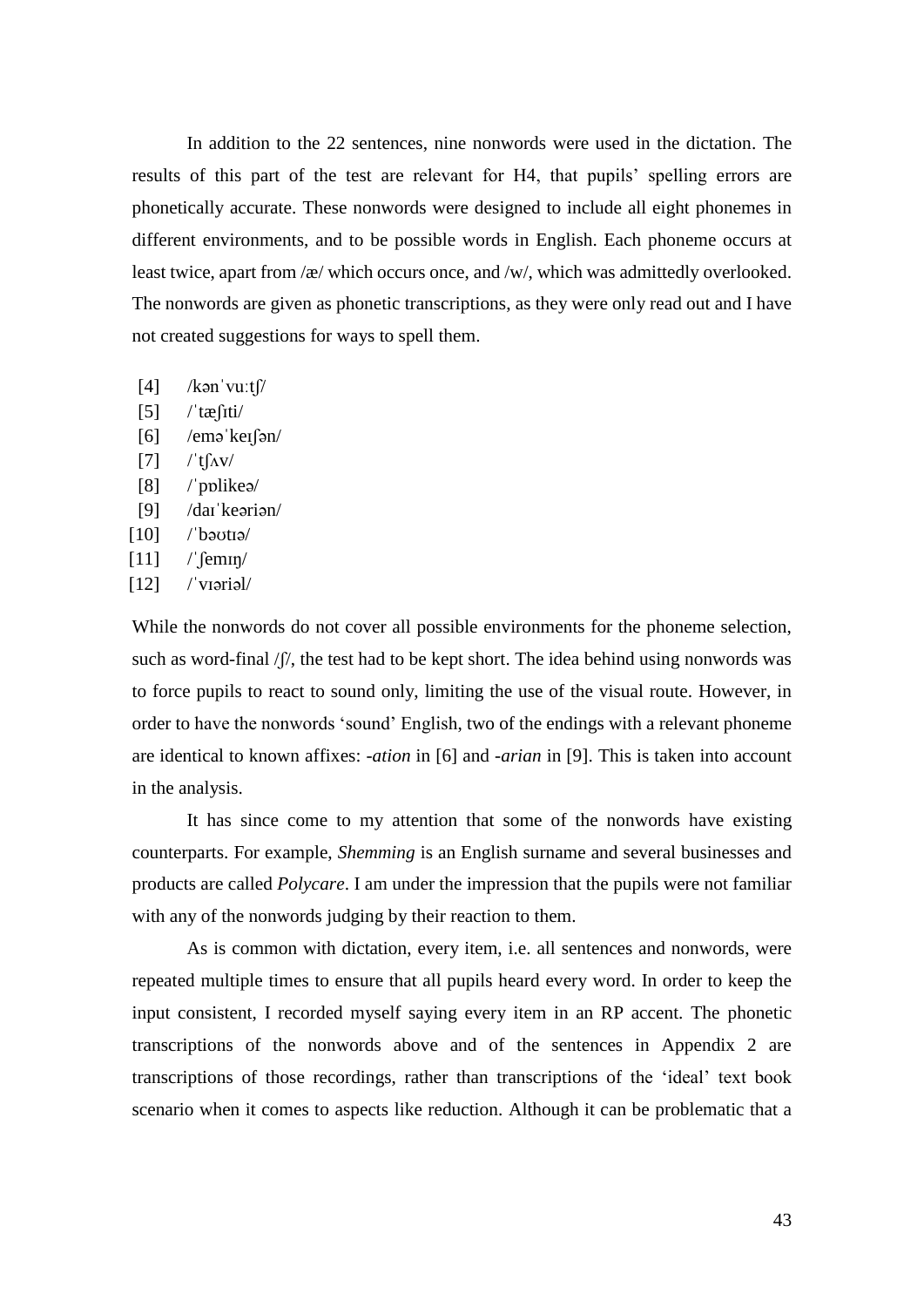In addition to the 22 sentences, nine nonwords were used in the dictation. The results of this part of the test are relevant for H4, that pupils' spelling errors are phonetically accurate. These nonwords were designed to include all eight phonemes in different environments, and to be possible words in English. Each phoneme occurs at least twice, apart from /æ/ which occurs once, and /w/, which was admittedly overlooked. The nonwords are given as phonetic transcriptions, as they were only read out and I have not created suggestions for ways to spell them.

- $[4]$  /kənˈvuːt $\int$
- $[5]$  / tæ $\int$ iti/
- $[6]$  /emə $'$ ke $[9n]$
- $[7]$  /'t $\int \Delta v$
- [8] //pplikeə/
- [9] /daɪˈkeəriən/
- $[10]$  /'bə $\sigma$ tıə/
- $[11]$  /  $\text{femn}/$
- [12] /'viəriəl/

While the nonwords do not cover all possible environments for the phoneme selection, such as word-final  $/f$ , the test had to be kept short. The idea behind using nonwords was to force pupils to react to sound only, limiting the use of the visual route. However, in order to have the nonwords 'sound' English, two of the endings with a relevant phoneme are identical to known affixes: -*ation* in [6] and -*arian* in [9]. This is taken into account in the analysis.

It has since come to my attention that some of the nonwords have existing counterparts. For example, *Shemming* is an English surname and several businesses and products are called *Polycare*. I am under the impression that the pupils were not familiar with any of the nonwords judging by their reaction to them.

As is common with dictation, every item, i.e. all sentences and nonwords, were repeated multiple times to ensure that all pupils heard every word. In order to keep the input consistent, I recorded myself saying every item in an RP accent. The phonetic transcriptions of the nonwords above and of the sentences in Appendix 2 are transcriptions of those recordings, rather than transcriptions of the 'ideal' text book scenario when it comes to aspects like reduction. Although it can be problematic that a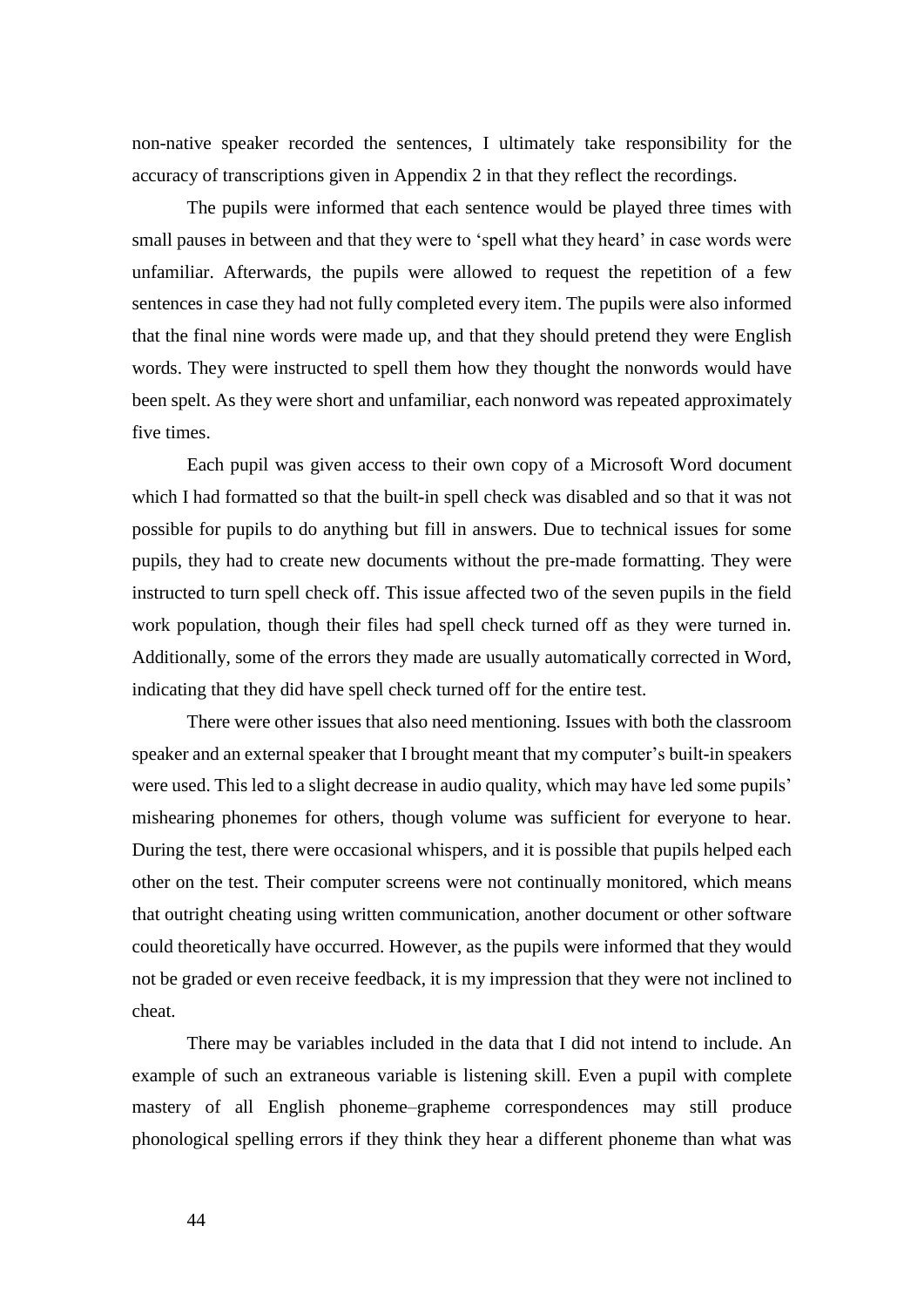non-native speaker recorded the sentences, I ultimately take responsibility for the accuracy of transcriptions given in Appendix 2 in that they reflect the recordings.

The pupils were informed that each sentence would be played three times with small pauses in between and that they were to 'spell what they heard' in case words were unfamiliar. Afterwards, the pupils were allowed to request the repetition of a few sentences in case they had not fully completed every item. The pupils were also informed that the final nine words were made up, and that they should pretend they were English words. They were instructed to spell them how they thought the nonwords would have been spelt. As they were short and unfamiliar, each nonword was repeated approximately five times.

Each pupil was given access to their own copy of a Microsoft Word document which I had formatted so that the built-in spell check was disabled and so that it was not possible for pupils to do anything but fill in answers. Due to technical issues for some pupils, they had to create new documents without the pre-made formatting. They were instructed to turn spell check off. This issue affected two of the seven pupils in the field work population, though their files had spell check turned off as they were turned in. Additionally, some of the errors they made are usually automatically corrected in Word, indicating that they did have spell check turned off for the entire test.

There were other issues that also need mentioning. Issues with both the classroom speaker and an external speaker that I brought meant that my computer's built-in speakers were used. This led to a slight decrease in audio quality, which may have led some pupils' mishearing phonemes for others, though volume was sufficient for everyone to hear. During the test, there were occasional whispers, and it is possible that pupils helped each other on the test. Their computer screens were not continually monitored, which means that outright cheating using written communication, another document or other software could theoretically have occurred. However, as the pupils were informed that they would not be graded or even receive feedback, it is my impression that they were not inclined to cheat.

There may be variables included in the data that I did not intend to include. An example of such an extraneous variable is listening skill. Even a pupil with complete mastery of all English phoneme–grapheme correspondences may still produce phonological spelling errors if they think they hear a different phoneme than what was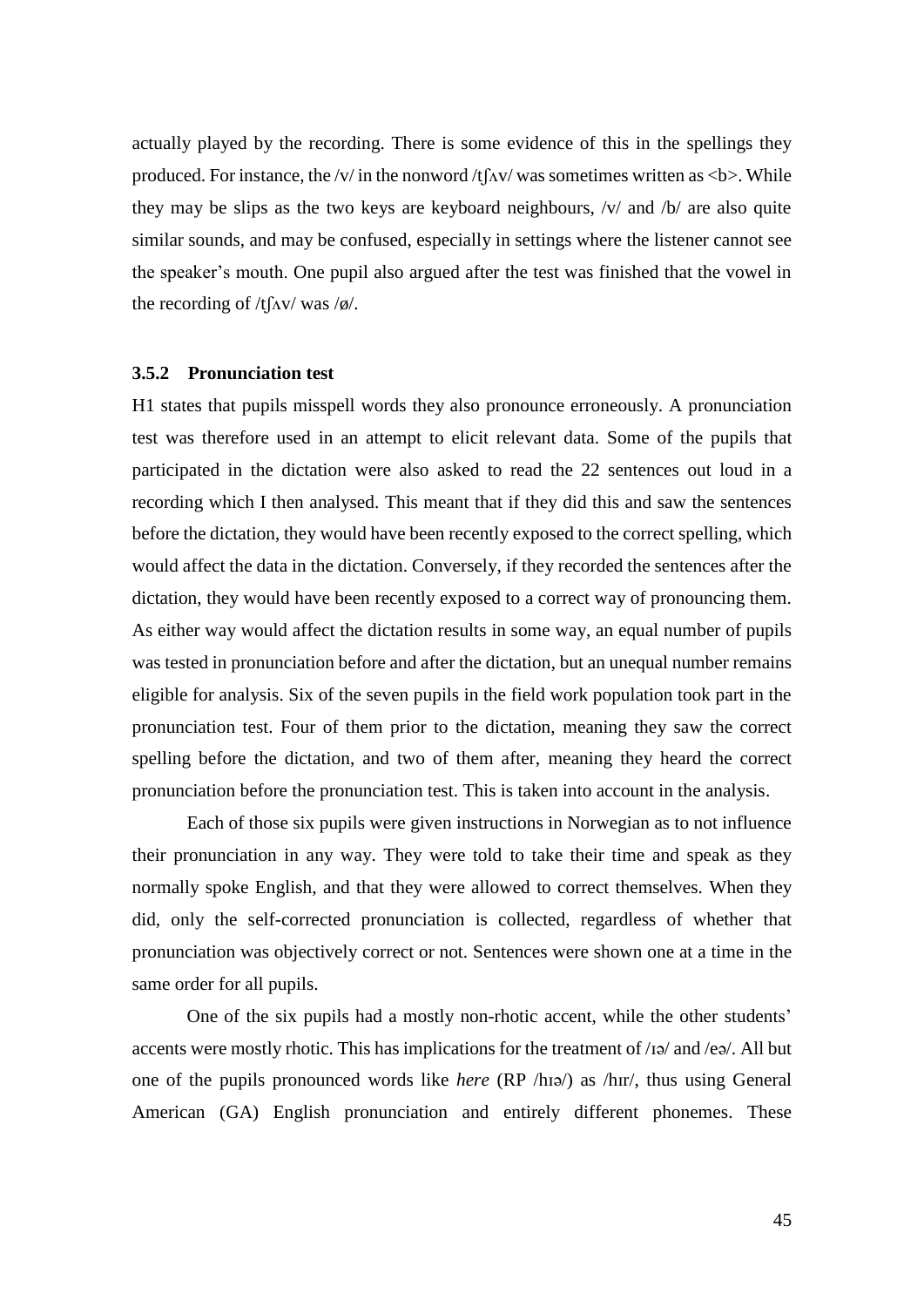actually played by the recording. There is some evidence of this in the spellings they produced. For instance, the /v/ in the nonword /t $\lceil \Delta v \rceil$  was sometimes written as <b >. While they may be slips as the two keys are keyboard neighbours, /v/ and /b/ are also quite similar sounds, and may be confused, especially in settings where the listener cannot see the speaker's mouth. One pupil also argued after the test was finished that the vowel in the recording of  $/t \int \frac{\Delta v}{\Delta x}$  was  $\frac{\delta v}{c}$ .

#### **3.5.2 Pronunciation test**

H1 states that pupils misspell words they also pronounce erroneously. A pronunciation test was therefore used in an attempt to elicit relevant data. Some of the pupils that participated in the dictation were also asked to read the 22 sentences out loud in a recording which I then analysed. This meant that if they did this and saw the sentences before the dictation, they would have been recently exposed to the correct spelling, which would affect the data in the dictation. Conversely, if they recorded the sentences after the dictation, they would have been recently exposed to a correct way of pronouncing them. As either way would affect the dictation results in some way, an equal number of pupils was tested in pronunciation before and after the dictation, but an unequal number remains eligible for analysis. Six of the seven pupils in the field work population took part in the pronunciation test. Four of them prior to the dictation, meaning they saw the correct spelling before the dictation, and two of them after, meaning they heard the correct pronunciation before the pronunciation test. This is taken into account in the analysis.

Each of those six pupils were given instructions in Norwegian as to not influence their pronunciation in any way. They were told to take their time and speak as they normally spoke English, and that they were allowed to correct themselves. When they did, only the self-corrected pronunciation is collected, regardless of whether that pronunciation was objectively correct or not. Sentences were shown one at a time in the same order for all pupils.

One of the six pupils had a mostly non-rhotic accent, while the other students' accents were mostly rhotic. This has implications for the treatment of /ɪə/ and /eə/. All but one of the pupils pronounced words like *here* (RP /hɪə/) as /hɪr/, thus using General American (GA) English pronunciation and entirely different phonemes. These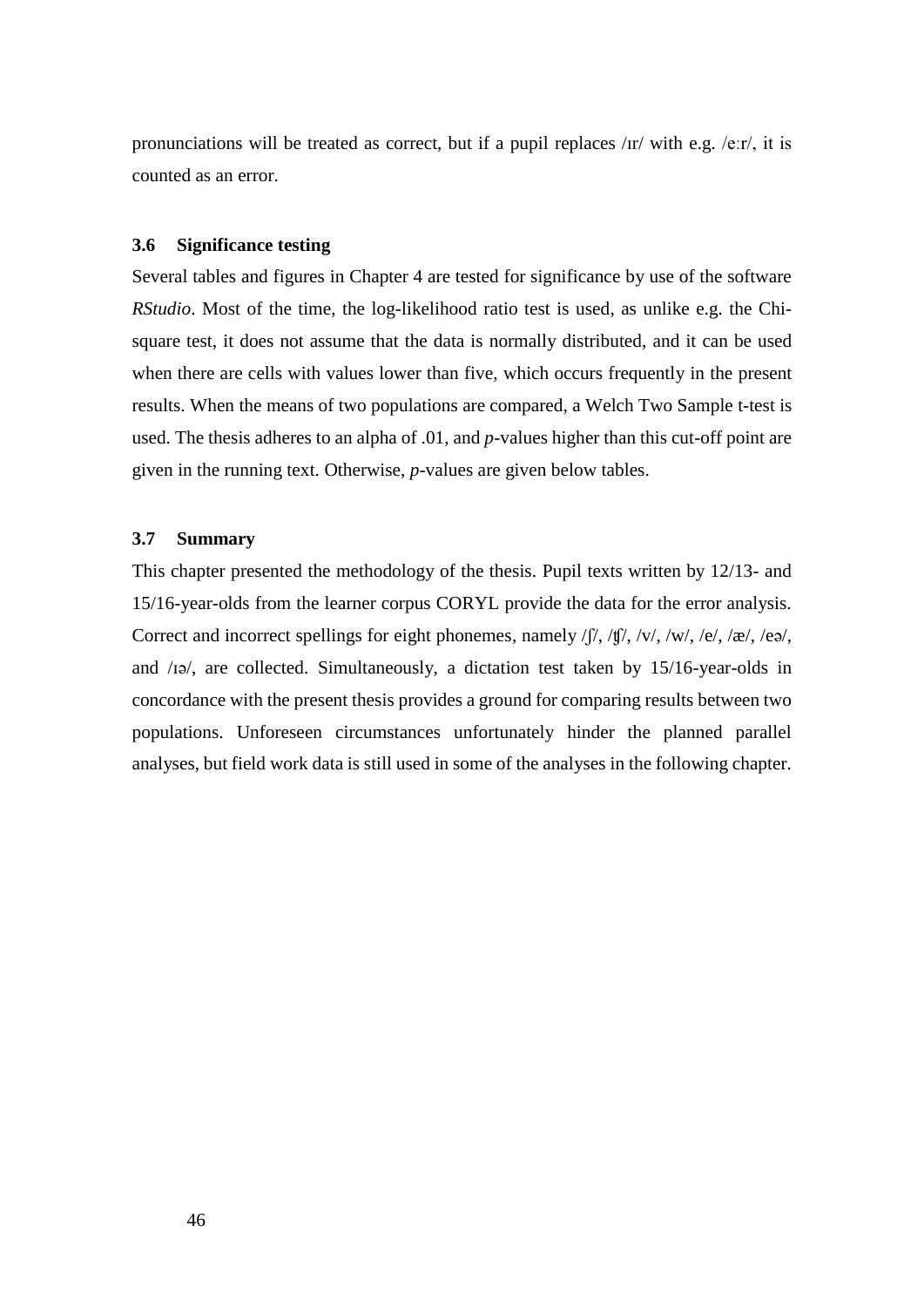pronunciations will be treated as correct, but if a pupil replaces /ɪr/ with e.g. /eːr/, it is counted as an error.

#### **3.6 Significance testing**

Several tables and figures in Chapter 4 are tested for significance by use of the software *RStudio*. Most of the time, the log-likelihood ratio test is used, as unlike e.g. the Chisquare test, it does not assume that the data is normally distributed, and it can be used when there are cells with values lower than five, which occurs frequently in the present results. When the means of two populations are compared, a Welch Two Sample t-test is used. The thesis adheres to an alpha of .01, and *p*-values higher than this cut-off point are given in the running text. Otherwise, *p*-values are given below tables.

# **3.7 Summary**

This chapter presented the methodology of the thesis. Pupil texts written by 12/13- and 15/16-year-olds from the learner corpus CORYL provide the data for the error analysis. Correct and incorrect spellings for eight phonemes, namely /ʃ/, /ʧ/, /v/, /w/, /e/, /æ/, /eə/, and /ɪə/, are collected. Simultaneously, a dictation test taken by 15/16-year-olds in concordance with the present thesis provides a ground for comparing results between two populations. Unforeseen circumstances unfortunately hinder the planned parallel analyses, but field work data is still used in some of the analyses in the following chapter.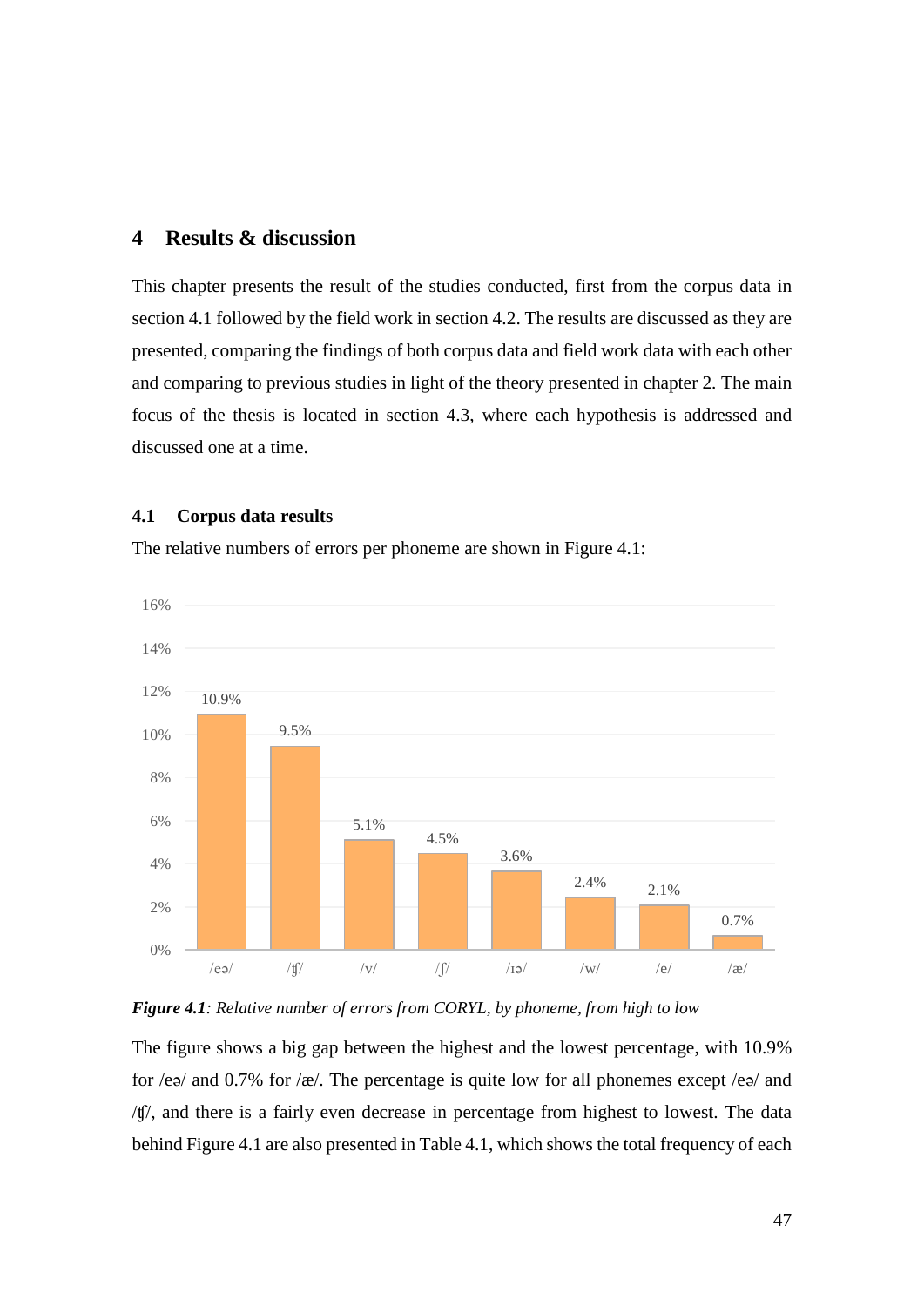# **4 Results & discussion**

This chapter presents the result of the studies conducted, first from the corpus data in section 4.1 followed by the field work in section 4.2. The results are discussed as they are presented, comparing the findings of both corpus data and field work data with each other and comparing to previous studies in light of the theory presented in chapter 2. The main focus of the thesis is located in section 4.3, where each hypothesis is addressed and discussed one at a time.

## **4.1 Corpus data results**

The relative numbers of errors per phoneme are shown in Figure 4.1:





The figure shows a big gap between the highest and the lowest percentage, with 10.9% for /eə/ and 0.7% for /æ/. The percentage is quite low for all phonemes except /eə/ and /ʧ/, and there is a fairly even decrease in percentage from highest to lowest. The data behind Figure 4.1 are also presented in Table 4.1, which shows the total frequency of each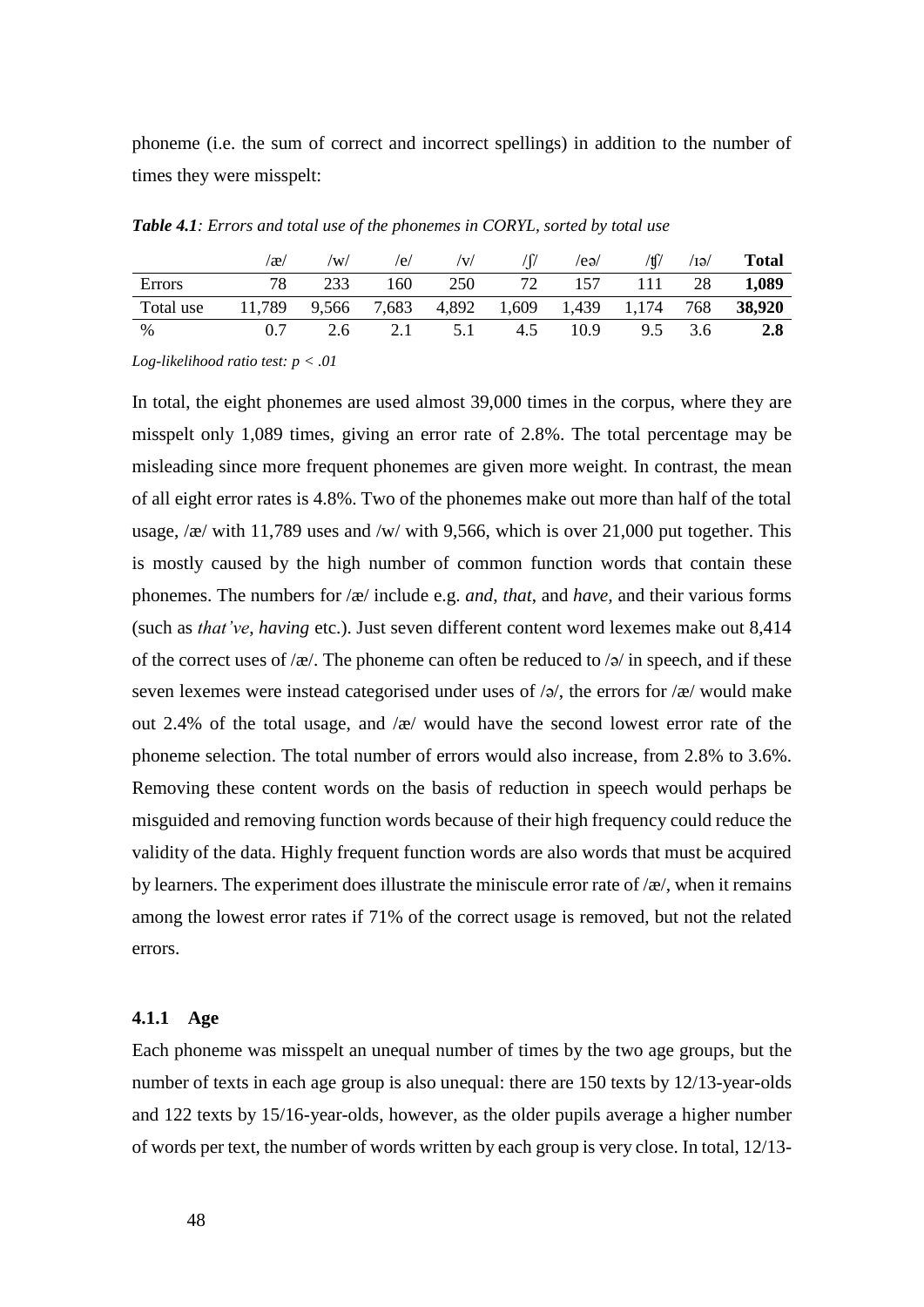phoneme (i.e. the sum of correct and incorrect spellings) in addition to the number of times they were misspelt:

|           | $\alpha$ | $\mathcal{W}$ | /e/ | /V/                                                   |     | /ea/       | /tf/ $\sqrt{2}$ | $\sqrt{IQ}$ | <b>Total</b> |
|-----------|----------|---------------|-----|-------------------------------------------------------|-----|------------|-----------------|-------------|--------------|
| Errors    |          | 233           | 160 | 250                                                   |     | 72 157 111 |                 | 28          | 1,089        |
| Total use |          |               |     | 11,789 9,566 7,683 4,892 1,609 1,439 1,174 768 38,920 |     |            |                 |             |              |
| %         | 0.7      | 2.6           |     | 2.1 5.1                                               | 4.5 | 10.9       | 9.5             | 3.6         | 2.8          |

*Table 4.1: Errors and total use of the phonemes in CORYL, sorted by total use*

*Log-likelihood ratio test: p < .01*

In total, the eight phonemes are used almost 39,000 times in the corpus, where they are misspelt only 1,089 times, giving an error rate of 2.8%. The total percentage may be misleading since more frequent phonemes are given more weight. In contrast, the mean of all eight error rates is 4.8%. Two of the phonemes make out more than half of the total usage, /æ/ with 11,789 uses and /w/ with 9,566, which is over 21,000 put together. This is mostly caused by the high number of common function words that contain these phonemes. The numbers for /æ/ include e.g. *and*, *that*, and *have,* and their various forms (such as *that've*, *having* etc.). Just seven different content word lexemes make out 8,414 of the correct uses of /æ/. The phoneme can often be reduced to /ə/ in speech, and if these seven lexemes were instead categorised under uses of  $\sqrt{a}$ , the errors for  $\sqrt{\frac{a}{x}}$  would make out 2.4% of the total usage, and /æ/ would have the second lowest error rate of the phoneme selection. The total number of errors would also increase, from 2.8% to 3.6%. Removing these content words on the basis of reduction in speech would perhaps be misguided and removing function words because of their high frequency could reduce the validity of the data. Highly frequent function words are also words that must be acquired by learners. The experiment does illustrate the miniscule error rate of  $\alpha$ , when it remains among the lowest error rates if 71% of the correct usage is removed, but not the related errors.

#### **4.1.1 Age**

Each phoneme was misspelt an unequal number of times by the two age groups, but the number of texts in each age group is also unequal: there are 150 texts by 12/13-year-olds and 122 texts by 15/16-year-olds, however, as the older pupils average a higher number of words per text, the number of words written by each group is very close. In total, 12/13-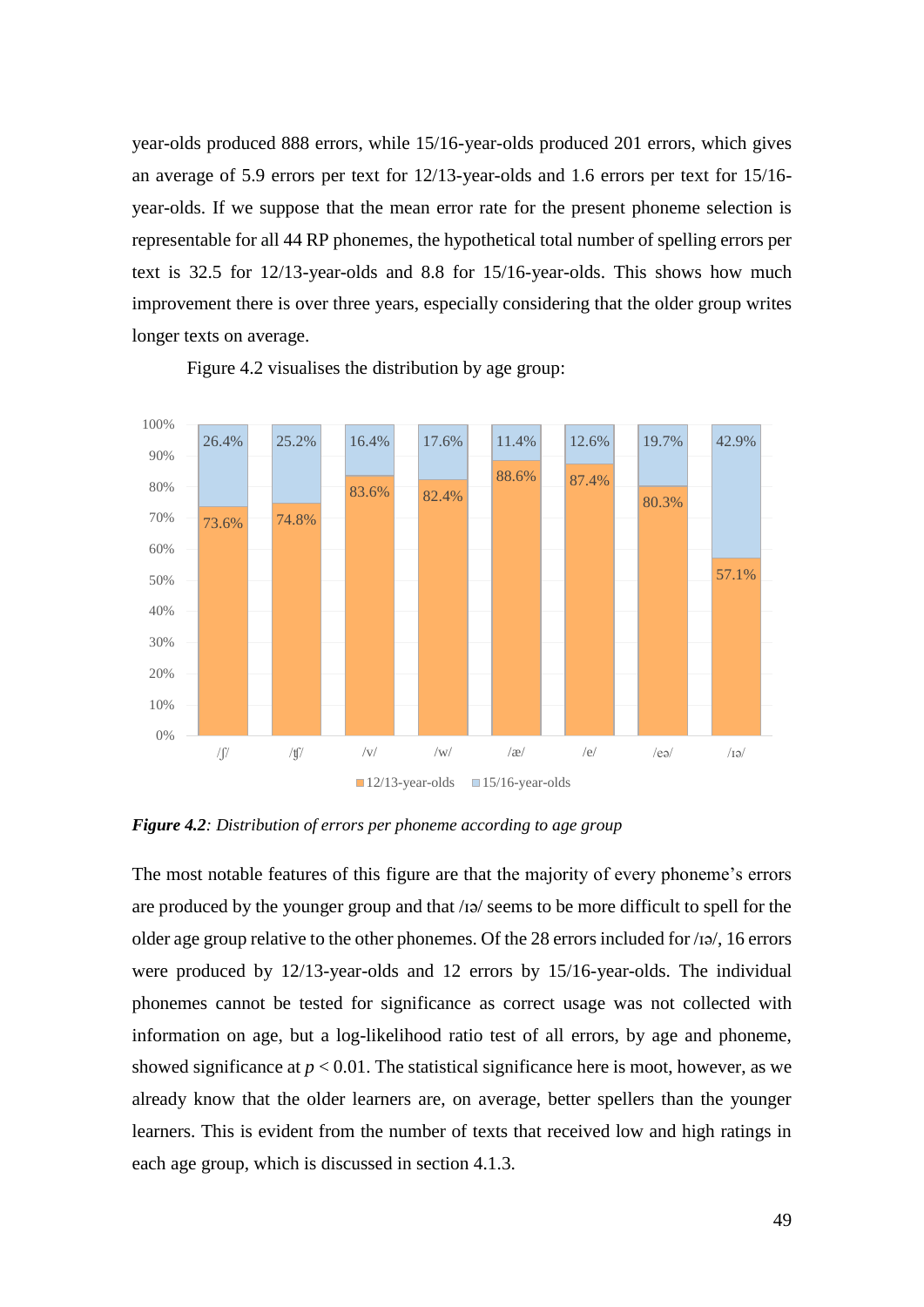year-olds produced 888 errors, while 15/16-year-olds produced 201 errors, which gives an average of 5.9 errors per text for 12/13-year-olds and 1.6 errors per text for 15/16 year-olds. If we suppose that the mean error rate for the present phoneme selection is representable for all 44 RP phonemes, the hypothetical total number of spelling errors per text is 32.5 for 12/13-year-olds and 8.8 for 15/16-year-olds. This shows how much improvement there is over three years, especially considering that the older group writes longer texts on average.



Figure 4.2 visualises the distribution by age group:

*Figure 4.2: Distribution of errors per phoneme according to age group*

The most notable features of this figure are that the majority of every phoneme's errors are produced by the younger group and that /ɪə/ seems to be more difficult to spell for the older age group relative to the other phonemes. Of the 28 errors included for /ɪə/, 16 errors were produced by 12/13-year-olds and 12 errors by 15/16-year-olds. The individual phonemes cannot be tested for significance as correct usage was not collected with information on age, but a log-likelihood ratio test of all errors, by age and phoneme, showed significance at  $p < 0.01$ . The statistical significance here is moot, however, as we already know that the older learners are, on average, better spellers than the younger learners. This is evident from the number of texts that received low and high ratings in each age group, which is discussed in section 4.1.3.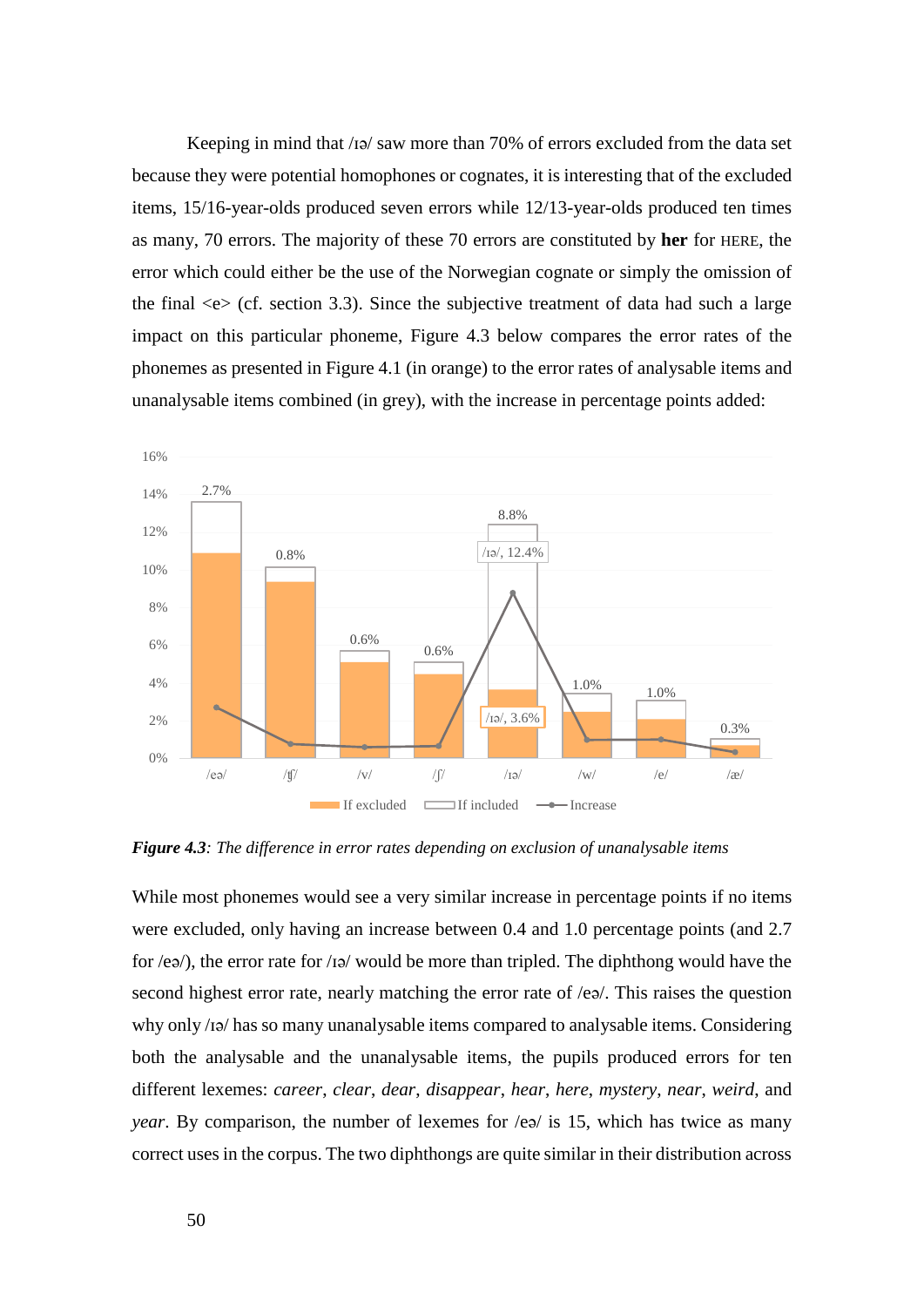Keeping in mind that /ɪə/ saw more than 70% of errors excluded from the data set because they were potential homophones or cognates, it is interesting that of the excluded items, 15/16-year-olds produced seven errors while 12/13-year-olds produced ten times as many, 70 errors. The majority of these 70 errors are constituted by **her** for HERE, the error which could either be the use of the Norwegian cognate or simply the omission of the final  $\langle e \rangle$  (cf. section 3.3). Since the subjective treatment of data had such a large impact on this particular phoneme, Figure 4.3 below compares the error rates of the phonemes as presented in Figure 4.1 (in orange) to the error rates of analysable items and unanalysable items combined (in grey), with the increase in percentage points added:



*Figure 4.3: The difference in error rates depending on exclusion of unanalysable items*

While most phonemes would see a very similar increase in percentage points if no items were excluded, only having an increase between 0.4 and 1.0 percentage points (and 2.7 for /eə/), the error rate for /ɪə/ would be more than tripled. The diphthong would have the second highest error rate, nearly matching the error rate of /eə/. This raises the question why only /ɪə/ has so many unanalysable items compared to analysable items. Considering both the analysable and the unanalysable items, the pupils produced errors for ten different lexemes: *career*, *clear*, *dear*, *disappear*, *hear*, *here*, *mystery*, *near*, *weird*, and *year*. By comparison, the number of lexemes for /eə/ is 15, which has twice as many correct uses in the corpus. The two diphthongs are quite similar in their distribution across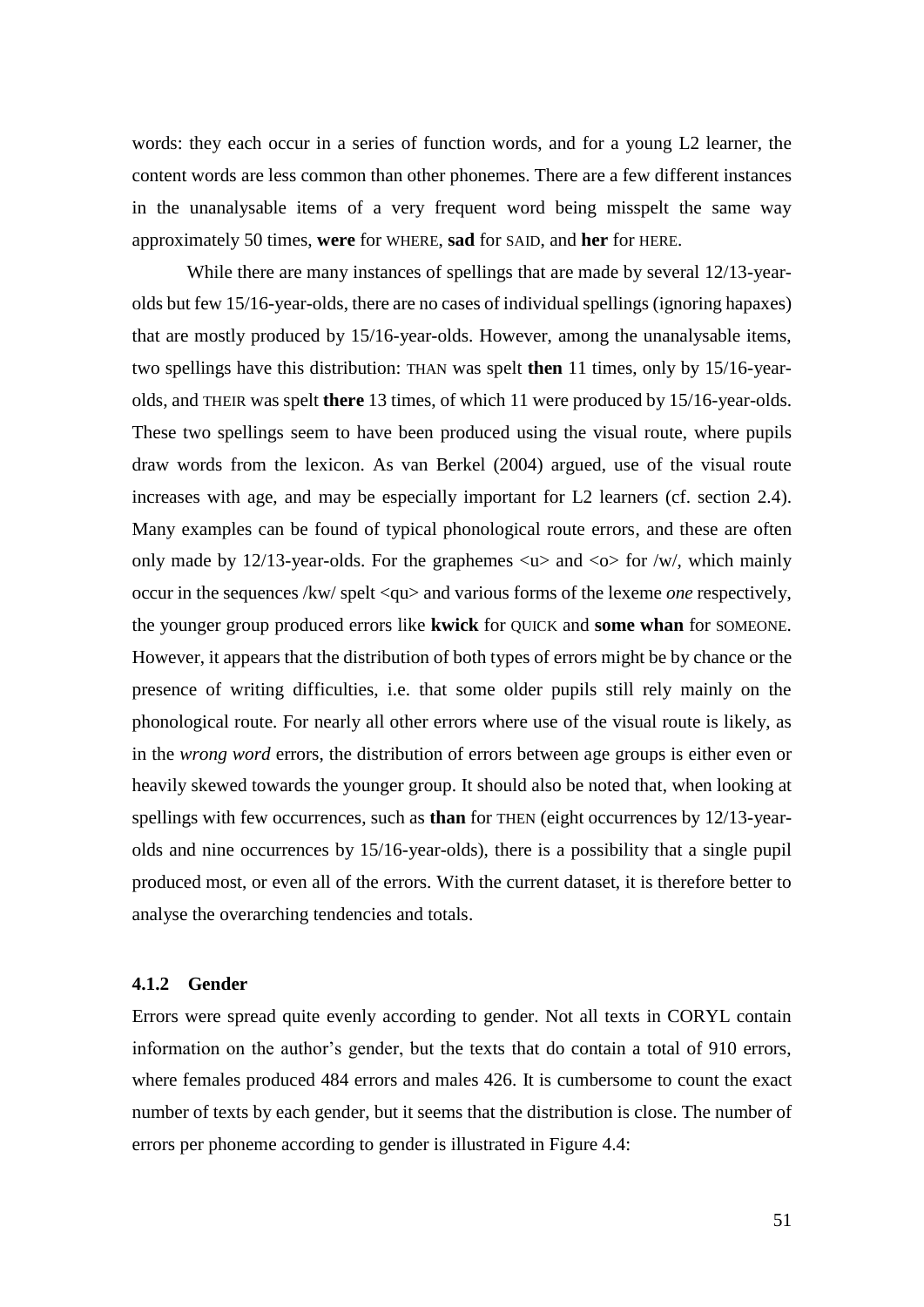words: they each occur in a series of function words, and for a young L2 learner, the content words are less common than other phonemes. There are a few different instances in the unanalysable items of a very frequent word being misspelt the same way approximately 50 times, **were** for WHERE, **sad** for SAID, and **her** for HERE.

While there are many instances of spellings that are made by several 12/13-yearolds but few 15/16-year-olds, there are no cases of individual spellings (ignoring hapaxes) that are mostly produced by 15/16-year-olds. However, among the unanalysable items, two spellings have this distribution: THAN was spelt **then** 11 times, only by 15/16-yearolds, and THEIR was spelt **there** 13 times, of which 11 were produced by 15/16-year-olds. These two spellings seem to have been produced using the visual route, where pupils draw words from the lexicon. As van Berkel (2004) argued, use of the visual route increases with age, and may be especially important for L2 learners (cf. section 2.4). Many examples can be found of typical phonological route errors, and these are often only made by 12/13-year-olds. For the graphemes  $\langle u \rangle$  and  $\langle o \rangle$  for /w/, which mainly occur in the sequences /kw/ spelt <qu> and various forms of the lexeme *one* respectively, the younger group produced errors like **kwick** for QUICK and **some whan** for SOMEONE. However, it appears that the distribution of both types of errors might be by chance or the presence of writing difficulties, i.e. that some older pupils still rely mainly on the phonological route. For nearly all other errors where use of the visual route is likely, as in the *wrong word* errors, the distribution of errors between age groups is either even or heavily skewed towards the younger group. It should also be noted that, when looking at spellings with few occurrences, such as **than** for THEN (eight occurrences by 12/13-yearolds and nine occurrences by 15/16-year-olds), there is a possibility that a single pupil produced most, or even all of the errors. With the current dataset, it is therefore better to analyse the overarching tendencies and totals.

## **4.1.2 Gender**

Errors were spread quite evenly according to gender. Not all texts in CORYL contain information on the author's gender, but the texts that do contain a total of 910 errors, where females produced 484 errors and males 426. It is cumbersome to count the exact number of texts by each gender, but it seems that the distribution is close. The number of errors per phoneme according to gender is illustrated in Figure 4.4: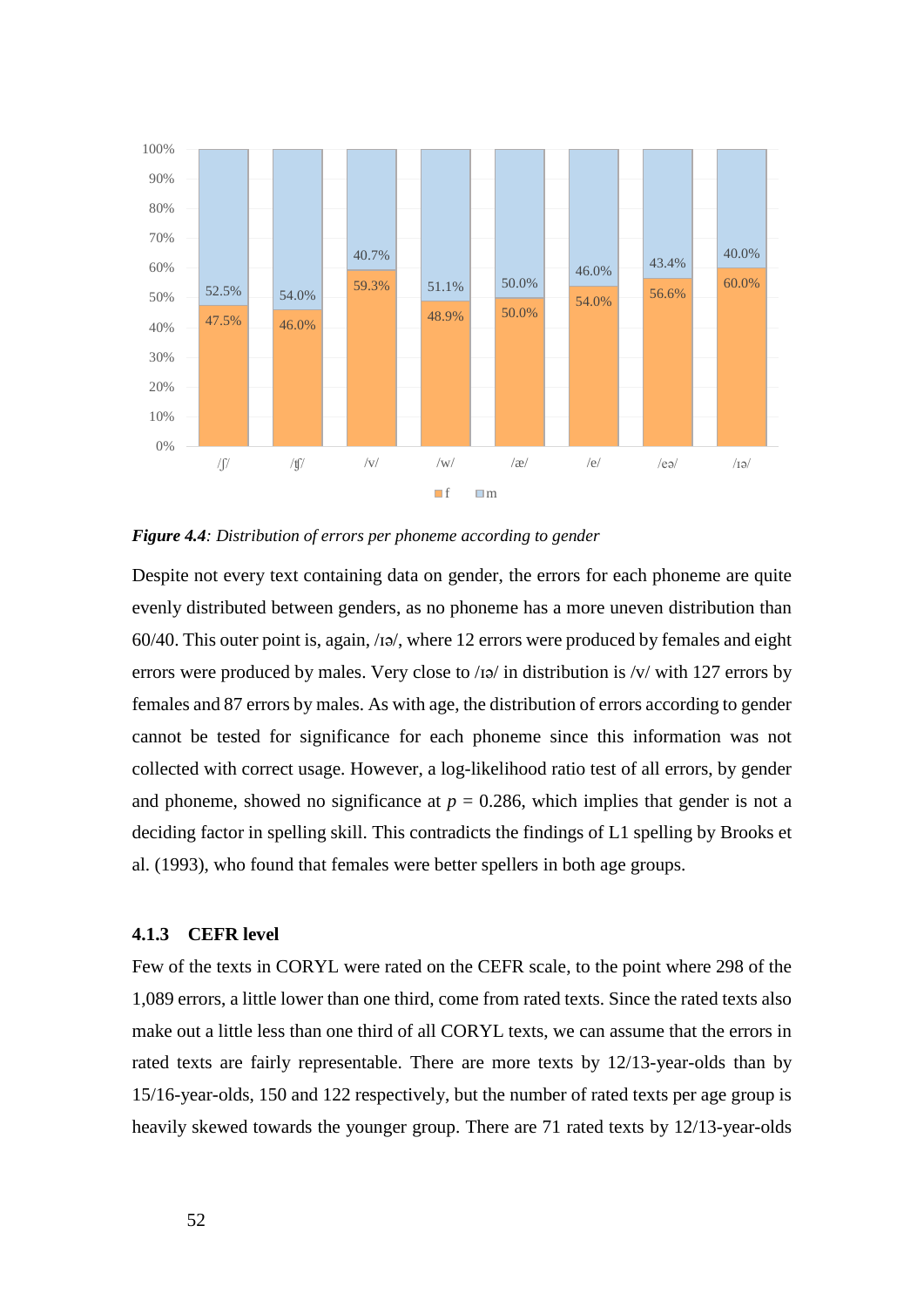

*Figure 4.4: Distribution of errors per phoneme according to gender*

Despite not every text containing data on gender, the errors for each phoneme are quite evenly distributed between genders, as no phoneme has a more uneven distribution than 60/40. This outer point is, again, /ɪə/, where 12 errors were produced by females and eight errors were produced by males. Very close to /ɪə/ in distribution is /v/ with 127 errors by females and 87 errors by males. As with age, the distribution of errors according to gender cannot be tested for significance for each phoneme since this information was not collected with correct usage. However, a log-likelihood ratio test of all errors, by gender and phoneme, showed no significance at  $p = 0.286$ , which implies that gender is not a deciding factor in spelling skill. This contradicts the findings of L1 spelling by Brooks et al. (1993), who found that females were better spellers in both age groups.

## **4.1.3 CEFR level**

Few of the texts in CORYL were rated on the CEFR scale, to the point where 298 of the 1,089 errors, a little lower than one third, come from rated texts. Since the rated texts also make out a little less than one third of all CORYL texts, we can assume that the errors in rated texts are fairly representable. There are more texts by 12/13-year-olds than by 15/16-year-olds, 150 and 122 respectively, but the number of rated texts per age group is heavily skewed towards the younger group. There are 71 rated texts by 12/13-year-olds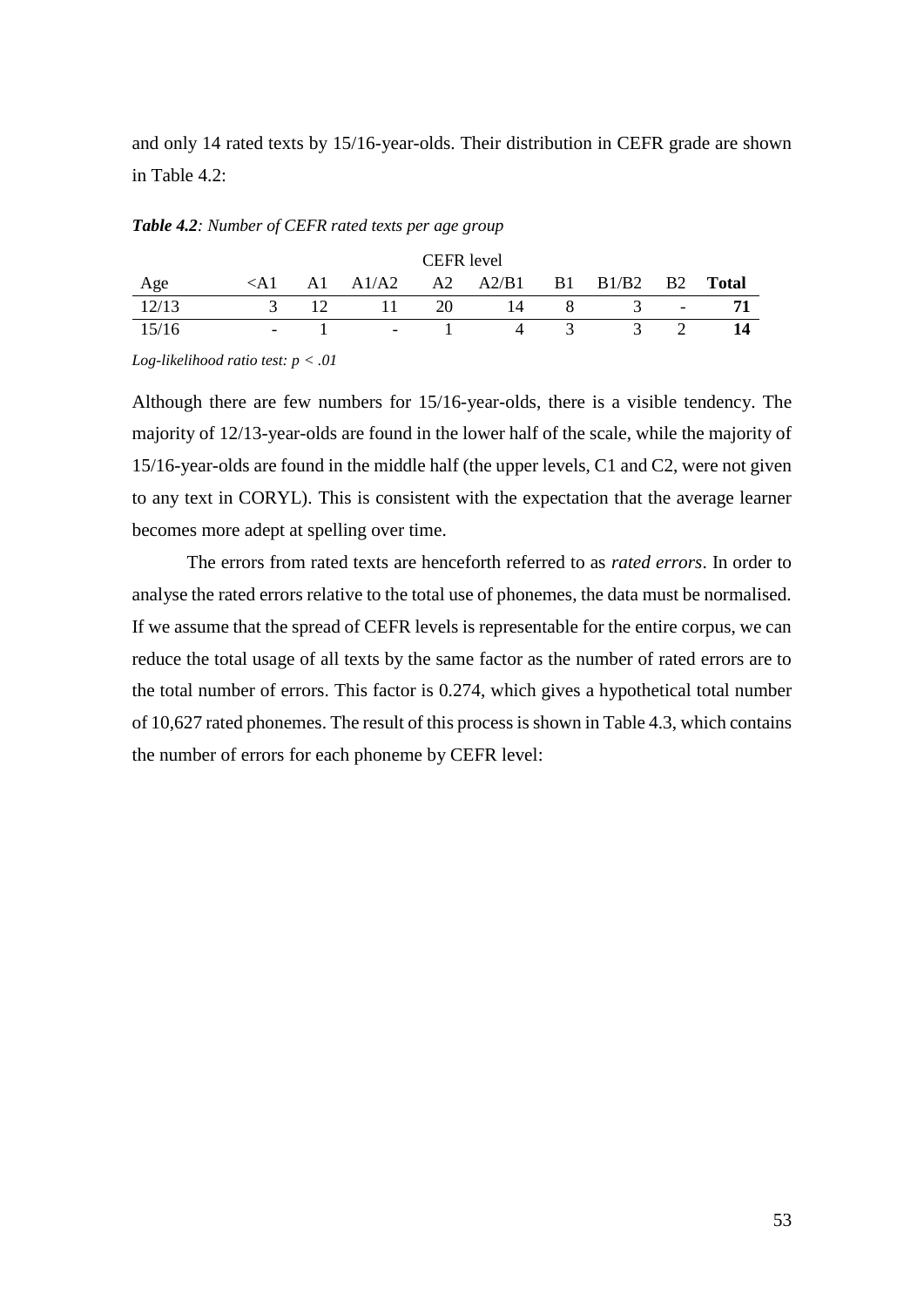and only 14 rated texts by 15/16-year-olds. Their distribution in CEFR grade are shown in Table 4.2:

#### *Table 4.2: Number of CEFR rated texts per age group*

|       |                          |                          |      | CEFR level                                                                           |                |   |                                           |       |
|-------|--------------------------|--------------------------|------|--------------------------------------------------------------------------------------|----------------|---|-------------------------------------------|-------|
| Age   |                          |                          |      | $\langle A1 \quad A1 \quad A1/A2 \quad A2 \quad A2/B1 \quad B1 \quad B1/B2 \quad B2$ |                |   |                                           | Total |
| 12/13 | $\mathcal{R}$            | $\sim$ 11 $\sim$         | - 20 | $\sqrt{4}$                                                                           | 8 <sup>7</sup> |   | $\mathcal{R}$<br>$\overline{\phantom{a}}$ |       |
| 15/16 | $\overline{\phantom{a}}$ | <b>Contract Contract</b> |      |                                                                                      |                | 3 |                                           | 14    |

*Log-likelihood ratio test: p < .01*

Although there are few numbers for 15/16-year-olds, there is a visible tendency. The majority of 12/13-year-olds are found in the lower half of the scale, while the majority of 15/16-year-olds are found in the middle half (the upper levels, C1 and C2, were not given to any text in CORYL). This is consistent with the expectation that the average learner becomes more adept at spelling over time.

The errors from rated texts are henceforth referred to as *rated errors*. In order to analyse the rated errors relative to the total use of phonemes, the data must be normalised. If we assume that the spread of CEFR levels is representable for the entire corpus, we can reduce the total usage of all texts by the same factor as the number of rated errors are to the total number of errors. This factor is 0.274, which gives a hypothetical total number of 10,627 rated phonemes. The result of this process is shown in Table 4.3, which contains the number of errors for each phoneme by CEFR level: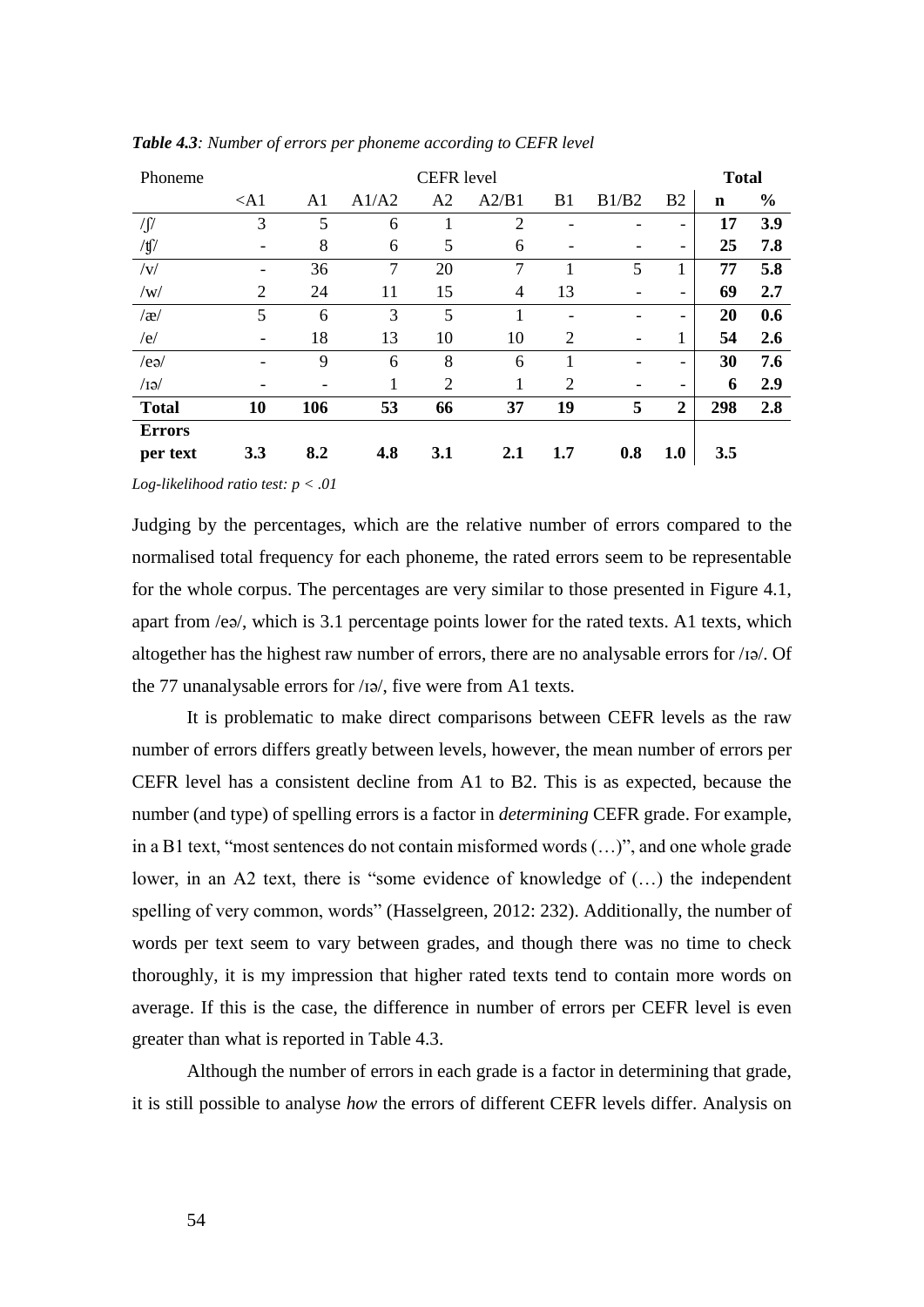| Phoneme                                                                                                                                                                                                                                                                                                                                                                                                                       |                          |                |                | <b>CEFR</b> level |                |                |       |                              | <b>Total</b> |               |
|-------------------------------------------------------------------------------------------------------------------------------------------------------------------------------------------------------------------------------------------------------------------------------------------------------------------------------------------------------------------------------------------------------------------------------|--------------------------|----------------|----------------|-------------------|----------------|----------------|-------|------------------------------|--------------|---------------|
|                                                                                                                                                                                                                                                                                                                                                                                                                               | $<$ A1                   | A <sub>1</sub> | A1/A2          | A2                | A2/B1          | B1             | B1/B2 | B <sub>2</sub>               | $\mathbf n$  | $\frac{0}{0}$ |
| $\sqrt{\int}$                                                                                                                                                                                                                                                                                                                                                                                                                 | 3                        | 5              | 6              |                   | $\overline{2}$ |                |       |                              | 17           | 3.9           |
| $/\mathfrak{t}/\mathfrak{g}/\mathfrak{g}/\mathfrak{g}/\mathfrak{g}/\mathfrak{g}/\mathfrak{g}/\mathfrak{g}/\mathfrak{g}/\mathfrak{g}/\mathfrak{g}/\mathfrak{g}/\mathfrak{g}/\mathfrak{g}/\mathfrak{g}/\mathfrak{g}/\mathfrak{g}/\mathfrak{g}/\mathfrak{g}/\mathfrak{g}/\mathfrak{g}/\mathfrak{g}/\mathfrak{g}/\mathfrak{g}/\mathfrak{g}/\mathfrak{g}/\mathfrak{g}/\mathfrak{g}/\mathfrak{g}/\mathfrak{g}/\mathfrak{g}/\mathfr$ | $\overline{\phantom{a}}$ | 8              | 6              | 5                 | 6              |                |       | $\overline{\phantom{a}}$     | 25           | 7.8           |
| $/\mathrm{v}/$                                                                                                                                                                                                                                                                                                                                                                                                                |                          | 36             | $\overline{7}$ | 20                | 7              |                | 5     | 1                            | 77           | 5.8           |
| /w/                                                                                                                                                                                                                                                                                                                                                                                                                           | 2                        | 24             | 11             | 15                | $\overline{4}$ | 13             | -     | $\overline{\phantom{a}}$     | 69           | 2.7           |
| $\alpha$                                                                                                                                                                                                                                                                                                                                                                                                                      | 5                        | 6              | 3              | 5                 | 1              |                |       | $\overline{\phantom{a}}$     | 20           | 0.6           |
| /e/                                                                                                                                                                                                                                                                                                                                                                                                                           |                          | 18             | 13             | 10                | 10             | $\overline{2}$ |       | 1                            | 54           | 2.6           |
| /ea/                                                                                                                                                                                                                                                                                                                                                                                                                          |                          | 9              | 6              | 8                 | 6              | 1              |       | $\qquad \qquad \blacksquare$ | 30           | 7.6           |
| $\sqrt{IQ}$                                                                                                                                                                                                                                                                                                                                                                                                                   |                          |                | 1              | $\overline{2}$    | 1              | $\overline{2}$ |       | $\overline{\phantom{a}}$     | 6            | 2.9           |
| <b>Total</b>                                                                                                                                                                                                                                                                                                                                                                                                                  | 10                       | 106            | 53             | 66                | 37             | 19             | 5     | $\boldsymbol{2}$             | 298          | 2.8           |
| <b>Errors</b>                                                                                                                                                                                                                                                                                                                                                                                                                 |                          |                |                |                   |                |                |       |                              |              |               |
| per text                                                                                                                                                                                                                                                                                                                                                                                                                      | 3.3                      | 8.2            | 4.8            | 3.1               | 2.1            | 1.7            | 0.8   | 1.0                          | 3.5          |               |

*Table 4.3: Number of errors per phoneme according to CEFR level*

*Log-likelihood ratio test: p < .01*

Judging by the percentages, which are the relative number of errors compared to the normalised total frequency for each phoneme, the rated errors seem to be representable for the whole corpus. The percentages are very similar to those presented in Figure 4.1, apart from /eə/, which is 3.1 percentage points lower for the rated texts. A1 texts, which altogether has the highest raw number of errors, there are no analysable errors for /ɪə/. Of the 77 unanalysable errors for /ɪə/, five were from A1 texts.

It is problematic to make direct comparisons between CEFR levels as the raw number of errors differs greatly between levels, however, the mean number of errors per CEFR level has a consistent decline from A1 to B2. This is as expected, because the number (and type) of spelling errors is a factor in *determining* CEFR grade. For example, in a B1 text, "most sentences do not contain misformed words (…)", and one whole grade lower, in an A2 text, there is "some evidence of knowledge of (…) the independent spelling of very common, words" (Hasselgreen, 2012: 232). Additionally, the number of words per text seem to vary between grades, and though there was no time to check thoroughly, it is my impression that higher rated texts tend to contain more words on average. If this is the case, the difference in number of errors per CEFR level is even greater than what is reported in Table 4.3.

Although the number of errors in each grade is a factor in determining that grade, it is still possible to analyse *how* the errors of different CEFR levels differ. Analysis on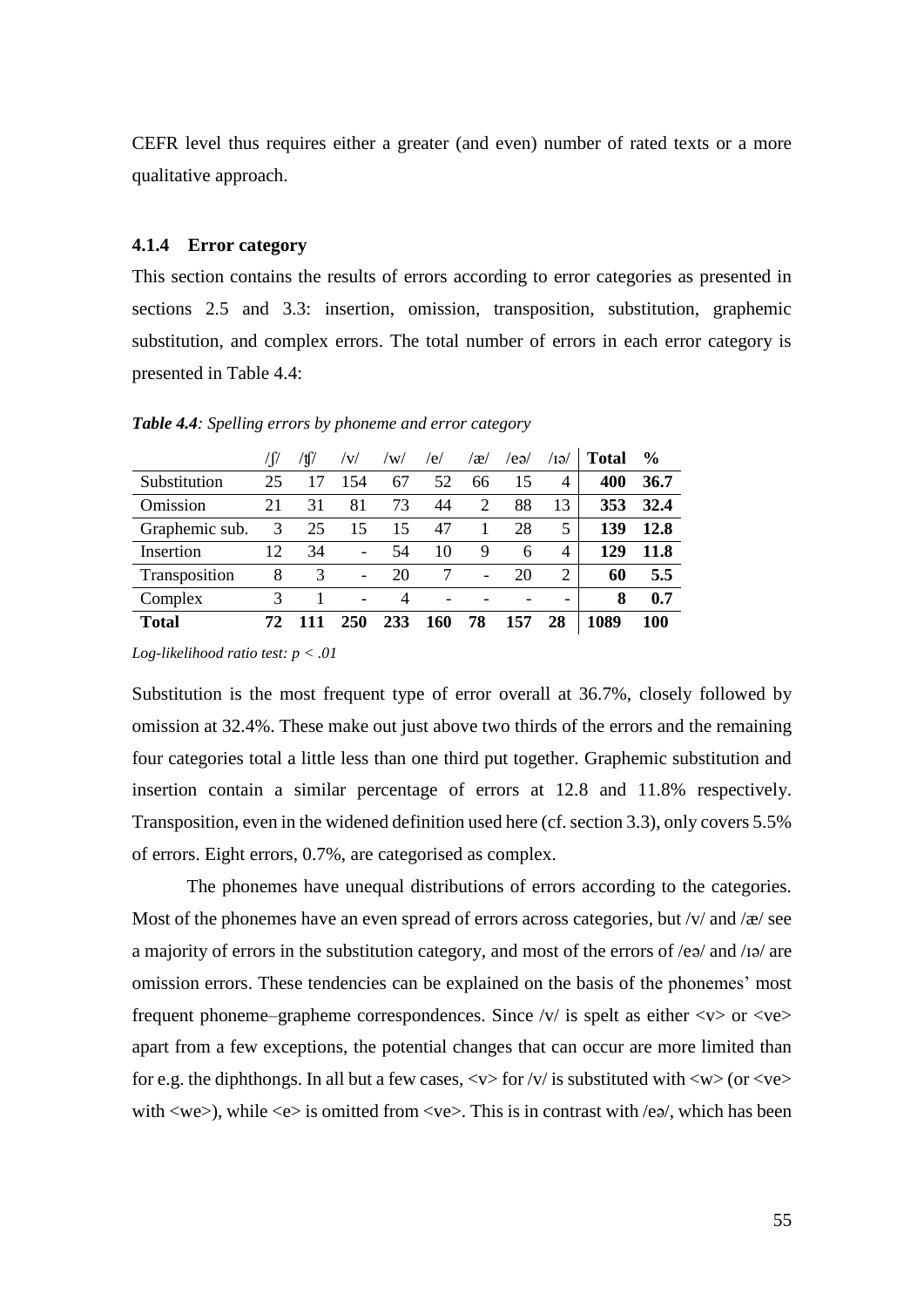CEFR level thus requires either a greater (and even) number of rated texts or a more qualitative approach.

## **4.1.4 Error category**

This section contains the results of errors according to error categories as presented in sections 2.5 and 3.3: insertion, omission, transposition, substitution, graphemic substitution, and complex errors. The total number of errors in each error category is presented in Table 4.4:

*Table 4.4: Spelling errors by phoneme and error category*

|                | $\int$ | 'tſ | /V/                          | /W/ | /e/ | $\alpha$ | /eə/ | /IƏ/           | Total | $\frac{6}{9}$ |
|----------------|--------|-----|------------------------------|-----|-----|----------|------|----------------|-------|---------------|
| Substitution   | 25     |     | 154                          | 67  | 52  | 66       | 15   | $\overline{4}$ | 400   | 36.7          |
| Omission       | 21     | 31  | 81                           | 73  | 44  | 2        | 88   | 13             | 353   | 32.4          |
| Graphemic sub. | 3      | 25  | 15                           | 15  | 47  |          | 28   | 5              | 139   | 12.8          |
| Insertion      | 12     | 34  | $\overline{\phantom{0}}$     | 54  | 10  | 9        | 6    | $\overline{4}$ | 129   | 11.8          |
| Transposition  | 8      | 3   | $\qquad \qquad \blacksquare$ | 20  |     |          | 20   | 2              | 60    | 5.5           |
| Complex        |        |     | -                            | 4   |     |          |      |                | 8     | 0.7           |
| <b>Total</b>   |        |     | 250                          | 233 | 160 | 78       | 157  | 28             | 1089  | 100           |

*Log-likelihood ratio test: p < .01*

Substitution is the most frequent type of error overall at 36.7%, closely followed by omission at 32.4%. These make out just above two thirds of the errors and the remaining four categories total a little less than one third put together. Graphemic substitution and insertion contain a similar percentage of errors at 12.8 and 11.8% respectively. Transposition, even in the widened definition used here (cf. section 3.3), only covers 5.5% of errors. Eight errors, 0.7%, are categorised as complex.

The phonemes have unequal distributions of errors according to the categories. Most of the phonemes have an even spread of errors across categories, but  $/v/$  and  $/\alpha$  see a majority of errors in the substitution category, and most of the errors of /eə/ and /ɪə/ are omission errors. These tendencies can be explained on the basis of the phonemes' most frequent phoneme–grapheme correspondences. Since  $/v/$  is spelt as either  $\langle v \rangle$  or  $\langle v \rangle$ apart from a few exceptions, the potential changes that can occur are more limited than for e.g. the diphthongs. In all but a few cases,  $\langle v \rangle$  for  $\langle v \rangle$  is substituted with  $\langle w \rangle$  (or  $\langle v \rangle$ ) with  $\langle we \rangle$ , while  $\langle e \rangle$  is omitted from  $\langle ve \rangle$ . This is in contrast with  $\langle e \phi \rangle$ , which has been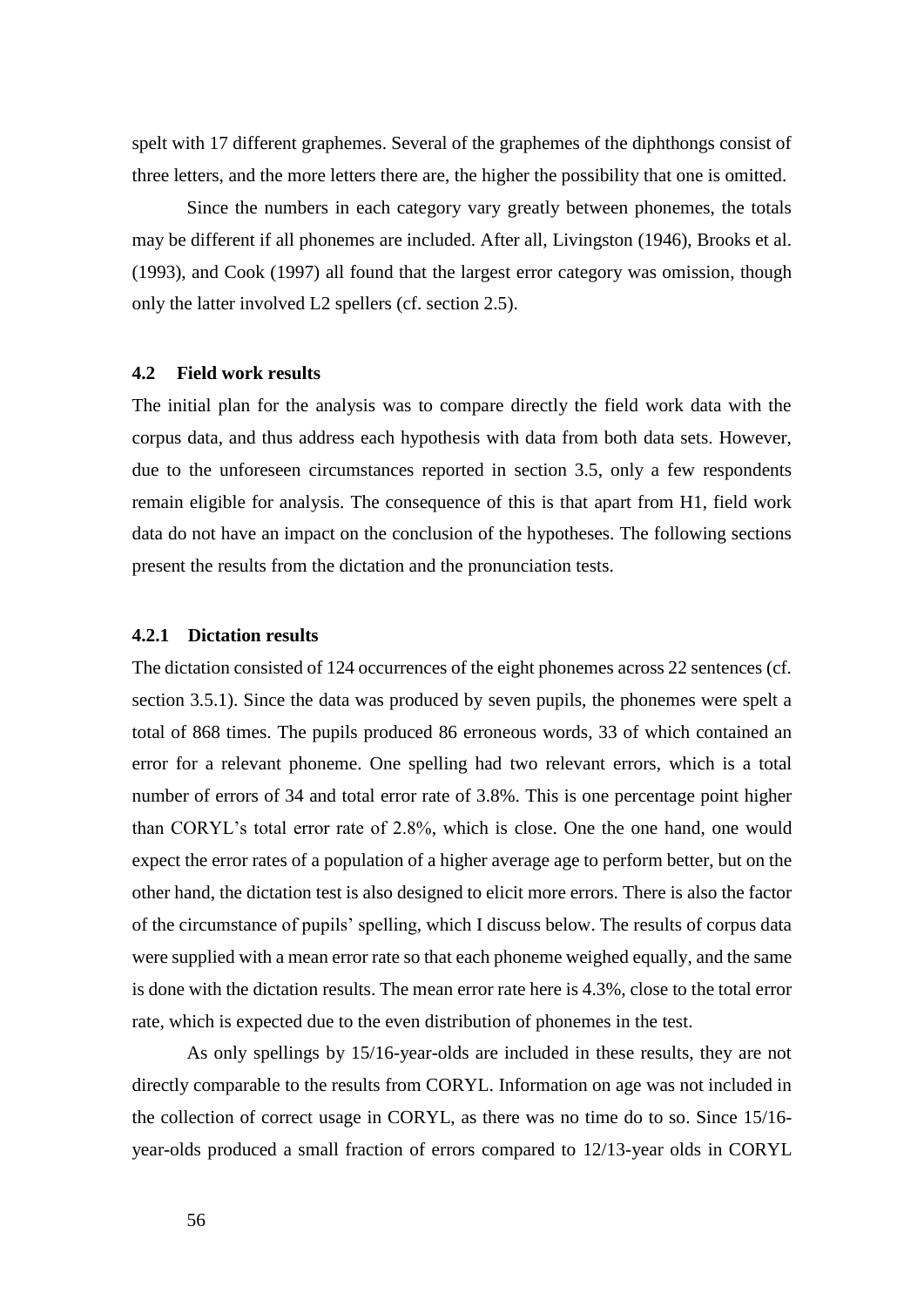spelt with 17 different graphemes. Several of the graphemes of the diphthongs consist of three letters, and the more letters there are, the higher the possibility that one is omitted.

Since the numbers in each category vary greatly between phonemes, the totals may be different if all phonemes are included. After all, Livingston (1946), Brooks et al. (1993), and Cook (1997) all found that the largest error category was omission, though only the latter involved L2 spellers (cf. section 2.5).

# **4.2 Field work results**

The initial plan for the analysis was to compare directly the field work data with the corpus data, and thus address each hypothesis with data from both data sets. However, due to the unforeseen circumstances reported in section 3.5, only a few respondents remain eligible for analysis. The consequence of this is that apart from H1, field work data do not have an impact on the conclusion of the hypotheses. The following sections present the results from the dictation and the pronunciation tests.

#### **4.2.1 Dictation results**

The dictation consisted of 124 occurrences of the eight phonemes across 22 sentences (cf. section 3.5.1). Since the data was produced by seven pupils, the phonemes were spelt a total of 868 times. The pupils produced 86 erroneous words, 33 of which contained an error for a relevant phoneme. One spelling had two relevant errors, which is a total number of errors of 34 and total error rate of 3.8%. This is one percentage point higher than CORYL's total error rate of 2.8%, which is close. One the one hand, one would expect the error rates of a population of a higher average age to perform better, but on the other hand, the dictation test is also designed to elicit more errors. There is also the factor of the circumstance of pupils' spelling, which I discuss below. The results of corpus data were supplied with a mean error rate so that each phoneme weighed equally, and the same is done with the dictation results. The mean error rate here is 4.3%, close to the total error rate, which is expected due to the even distribution of phonemes in the test.

As only spellings by 15/16-year-olds are included in these results, they are not directly comparable to the results from CORYL. Information on age was not included in the collection of correct usage in CORYL, as there was no time do to so. Since 15/16 year-olds produced a small fraction of errors compared to 12/13-year olds in CORYL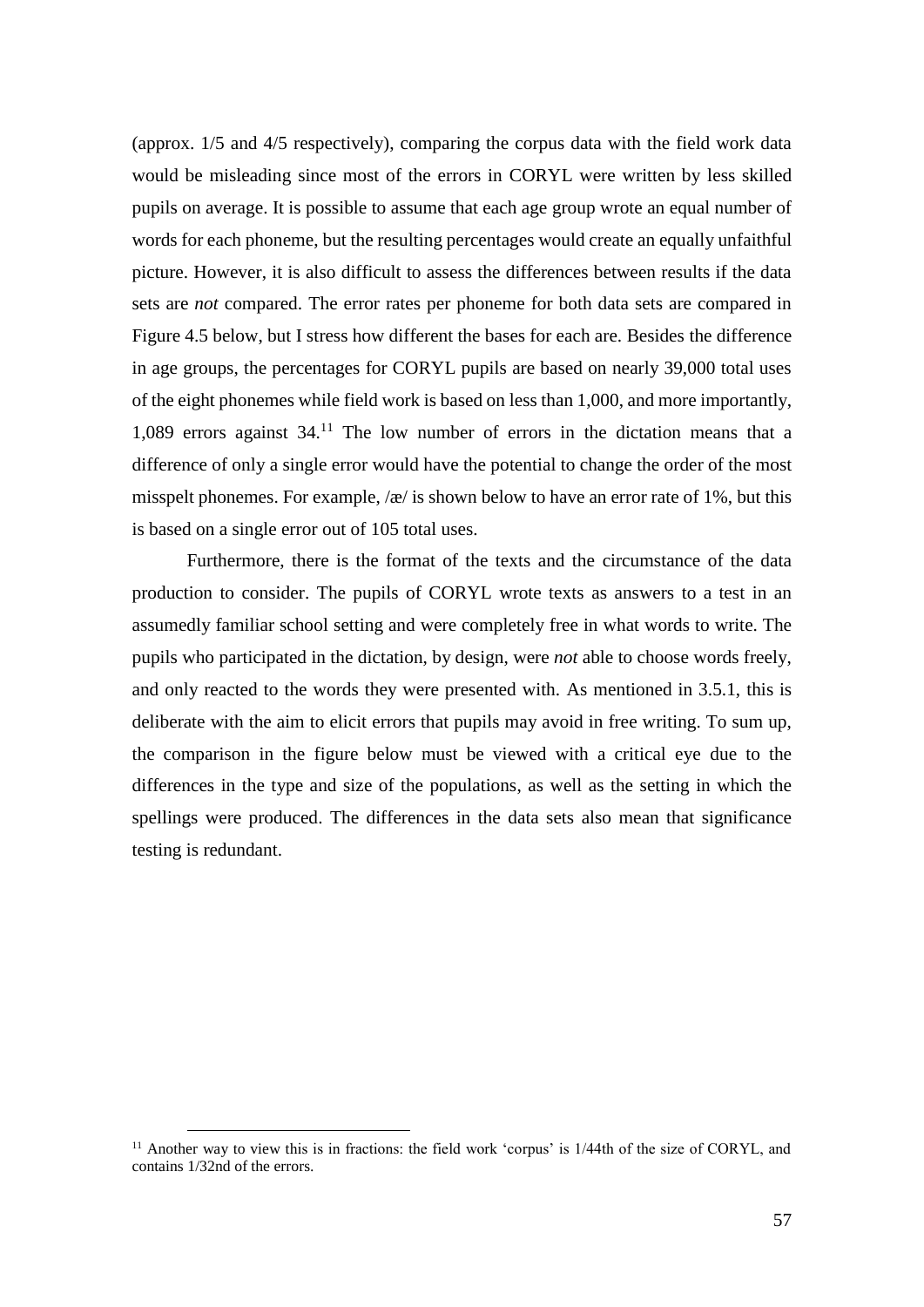(approx. 1/5 and 4/5 respectively), comparing the corpus data with the field work data would be misleading since most of the errors in CORYL were written by less skilled pupils on average. It is possible to assume that each age group wrote an equal number of words for each phoneme, but the resulting percentages would create an equally unfaithful picture. However, it is also difficult to assess the differences between results if the data sets are *not* compared. The error rates per phoneme for both data sets are compared in Figure 4.5 below, but I stress how different the bases for each are. Besides the difference in age groups, the percentages for CORYL pupils are based on nearly 39,000 total uses of the eight phonemes while field work is based on less than 1,000, and more importantly, 1,089 errors against 34.<sup>11</sup> The low number of errors in the dictation means that a difference of only a single error would have the potential to change the order of the most misspelt phonemes. For example,  $\alpha$  is shown below to have an error rate of 1%, but this is based on a single error out of 105 total uses.

Furthermore, there is the format of the texts and the circumstance of the data production to consider. The pupils of CORYL wrote texts as answers to a test in an assumedly familiar school setting and were completely free in what words to write. The pupils who participated in the dictation, by design, were *not* able to choose words freely, and only reacted to the words they were presented with. As mentioned in 3.5.1, this is deliberate with the aim to elicit errors that pupils may avoid in free writing. To sum up, the comparison in the figure below must be viewed with a critical eye due to the differences in the type and size of the populations, as well as the setting in which the spellings were produced. The differences in the data sets also mean that significance testing is redundant.

 $\overline{a}$ 

 $11$  Another way to view this is in fractions: the field work 'corpus' is  $1/44$ th of the size of CORYL, and contains 1/32nd of the errors.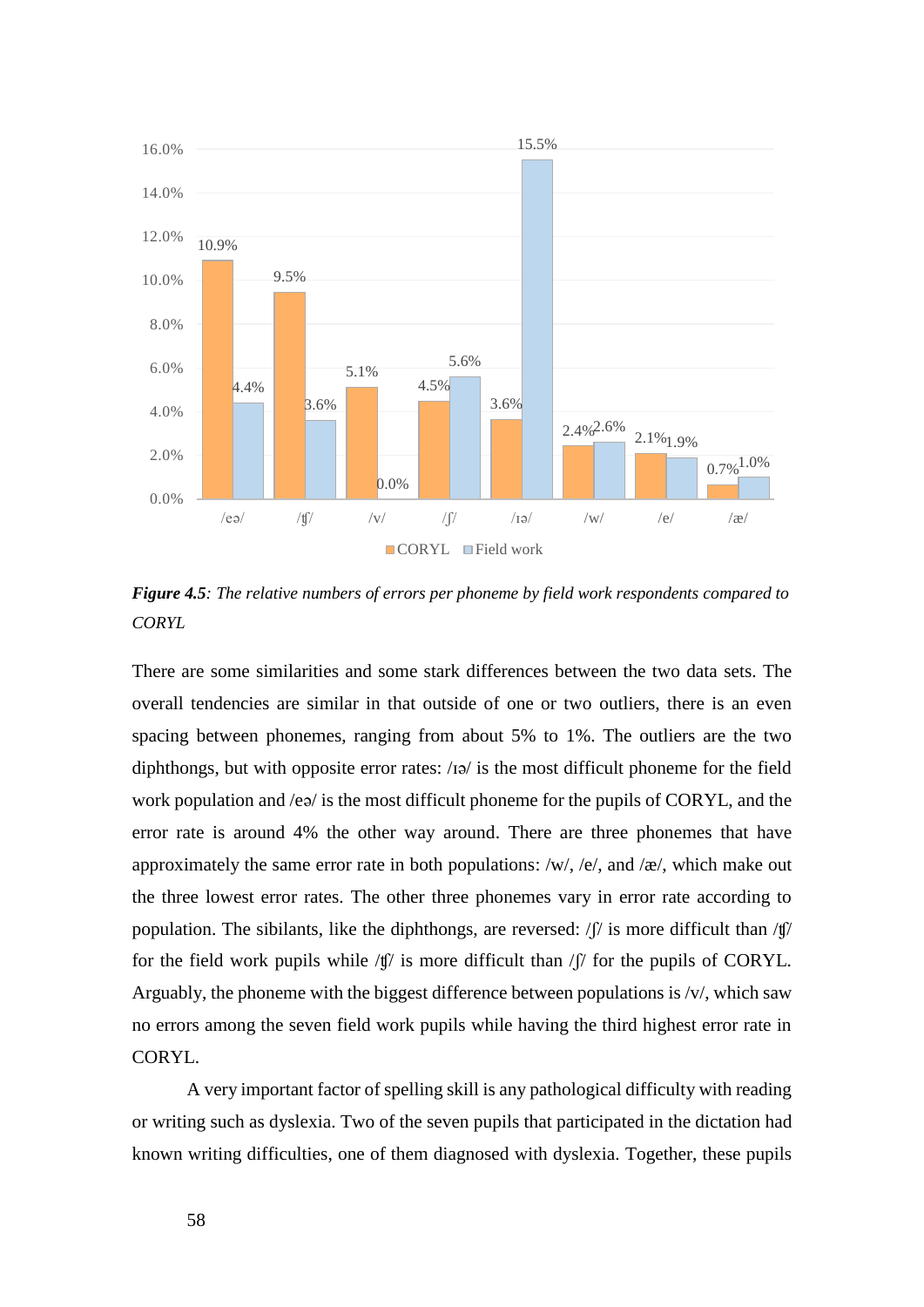

*Figure 4.5: The relative numbers of errors per phoneme by field work respondents compared to CORYL*

There are some similarities and some stark differences between the two data sets. The overall tendencies are similar in that outside of one or two outliers, there is an even spacing between phonemes, ranging from about 5% to 1%. The outliers are the two diphthongs, but with opposite error rates: /ɪə/ is the most difficult phoneme for the field work population and /eə/ is the most difficult phoneme for the pupils of CORYL, and the error rate is around 4% the other way around. There are three phonemes that have approximately the same error rate in both populations: /w/, /e/, and /æ/, which make out the three lowest error rates. The other three phonemes vary in error rate according to population. The sibilants, like the diphthongs, are reversed: /ʃ/ is more difficult than /ʧ/ for the field work pupils while  $\langle \phi \rangle$  is more difficult than  $\langle \phi \rangle$  for the pupils of CORYL. Arguably, the phoneme with the biggest difference between populations is  $/v/$ , which saw no errors among the seven field work pupils while having the third highest error rate in CORYL.

A very important factor of spelling skill is any pathological difficulty with reading or writing such as dyslexia. Two of the seven pupils that participated in the dictation had known writing difficulties, one of them diagnosed with dyslexia. Together, these pupils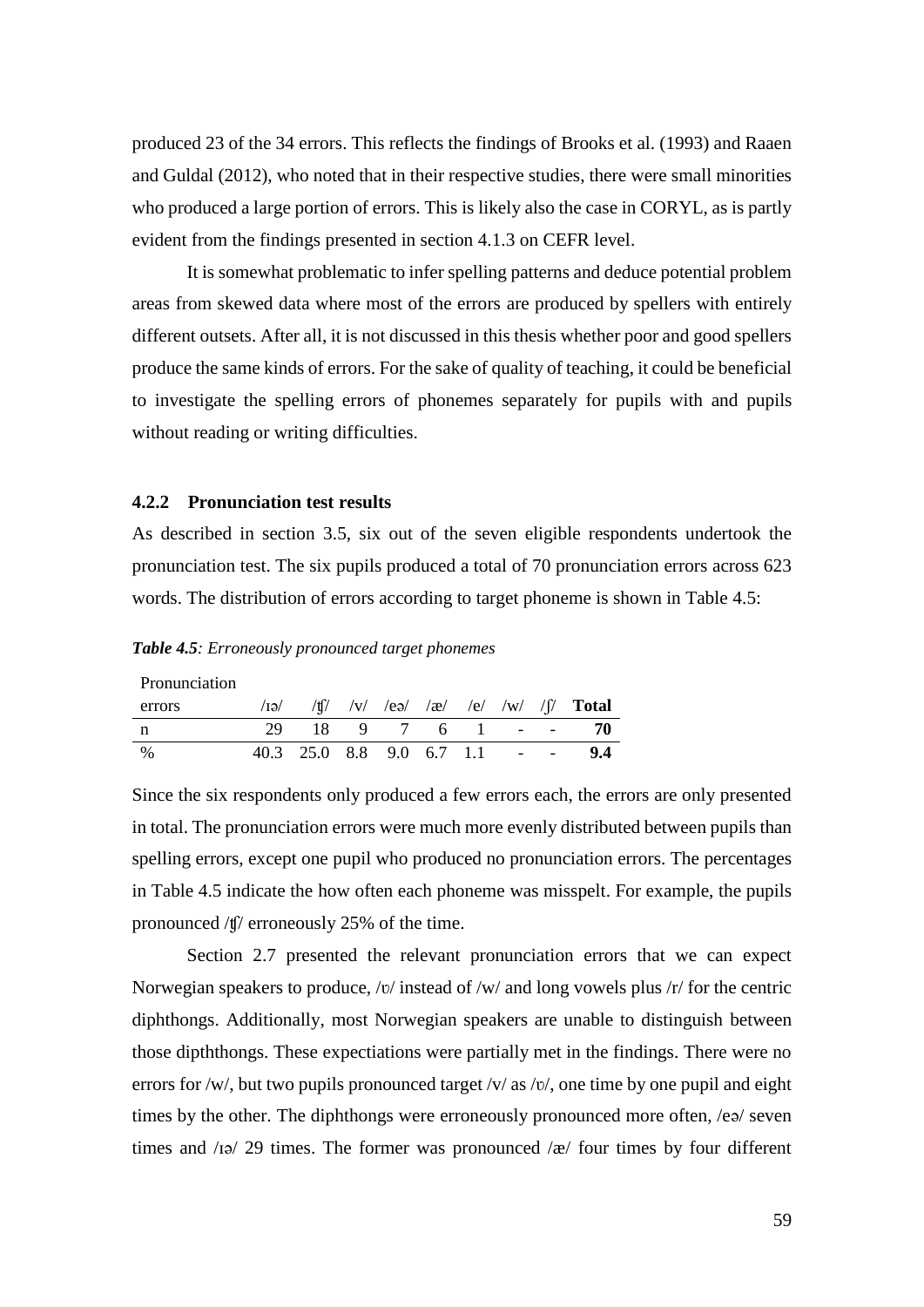produced 23 of the 34 errors. This reflects the findings of Brooks et al. (1993) and Raaen and Guldal (2012), who noted that in their respective studies, there were small minorities who produced a large portion of errors. This is likely also the case in CORYL, as is partly evident from the findings presented in section 4.1.3 on CEFR level.

It is somewhat problematic to infer spelling patterns and deduce potential problem areas from skewed data where most of the errors are produced by spellers with entirely different outsets. After all, it is not discussed in this thesis whether poor and good spellers produce the same kinds of errors. For the sake of quality of teaching, it could be beneficial to investigate the spelling errors of phonemes separately for pupils with and pupils without reading or writing difficulties.

# **4.2.2 Pronunciation test results**

As described in section 3.5, six out of the seven eligible respondents undertook the pronunciation test. The six pupils produced a total of 70 pronunciation errors across 623 words. The distribution of errors according to target phoneme is shown in Table 4.5:

#### *Table 4.5: Erroneously pronounced target phonemes*

| Pronunciation |                                           |  |  |  |                                                       |
|---------------|-------------------------------------------|--|--|--|-------------------------------------------------------|
| errors        |                                           |  |  |  | $\sqrt{q}$ /ti/ /v/ /eə/ /æ/ /e/ /w/ /j/ <b>Total</b> |
|               |                                           |  |  |  | 29 18 9 7 6 1 - - 70                                  |
| $\frac{0}{0}$ | $40.3$ $25.0$ $8.8$ $9.0$ $6.7$ $1.1$ - - |  |  |  | 9.4                                                   |

Since the six respondents only produced a few errors each, the errors are only presented in total. The pronunciation errors were much more evenly distributed between pupils than spelling errors, except one pupil who produced no pronunciation errors. The percentages in Table 4.5 indicate the how often each phoneme was misspelt. For example, the pupils pronounced /ʧ/ erroneously 25% of the time.

Section 2.7 presented the relevant pronunciation errors that we can expect Norwegian speakers to produce, /v/ instead of /w/ and long vowels plus /r/ for the centric diphthongs. Additionally, most Norwegian speakers are unable to distinguish between those dipththongs. These expectiations were partially met in the findings. There were no errors for /w/, but two pupils pronounced target /v/ as /v/, one time by one pupil and eight times by the other. The diphthongs were erroneously pronounced more often, /eə/ seven times and /ɪə/ 29 times. The former was pronounced /æ/ four times by four different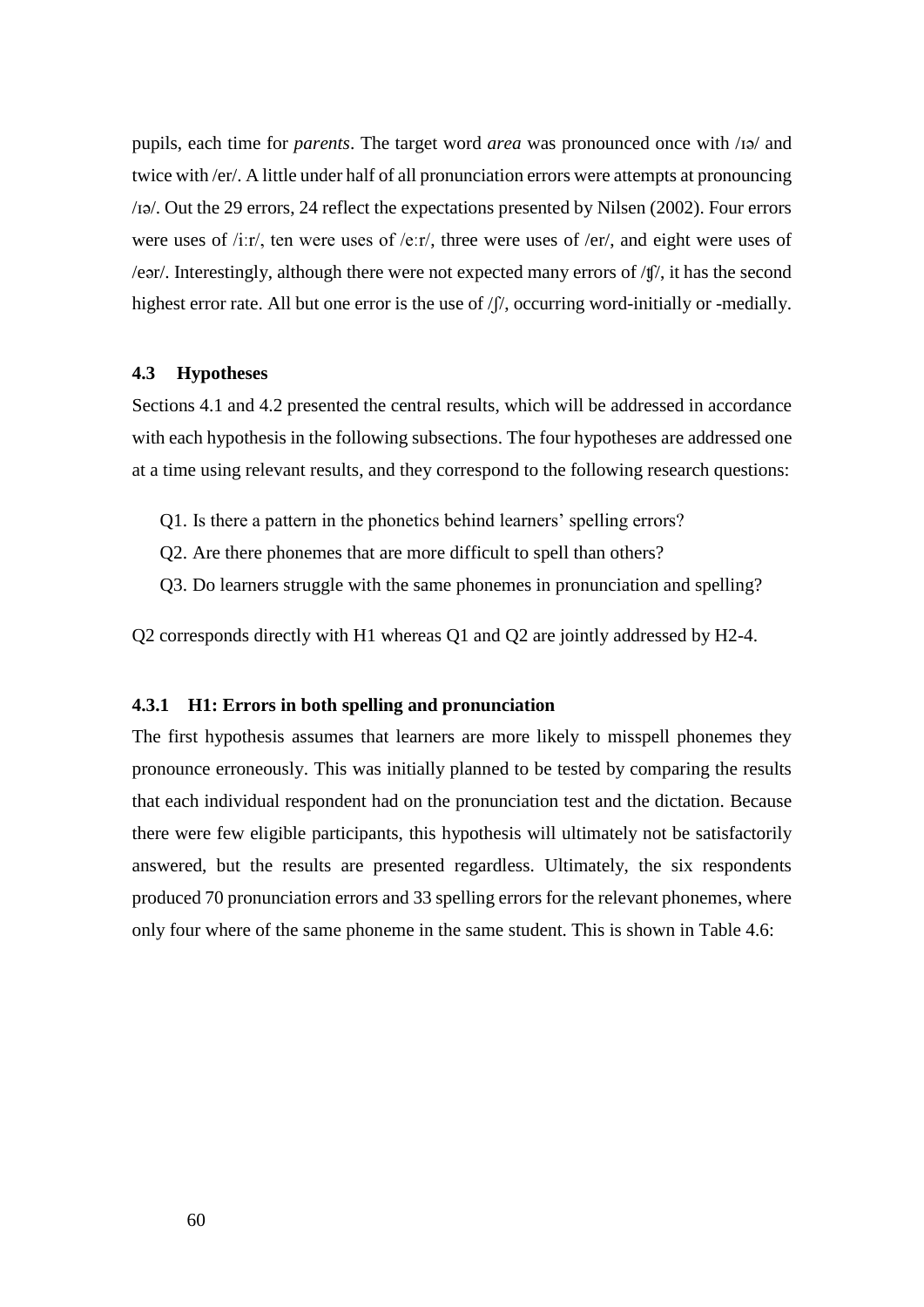pupils, each time for *parents*. The target word *area* was pronounced once with /ɪə/ and twice with /er/. A little under half of all pronunciation errors were attempts at pronouncing /ɪə/. Out the 29 errors, 24 reflect the expectations presented by Nilsen (2002). Four errors were uses of /iːr/, ten were uses of /eːr/, three were uses of /er/, and eight were uses of /eər/. Interestingly, although there were not expected many errors of /ʧ/, it has the second highest error rate. All but one error is the use of  $/f$ , occurring word-initially or -medially.

#### **4.3 Hypotheses**

Sections 4.1 and 4.2 presented the central results, which will be addressed in accordance with each hypothesis in the following subsections. The four hypotheses are addressed one at a time using relevant results, and they correspond to the following research questions:

- Q1. Is there a pattern in the phonetics behind learners' spelling errors?
- Q2. Are there phonemes that are more difficult to spell than others?
- Q3. Do learners struggle with the same phonemes in pronunciation and spelling?

Q2 corresponds directly with H1 whereas Q1 and Q2 are jointly addressed by H2-4.

## **4.3.1 H1: Errors in both spelling and pronunciation**

The first hypothesis assumes that learners are more likely to misspell phonemes they pronounce erroneously. This was initially planned to be tested by comparing the results that each individual respondent had on the pronunciation test and the dictation. Because there were few eligible participants, this hypothesis will ultimately not be satisfactorily answered, but the results are presented regardless. Ultimately, the six respondents produced 70 pronunciation errors and 33 spelling errors for the relevant phonemes, where only four where of the same phoneme in the same student. This is shown in Table 4.6: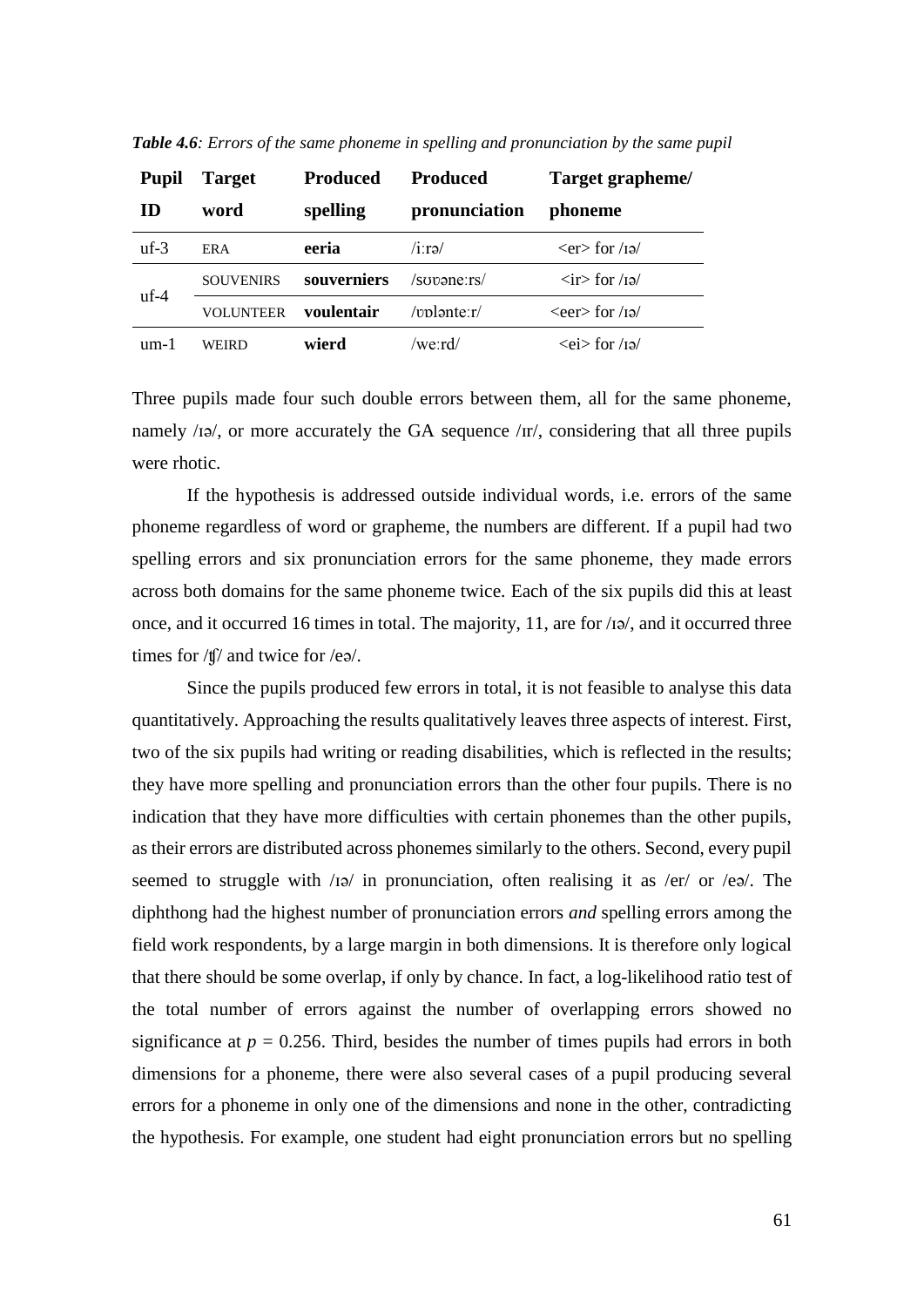| <b>Pupil</b> | <b>Target</b>    | <b>Produced</b> | <b>Produced</b> | Target grapheme/              |
|--------------|------------------|-----------------|-----------------|-------------------------------|
| ID           | word             | spelling        | pronunciation   | phoneme                       |
| $uf-3$       | <b>ERA</b>       | eeria           | $/$ i:rə $/$    | $<$ er $>$ for /1 $\approx$   |
| $uf-4$       | <b>SOUVENIRS</b> | souverniers     | /sopane:rs/     | $\langle$ ir for /ɪə/         |
|              | VOLUNTEER        | voulentair      | $/$ mlənte $r/$ | $\epsilon$ /ra/               |
| um-1         | WEIRD            | wierd           | /we:rd/         | $\langle ei \rangle$ for /iə/ |

*Table 4.6: Errors of the same phoneme in spelling and pronunciation by the same pupil*

Three pupils made four such double errors between them, all for the same phoneme, namely  $\langle$  12 $\rangle$ , or more accurately the GA sequence  $\langle \text{rr} \rangle$ , considering that all three pupils were rhotic.

If the hypothesis is addressed outside individual words, i.e. errors of the same phoneme regardless of word or grapheme, the numbers are different. If a pupil had two spelling errors and six pronunciation errors for the same phoneme, they made errors across both domains for the same phoneme twice. Each of the six pupils did this at least once, and it occurred 16 times in total. The majority, 11, are for /ɪə/, and it occurred three times for /ʧ/ and twice for /eə/.

Since the pupils produced few errors in total, it is not feasible to analyse this data quantitatively. Approaching the results qualitatively leaves three aspects of interest. First, two of the six pupils had writing or reading disabilities, which is reflected in the results; they have more spelling and pronunciation errors than the other four pupils. There is no indication that they have more difficulties with certain phonemes than the other pupils, as their errors are distributed across phonemes similarly to the others. Second, every pupil seemed to struggle with /ɪə/ in pronunciation, often realising it as /er/ or /eə/. The diphthong had the highest number of pronunciation errors *and* spelling errors among the field work respondents, by a large margin in both dimensions. It is therefore only logical that there should be some overlap, if only by chance. In fact, a log-likelihood ratio test of the total number of errors against the number of overlapping errors showed no significance at  $p = 0.256$ . Third, besides the number of times pupils had errors in both dimensions for a phoneme, there were also several cases of a pupil producing several errors for a phoneme in only one of the dimensions and none in the other, contradicting the hypothesis. For example, one student had eight pronunciation errors but no spelling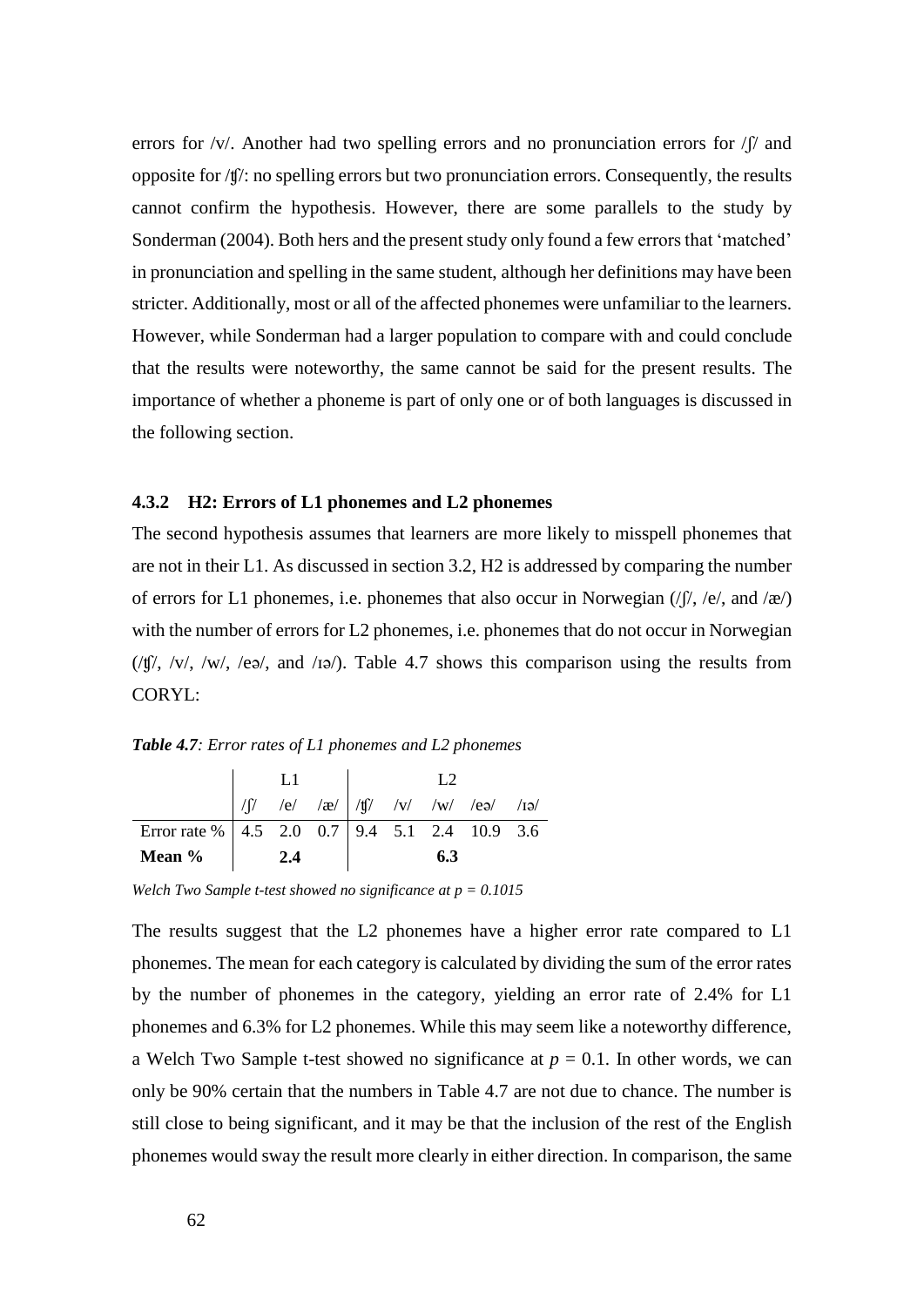errors for /v/. Another had two spelling errors and no pronunciation errors for / $\int$  and opposite for /ʧ/: no spelling errors but two pronunciation errors. Consequently, the results cannot confirm the hypothesis. However, there are some parallels to the study by Sonderman (2004). Both hers and the present study only found a few errors that 'matched' in pronunciation and spelling in the same student, although her definitions may have been stricter. Additionally, most or all of the affected phonemes were unfamiliar to the learners. However, while Sonderman had a larger population to compare with and could conclude that the results were noteworthy, the same cannot be said for the present results. The importance of whether a phoneme is part of only one or of both languages is discussed in the following section.

# **4.3.2 H2: Errors of L1 phonemes and L2 phonemes**

The second hypothesis assumes that learners are more likely to misspell phonemes that are not in their L1. As discussed in section 3.2, H2 is addressed by comparing the number of errors for L1 phonemes, i.e. phonemes that also occur in Norwegian  $(|f|, |e|, |a|/||e|)$ with the number of errors for L2 phonemes, i.e. phonemes that do not occur in Norwegian  $(\frac{f(f)}{\sqrt{v}}, \frac{f(v)}{\sqrt{v}}, \frac{f(v)}{\sqrt{v}})$ , and  $\frac{f(v)}{v}$ . Table 4.7 shows this comparison using the results from CORYL:

*Table 4.7: Error rates of L1 phonemes and L2 phonemes*

|                                                   |      |  |     | $\sqrt{y}$ /e/ /æ/ $\sqrt{y}$ /v/ /w/ /ea/ /1a/ |  |
|---------------------------------------------------|------|--|-----|-------------------------------------------------|--|
| Error rate %   4.5 2.0 0.7   9.4 5.1 2.4 10.9 3.6 |      |  |     |                                                 |  |
| Mean %                                            | -2.4 |  | 6.3 |                                                 |  |

*Welch Two Sample t-test showed no significance at p = 0.1015*

The results suggest that the L2 phonemes have a higher error rate compared to L1 phonemes. The mean for each category is calculated by dividing the sum of the error rates by the number of phonemes in the category, yielding an error rate of 2.4% for L1 phonemes and 6.3% for L2 phonemes. While this may seem like a noteworthy difference, a Welch Two Sample t-test showed no significance at  $p = 0.1$ . In other words, we can only be 90% certain that the numbers in Table 4.7 are not due to chance. The number is still close to being significant, and it may be that the inclusion of the rest of the English phonemes would sway the result more clearly in either direction. In comparison, the same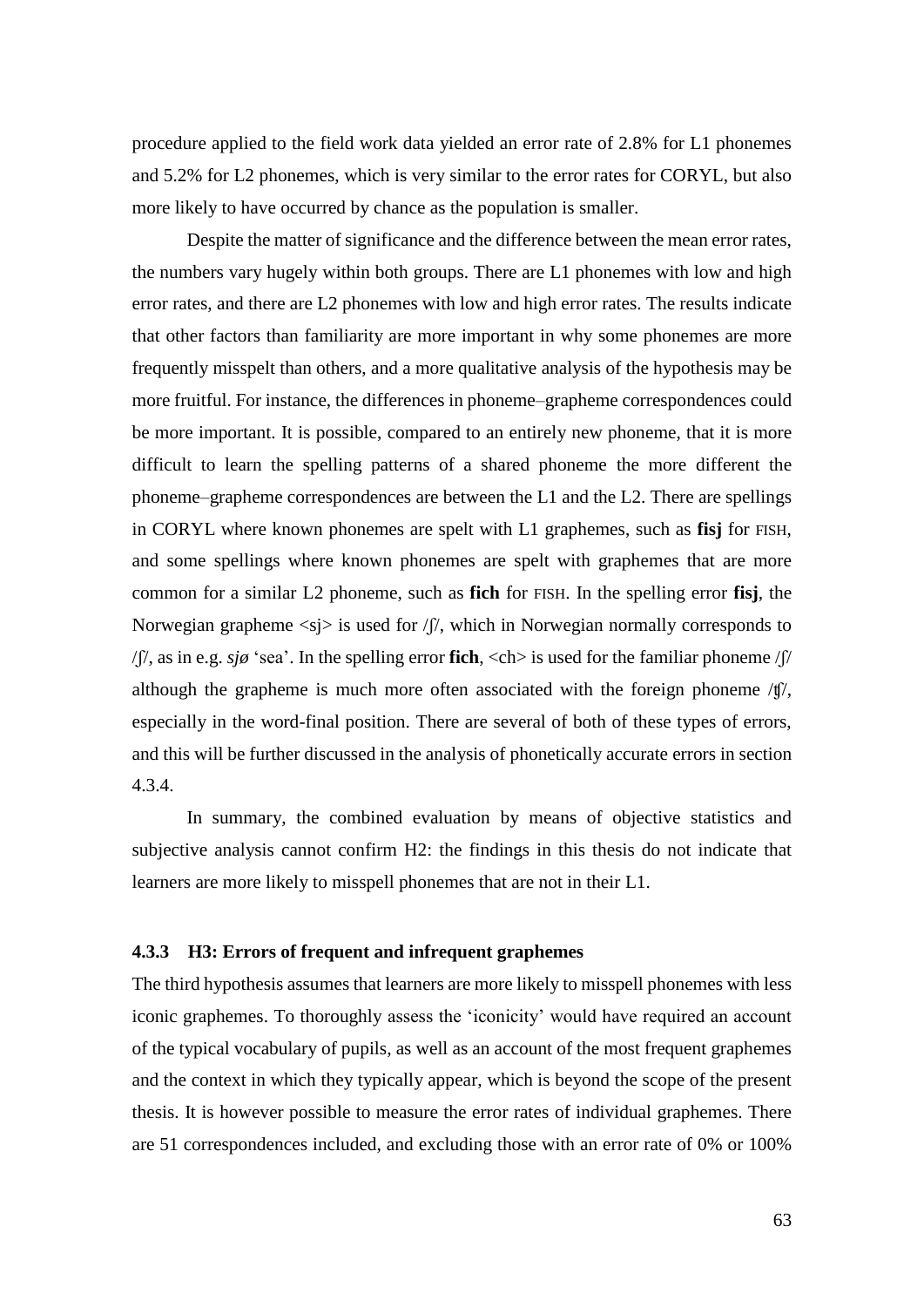procedure applied to the field work data yielded an error rate of 2.8% for L1 phonemes and 5.2% for L2 phonemes, which is very similar to the error rates for CORYL, but also more likely to have occurred by chance as the population is smaller.

Despite the matter of significance and the difference between the mean error rates, the numbers vary hugely within both groups. There are L1 phonemes with low and high error rates, and there are L2 phonemes with low and high error rates. The results indicate that other factors than familiarity are more important in why some phonemes are more frequently misspelt than others, and a more qualitative analysis of the hypothesis may be more fruitful. For instance, the differences in phoneme–grapheme correspondences could be more important. It is possible, compared to an entirely new phoneme, that it is more difficult to learn the spelling patterns of a shared phoneme the more different the phoneme–grapheme correspondences are between the L1 and the L2. There are spellings in CORYL where known phonemes are spelt with L1 graphemes, such as **fisj** for FISH, and some spellings where known phonemes are spelt with graphemes that are more common for a similar L2 phoneme, such as **fich** for FISH. In the spelling error **fisj**, the Norwegian grapheme  $\langle s \rangle$  is used for  $/ \gamma$ , which in Norwegian normally corresponds to /ʃ/, as in e.g. *sjø* 'sea'. In the spelling error **fich**, <ch> is used for the familiar phoneme /ʃ/ although the grapheme is much more often associated with the foreign phoneme /ʧ/, especially in the word-final position. There are several of both of these types of errors, and this will be further discussed in the analysis of phonetically accurate errors in section 4.3.4.

In summary, the combined evaluation by means of objective statistics and subjective analysis cannot confirm H2: the findings in this thesis do not indicate that learners are more likely to misspell phonemes that are not in their L1.

#### **4.3.3 H3: Errors of frequent and infrequent graphemes**

The third hypothesis assumes that learners are more likely to misspell phonemes with less iconic graphemes. To thoroughly assess the 'iconicity' would have required an account of the typical vocabulary of pupils, as well as an account of the most frequent graphemes and the context in which they typically appear, which is beyond the scope of the present thesis. It is however possible to measure the error rates of individual graphemes. There are 51 correspondences included, and excluding those with an error rate of 0% or 100%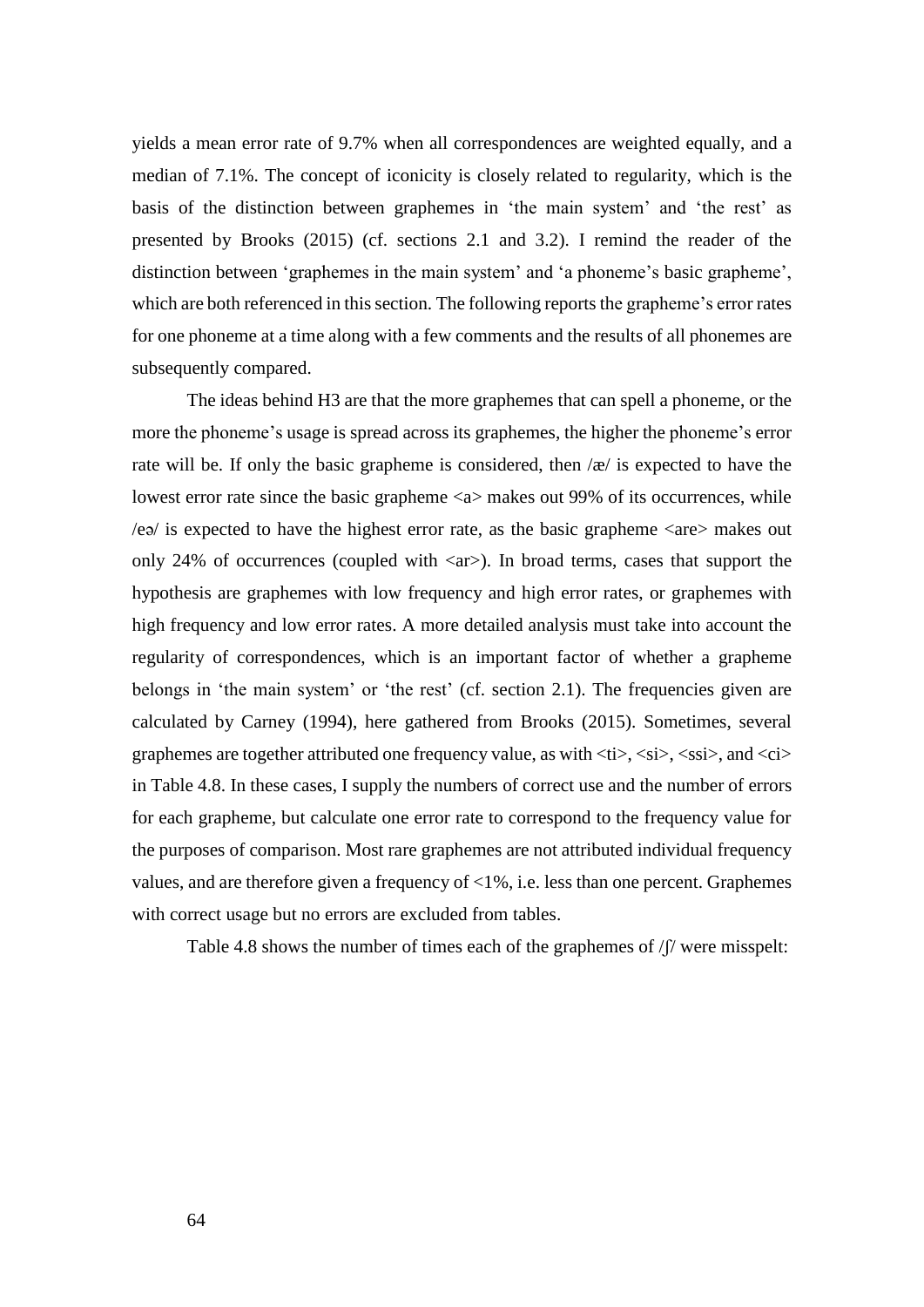yields a mean error rate of 9.7% when all correspondences are weighted equally, and a median of 7.1%. The concept of iconicity is closely related to regularity, which is the basis of the distinction between graphemes in 'the main system' and 'the rest' as presented by Brooks (2015) (cf. sections 2.1 and 3.2). I remind the reader of the distinction between 'graphemes in the main system' and 'a phoneme's basic grapheme', which are both referenced in this section. The following reports the grapheme's error rates for one phoneme at a time along with a few comments and the results of all phonemes are subsequently compared.

The ideas behind H3 are that the more graphemes that can spell a phoneme, or the more the phoneme's usage is spread across its graphemes, the higher the phoneme's error rate will be. If only the basic grapheme is considered, then  $\alpha/$  is expected to have the lowest error rate since the basic grapheme <a> makes out 99% of its occurrences, while  $\ell$ eə/ is expected to have the highest error rate, as the basic grapheme  $\langle$ are $\rangle$  makes out only 24% of occurrences (coupled with  $\langle ar \rangle$ ). In broad terms, cases that support the hypothesis are graphemes with low frequency and high error rates, or graphemes with high frequency and low error rates. A more detailed analysis must take into account the regularity of correspondences, which is an important factor of whether a grapheme belongs in 'the main system' or 'the rest' (cf. section 2.1). The frequencies given are calculated by Carney (1994), here gathered from Brooks (2015). Sometimes, several graphemes are together attributed one frequency value, as with  $\langle t \rangle$ ,  $\langle s \rangle$ ,  $\langle s \rangle$ , and  $\langle c \rangle$ in Table 4.8. In these cases, I supply the numbers of correct use and the number of errors for each grapheme, but calculate one error rate to correspond to the frequency value for the purposes of comparison. Most rare graphemes are not attributed individual frequency values, and are therefore given a frequency of <1%, i.e. less than one percent. Graphemes with correct usage but no errors are excluded from tables.

Table 4.8 shows the number of times each of the graphemes of /ʃ/ were misspelt:

64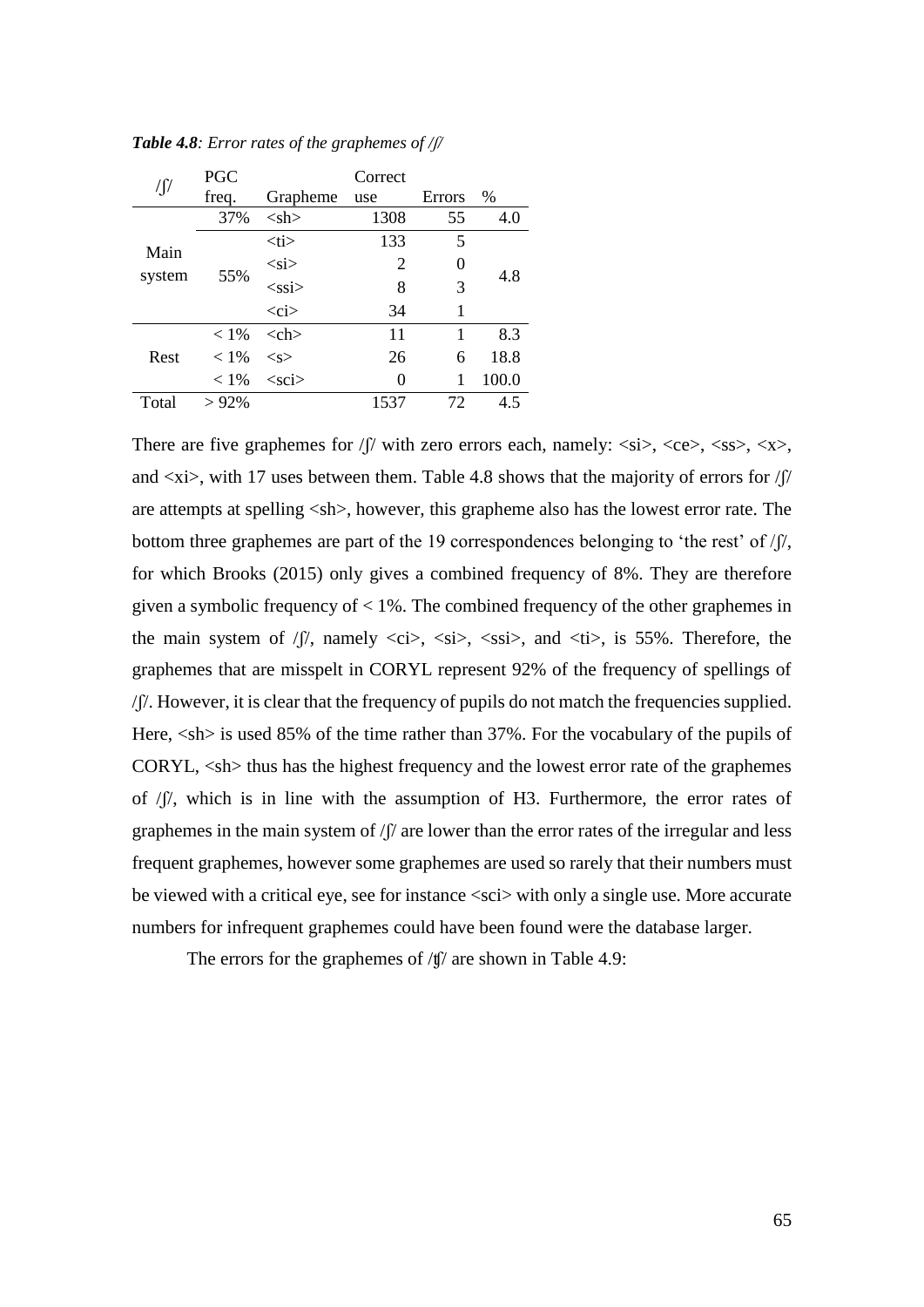|                | PGC     |               | Correct |        |       |  |
|----------------|---------|---------------|---------|--------|-------|--|
|                | freq.   | Grapheme      | use     | Errors | $\%$  |  |
|                | 37%     | $<$ sh $>$    | 1308    | 55     | 4.0   |  |
| Main<br>system | 55%     | <ti></ti>     | 133     | 5      |       |  |
|                |         | $<$ si $>$    | 2       |        | 4.8   |  |
|                |         | $<$ ssi $>$   | 8       | 3      |       |  |
|                |         | $\langle$ ci> | 34      | 1      |       |  |
|                | $< 1\%$ | $<$ ch $>$    | 11      | 1      | 8.3   |  |
| Rest           | $< 1\%$ | < s           | 26      | 6      | 18.8  |  |
|                | $< 1\%$ | $<$ sci $>$   | 0       | 1      | 100.0 |  |
| Total          | $>92\%$ |               | 1537    | 72     | 4.5   |  |

*Table 4.8: Error rates of the graphemes of /ʃ/*

There are five graphemes for  $\int \int$  with zero errors each, namely:  $\langle \sin \rangle$ ,  $\langle \cos \rangle$ ,  $\langle \sin \rangle$ ,  $\langle \cos \rangle$ ,  $\langle \sin \rangle$ , and  $\langle x \rangle$ , with 17 uses between them. Table 4.8 shows that the majority of errors for / $\beta$ are attempts at spelling <sh>, however, this grapheme also has the lowest error rate. The bottom three graphemes are part of the 19 correspondences belonging to 'the rest' of  $/$   $\beta$ ', for which Brooks (2015) only gives a combined frequency of 8%. They are therefore given a symbolic frequency of  $\lt 1\%$ . The combined frequency of the other graphemes in the main system of  $/$  $/$ , namely  $\langle$ ci $\rangle$ ,  $\langle$ si $\rangle$ ,  $\langle$ ssi $\rangle$ , and  $\langle$ ti $\rangle$ , is 55%. Therefore, the graphemes that are misspelt in CORYL represent 92% of the frequency of spellings of /ʃ/. However, it is clear that the frequency of pupils do not match the frequencies supplied. Here,  $\langle$ sh $>$  is used 85% of the time rather than 37%. For the vocabulary of the pupils of CORYL,  $\langle$ sh $>$  thus has the highest frequency and the lowest error rate of the graphemes of /ʃ/, which is in line with the assumption of H3. Furthermore, the error rates of graphemes in the main system of  $\int \int$  are lower than the error rates of the irregular and less frequent graphemes, however some graphemes are used so rarely that their numbers must be viewed with a critical eye, see for instance <sci> with only a single use. More accurate numbers for infrequent graphemes could have been found were the database larger.

The errors for the graphemes of  $\frac{f}{f}$  are shown in Table 4.9: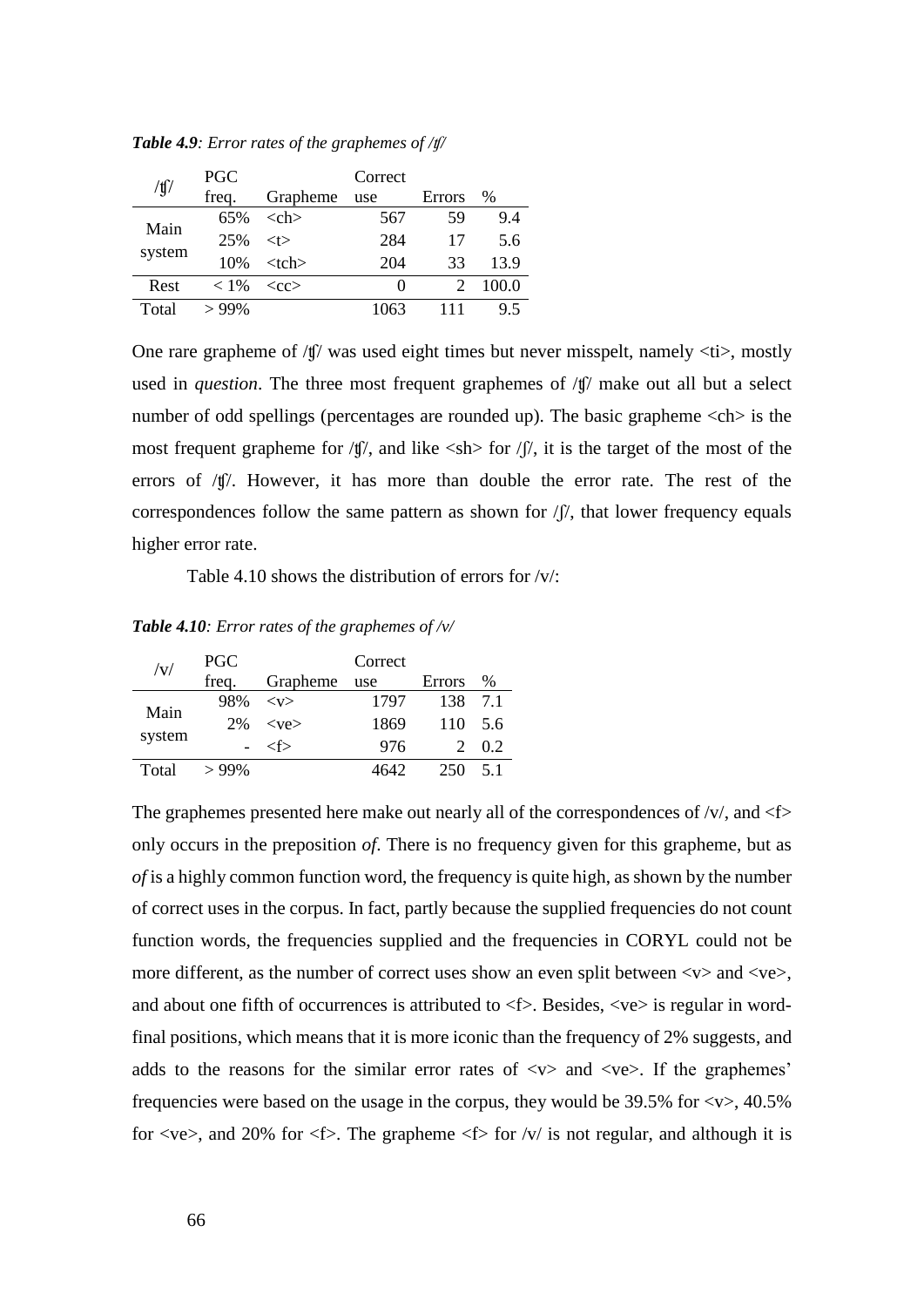| $/\text{f}$ | <b>PGC</b> |             | Correct      |                             |               |  |  |  |
|-------------|------------|-------------|--------------|-----------------------------|---------------|--|--|--|
|             | freq.      | Grapheme    | use          | Errors                      | $\frac{0}{0}$ |  |  |  |
| Main        | 65%        | $><$ ch $>$ | 567          | 59                          | 9.4           |  |  |  |
|             | 25%        | $<$ t $>$   | 284          | 17                          | 5.6           |  |  |  |
| system      | 10%        | $ctch$      | 204          | 33                          | 13.9          |  |  |  |
| Rest        | $< 1\%$    | $<$ cc $>$  | $\mathbf{0}$ | $\mathcal{D}_{\mathcal{L}}$ | 100.0         |  |  |  |
| Total       | $>99\%$    |             | 1063         |                             | 95            |  |  |  |

*Table 4.9: Error rates of the graphemes of /ʧ/*

One rare grapheme of  $/$ t $\frac{1}{2}$  was used eight times but never misspelt, namely  $\langle$ ti $\rangle$ , mostly used in *question*. The three most frequent graphemes of /t<sup> $\parallel$ </sup> make out all but a select number of odd spellings (percentages are rounded up). The basic grapheme  $\langle$ ch $>$  is the most frequent grapheme for  $\langle \mathbf{f} \rangle$ , and like  $\langle \mathbf{s} \rangle$  for  $\langle \mathbf{f} \rangle$ , it is the target of the most of the errors of /ʧ/. However, it has more than double the error rate. The rest of the correspondences follow the same pattern as shown for  $/f$ , that lower frequency equals higher error rate.

Table 4.10 shows the distribution of errors for /v/:

*Table 4.10: Error rates of the graphemes of /v/*

| $/{\rm v}/$    | <b>PGC</b> |            | Correct |                |               |  |  |
|----------------|------------|------------|---------|----------------|---------------|--|--|
|                | freq.      | Grapheme   | use     | Errors         | $\frac{0}{0}$ |  |  |
|                | 98%        | $<$ v $>$  | 1797    | 138            | 71            |  |  |
| Main<br>system | 2%         | $<$ ve $>$ | 1869    | 110            | - 5.6         |  |  |
|                |            | ∕f>        | 976     | $\overline{2}$ | 02            |  |  |
| Total          | $>99\%$    |            | 4642    | 250            | 51            |  |  |

The graphemes presented here make out nearly all of the correspondences of  $/v/$ , and  $\leq$  f> only occurs in the preposition *of*. There is no frequency given for this grapheme, but as *of* is a highly common function word, the frequency is quite high, as shown by the number of correct uses in the corpus. In fact, partly because the supplied frequencies do not count function words, the frequencies supplied and the frequencies in CORYL could not be more different, as the number of correct uses show an even split between  $\langle v \rangle$  and  $\langle v \rangle$ , and about one fifth of occurrences is attributed to  $\langle f \rangle$ . Besides,  $\langle ve \rangle$  is regular in wordfinal positions, which means that it is more iconic than the frequency of 2% suggests, and adds to the reasons for the similar error rates of  $\langle v \rangle$  and  $\langle v \rangle$ . If the graphemes' frequencies were based on the usage in the corpus, they would be  $39.5\%$  for  $\langle v \rangle$ ,  $40.5\%$ for  $\langle v \rangle$ , and 20% for  $\langle f \rangle$ . The grapheme  $\langle f \rangle$  for  $\langle v \rangle$  is not regular, and although it is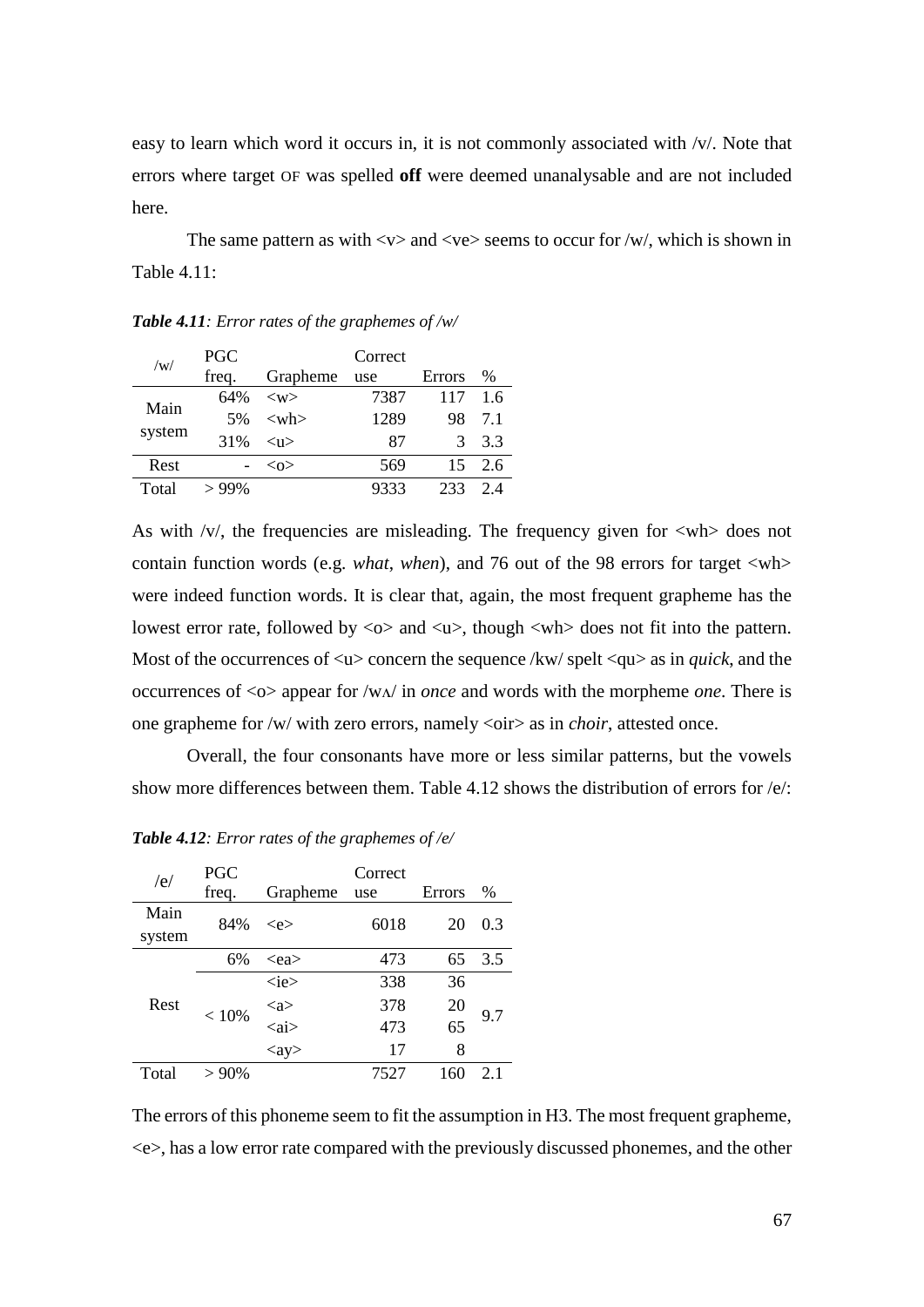easy to learn which word it occurs in, it is not commonly associated with /v/. Note that errors where target OF was spelled **off** were deemed unanalysable and are not included here.

The same pattern as with  $\langle v \rangle$  and  $\langle v \rangle$  seems to occur for /w/, which is shown in Table 4.11:

| /w/    | <b>PGC</b> |                  | Correct |        |    |  |  |  |
|--------|------------|------------------|---------|--------|----|--|--|--|
|        | freq.      | Grapheme         | use     | Errors | %  |  |  |  |
| Main   | 64%        | $<\!\omega\!\!>$ | 7387    | 117    | 16 |  |  |  |
| system | .5%        | $<$ wh $>$       | 1289    | 98     | 71 |  |  |  |
|        | 31%        | $11$             | 87      | 3      | 33 |  |  |  |
| Rest   |            | $<\!\!\infty$    | 569     | 15     | 26 |  |  |  |
| Total  | >99%       |                  | 9333    | 233    | 24 |  |  |  |

*Table 4.11: Error rates of the graphemes of /w/*

As with /v/, the frequencies are misleading. The frequency given for  $\langle$ wh $\rangle$  does not contain function words (e.g. *what*, *when*), and 76 out of the 98 errors for target <wh> were indeed function words. It is clear that, again, the most frequent grapheme has the lowest error rate, followed by  $\langle \circ \rangle$  and  $\langle u \rangle$ , though  $\langle \circ \circ \rangle$  does not fit into the pattern. Most of the occurrences of  $\langle u \rangle$  concern the sequence /kw/ spelt  $\langle qu \rangle$  as in *quick*, and the occurrences of <o> appear for /wʌ/ in *once* and words with the morpheme *one*. There is one grapheme for /w/ with zero errors, namely <oir> as in *choir*, attested once.

Overall, the four consonants have more or less similar patterns, but the vowels show more differences between them. Table 4.12 shows the distribution of errors for  $/e$ :

| /e/            | <b>PGC</b><br>freq. | Grapheme               | Correct<br>use | Errors | $\%$ |
|----------------|---------------------|------------------------|----------------|--------|------|
| Main<br>system | 84%                 | $\langle e \rangle$    | 6018           | 20     | 0.3  |
|                | 6%                  | $<$ ea $>$             | 473            | 65     | 3.5  |
|                | < 10%               | $\langle$ ie>          | 338            | 36     |      |
| Rest           |                     | $\langle$ a $\rangle$  | 378            | 20     | 9.7  |
|                |                     | $\langle ai \rangle$   | 473            | 65     |      |
|                |                     | $\langle$ ay $\rangle$ | 17             | 8      |      |
| Total          | $>90\%$             |                        | 7527           | 160    | 2.1  |

*Table 4.12: Error rates of the graphemes of /e/*

The errors of this phoneme seem to fit the assumption in H3. The most frequent grapheme, <e>, has a low error rate compared with the previously discussed phonemes, and the other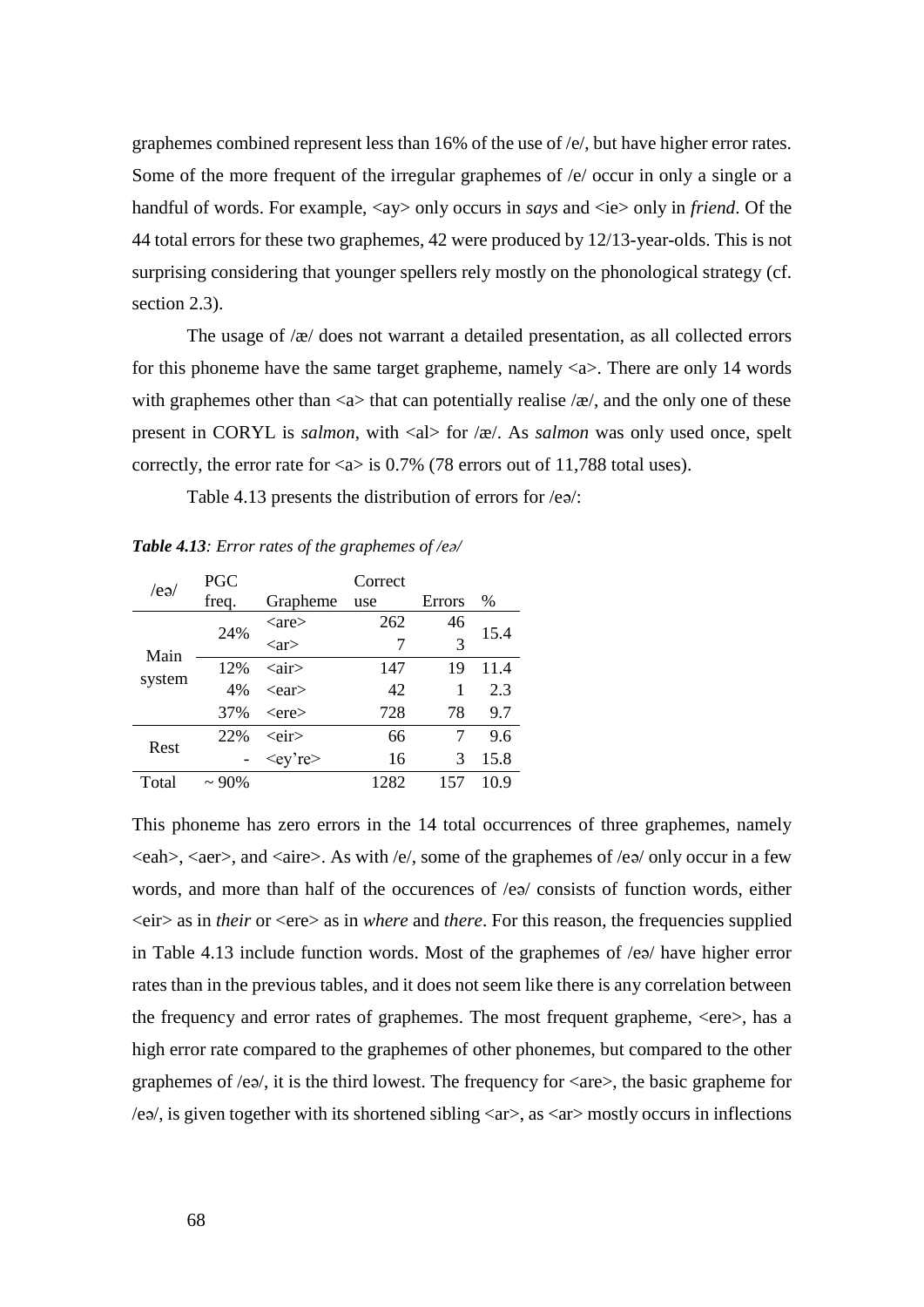graphemes combined represent less than 16% of the use of /e/, but have higher error rates. Some of the more frequent of the irregular graphemes of /e/ occur in only a single or a handful of words. For example,  $\langle ay \rangle$  only occurs in *says* and  $\langle ie \rangle$  only in *friend*. Of the 44 total errors for these two graphemes, 42 were produced by 12/13-year-olds. This is not surprising considering that younger spellers rely mostly on the phonological strategy (cf. section 2.3).

The usage of /æ/ does not warrant a detailed presentation, as all collected errors for this phoneme have the same target grapheme, namely  $\langle a \rangle$ . There are only 14 words with graphemes other than  $\langle a \rangle$  that can potentially realise  $\langle \alpha \rangle$ , and the only one of these present in CORYL is *salmon*, with <al> for /æ/. As *salmon* was only used once, spelt correctly, the error rate for  $\langle a \rangle$  is 0.7% (78 errors out of 11,788 total uses).

Table 4.13 presents the distribution of errors for /eə/:

*Table 4.13: Error rates of the graphemes of /eə/*

| /eə/   | PGC      |                         | Correct |        |      |
|--------|----------|-------------------------|---------|--------|------|
|        | freq.    | Grapheme                | use     | Errors | $\%$ |
| Main   | 24%      | $\langle$ are $\rangle$ | 262     | 46     |      |
|        |          | $\langle$ ar $\rangle$  | 7       | 3      | 15.4 |
|        | 12%      | $\langle air \rangle$   | 147     | 19     | 11.4 |
| system | 4%       | $\leq$ ear $>$          | 42      |        | 2.3  |
|        | 37%      | $<$ ere $>$             | 728     | 78     | 9.7  |
| Rest   | 22%      | <eir></eir>             | 66      |        | 9.6  |
|        |          | $<$ ey're $>$           | 16      | 3      | 15.8 |
| Total  | $~100\%$ |                         | 1282    | 157    | 10.9 |

This phoneme has zero errors in the 14 total occurrences of three graphemes, namely  $\langle$ eah>,  $\langle$ aer>, and  $\langle$ aire>. As with /e/, some of the graphemes of /eə/ only occur in a few words, and more than half of the occurences of /eə/ consists of function words, either <eir> as in *their* or <ere> as in *where* and *there*. For this reason, the frequencies supplied in Table 4.13 include function words. Most of the graphemes of /eə/ have higher error rates than in the previous tables, and it does not seem like there is any correlation between the frequency and error rates of graphemes. The most frequent grapheme, <ere>, has a high error rate compared to the graphemes of other phonemes, but compared to the other graphemes of /eə/, it is the third lowest. The frequency for  $\langle$ are $\rangle$ , the basic grapheme for  $/e\varphi$ , is given together with its shortened sibling  $\langle ar \rangle$ , as  $\langle ar \rangle$  mostly occurs in inflections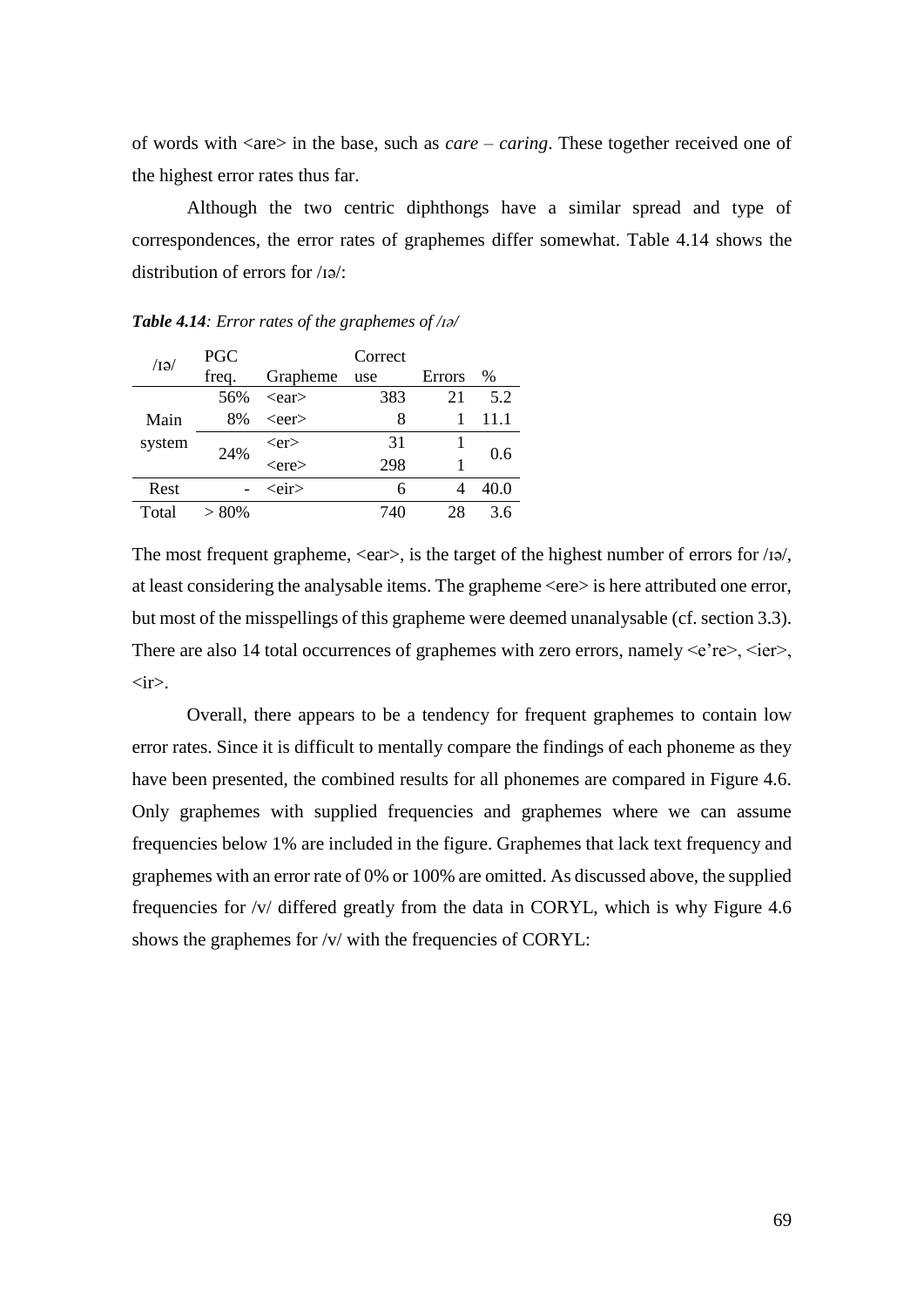of words with <are> in the base, such as *care* – *caring*. These together received one of the highest error rates thus far.

Although the two centric diphthongs have a similar spread and type of correspondences, the error rates of graphemes differ somewhat. Table 4.14 shows the distribution of errors for /ɪə/:

| $\overline{AB}$ | <b>PGC</b> | Correct     |     |        |      |  |  |  |  |
|-----------------|------------|-------------|-----|--------|------|--|--|--|--|
|                 | freq.      | Grapheme    | use | Errors | $\%$ |  |  |  |  |
|                 | 56%        | $<$ ear $>$ | 383 | 21     | 5.2  |  |  |  |  |
| Main            | 8%         | $<$ eer $>$ | 8   |        | 11.1 |  |  |  |  |
| system          | 24%        | $<$ er $>$  | 31  |        | 0.6  |  |  |  |  |
|                 |            | $<$ ere $>$ | 298 |        |      |  |  |  |  |
| Rest            |            | <eir></eir> | 6   |        | 40.0 |  |  |  |  |
| Total           | > 80%      |             | 740 | 28     | 36   |  |  |  |  |

*Table 4.14: Error rates of the graphemes of /ɪə/*

The most frequent grapheme,  $\langle$ ear $\rangle$ , is the target of the highest number of errors for /ɪə/, at least considering the analysable items. The grapheme <ere> is here attributed one error, but most of the misspellings of this grapheme were deemed unanalysable (cf. section 3.3). There are also 14 total occurrences of graphemes with zero errors, namely  $\leq e$ 're $\geq$ ,  $\leq$ ier $\geq$ ,  $\langle$ ir $\rangle$ .

Overall, there appears to be a tendency for frequent graphemes to contain low error rates. Since it is difficult to mentally compare the findings of each phoneme as they have been presented, the combined results for all phonemes are compared in Figure 4.6. Only graphemes with supplied frequencies and graphemes where we can assume frequencies below 1% are included in the figure. Graphemes that lack text frequency and graphemes with an error rate of 0% or 100% are omitted. As discussed above, the supplied frequencies for /v/ differed greatly from the data in CORYL, which is why Figure 4.6 shows the graphemes for /v/ with the frequencies of CORYL: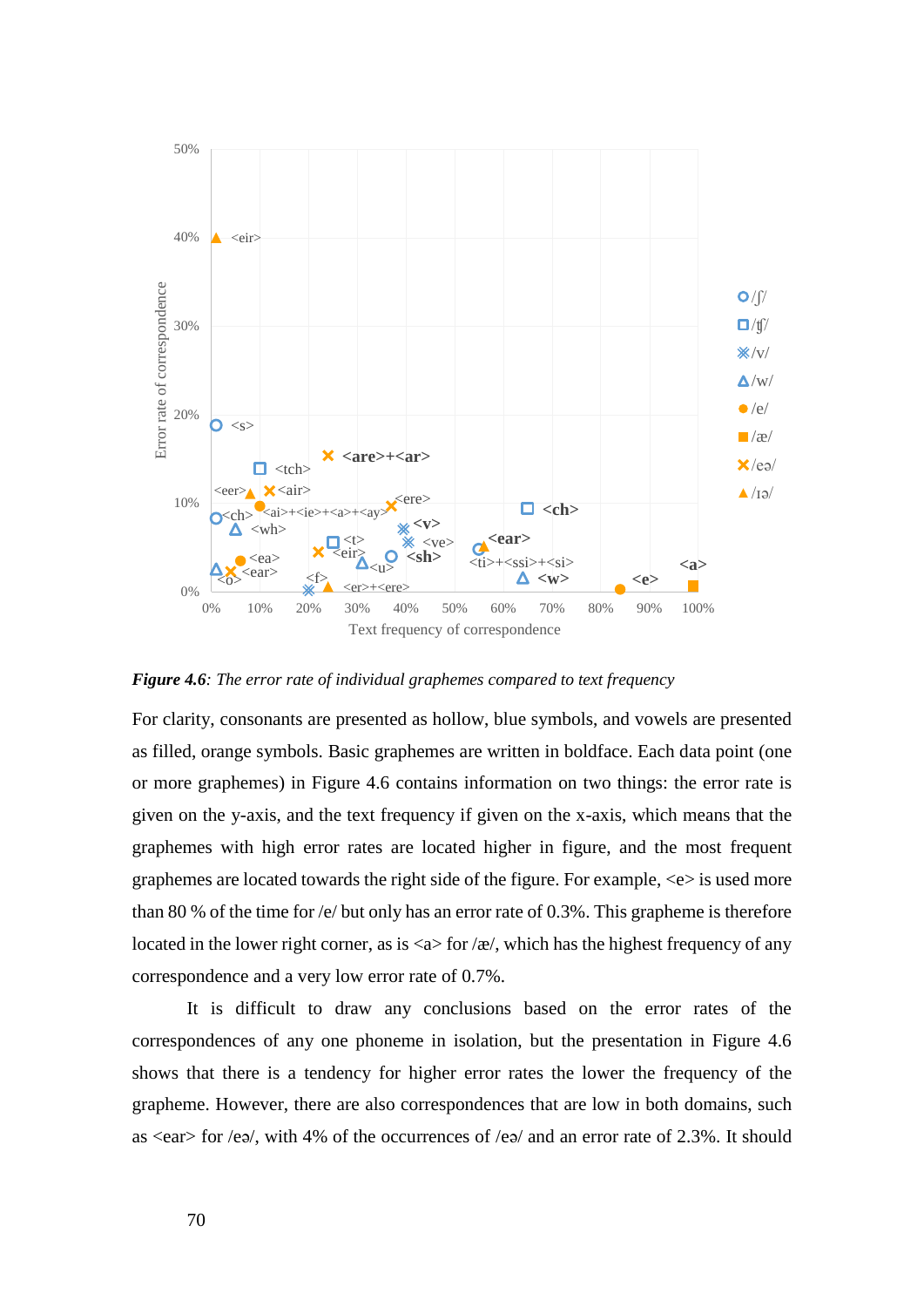

*Figure 4.6: The error rate of individual graphemes compared to text frequency*

For clarity, consonants are presented as hollow, blue symbols, and vowels are presented as filled, orange symbols. Basic graphemes are written in boldface. Each data point (one or more graphemes) in Figure 4.6 contains information on two things: the error rate is given on the y-axis, and the text frequency if given on the x-axis, which means that the graphemes with high error rates are located higher in figure, and the most frequent graphemes are located towards the right side of the figure. For example, <e> is used more than 80 % of the time for /e/ but only has an error rate of 0.3%. This grapheme is therefore located in the lower right corner, as is  $\langle a \rangle$  for  $\langle \alpha \rangle$ , which has the highest frequency of any correspondence and a very low error rate of 0.7%.

It is difficult to draw any conclusions based on the error rates of the correspondences of any one phoneme in isolation, but the presentation in Figure 4.6 shows that there is a tendency for higher error rates the lower the frequency of the grapheme. However, there are also correspondences that are low in both domains, such as  $\le$ ear $>$  for /e $\ge$ /, with 4% of the occurrences of /e $\ge$ / and an error rate of 2.3%. It should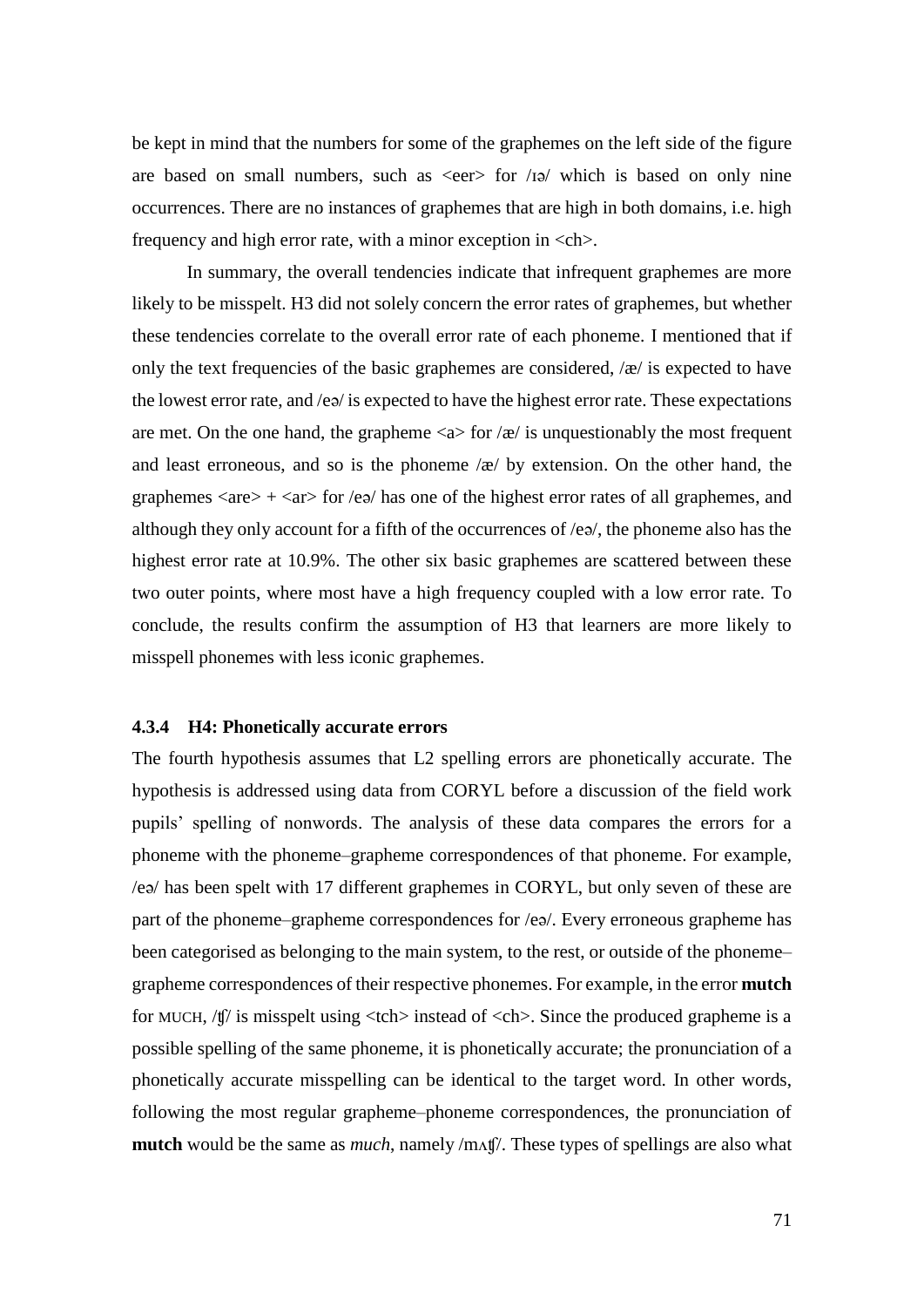be kept in mind that the numbers for some of the graphemes on the left side of the figure are based on small numbers, such as  $\langle$ eer $\rangle$  for  $/$ i $\rho$  which is based on only nine occurrences. There are no instances of graphemes that are high in both domains, i.e. high frequency and high error rate, with a minor exception in  $\langle ch \rangle$ .

In summary, the overall tendencies indicate that infrequent graphemes are more likely to be misspelt. H3 did not solely concern the error rates of graphemes, but whether these tendencies correlate to the overall error rate of each phoneme. I mentioned that if only the text frequencies of the basic graphemes are considered,  $\alpha$  is expected to have the lowest error rate, and  $\ell e\vartheta$  is expected to have the highest error rate. These expectations are met. On the one hand, the grapheme  $\langle a \rangle$  for  $\langle \alpha \rangle$  is unquestionably the most frequent and least erroneous, and so is the phoneme /æ/ by extension. On the other hand, the graphemes  $\langle are \rangle$  +  $\langle are \rangle$  for  $\langle ee \rangle$  has one of the highest error rates of all graphemes, and although they only account for a fifth of the occurrences of /eə/, the phoneme also has the highest error rate at 10.9%. The other six basic graphemes are scattered between these two outer points, where most have a high frequency coupled with a low error rate. To conclude, the results confirm the assumption of H3 that learners are more likely to misspell phonemes with less iconic graphemes.

### **4.3.4 H4: Phonetically accurate errors**

The fourth hypothesis assumes that L2 spelling errors are phonetically accurate. The hypothesis is addressed using data from CORYL before a discussion of the field work pupils' spelling of nonwords. The analysis of these data compares the errors for a phoneme with the phoneme–grapheme correspondences of that phoneme. For example, /eə/ has been spelt with 17 different graphemes in CORYL, but only seven of these are part of the phoneme–grapheme correspondences for /eə/. Every erroneous grapheme has been categorised as belonging to the main system, to the rest, or outside of the phoneme– grapheme correspondences of their respective phonemes. For example, in the error **mutch** for MUCH,  $/f\llbracket$  is misspelt using <tch> instead of <ch>. Since the produced grapheme is a possible spelling of the same phoneme, it is phonetically accurate; the pronunciation of a phonetically accurate misspelling can be identical to the target word. In other words, following the most regular grapheme–phoneme correspondences, the pronunciation of **mutch** would be the same as *much*, namely /mʌʧ/. These types of spellings are also what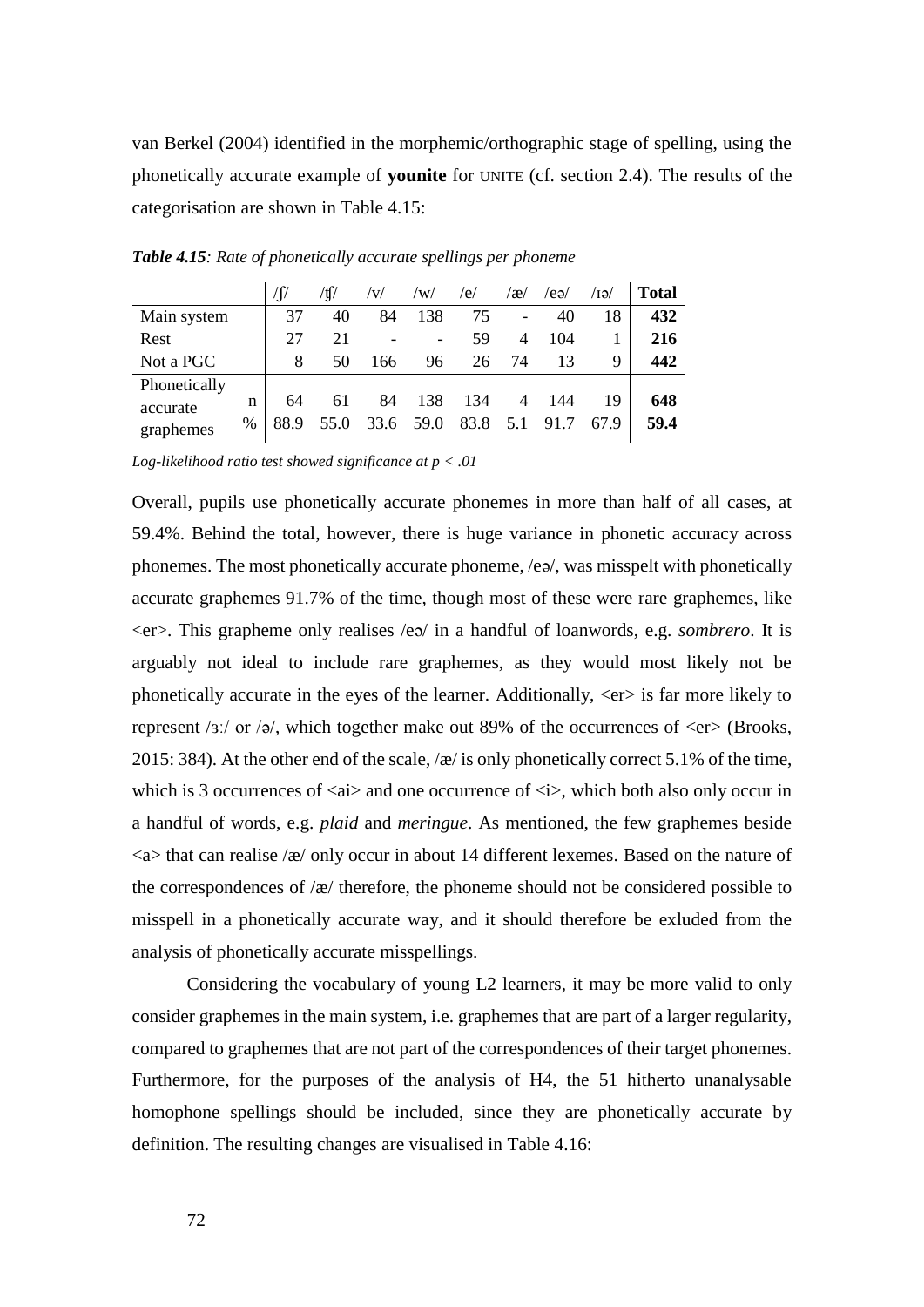van Berkel (2004) identified in the morphemic/orthographic stage of spelling, using the phonetically accurate example of **younite** for UNITE (cf. section 2.4). The results of the categorisation are shown in Table 4.15:

|              |   | 'ſ   |      | /V/  | /w/  | /e/  | $\alpha$ | /eə/ | /ы/  | <b>Total</b> |
|--------------|---|------|------|------|------|------|----------|------|------|--------------|
| Main system  |   | 37   | 40   | 84   | 138  | 75   | -        | 40   | 18   | 432          |
| Rest         |   | 27   | 21   |      |      | 59   | 4        | 104  |      | 216          |
| Not a PGC    |   | 8    | 50   | 166  | 96   | 26   | 74       | 13   | 9    | 442          |
| Phonetically |   |      |      |      |      |      |          |      |      |              |
| accurate     | n | 64   | 61   | 84   | 138  | 134  | 4        | 144  | 19   | 648          |
| graphemes    | % | 88.9 | 55.0 | 33.6 | 59.0 | 83.8 | 5.1      | 91.7 | 67.9 | 59.4         |

*Table 4.15: Rate of phonetically accurate spellings per phoneme*

*Log-likelihood ratio test showed significance at p < .01*

Overall, pupils use phonetically accurate phonemes in more than half of all cases, at 59.4%. Behind the total, however, there is huge variance in phonetic accuracy across phonemes. The most phonetically accurate phoneme, /eə/, was misspelt with phonetically accurate graphemes 91.7% of the time, though most of these were rare graphemes, like <er>. This grapheme only realises /eə/ in a handful of loanwords, e.g. *sombrero*. It is arguably not ideal to include rare graphemes, as they would most likely not be phonetically accurate in the eyes of the learner. Additionally, <er> is far more likely to represent /ɜː/ or /ə/, which together make out 89% of the occurrences of  $\langle$ er $\rangle$  (Brooks, 2015: 384). At the other end of the scale,  $\alpha$  is only phonetically correct 5.1% of the time, which is 3 occurrences of  $\langle ai \rangle$  and one occurrence of  $\langle i \rangle$ , which both also only occur in a handful of words, e.g. *plaid* and *meringue*. As mentioned, the few graphemes beside  $\langle a \rangle$  that can realise  $\langle a \rangle$  only occur in about 14 different lexemes. Based on the nature of the correspondences of /æ/ therefore, the phoneme should not be considered possible to misspell in a phonetically accurate way, and it should therefore be exluded from the analysis of phonetically accurate misspellings.

Considering the vocabulary of young L2 learners, it may be more valid to only consider graphemes in the main system, i.e. graphemes that are part of a larger regularity, compared to graphemes that are not part of the correspondences of their target phonemes. Furthermore, for the purposes of the analysis of H4, the 51 hitherto unanalysable homophone spellings should be included, since they are phonetically accurate by definition. The resulting changes are visualised in Table 4.16: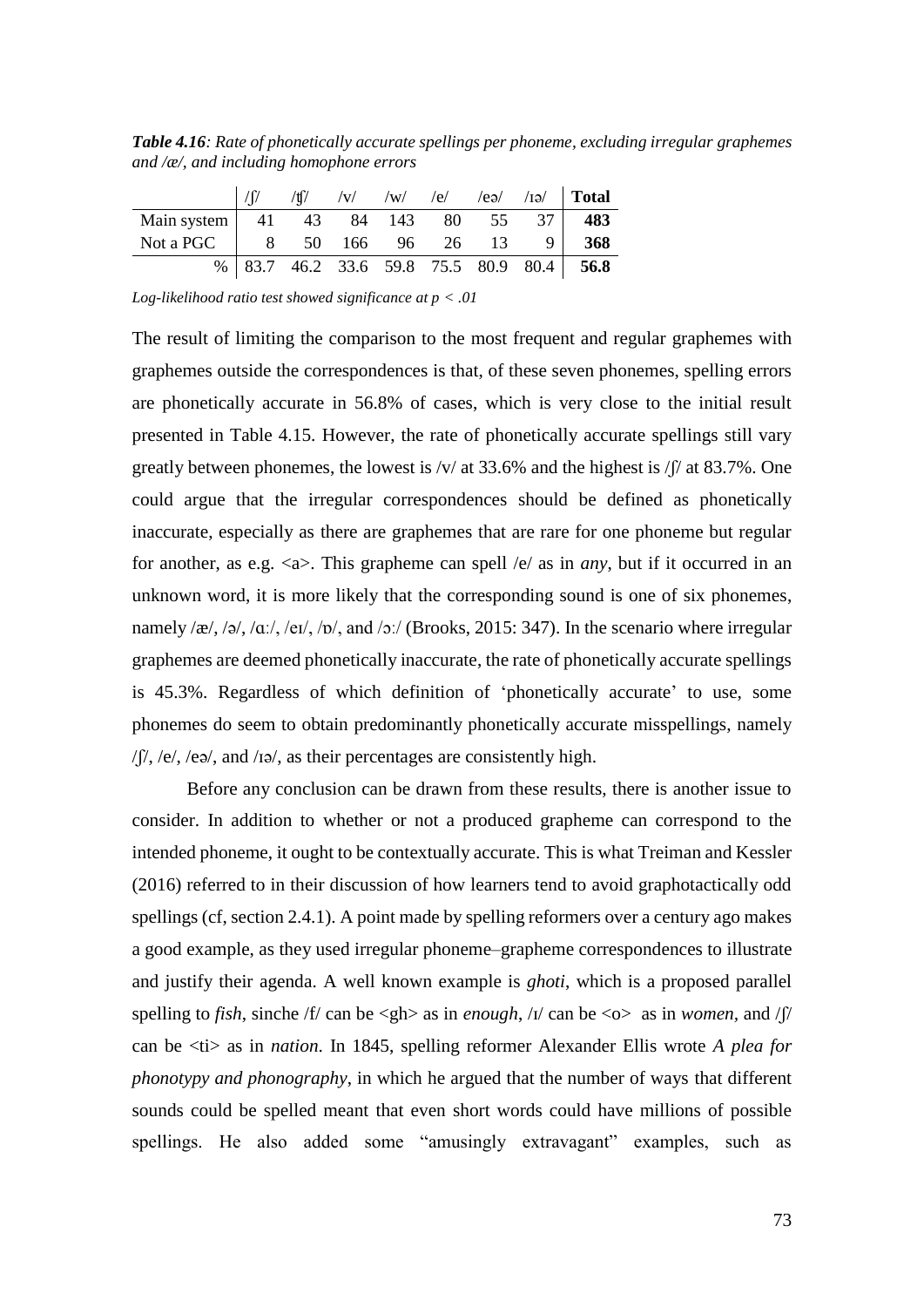*Table 4.16: Rate of phonetically accurate spellings per phoneme, excluding irregular graphemes and /æ/, and including homophone errors*

|                                         | /tf |                   |  |  | $\sqrt{v}$ $\sqrt{w}$ /e/ /ea/ /1a/ <b>Total</b> |
|-----------------------------------------|-----|-------------------|--|--|--------------------------------------------------|
| Main system   41 43 84 143 80 55 37 483 |     |                   |  |  |                                                  |
| Not a PGC                               |     | 8 50 166 96 26 13 |  |  | 368                                              |
|                                         |     |                   |  |  | $\%$ 83.7 46.2 33.6 59.8 75.5 80.9 80.4 56.8     |

*Log-likelihood ratio test showed significance at p < .01*

The result of limiting the comparison to the most frequent and regular graphemes with graphemes outside the correspondences is that, of these seven phonemes, spelling errors are phonetically accurate in 56.8% of cases, which is very close to the initial result presented in Table 4.15. However, the rate of phonetically accurate spellings still vary greatly between phonemes, the lowest is  $/v/$  at 33.6% and the highest is  $/f/$  at 83.7%. One could argue that the irregular correspondences should be defined as phonetically inaccurate, especially as there are graphemes that are rare for one phoneme but regular for another, as e.g. <a>. This grapheme can spell /e/ as in *any*, but if it occurred in an unknown word, it is more likely that the corresponding sound is one of six phonemes, namely /æ/, /ə/, /ɑː/, /eɪ/, /ɒ/, and /ɔː/ (Brooks, 2015: 347). In the scenario where irregular graphemes are deemed phonetically inaccurate, the rate of phonetically accurate spellings is 45.3%. Regardless of which definition of 'phonetically accurate' to use, some phonemes do seem to obtain predominantly phonetically accurate misspellings, namely  $/$ f $/$ ,  $/$ e $/$ ,  $/$ e $/$ , and  $/$ i $\Rightarrow$  $/$ , as their percentages are consistently high.

Before any conclusion can be drawn from these results, there is another issue to consider. In addition to whether or not a produced grapheme can correspond to the intended phoneme, it ought to be contextually accurate. This is what Treiman and Kessler (2016) referred to in their discussion of how learners tend to avoid graphotactically odd spellings (cf, section 2.4.1). A point made by spelling reformers over a century ago makes a good example, as they used irregular phoneme–grapheme correspondences to illustrate and justify their agenda. A well known example is *ghoti*, which is a proposed parallel spelling to *fish*, sinche /f/ can be <gh> as in *enough*, /ɪ/ can be <o> as in *women,* and /ʃ/ can be <ti> as in *nation*. In 1845, spelling reformer Alexander Ellis wrote *A plea for phonotypy and phonography*, in which he argued that the number of ways that different sounds could be spelled meant that even short words could have millions of possible spellings. He also added some "amusingly extravagant" examples, such as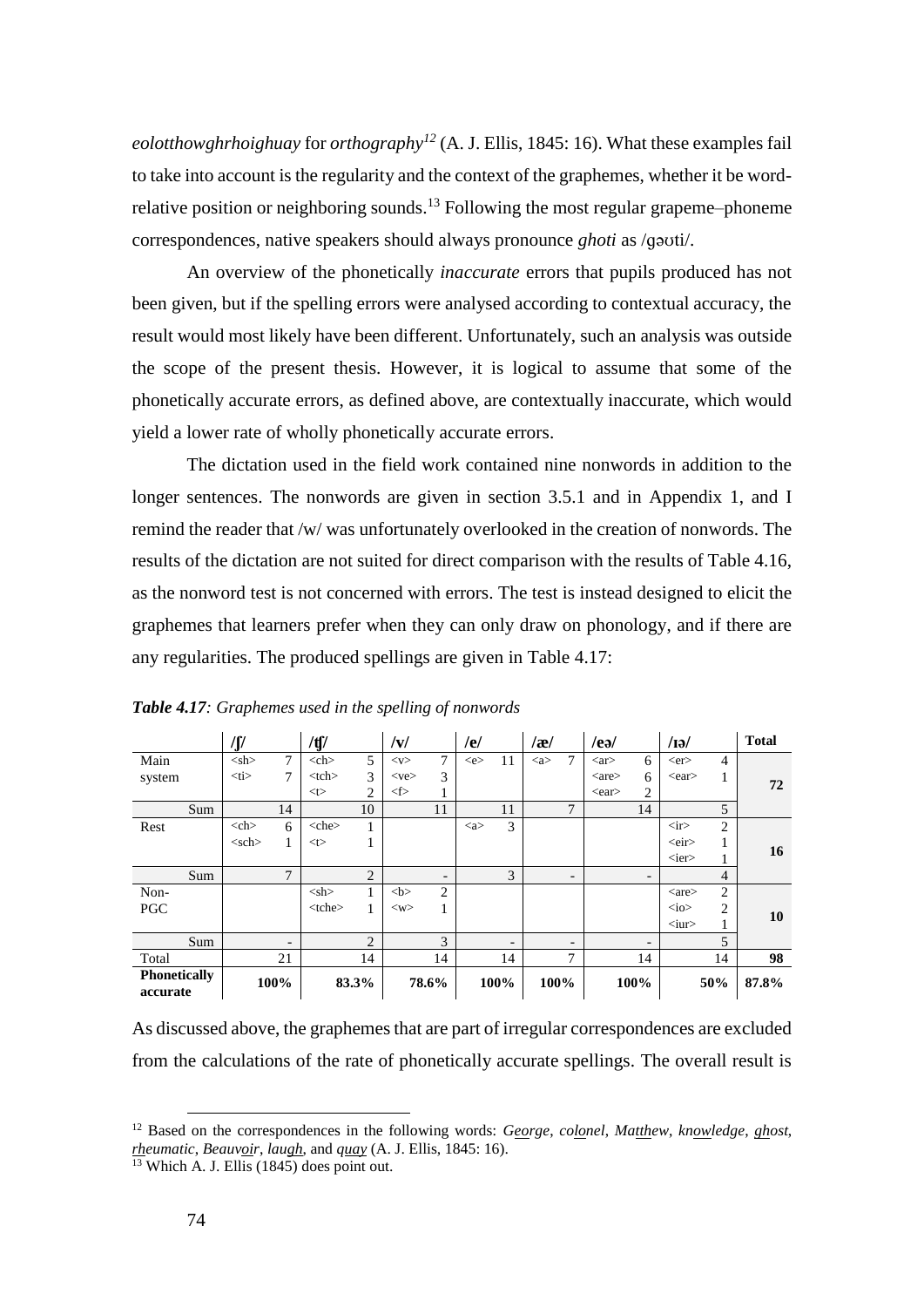*eolotthowghrhoighuay* for *orthography<sup>12</sup>* (A. J. Ellis, 1845: 16). What these examples fail to take into account is the regularity and the context of the graphemes, whether it be wordrelative position or neighboring sounds.<sup>13</sup> Following the most regular grapeme–phoneme correspondences, native speakers should always pronounce *ghoti* as /ɡəʊti/.

An overview of the phonetically *inaccurate* errors that pupils produced has not been given, but if the spelling errors were analysed according to contextual accuracy, the result would most likely have been different. Unfortunately, such an analysis was outside the scope of the present thesis. However, it is logical to assume that some of the phonetically accurate errors, as defined above, are contextually inaccurate, which would yield a lower rate of wholly phonetically accurate errors.

The dictation used in the field work contained nine nonwords in addition to the longer sentences. The nonwords are given in section 3.5.1 and in Appendix 1, and I remind the reader that /w/ was unfortunately overlooked in the creation of nonwords. The results of the dictation are not suited for direct comparison with the results of Table 4.16, as the nonword test is not concerned with errors. The test is instead designed to elicit the graphemes that learners prefer when they can only draw on phonology, and if there are any regularities. The produced spellings are given in Table 4.17:

|                                 | /∬          |                   | /tʃ/            |                | v                          |                          | /e/                   |                          | /æ/                   |        | $/$ ea $/$             |                          | $\sqrt{13}$                  |                | <b>Total</b>   |  |
|---------------------------------|-------------|-------------------|-----------------|----------------|----------------------------|--------------------------|-----------------------|--------------------------|-----------------------|--------|------------------------|--------------------------|------------------------------|----------------|----------------|--|
| Main                            | $<$ sh $>$  | 7                 | $<$ ch $>$      | 5              | $<$ v $>$                  | 7                        | $\ll$ e $>$           | 11                       | $\langle$ a $\rangle$ | $\tau$ | $\langle$ ar $\rangle$ | 6                        | $<$ er $>$                   | 4              |                |  |
| system                          | $<$ ti $>$  | 7                 | <br><th></th>   |                | 3                          | $<$ ve $>$               | 3                     |                          |                       |        |                        | $\langle$ are $\rangle$  | 6                            | $<$ ear $>$    |                |  |
|                                 |             |                   | < t             | 2              | $\textcircled{\texttt{f}}$ |                          |                       |                          |                       |        | $<$ ear $>$            | $\overline{2}$           |                              |                | 72             |  |
| Sum                             |             | 14                |                 | 10             |                            | 11                       |                       | 11                       |                       | 7      |                        | 14                       |                              | 5              |                |  |
| Rest                            | $<$ ch $>$  | 6                 | <br><the></the> | 1.             |                            |                          | $\langle$ a $\rangle$ | 3                        |                       |        |                        |                          | $\langle$ ir $>$             | $\overline{c}$ |                |  |
|                                 | $<$ sch $>$ | 1                 | < t             |                |                            |                          |                       |                          |                       |        |                        |                          | <eir></eir>                  |                |                |  |
|                                 |             |                   |                 |                |                            |                          |                       |                          |                       |        |                        |                          | $\langle$ ier $>$            |                | 16             |  |
| Sum                             |             | $\mathcal{I}$     |                 | $\overline{2}$ |                            | $\overline{\phantom{0}}$ |                       | 3                        |                       | -      |                        | $\overline{\phantom{a}}$ |                              | $\overline{4}$ |                |  |
| Non-                            |             |                   | $<$ sh $>$      | 1              | <br><b>ob</b>              | $\overline{c}$           |                       |                          |                       |        |                        |                          | $\langle$ are $\rangle$      | 2              |                |  |
| PGC                             |             |                   | <br><th>e</th>  | e              | 1                          | $<\!\!w\!\!>$            |                       |                          |                       |        |                        |                          |                              | $\text{10}$    | $\overline{c}$ |  |
|                                 |             |                   |                 |                |                            |                          |                       |                          |                       |        |                        |                          | $\langle \text{uur} \rangle$ |                | 10             |  |
| Sum                             |             | $\qquad \qquad -$ |                 | $\overline{2}$ |                            | 3                        |                       | $\overline{\phantom{a}}$ |                       | -      |                        | $\overline{\phantom{0}}$ |                              | 5              |                |  |
| Total                           |             | 21                |                 | 14             |                            | 14                       |                       | 14                       |                       | 7      |                        | 14                       |                              | 14             | 98             |  |
| <b>Phonetically</b><br>accurate |             | 100%              |                 | 83.3%          |                            | 78.6%                    |                       | 100%                     | 100%                  |        |                        | 100%                     |                              | 50%            | 87.8%          |  |

*Table 4.17: Graphemes used in the spelling of nonwords*

As discussed above, the graphemes that are part of irregular correspondences are excluded from the calculations of the rate of phonetically accurate spellings. The overall result is

 $\overline{a}$ 

<sup>12</sup> Based on the correspondences in the following words: *George*, *colonel*, *Matthew*, *knowledge*, *ghost*, *rheumatic*, *Beauvoir*, *laugh*, and *quay* (A. J. Ellis, 1845: 16).

 $\frac{13}{13}$  Which A. J. Ellis (1845) does point out.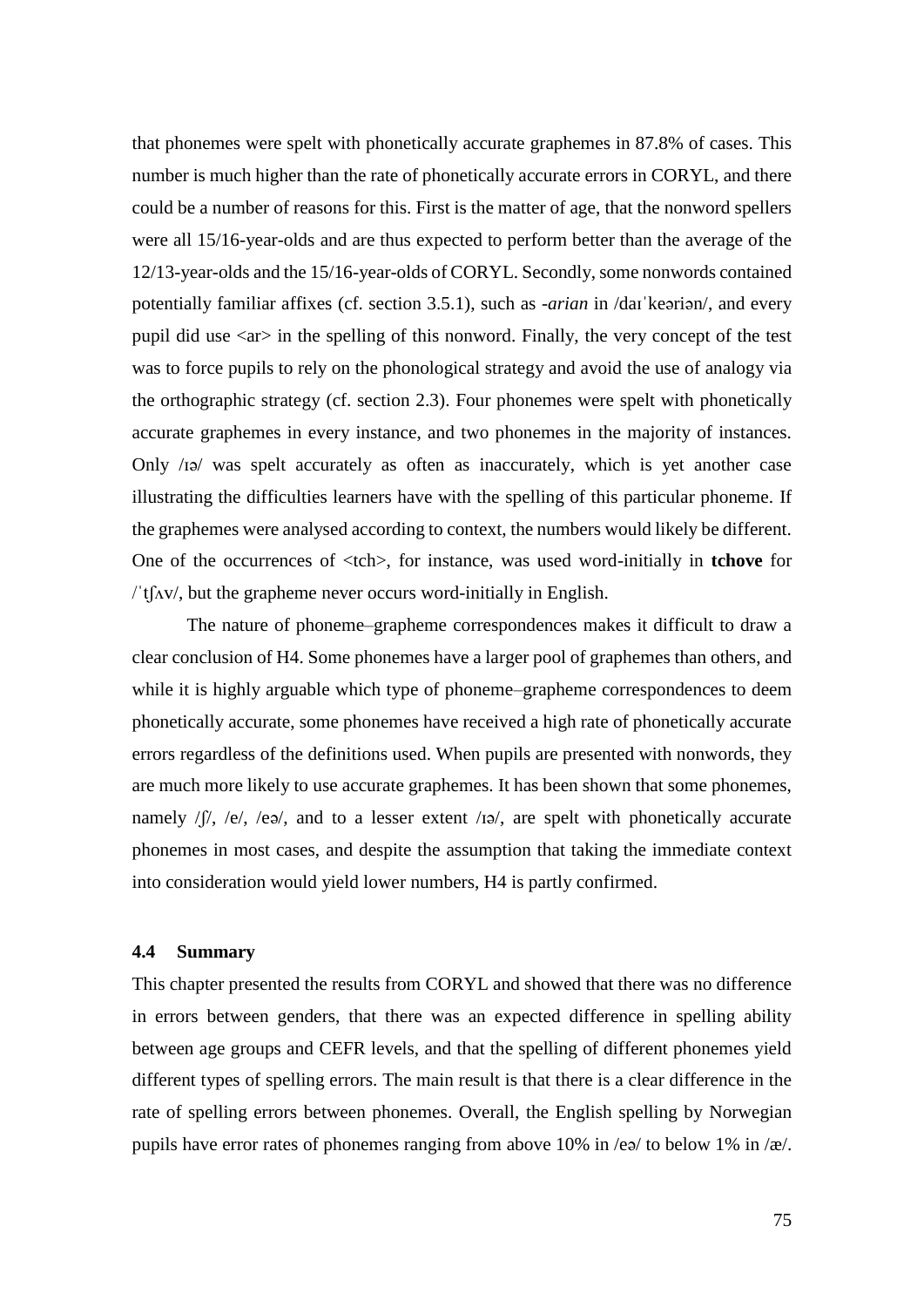that phonemes were spelt with phonetically accurate graphemes in 87.8% of cases. This number is much higher than the rate of phonetically accurate errors in CORYL, and there could be a number of reasons for this. First is the matter of age, that the nonword spellers were all 15/16-year-olds and are thus expected to perform better than the average of the 12/13-year-olds and the 15/16-year-olds of CORYL. Secondly, some nonwords contained potentially familiar affixes (cf. section 3.5.1), such as -*arian* in /daɪˈkeəriən/, and every pupil did use  $\langle ar \rangle$  in the spelling of this nonword. Finally, the very concept of the test was to force pupils to rely on the phonological strategy and avoid the use of analogy via the orthographic strategy (cf. section 2.3). Four phonemes were spelt with phonetically accurate graphemes in every instance, and two phonemes in the majority of instances. Only /ɪə/ was spelt accurately as often as inaccurately, which is yet another case illustrating the difficulties learners have with the spelling of this particular phoneme. If the graphemes were analysed according to context, the numbers would likely be different. One of the occurrences of <tch>, for instance, was used word-initially in **tchove** for  $\ell$ t $\int$ ( $\Delta v$ , but the grapheme never occurs word-initially in English.

The nature of phoneme–grapheme correspondences makes it difficult to draw a clear conclusion of H4. Some phonemes have a larger pool of graphemes than others, and while it is highly arguable which type of phoneme–grapheme correspondences to deem phonetically accurate, some phonemes have received a high rate of phonetically accurate errors regardless of the definitions used. When pupils are presented with nonwords, they are much more likely to use accurate graphemes. It has been shown that some phonemes, namely  $/$ f $/$ ,  $/$ e $/$ ,  $/$ e $/$ , and to a lesser extent  $/$ i $\approx$ , are spelt with phonetically accurate phonemes in most cases, and despite the assumption that taking the immediate context into consideration would yield lower numbers, H4 is partly confirmed.

### **4.4 Summary**

This chapter presented the results from CORYL and showed that there was no difference in errors between genders, that there was an expected difference in spelling ability between age groups and CEFR levels, and that the spelling of different phonemes yield different types of spelling errors. The main result is that there is a clear difference in the rate of spelling errors between phonemes. Overall, the English spelling by Norwegian pupils have error rates of phonemes ranging from above 10% in /eə/ to below 1% in /æ/.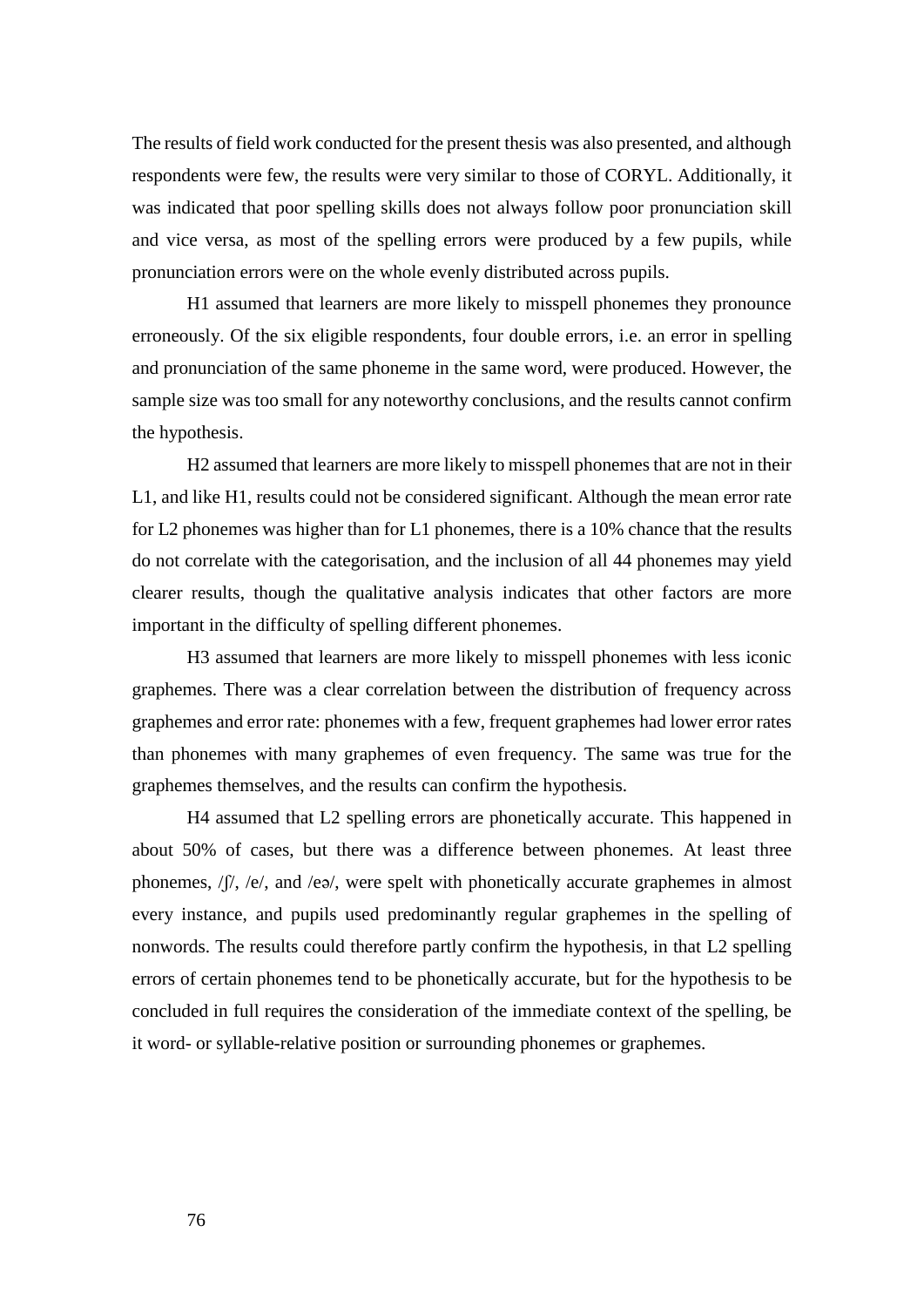The results of field work conducted for the present thesis was also presented, and although respondents were few, the results were very similar to those of CORYL. Additionally, it was indicated that poor spelling skills does not always follow poor pronunciation skill and vice versa, as most of the spelling errors were produced by a few pupils, while pronunciation errors were on the whole evenly distributed across pupils.

H1 assumed that learners are more likely to misspell phonemes they pronounce erroneously. Of the six eligible respondents, four double errors, i.e. an error in spelling and pronunciation of the same phoneme in the same word, were produced. However, the sample size was too small for any noteworthy conclusions, and the results cannot confirm the hypothesis.

H2 assumed that learners are more likely to misspell phonemes that are not in their L1, and like H1, results could not be considered significant. Although the mean error rate for L2 phonemes was higher than for L1 phonemes, there is a 10% chance that the results do not correlate with the categorisation, and the inclusion of all 44 phonemes may yield clearer results, though the qualitative analysis indicates that other factors are more important in the difficulty of spelling different phonemes.

H3 assumed that learners are more likely to misspell phonemes with less iconic graphemes. There was a clear correlation between the distribution of frequency across graphemes and error rate: phonemes with a few, frequent graphemes had lower error rates than phonemes with many graphemes of even frequency. The same was true for the graphemes themselves, and the results can confirm the hypothesis.

H4 assumed that L2 spelling errors are phonetically accurate. This happened in about 50% of cases, but there was a difference between phonemes. At least three phonemes, /ʃ/, /e/, and /eə/, were spelt with phonetically accurate graphemes in almost every instance, and pupils used predominantly regular graphemes in the spelling of nonwords. The results could therefore partly confirm the hypothesis, in that L2 spelling errors of certain phonemes tend to be phonetically accurate, but for the hypothesis to be concluded in full requires the consideration of the immediate context of the spelling, be it word- or syllable-relative position or surrounding phonemes or graphemes.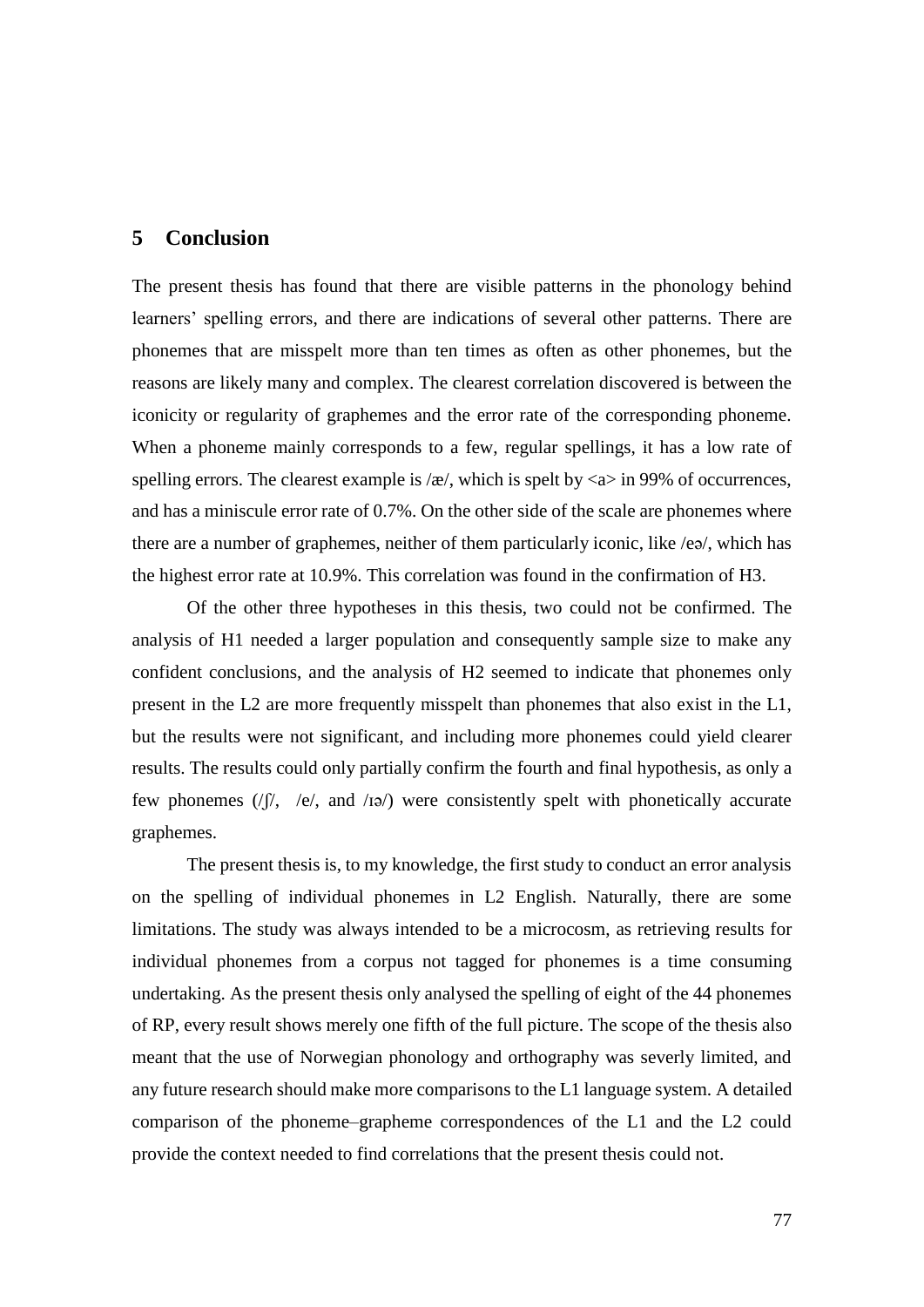### **5 Conclusion**

The present thesis has found that there are visible patterns in the phonology behind learners' spelling errors, and there are indications of several other patterns. There are phonemes that are misspelt more than ten times as often as other phonemes, but the reasons are likely many and complex. The clearest correlation discovered is between the iconicity or regularity of graphemes and the error rate of the corresponding phoneme. When a phoneme mainly corresponds to a few, regular spellings, it has a low rate of spelling errors. The clearest example is  $\alpha$ , which is spelt by  $\alpha$  in 99% of occurrences, and has a miniscule error rate of 0.7%. On the other side of the scale are phonemes where there are a number of graphemes, neither of them particularly iconic, like /eə/, which has the highest error rate at 10.9%. This correlation was found in the confirmation of H3.

Of the other three hypotheses in this thesis, two could not be confirmed. The analysis of H1 needed a larger population and consequently sample size to make any confident conclusions, and the analysis of H2 seemed to indicate that phonemes only present in the L2 are more frequently misspelt than phonemes that also exist in the L1, but the results were not significant, and including more phonemes could yield clearer results. The results could only partially confirm the fourth and final hypothesis, as only a few phonemes  $(|f|, |e|, \text{ and } |i\rangle)$  were consistently spelt with phonetically accurate graphemes.

The present thesis is, to my knowledge, the first study to conduct an error analysis on the spelling of individual phonemes in L2 English. Naturally, there are some limitations. The study was always intended to be a microcosm, as retrieving results for individual phonemes from a corpus not tagged for phonemes is a time consuming undertaking. As the present thesis only analysed the spelling of eight of the 44 phonemes of RP, every result shows merely one fifth of the full picture. The scope of the thesis also meant that the use of Norwegian phonology and orthography was severly limited, and any future research should make more comparisons to the L1 language system. A detailed comparison of the phoneme–grapheme correspondences of the L1 and the L2 could provide the context needed to find correlations that the present thesis could not.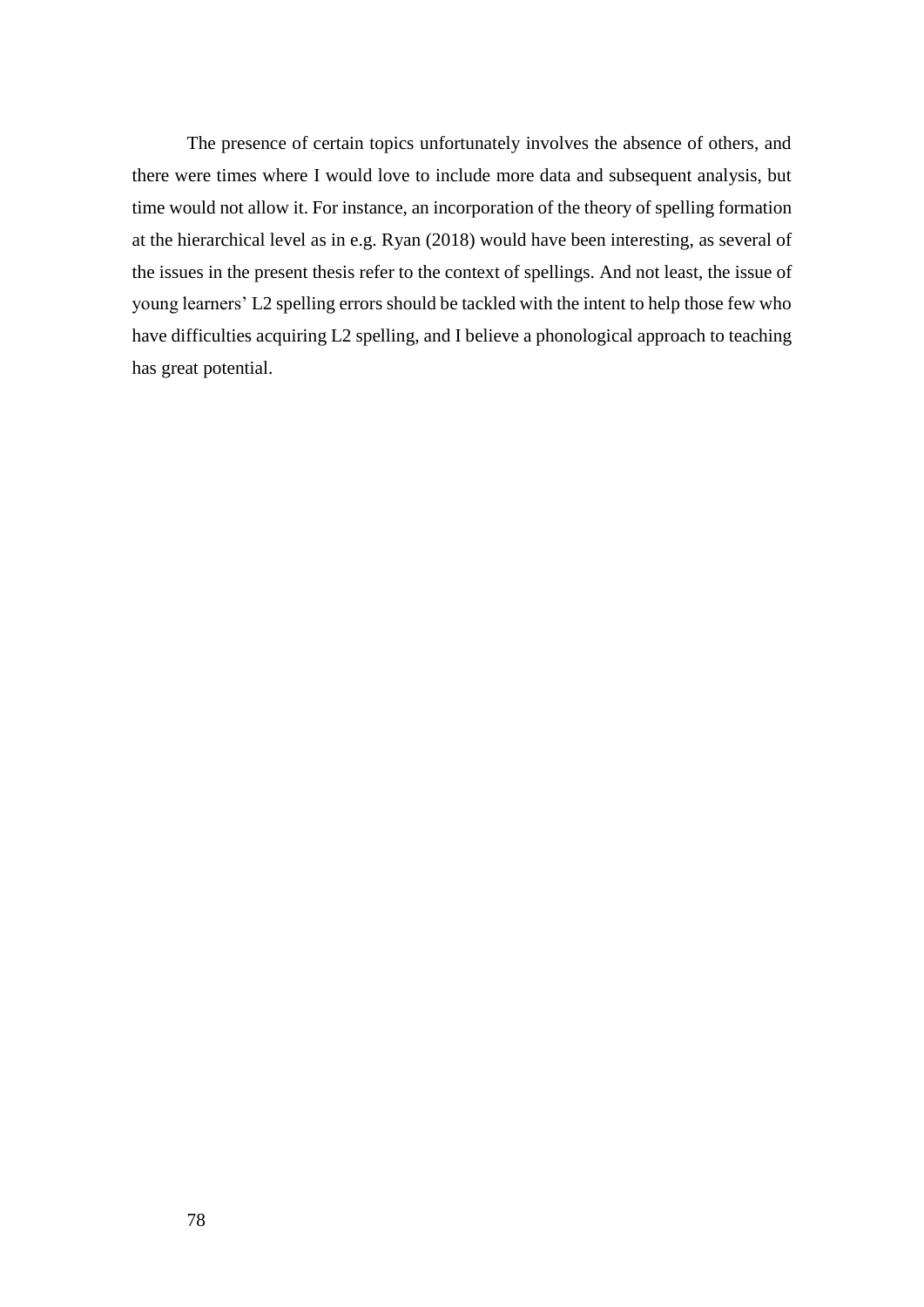The presence of certain topics unfortunately involves the absence of others, and there were times where I would love to include more data and subsequent analysis, but time would not allow it. For instance, an incorporation of the theory of spelling formation at the hierarchical level as in e.g. Ryan (2018) would have been interesting, as several of the issues in the present thesis refer to the context of spellings. And not least, the issue of young learners' L2 spelling errors should be tackled with the intent to help those few who have difficulties acquiring L2 spelling, and I believe a phonological approach to teaching has great potential.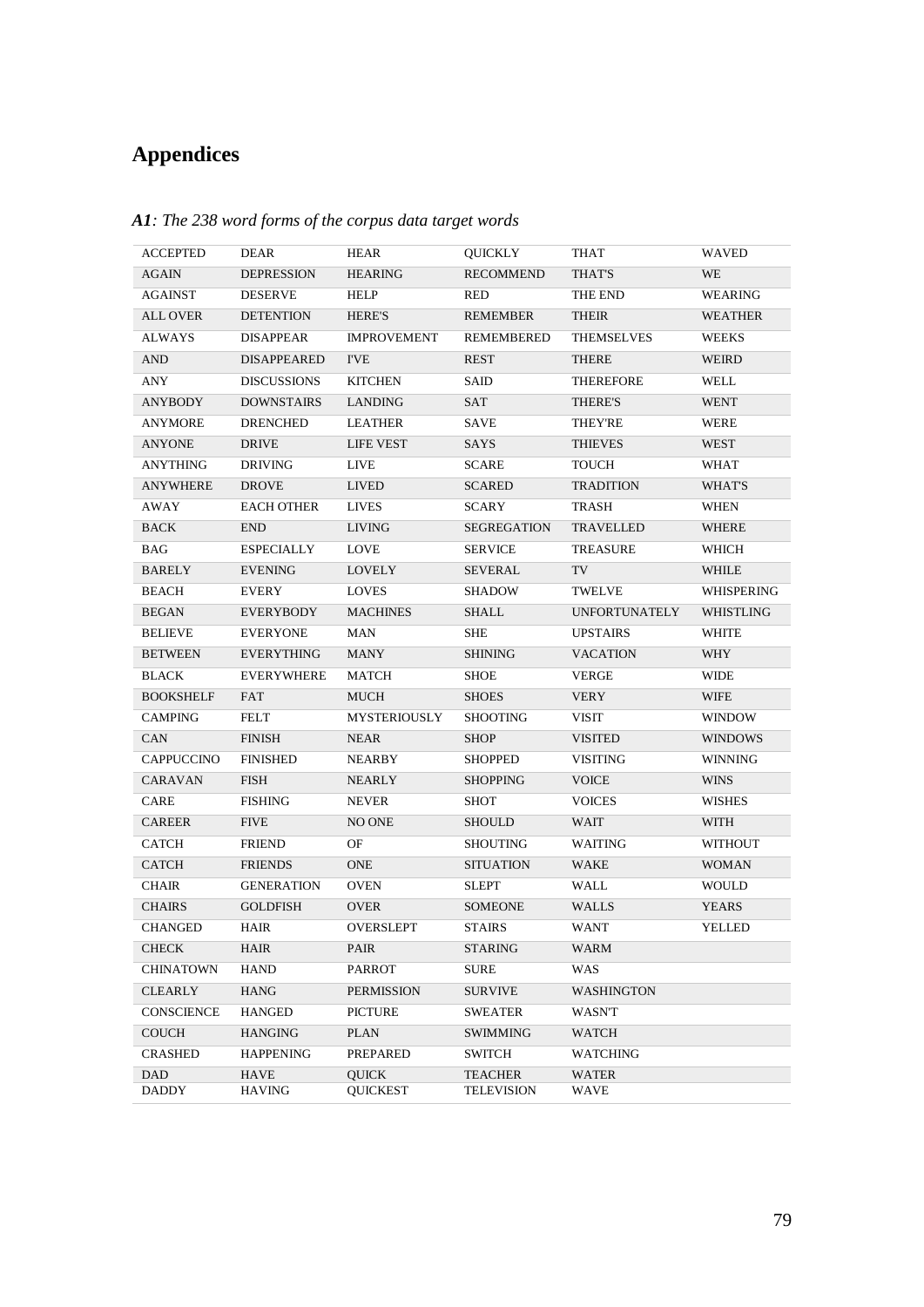# **Appendices**

| ACCEPTED                         | DEAR                         | HEAR                            | QUICKLY                             | THAT                 | WAVED            |
|----------------------------------|------------------------------|---------------------------------|-------------------------------------|----------------------|------------------|
| <b>AGAIN</b>                     | <b>DEPRESSION</b>            | <b>HEARING</b>                  | <b>RECOMMEND</b>                    | THAT'S               | WE               |
| AGAINST                          | <b>DESERVE</b>               | HELP                            | RED                                 | THE END              | WEARING          |
| <b>ALL OVER</b>                  | <b>DETENTION</b>             | <b>HERE'S</b>                   | <b>REMEMBER</b>                     | THEIR                | <b>WEATHER</b>   |
| <b>ALWAYS</b>                    | <b>DISAPPEAR</b>             | <b>IMPROVEMENT</b>              | <b>REMEMBERED</b>                   | <b>THEMSELVES</b>    | <b>WEEKS</b>     |
| <b>AND</b>                       | <b>DISAPPEARED</b>           | <b>I'VE</b>                     | REST                                | THERE                | WEIRD            |
| ANY                              | <b>DISCUSSIONS</b>           | <b>KITCHEN</b>                  | SAID                                | THEREFORE            | WELL             |
| ANYBODY                          | <b>DOWNSTAIRS</b>            | LANDING                         | SAT                                 | THERE'S              | <b>WENT</b>      |
| ANYMORE                          | DRENCHED                     | LEATHER                         | SAVE                                | <b>THEY'RE</b>       | WERE             |
| <b>ANYONE</b>                    | DRIVE                        | <b>LIFE VEST</b>                | SAYS                                | <b>THIEVES</b>       | <b>WEST</b>      |
| ANYTHING                         | DRIVING                      | <b>LIVE</b>                     | <b>SCARE</b>                        | <b>TOUCH</b>         | WHAT             |
| ANYWHERE                         | <b>DROVE</b>                 | <b>LIVED</b>                    | <b>SCARED</b>                       | <b>TRADITION</b>     | WHAT'S           |
| AWAY                             | <b>EACH OTHER</b>            | LIVES                           | SCARY                               | <b>TRASH</b>         | WHEN             |
| <b>BACK</b>                      | <b>END</b>                   | <b>LIVING</b>                   | <b>SEGREGATION</b>                  | TRAVELLED            | WHERE            |
| BAG                              | <b>ESPECIALLY</b>            | LOVE                            | <b>SERVICE</b>                      | <b>TREASURE</b>      | WHICH            |
| <b>BARELY</b>                    | <b>EVENING</b>               | <b>LOVELY</b>                   | SEVERAL                             | TV                   | WHILE            |
| BEACH                            | <b>EVERY</b>                 | <b>LOVES</b>                    | <b>SHADOW</b>                       | TWELVE               | WHISPERING       |
| <b>BEGAN</b>                     | EVERYBODY                    | <b>MACHINES</b>                 | <b>SHALL</b>                        | <b>UNFORTUNATELY</b> | <b>WHISTLING</b> |
| <b>BELIEVE</b>                   | <b>EVERYONE</b>              | MAN                             | SHE                                 | <b>UPSTAIRS</b>      | <b>WHITE</b>     |
| <b>BETWEEN</b>                   | <b>EVERYTHING</b>            | MANY                            | <b>SHINING</b>                      | <b>VACATION</b>      | WHY              |
| <b>BLACK</b>                     | <b>EVERYWHERE</b>            | MATCH                           | SHOE                                | <b>VERGE</b>         | <b>WIDE</b>      |
| <b>BOOKSHELF</b>                 | FAT                          | MUCH                            | <b>SHOES</b>                        | <b>VERY</b>          | <b>WIFE</b>      |
| <b>CAMPING</b>                   | FELT                         | MYSTERIOUSLY                    | <b>SHOOTING</b>                     | VISIT                | <b>WINDOW</b>    |
| CAN                              | <b>FINISH</b>                | <b>NEAR</b>                     | <b>SHOP</b>                         | <b>VISITED</b>       | <b>WINDOWS</b>   |
| CAPPUCCINO                       | <b>FINISHED</b>              | NEARBY                          | <b>SHOPPED</b>                      | VISITING             | <b>WINNING</b>   |
| CARAVAN                          | <b>FISH</b>                  | NEARLY                          | <b>SHOPPING</b>                     | <b>VOICE</b>         | <b>WINS</b>      |
| CARE                             | <b>FISHING</b>               | <b>NEVER</b>                    | SHOT                                | <b>VOICES</b>        | WISHES           |
| <b>CAREER</b>                    | <b>FIVE</b>                  | NO ONE                          | <b>SHOULD</b>                       | WAIT                 | <b>WITH</b>      |
| CATCH                            | <b>FRIEND</b>                | OF                              | SHOUTING                            | WAITING              | WITHOUT          |
| CATCH                            | <b>FRIENDS</b>               | ONE                             | <b>SITUATION</b>                    | WAKE                 | <b>WOMAN</b>     |
| <b>CHAIR</b>                     | <b>GENERATION</b>            | OVEN                            | SLEPT                               | WALL                 | <b>WOULD</b>     |
| <b>CHAIRS</b>                    | <b>GOLDFISH</b>              | OVER                            | <b>SOMEONE</b>                      | <b>WALLS</b>         | YEARS            |
| <b>CHANGED</b>                   | HAIR                         | OVERSLEPT                       | <b>STAIRS</b>                       | WANT                 | YELLED           |
| <b>CHECK</b>                     | HAIR                         | PAIR                            | <b>STARING</b>                      | WARM                 |                  |
| CHINATOWN                        | <b>HAND</b>                  | <b>PARROT</b>                   | SURE                                | <b>WAS</b>           |                  |
| <b>CLEARLY</b>                   | HANG                         | <b>PERMISSION</b>               | <b>SURVIVE</b>                      | <b>WASHINGTON</b>    |                  |
| CONSCIENCE                       | <b>HANGED</b>                | <b>PICTURE</b>                  | SWEATER                             | WASN'T               |                  |
| <b>COUCH</b>                     | <b>HANGING</b>               | <b>PLAN</b>                     | SWIMMING                            | <b>WATCH</b>         |                  |
| <b>CRASHED</b>                   | <b>HAPPENING</b>             | PREPARED                        | SWITCH                              | WATCHING             |                  |
| DAD<br>$\overline{\text{DADDY}}$ | <b>HAVE</b><br><b>HAVING</b> | <b>QUICK</b><br><b>QUICKEST</b> | <b>TEACHER</b><br><b>TELEVISION</b> | WATER<br>WAVE        |                  |

*A1: The 238 word forms of the corpus data target words*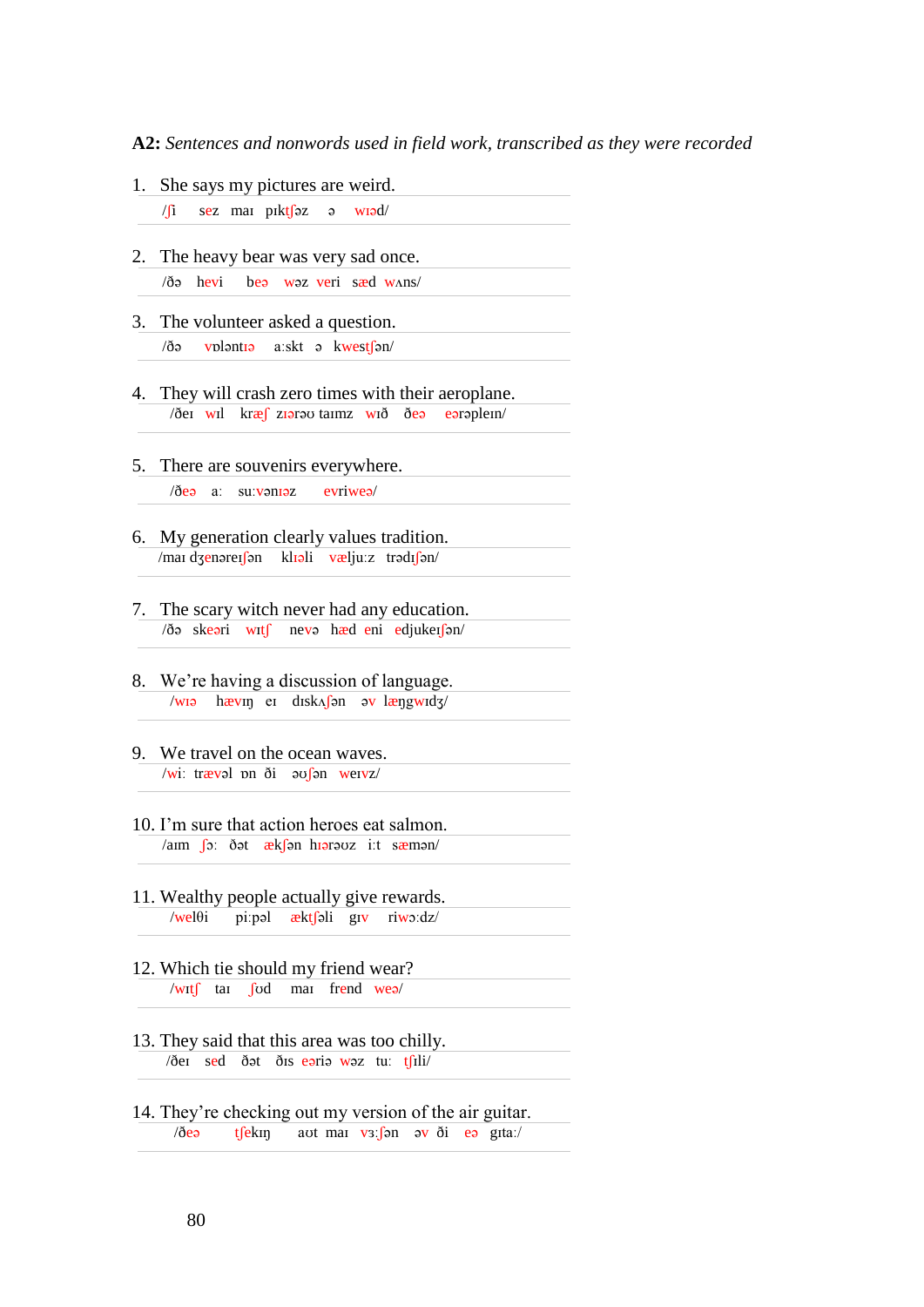**A2:** *Sentences and nonwords used in field work, transcribed as they were recorded*

1. She says my pictures are weird.

 $\sqrt{a}$  sez mai pikt $\int 2$  ə wiəd/

- 2. The heavy bear was very sad once. /ðə hevi beə wəz veri sæd wʌns/
- 3. The volunteer asked a question. /ðə vɒləntɪə aːskt ə kwestʃən/
- 4. They will crash zero times with their aeroplane. /ðeɪ wɪl kræʃ zɪərəʊ taɪmz wɪð ðeə eərəpleɪn/
- 5. There are souvenirs everywhere.

/ðeə aː suːvənɪəz evriweə/

- 6. My generation clearly values tradition. /maɪ dʒenəreɪʃən klɪəli væljuːz trədɪʃən/
- 7. The scary witch never had any education. /ðə skeəri wɪtʃ nevə hæd eni edjukeɪʃən/
- 8. We're having a discussion of language. /wɪə hævɪŋ eɪ dɪskʌʃən əv læŋgwɪdʒ/
- 9. We travel on the ocean waves. /wiː trævəl pn  $\delta i$  əv $\delta n$  weivz/
- 10. I'm sure that action heroes eat salmon. /aɪm ʃɔː ðət ækʃən hɪərəʊz iːt sæmən/
- 11. Wealthy people actually give rewards. /welθi piːpəl æktʃəli gɪv riwɔːdz/
- 12. Which tie should my friend wear? /wɪtʃ taɪ ʃʊd maɪ frend weə/
- 13. They said that this area was too chilly.  $\sqrt{\theta}$ ei sed  $\frac{\delta}{\theta}$ ət  $\frac{\delta}{\theta}$ is eəriə wəz tu: t $\frac{\delta}{\theta}$ ili/
- 14. They're checking out my version of the air guitar. /ðeə tʃekɪŋ aʊt maɪ vɜːʃən əv ði eə gɪtaː/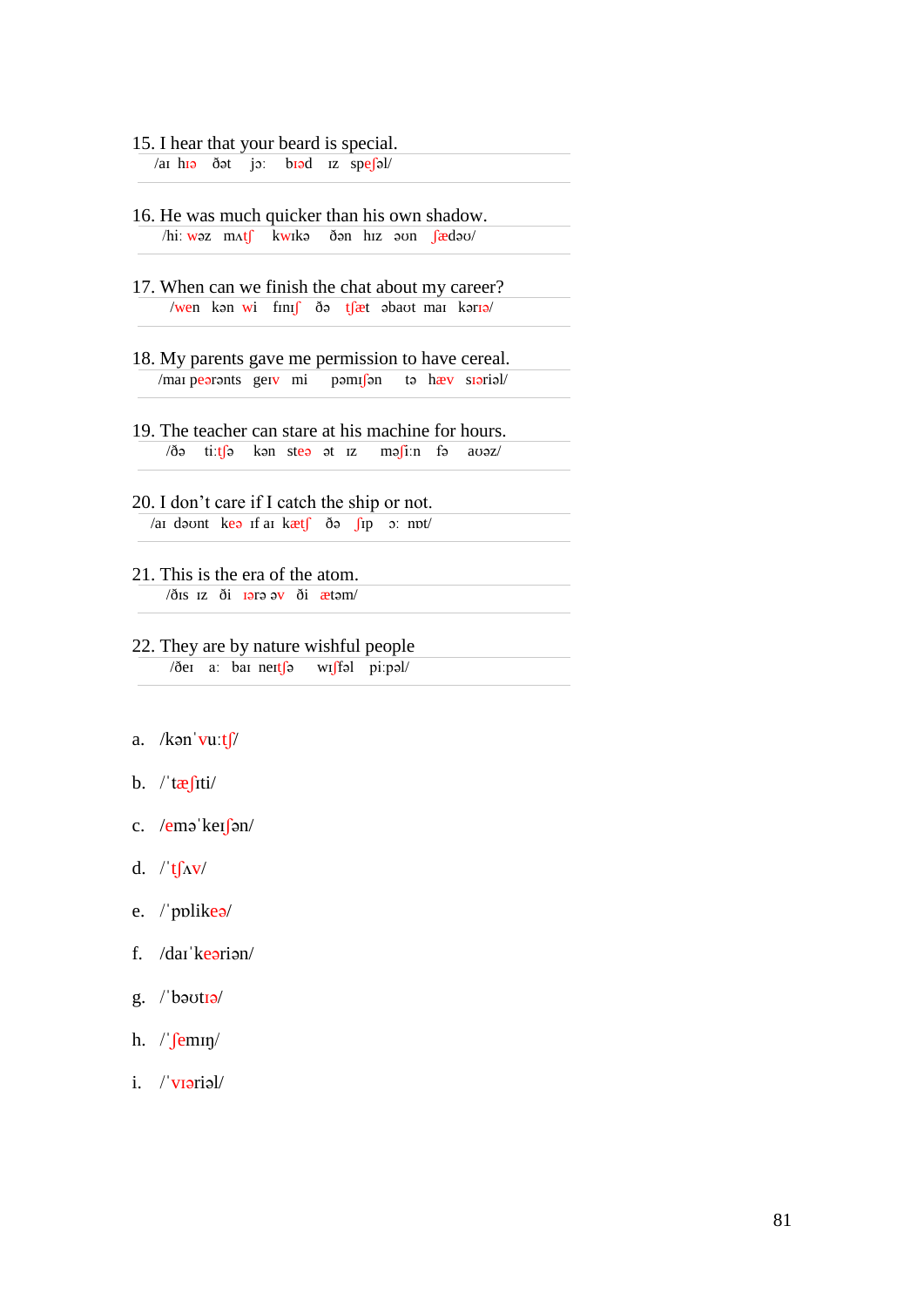### 15. I hear that your beard is special.

/aɪ hɪə ðət jɔː bɪəd ɪz speʃəl/

- 16. He was much quicker than his own shadow. /hiː wəz mʌtʃ kwɪkə ðən hɪz əʊn ʃædəʊ/
- 17. When can we finish the chat about my career? /wen kən wi finis də tsat əbaut mai kəriə/
- 18. My parents gave me permission to have cereal. /maɪ peərənts geɪv mi pəmɪʃən tə hæv sɪəriəl/
- 19. The teacher can stare at his machine for hours.  $\frac{1}{\sqrt{9}}$  ti:t $\int$ ə kən steə ət ız mə $\int$ i:n fə avəz/
- 20. I don't care if I catch the ship or not. /aɪ dəʊnt keə ɪf aɪ kætʃ ðə ʃɪp ɔː nɒt/
- 21. This is the era of the atom. /ðɪs ɪz ði ɪərə əv ði ætəm/

22. They are by nature wishful people /ðeɪ aː baɪ neɪtʃə wɪʃfəl piːpəl/

#### a. / $k$ ən vuːt $\int$ /

- b.  $/\tau \frac{\partial f}{\partial t}$
- c. /eməˈkeɪʃən/
- d.  $/t \int \Delta V$
- e. /ˈpɒlikeə/
- f. /daɪˈkeəriən/
- g. /ˈbəʊtɪə/
- h. /'femin/
- i. /ˈvɪəriəl/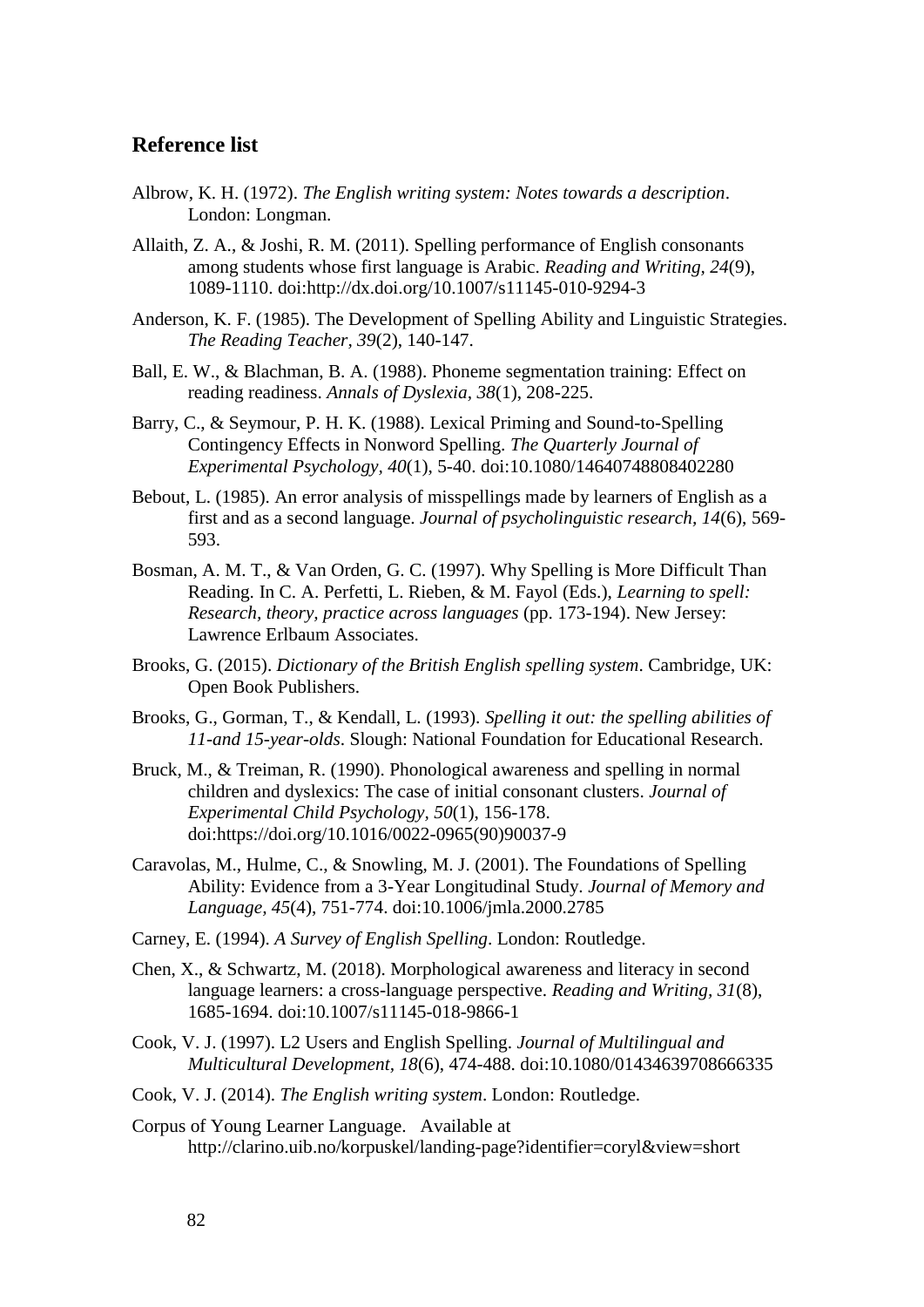## **Reference list**

- Albrow, K. H. (1972). *The English writing system: Notes towards a description*. London: Longman.
- Allaith, Z. A., & Joshi, R. M. (2011). Spelling performance of English consonants among students whose first language is Arabic. *Reading and Writing, 24*(9), 1089-1110. doi:http://dx.doi.org/10.1007/s11145-010-9294-3
- Anderson, K. F. (1985). The Development of Spelling Ability and Linguistic Strategies. *The Reading Teacher, 39*(2), 140-147.
- Ball, E. W., & Blachman, B. A. (1988). Phoneme segmentation training: Effect on reading readiness. *Annals of Dyslexia, 38*(1), 208-225.
- Barry, C., & Seymour, P. H. K. (1988). Lexical Priming and Sound-to-Spelling Contingency Effects in Nonword Spelling. *The Quarterly Journal of Experimental Psychology, 40*(1), 5-40. doi:10.1080/14640748808402280
- Bebout, L. (1985). An error analysis of misspellings made by learners of English as a first and as a second language. *Journal of psycholinguistic research, 14*(6), 569- 593.
- Bosman, A. M. T., & Van Orden, G. C. (1997). Why Spelling is More Difficult Than Reading. In C. A. Perfetti, L. Rieben, & M. Fayol (Eds.), *Learning to spell: Research, theory, practice across languages* (pp. 173-194). New Jersey: Lawrence Erlbaum Associates.
- Brooks, G. (2015). *Dictionary of the British English spelling system*. Cambridge, UK: Open Book Publishers.
- Brooks, G., Gorman, T., & Kendall, L. (1993). *Spelling it out: the spelling abilities of 11-and 15-year-olds*. Slough: National Foundation for Educational Research.
- Bruck, M., & Treiman, R. (1990). Phonological awareness and spelling in normal children and dyslexics: The case of initial consonant clusters. *Journal of Experimental Child Psychology, 50*(1), 156-178. doi:https://doi.org/10.1016/0022-0965(90)90037-9
- Caravolas, M., Hulme, C., & Snowling, M. J. (2001). The Foundations of Spelling Ability: Evidence from a 3-Year Longitudinal Study. *Journal of Memory and Language, 45*(4), 751-774. doi:10.1006/jmla.2000.2785
- Carney, E. (1994). *A Survey of English Spelling*. London: Routledge.
- Chen, X., & Schwartz, M. (2018). Morphological awareness and literacy in second language learners: a cross-language perspective. *Reading and Writing, 31*(8), 1685-1694. doi:10.1007/s11145-018-9866-1
- Cook, V. J. (1997). L2 Users and English Spelling. *Journal of Multilingual and Multicultural Development, 18*(6), 474-488. doi:10.1080/01434639708666335
- Cook, V. J. (2014). *The English writing system*. London: Routledge.
- Corpus of Young Learner Language. Available at http://clarino.uib.no/korpuskel/landing-page?identifier=coryl&view=short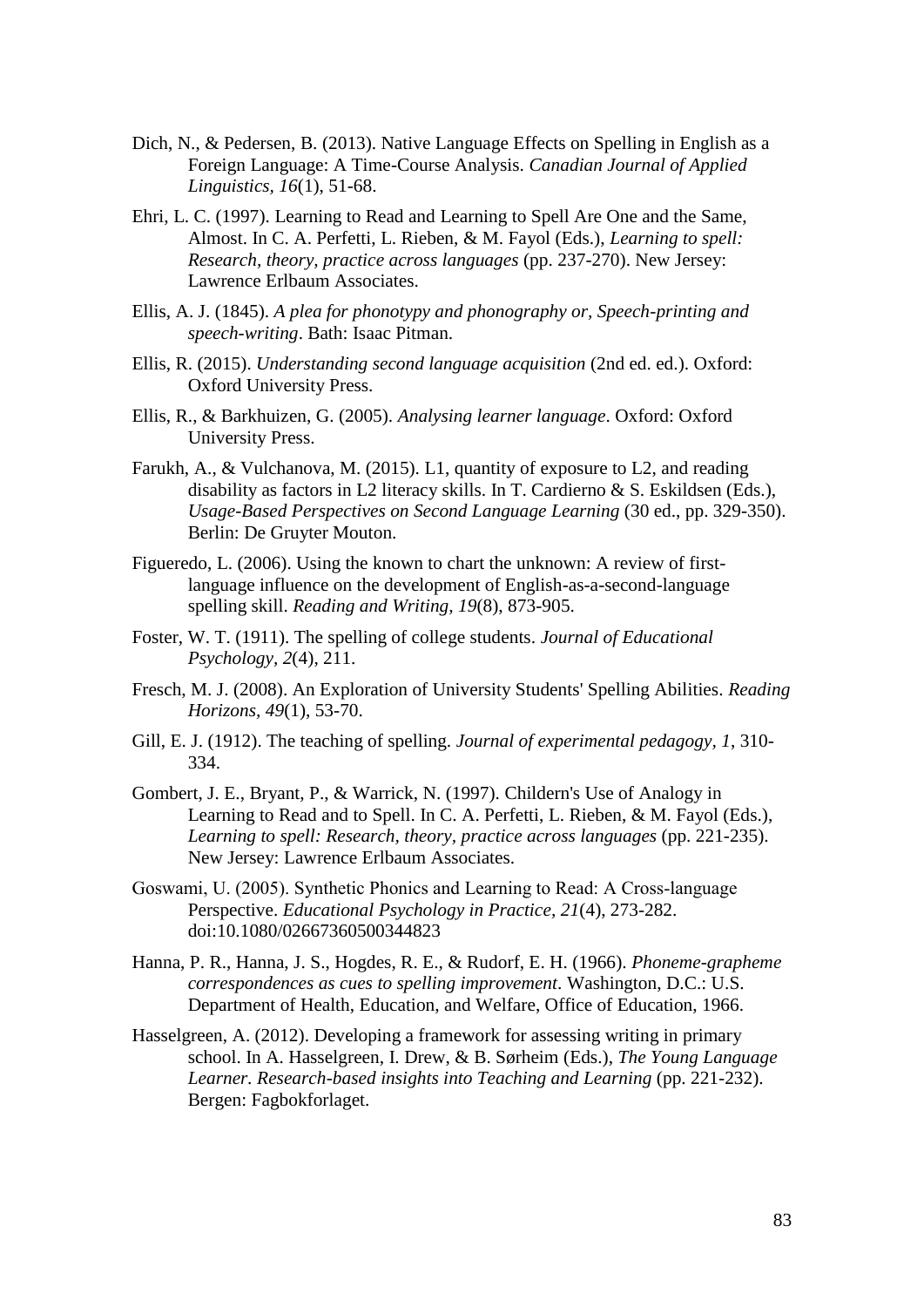- Dich, N., & Pedersen, B. (2013). Native Language Effects on Spelling in English as a Foreign Language: A Time-Course Analysis. *Canadian Journal of Applied Linguistics, 16*(1), 51-68.
- Ehri, L. C. (1997). Learning to Read and Learning to Spell Are One and the Same, Almost. In C. A. Perfetti, L. Rieben, & M. Fayol (Eds.), *Learning to spell: Research, theory, practice across languages* (pp. 237-270). New Jersey: Lawrence Erlbaum Associates.
- Ellis, A. J. (1845). *A plea for phonotypy and phonography or, Speech-printing and speech-writing*. Bath: Isaac Pitman.
- Ellis, R. (2015). *Understanding second language acquisition* (2nd ed. ed.). Oxford: Oxford University Press.
- Ellis, R., & Barkhuizen, G. (2005). *Analysing learner language*. Oxford: Oxford University Press.
- Farukh, A., & Vulchanova, M. (2015). L1, quantity of exposure to L2, and reading disability as factors in L2 literacy skills. In T. Cardierno & S. Eskildsen (Eds.), *Usage-Based Perspectives on Second Language Learning* (30 ed., pp. 329-350). Berlin: De Gruyter Mouton.
- Figueredo, L. (2006). Using the known to chart the unknown: A review of firstlanguage influence on the development of English-as-a-second-language spelling skill. *Reading and Writing, 19*(8), 873-905.
- Foster, W. T. (1911). The spelling of college students. *Journal of Educational Psychology, 2*(4), 211.
- Fresch, M. J. (2008). An Exploration of University Students' Spelling Abilities. *Reading Horizons, 49*(1), 53-70.
- Gill, E. J. (1912). The teaching of spelling. *Journal of experimental pedagogy, 1*, 310- 334.
- Gombert, J. E., Bryant, P., & Warrick, N. (1997). Childern's Use of Analogy in Learning to Read and to Spell. In C. A. Perfetti, L. Rieben, & M. Fayol (Eds.), *Learning to spell: Research, theory, practice across languages* (pp. 221-235). New Jersey: Lawrence Erlbaum Associates.
- Goswami, U. (2005). Synthetic Phonics and Learning to Read: A Cross‐language Perspective. *Educational Psychology in Practice, 21*(4), 273-282. doi:10.1080/02667360500344823
- Hanna, P. R., Hanna, J. S., Hogdes, R. E., & Rudorf, E. H. (1966). *Phoneme-grapheme correspondences as cues to spelling improvement*. Washington, D.C.: U.S. Department of Health, Education, and Welfare, Office of Education, 1966.
- Hasselgreen, A. (2012). Developing a framework for assessing writing in primary school. In A. Hasselgreen, I. Drew, & B. Sørheim (Eds.), *The Young Language Learner. Research-based insights into Teaching and Learning* (pp. 221-232). Bergen: Fagbokforlaget.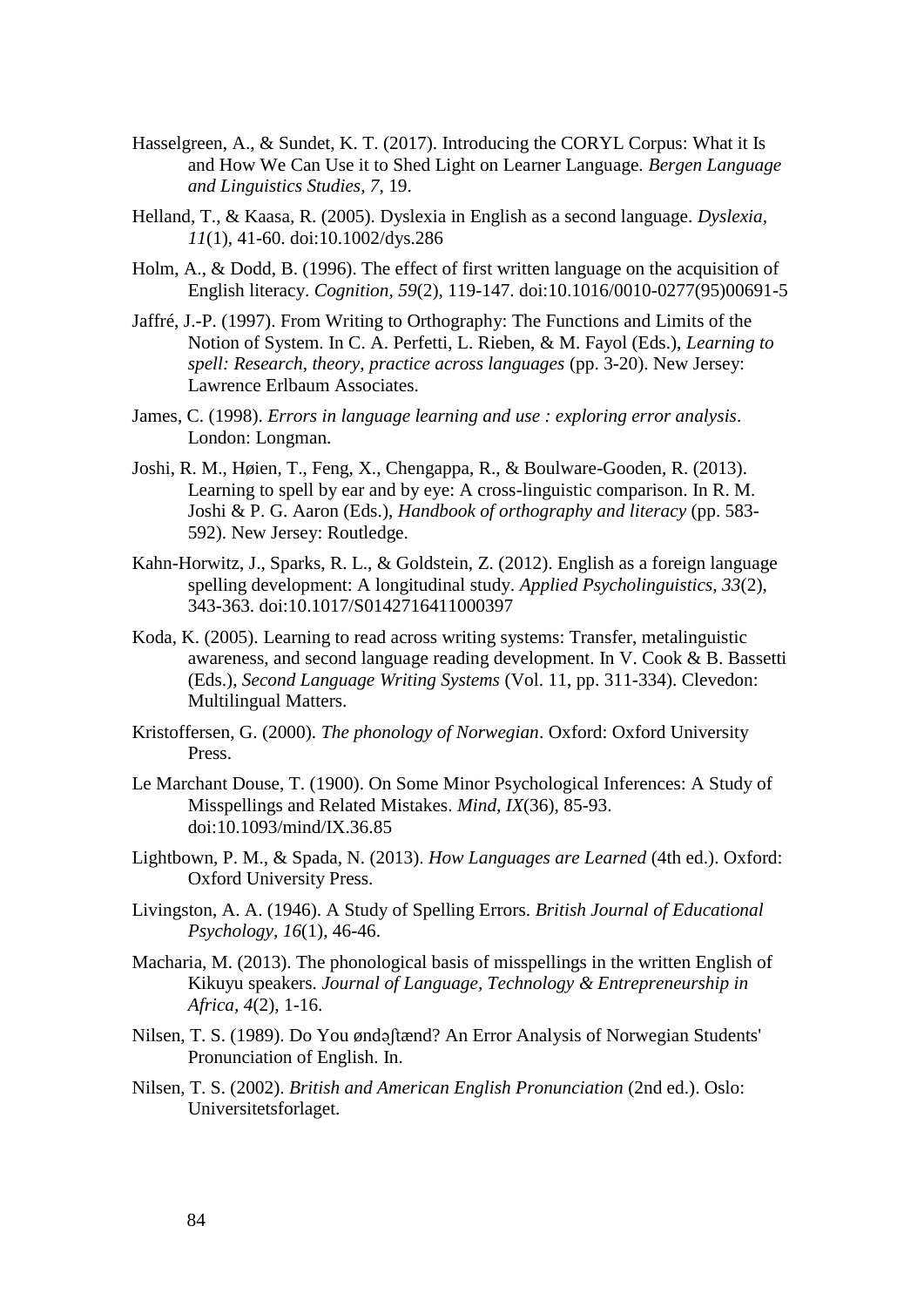- Hasselgreen, A., & Sundet, K. T. (2017). Introducing the CORYL Corpus: What it Is and How We Can Use it to Shed Light on Learner Language. *Bergen Language and Linguistics Studies, 7*, 19.
- Helland, T., & Kaasa, R. (2005). Dyslexia in English as a second language. *Dyslexia, 11*(1), 41-60. doi:10.1002/dys.286
- Holm, A., & Dodd, B. (1996). The effect of first written language on the acquisition of English literacy. *Cognition, 59*(2), 119-147. doi:10.1016/0010-0277(95)00691-5
- Jaffré, J.-P. (1997). From Writing to Orthography: The Functions and Limits of the Notion of System. In C. A. Perfetti, L. Rieben, & M. Fayol (Eds.), *Learning to spell: Research, theory, practice across languages* (pp. 3-20). New Jersey: Lawrence Erlbaum Associates.
- James, C. (1998). *Errors in language learning and use : exploring error analysis*. London: Longman.
- Joshi, R. M., Høien, T., Feng, X., Chengappa, R., & Boulware-Gooden, R. (2013). Learning to spell by ear and by eye: A cross-linguistic comparison. In R. M. Joshi & P. G. Aaron (Eds.), *Handbook of orthography and literacy* (pp. 583- 592). New Jersey: Routledge.
- Kahn-Horwitz, J., Sparks, R. L., & Goldstein, Z. (2012). English as a foreign language spelling development: A longitudinal study. *Applied Psycholinguistics, 33*(2), 343-363. doi:10.1017/S0142716411000397
- Koda, K. (2005). Learning to read across writing systems: Transfer, metalinguistic awareness, and second language reading development. In V. Cook & B. Bassetti (Eds.), *Second Language Writing Systems* (Vol. 11, pp. 311-334). Clevedon: Multilingual Matters.
- Kristoffersen, G. (2000). *The phonology of Norwegian*. Oxford: Oxford University Press.
- Le Marchant Douse, T. (1900). On Some Minor Psychological Inferences: A Study of Misspellings and Related Mistakes. *Mind, IX*(36), 85-93. doi:10.1093/mind/IX.36.85
- Lightbown, P. M., & Spada, N. (2013). *How Languages are Learned* (4th ed.). Oxford: Oxford University Press.
- Livingston, A. A. (1946). A Study of Spelling Errors. *British Journal of Educational Psychology, 16*(1), 46-46.
- Macharia, M. (2013). The phonological basis of misspellings in the written English of Kikuyu speakers. *Journal of Language, Technology & Entrepreneurship in Africa, 4*(2), 1-16.
- Nilsen, T. S. (1989). Do You øndəʃtænd? An Error Analysis of Norwegian Students' Pronunciation of English. In.
- Nilsen, T. S. (2002). *British and American English Pronunciation* (2nd ed.). Oslo: Universitetsforlaget.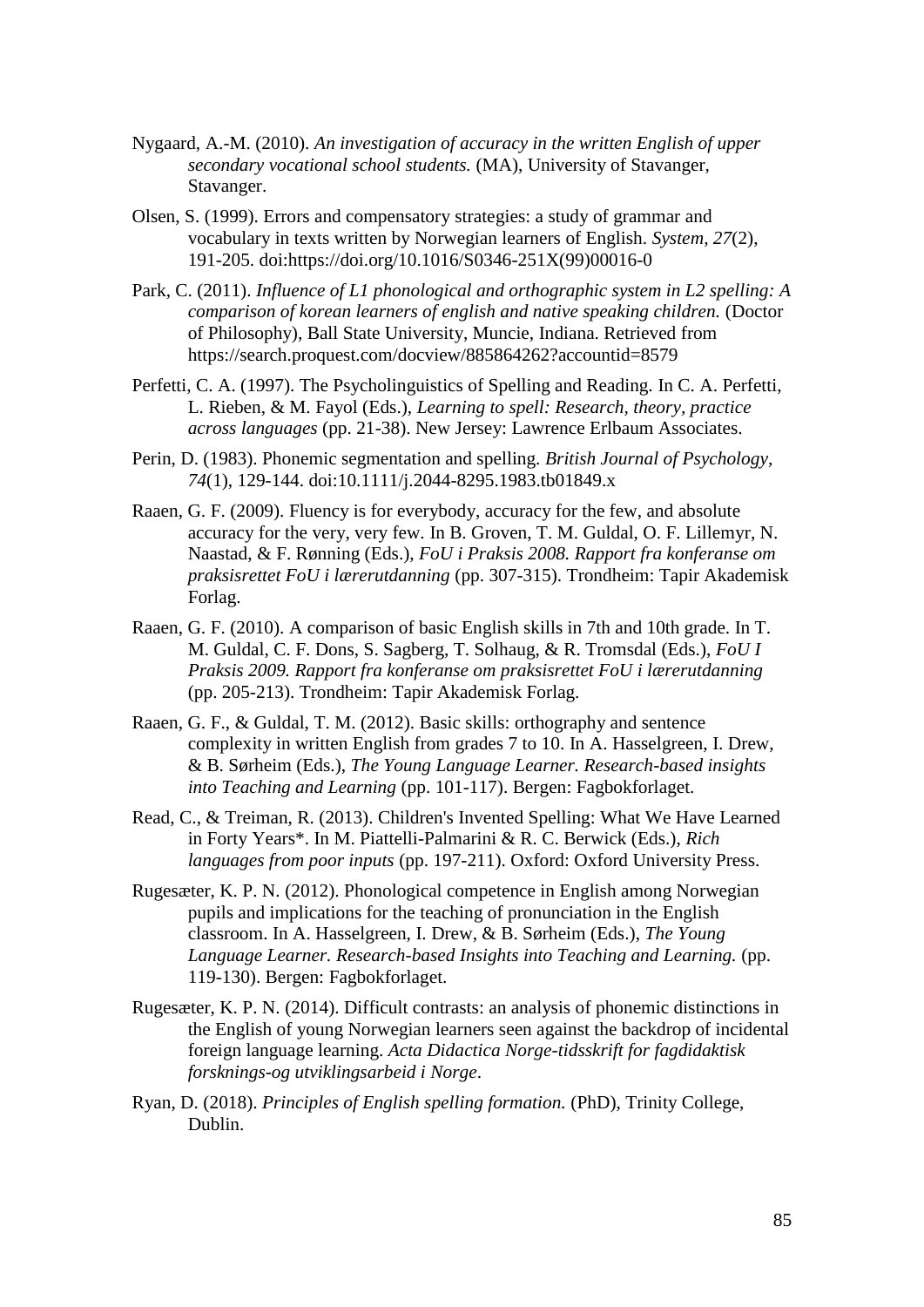- Nygaard, A.-M. (2010). *An investigation of accuracy in the written English of upper secondary vocational school students.* (MA), University of Stavanger, Stavanger.
- Olsen, S. (1999). Errors and compensatory strategies: a study of grammar and vocabulary in texts written by Norwegian learners of English. *System, 27*(2), 191-205. doi:https://doi.org/10.1016/S0346-251X(99)00016-0
- Park, C. (2011). *Influence of L1 phonological and orthographic system in L2 spelling: A comparison of korean learners of english and native speaking children.* (Doctor of Philosophy), Ball State University, Muncie, Indiana. Retrieved from https://search.proquest.com/docview/885864262?accountid=8579
- Perfetti, C. A. (1997). The Psycholinguistics of Spelling and Reading. In C. A. Perfetti, L. Rieben, & M. Fayol (Eds.), *Learning to spell: Research, theory, practice across languages* (pp. 21-38). New Jersey: Lawrence Erlbaum Associates.
- Perin, D. (1983). Phonemic segmentation and spelling. *British Journal of Psychology, 74*(1), 129-144. doi:10.1111/j.2044-8295.1983.tb01849.x
- Raaen, G. F. (2009). Fluency is for everybody, accuracy for the few, and absolute accuracy for the very, very few. In B. Groven, T. M. Guldal, O. F. Lillemyr, N. Naastad, & F. Rønning (Eds.), *FoU i Praksis 2008. Rapport fra konferanse om praksisrettet FoU i lærerutdanning* (pp. 307-315). Trondheim: Tapir Akademisk Forlag.
- Raaen, G. F. (2010). A comparison of basic English skills in 7th and 10th grade. In T. M. Guldal, C. F. Dons, S. Sagberg, T. Solhaug, & R. Tromsdal (Eds.), *FoU I Praksis 2009. Rapport fra konferanse om praksisrettet FoU i lærerutdanning* (pp. 205-213). Trondheim: Tapir Akademisk Forlag.
- Raaen, G. F., & Guldal, T. M. (2012). Basic skills: orthography and sentence complexity in written English from grades 7 to 10. In A. Hasselgreen, I. Drew, & B. Sørheim (Eds.), *The Young Language Learner. Research-based insights into Teaching and Learning* (pp. 101-117). Bergen: Fagbokforlaget.
- Read, C., & Treiman, R. (2013). Children's Invented Spelling: What We Have Learned in Forty Years\*. In M. Piattelli-Palmarini & R. C. Berwick (Eds.), *Rich languages from poor inputs* (pp. 197-211). Oxford: Oxford University Press.
- Rugesæter, K. P. N. (2012). Phonological competence in English among Norwegian pupils and implications for the teaching of pronunciation in the English classroom. In A. Hasselgreen, I. Drew, & B. Sørheim (Eds.), *The Young Language Learner. Research-based Insights into Teaching and Learning.* (pp. 119-130). Bergen: Fagbokforlaget.
- Rugesæter, K. P. N. (2014). Difficult contrasts: an analysis of phonemic distinctions in the English of young Norwegian learners seen against the backdrop of incidental foreign language learning. *Acta Didactica Norge-tidsskrift for fagdidaktisk forsknings-og utviklingsarbeid i Norge*.
- Ryan, D. (2018). *Principles of English spelling formation.* (PhD), Trinity College, Dublin.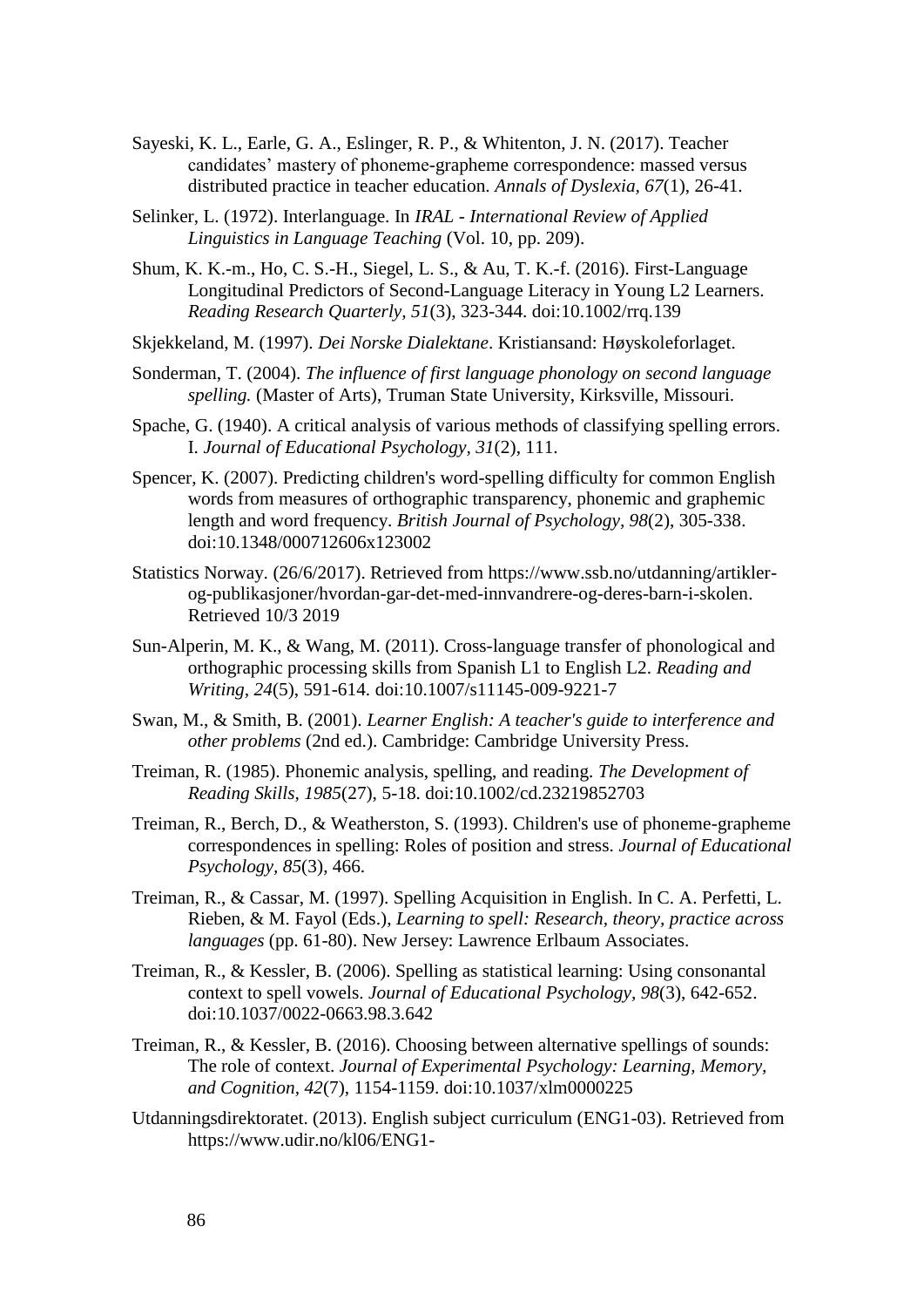- Sayeski, K. L., Earle, G. A., Eslinger, R. P., & Whitenton, J. N. (2017). Teacher candidates' mastery of phoneme-grapheme correspondence: massed versus distributed practice in teacher education. *Annals of Dyslexia, 67*(1), 26-41.
- Selinker, L. (1972). Interlanguage. In *IRAL - International Review of Applied Linguistics in Language Teaching* (Vol. 10, pp. 209).
- Shum, K. K.-m., Ho, C. S.-H., Siegel, L. S., & Au, T. K.-f. (2016). First-Language Longitudinal Predictors of Second-Language Literacy in Young L2 Learners. *Reading Research Quarterly, 51*(3), 323-344. doi:10.1002/rrq.139
- Skjekkeland, M. (1997). *Dei Norske Dialektane*. Kristiansand: Høyskoleforlaget.
- Sonderman, T. (2004). *The influence of first language phonology on second language spelling.* (Master of Arts), Truman State University, Kirksville, Missouri.
- Spache, G. (1940). A critical analysis of various methods of classifying spelling errors. I. *Journal of Educational Psychology, 31*(2), 111.
- Spencer, K. (2007). Predicting children's word-spelling difficulty for common English words from measures of orthographic transparency, phonemic and graphemic length and word frequency. *British Journal of Psychology, 98*(2), 305-338. doi:10.1348/000712606x123002
- Statistics Norway. (26/6/2017). Retrieved from https://www.ssb.no/utdanning/artiklerog-publikasjoner/hvordan-gar-det-med-innvandrere-og-deres-barn-i-skolen. Retrieved 10/3 2019
- Sun-Alperin, M. K., & Wang, M. (2011). Cross-language transfer of phonological and orthographic processing skills from Spanish L1 to English L2. *Reading and Writing, 24*(5), 591-614. doi:10.1007/s11145-009-9221-7
- Swan, M., & Smith, B. (2001). *Learner English: A teacher's guide to interference and other problems* (2nd ed.). Cambridge: Cambridge University Press.
- Treiman, R. (1985). Phonemic analysis, spelling, and reading. *The Development of Reading Skills, 1985*(27), 5-18. doi:10.1002/cd.23219852703
- Treiman, R., Berch, D., & Weatherston, S. (1993). Children's use of phoneme-grapheme correspondences in spelling: Roles of position and stress. *Journal of Educational Psychology, 85*(3), 466.
- Treiman, R., & Cassar, M. (1997). Spelling Acquisition in English. In C. A. Perfetti, L. Rieben, & M. Fayol (Eds.), *Learning to spell: Research, theory, practice across languages* (pp. 61-80). New Jersey: Lawrence Erlbaum Associates.
- Treiman, R., & Kessler, B. (2006). Spelling as statistical learning: Using consonantal context to spell vowels. *Journal of Educational Psychology, 98*(3), 642-652. doi:10.1037/0022-0663.98.3.642
- Treiman, R., & Kessler, B. (2016). Choosing between alternative spellings of sounds: The role of context. *Journal of Experimental Psychology: Learning, Memory, and Cognition, 42*(7), 1154-1159. doi:10.1037/xlm0000225
- Utdanningsdirektoratet. (2013). English subject curriculum (ENG1-03). Retrieved from https://www.udir.no/kl06/ENG1-